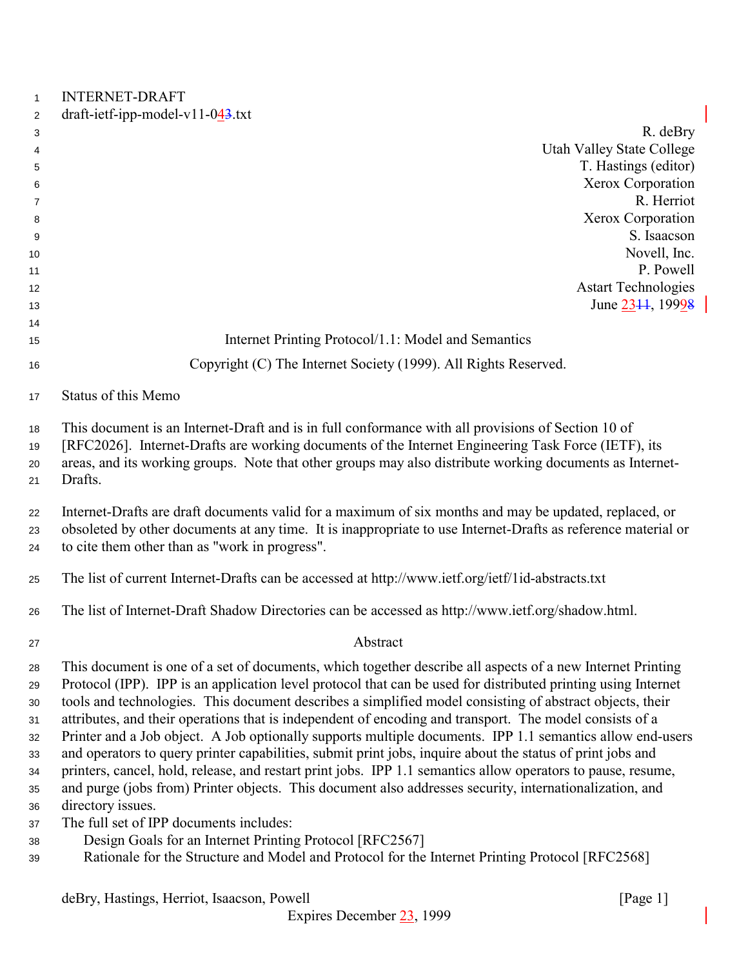| $\mathbf{1}$         | <b>INTERNET-DRAFT</b>                                                                                                                                                                                                                                                                                                            |
|----------------------|----------------------------------------------------------------------------------------------------------------------------------------------------------------------------------------------------------------------------------------------------------------------------------------------------------------------------------|
| 2                    | $draff-ietf-ipp-model-v11-043.txt$                                                                                                                                                                                                                                                                                               |
| 3                    | R. deBry                                                                                                                                                                                                                                                                                                                         |
| 4                    | <b>Utah Valley State College</b>                                                                                                                                                                                                                                                                                                 |
| 5                    | T. Hastings (editor)                                                                                                                                                                                                                                                                                                             |
| 6                    | Xerox Corporation                                                                                                                                                                                                                                                                                                                |
| 7                    | R. Herriot                                                                                                                                                                                                                                                                                                                       |
| 8                    | Xerox Corporation                                                                                                                                                                                                                                                                                                                |
| 9                    | S. Isaacson                                                                                                                                                                                                                                                                                                                      |
| 10                   | Novell, Inc.                                                                                                                                                                                                                                                                                                                     |
| 11                   | P. Powell                                                                                                                                                                                                                                                                                                                        |
| 12                   | <b>Astart Technologies</b>                                                                                                                                                                                                                                                                                                       |
| 13                   | June 2344, 19998                                                                                                                                                                                                                                                                                                                 |
| 14                   |                                                                                                                                                                                                                                                                                                                                  |
| 15                   | Internet Printing Protocol/1.1: Model and Semantics                                                                                                                                                                                                                                                                              |
| 16                   | Copyright (C) The Internet Society (1999). All Rights Reserved.                                                                                                                                                                                                                                                                  |
| 17                   | Status of this Memo                                                                                                                                                                                                                                                                                                              |
| 18<br>19<br>20<br>21 | This document is an Internet-Draft and is in full conformance with all provisions of Section 10 of<br>[RFC2026]. Internet-Drafts are working documents of the Internet Engineering Task Force (IETF), its<br>areas, and its working groups. Note that other groups may also distribute working documents as Internet-<br>Drafts. |
| 22<br>23<br>24       | Internet-Drafts are draft documents valid for a maximum of six months and may be updated, replaced, or<br>obsoleted by other documents at any time. It is inappropriate to use Internet-Drafts as reference material or<br>to cite them other than as "work in progress".                                                        |

The list of current Internet-Drafts can be accessed at http://www.ietf.org/ietf/1id-abstracts.txt

The list of Internet-Draft Shadow Directories can be accessed as http://www.ietf.org/shadow.html.

#### Abstract

 This document is one of a set of documents, which together describe all aspects of a new Internet Printing Protocol (IPP). IPP is an application level protocol that can be used for distributed printing using Internet tools and technologies. This document describes a simplified model consisting of abstract objects, their attributes, and their operations that is independent of encoding and transport. The model consists of a Printer and a Job object. A Job optionally supports multiple documents. IPP 1.1 semantics allow end-users and operators to query printer capabilities, submit print jobs, inquire about the status of print jobs and printers, cancel, hold, release, and restart print jobs. IPP 1.1 semantics allow operators to pause, resume, and purge (jobs from) Printer objects. This document also addresses security, internationalization, and directory issues.

- The full set of IPP documents includes:
- Design Goals for an Internet Printing Protocol [RFC2567]
- Rationale for the Structure and Model and Protocol for the Internet Printing Protocol [RFC2568]

deBry, Hastings, Herriot, Isaacson, Powell [Page 1]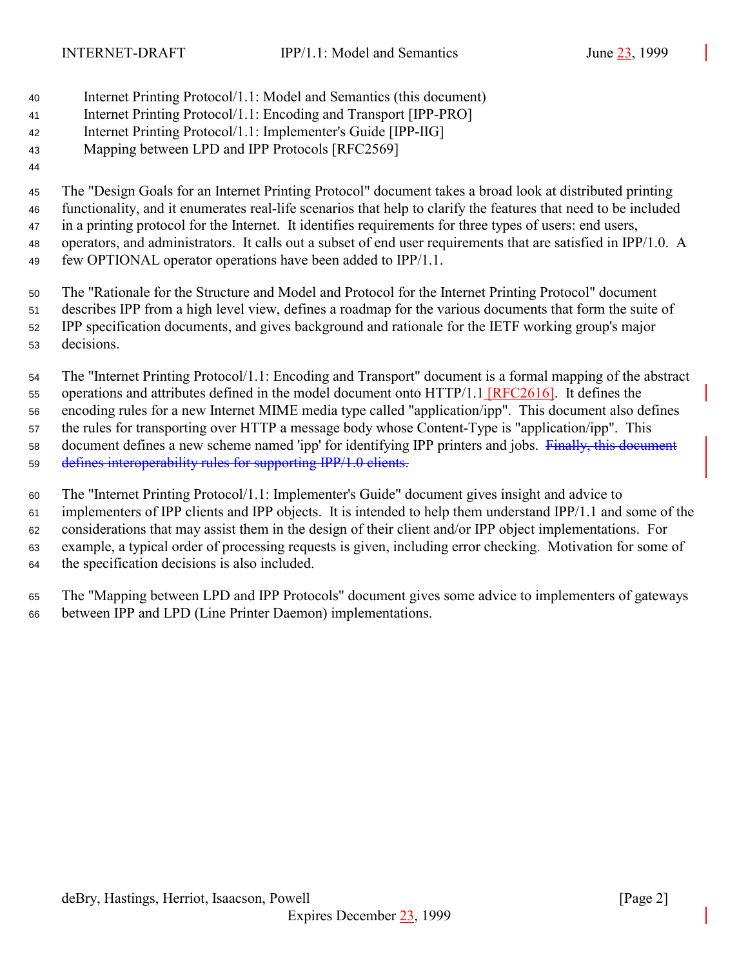- Internet Printing Protocol/1.1: Model and Semantics (this document)
- Internet Printing Protocol/1.1: Encoding and Transport [IPP-PRO]
- Internet Printing Protocol/1.1: Implementer's Guide [IPP-IIG]

# Mapping between LPD and IPP Protocols [RFC2569]

## The "Design Goals for an Internet Printing Protocol" document takes a broad look at distributed printing functionality, and it enumerates real-life scenarios that help to clarify the features that need to be included in a printing protocol for the Internet. It identifies requirements for three types of users: end users, operators, and administrators. It calls out a subset of end user requirements that are satisfied in IPP/1.0. A few OPTIONAL operator operations have been added to IPP/1.1.

 The "Rationale for the Structure and Model and Protocol for the Internet Printing Protocol" document describes IPP from a high level view, defines a roadmap for the various documents that form the suite of IPP specification documents, and gives background and rationale for the IETF working group's major decisions.

 The "Internet Printing Protocol/1.1: Encoding and Transport" document is a formal mapping of the abstract operations and attributes defined in the model document onto HTTP/1.1 [RFC2616]. It defines the encoding rules for a new Internet MIME media type called "application/ipp". This document also defines the rules for transporting over HTTP a message body whose Content-Type is "application/ipp". This 58 document defines a new scheme named 'ipp' for identifying IPP printers and jobs. Finally, this document defines interoperability rules for supporting IPP/1.0 clients.

 The "Internet Printing Protocol/1.1: Implementer's Guide" document gives insight and advice to implementers of IPP clients and IPP objects. It is intended to help them understand IPP/1.1 and some of the considerations that may assist them in the design of their client and/or IPP object implementations. For example, a typical order of processing requests is given, including error checking. Motivation for some of the specification decisions is also included.

 The "Mapping between LPD and IPP Protocols" document gives some advice to implementers of gateways between IPP and LPD (Line Printer Daemon) implementations.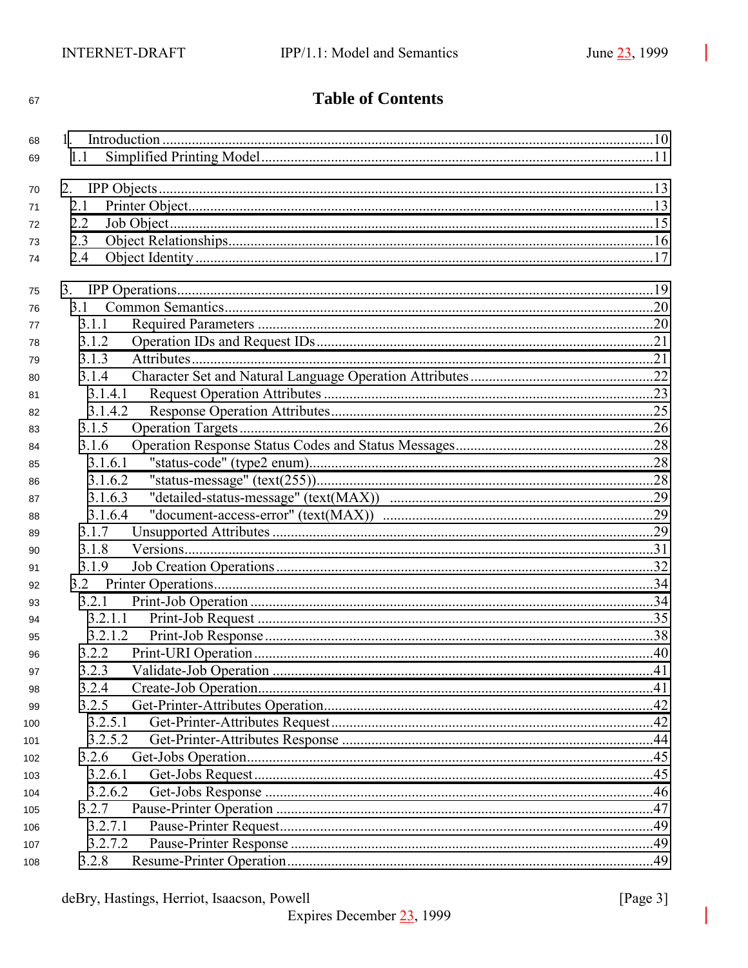|              | I |
|--------------|---|
| I<br>×<br>۰, |   |

# **Table of Contents**

| 68  |         |  |
|-----|---------|--|
| 69  | 1.1     |  |
|     |         |  |
| 70  | 2.      |  |
| 71  | 2.1     |  |
| 72  | 2.2     |  |
| 73  | 2.3     |  |
| 74  | 2.4     |  |
| 75  |         |  |
| 76  |         |  |
| 77  | 3.1.1   |  |
| 78  | 3.1.2   |  |
| 79  | 3.1.3   |  |
| 80  | 3.1.4   |  |
| 81  | 3.1.4.1 |  |
| 82  | 3.1.4.2 |  |
| 83  | 3.1.5   |  |
| 84  | 3.1.6   |  |
| 85  | 3.1.6.1 |  |
| 86  | 3.1.6.2 |  |
| 87  | 3.1.6.3 |  |
| 88  | 3.1.6.4 |  |
| 89  | 3.1.7   |  |
| 90  | 3.1.8   |  |
| 91  | 3.1.9   |  |
| 92  |         |  |
| 93  | 3.2.1   |  |
| 94  | 3.2.1.1 |  |
| 95  | 3.2.1.2 |  |
| 96  | 3.2.2   |  |
| 97  | 3.2.3   |  |
| 98  | 3.2.4   |  |
| 99  | 3.2.5   |  |
| 100 | 3.2.5.1 |  |
| 101 | 3.2.5.2 |  |
| 102 | 3.2.6   |  |
| 103 | 3.2.6.1 |  |
| 104 | 3.2.6.2 |  |
| 105 | 3.2.7   |  |
| 106 | 3.2.7.1 |  |
| 107 | 3.2.7.2 |  |
| 108 | 3.2.8   |  |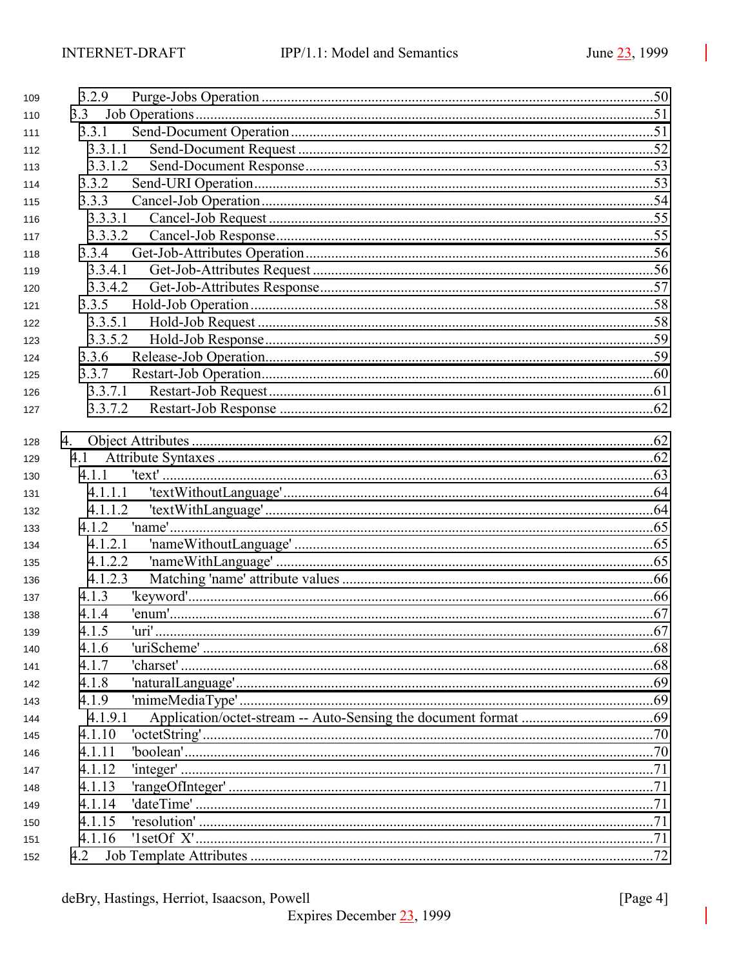| 109 | 3.2.9   |  |
|-----|---------|--|
| 110 | 3.3     |  |
| 111 | 3.3.1   |  |
| 112 | 3.3.1.1 |  |
| 113 | 3.3.1.2 |  |
| 114 | 3.3.2   |  |
| 115 | 3.3.3   |  |
| 116 | 3.3.3.1 |  |
| 117 | 3.3.3.2 |  |
| 118 | 3.3.4   |  |
| 119 | 3.3.4.1 |  |
| 120 | 3.3.4.2 |  |
| 121 | 3.3.5   |  |
| 122 | 3.3.5.1 |  |
| 123 | 3.3.5.2 |  |
| 124 | 3.3.6   |  |
| 125 | 3.3.7   |  |
| 126 | 3.3.7.1 |  |
| 127 | 3.3.7.2 |  |
|     |         |  |
| 128 | 4.      |  |
| 129 | 4.1     |  |
| 130 | 4.1.1   |  |
| 131 | 4.1.1.1 |  |
| 132 | 4.1.1.2 |  |
| 133 | 4.1.2   |  |
| 134 | 4.1.2.1 |  |
| 135 | 4.1.2.2 |  |
| 136 | 4.1.2.3 |  |
| 137 | 4.1.3   |  |
| 138 | 4.1.4   |  |
| 139 | 4.1.5   |  |
| 140 | 4.1.6   |  |
| 141 | 4.1.7   |  |
| 142 | 4.1.8   |  |
| 143 | 4.1.9   |  |
| 144 | 4.1.9.1 |  |
| 145 | 4.1.10  |  |
| 146 | 4.1.11  |  |
| 147 | 4.1.12  |  |
| 148 | 4.1.13  |  |
| 149 | 4.1.14  |  |
| 150 | 4.1.15  |  |
| 151 | 4.1.16  |  |
| 152 | 4.2     |  |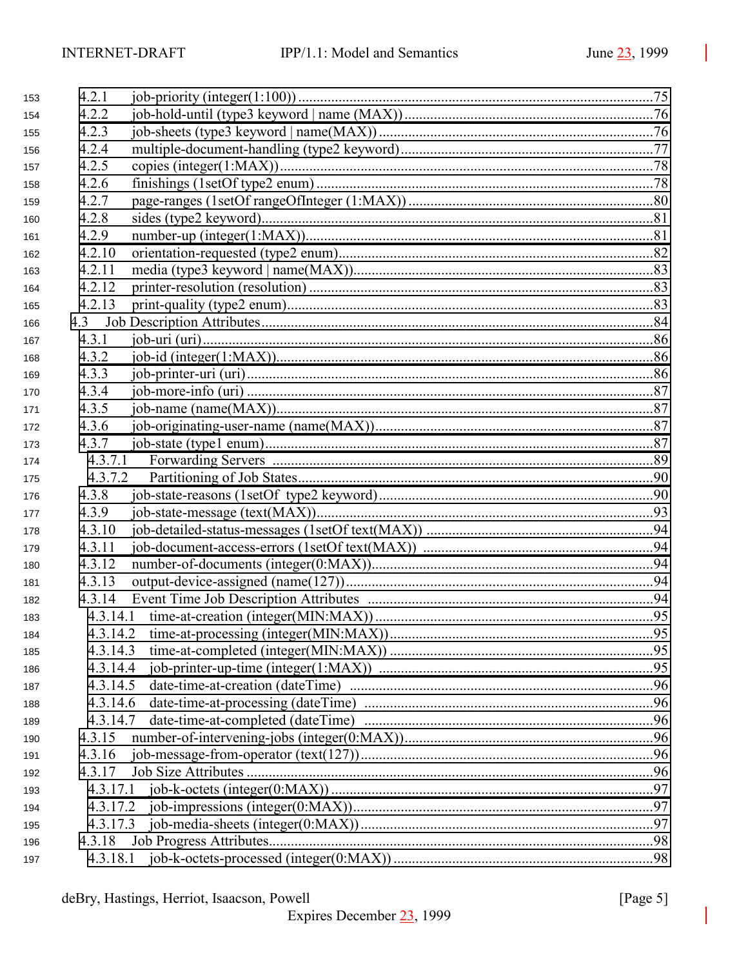| 4.2.2<br>154    |  |
|-----------------|--|
|                 |  |
| 4.2.3<br>155    |  |
| 4.2.4<br>156    |  |
| 4.2.5<br>157    |  |
| 4.2.6<br>158    |  |
| 4.2.7<br>159    |  |
| 4.2.8<br>160    |  |
| 4.2.9<br>161    |  |
| 4.2.10<br>162   |  |
| 4.2.11<br>163   |  |
| 4.2.12<br>164   |  |
| 4.2.13<br>165   |  |
| 166             |  |
| 4.3.1<br>167    |  |
| 4.3.2<br>168    |  |
| 4.3.3<br>169    |  |
| 4.3.4<br>170    |  |
| 4.3.5<br>171    |  |
| 4.3.6<br>172    |  |
| 4.3.7<br>173    |  |
| 4.3.7.1<br>174  |  |
| 4.3.7.2<br>175  |  |
| 4.3.8<br>176    |  |
| 4.3.9<br>177    |  |
| 4.3.10<br>178   |  |
| 4.3.11<br>179   |  |
| 4.3.12<br>180   |  |
| 4.3.13<br>181   |  |
| 4.3.14<br>182   |  |
| 4.3.14.1<br>183 |  |
| 184             |  |
| 185             |  |
| 186             |  |
| 4.3.14.5<br>187 |  |
| 188             |  |
| 4.3.14.7<br>189 |  |
| 4.3.15<br>190   |  |
| 4.3.16<br>191   |  |
| 4.3.17<br>192   |  |
| 193             |  |
| 194             |  |
| 195             |  |
| 196             |  |
| 197             |  |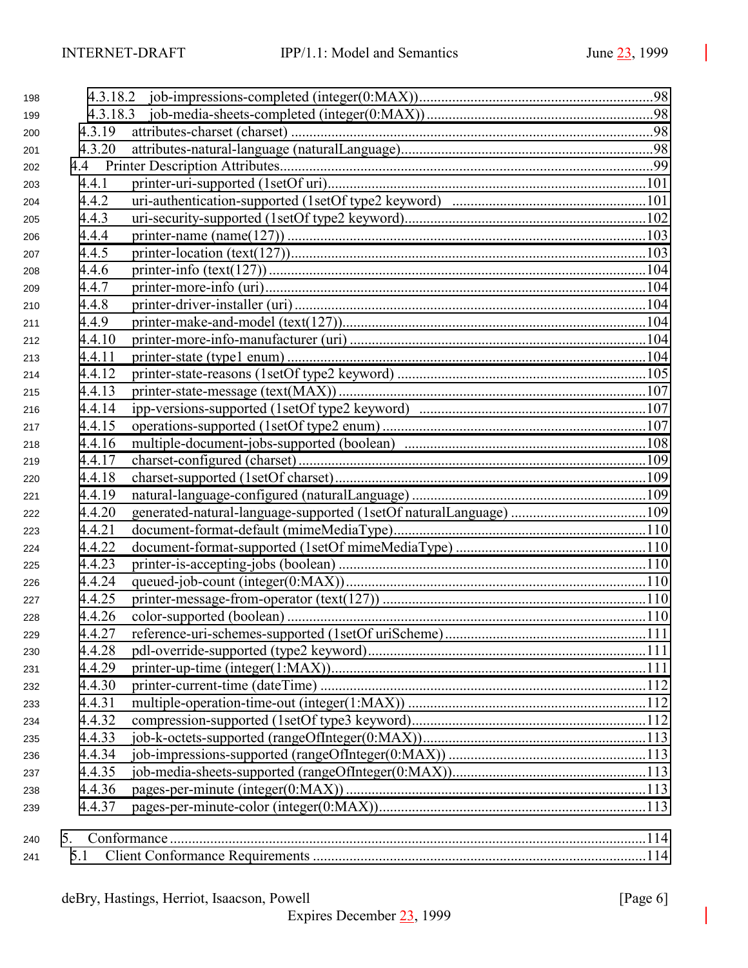| 198 |        |                                                                   |  |
|-----|--------|-------------------------------------------------------------------|--|
| 199 |        |                                                                   |  |
| 200 | 4.3.19 |                                                                   |  |
| 201 | 4.3.20 |                                                                   |  |
| 202 |        |                                                                   |  |
| 203 | 4.4.1  |                                                                   |  |
| 204 | 4.4.2  |                                                                   |  |
| 205 | 4.4.3  |                                                                   |  |
| 206 | 4.4.4  |                                                                   |  |
| 207 | 4.4.5  |                                                                   |  |
| 208 | 4.4.6  |                                                                   |  |
| 209 | 4.4.7  |                                                                   |  |
| 210 | 4.4.8  |                                                                   |  |
| 211 | 4.4.9  |                                                                   |  |
| 212 | 4.4.10 |                                                                   |  |
| 213 | 4.4.11 |                                                                   |  |
| 214 | 4.4.12 |                                                                   |  |
| 215 | 4.4.13 |                                                                   |  |
| 216 | 4.4.14 |                                                                   |  |
| 217 | 4.4.15 |                                                                   |  |
| 218 | 4.4.16 |                                                                   |  |
| 219 | 4.4.17 |                                                                   |  |
| 220 | 4.4.18 |                                                                   |  |
| 221 | 4.4.19 |                                                                   |  |
| 222 | 4.4.20 | generated-natural-language-supported (1setOf naturalLanguage) 109 |  |
| 223 | 4.4.21 |                                                                   |  |
| 224 | 4.4.22 |                                                                   |  |
| 225 | 4.4.23 |                                                                   |  |
| 226 | 4.4.24 |                                                                   |  |
| 227 | 4.4.25 |                                                                   |  |
| 228 | 4.4.26 |                                                                   |  |
| 229 | 4.4.27 |                                                                   |  |
| 230 | 4.4.28 |                                                                   |  |
| 231 | 4.4.29 |                                                                   |  |
| 232 | 4.4.30 |                                                                   |  |
| 233 | 4.4.31 |                                                                   |  |
| 234 | 4.4.32 |                                                                   |  |
| 235 | 4.4.33 |                                                                   |  |
| 236 | 4.4.34 |                                                                   |  |
| 237 | 4.4.35 |                                                                   |  |
| 238 | 4.4.36 |                                                                   |  |
| 239 | 4.4.37 |                                                                   |  |
|     |        |                                                                   |  |
| 240 | 5.     |                                                                   |  |
| 241 | 5.1    |                                                                   |  |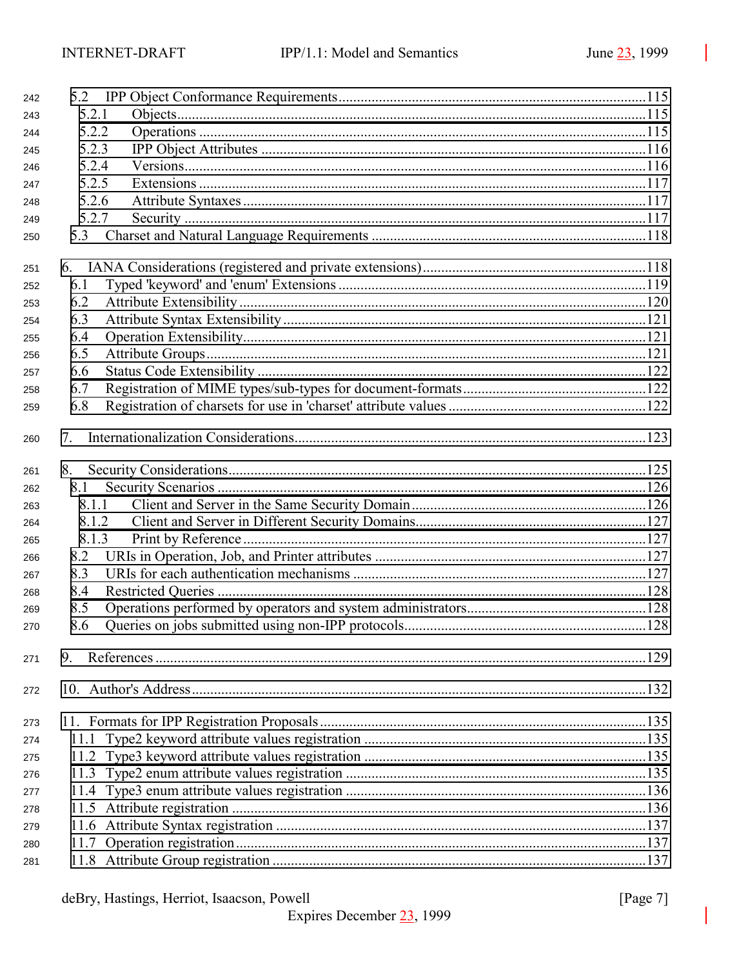| 242 |       |  |
|-----|-------|--|
| 243 | 5.2.1 |  |
| 244 | 5.2.2 |  |
| 245 | 5.2.3 |  |
| 246 | 5.2.4 |  |
| 247 | 5.2.5 |  |
| 248 | 5.2.6 |  |
| 249 | 5.2.7 |  |
| 250 |       |  |
| 251 |       |  |
| 252 | 6.1   |  |
| 253 | 6.2   |  |
| 254 | 6.3   |  |
| 255 | 6.4   |  |
| 256 | 6.5   |  |
| 257 | 6.6   |  |
| 258 | 6.7   |  |
| 259 | 6.8   |  |
| 260 | 7.    |  |
| 261 |       |  |
| 262 | 8.1   |  |
| 263 | 8.1.1 |  |
| 264 | 8.1.2 |  |
| 265 | 8.1.3 |  |
| 266 | 8.2   |  |
| 267 | 8.3   |  |
| 268 | 8.4   |  |
| 269 | 8.5   |  |
| 270 | 8.6   |  |
| 271 | 9.    |  |
| 272 |       |  |
| 273 |       |  |
| 274 |       |  |
| 275 |       |  |
| 276 |       |  |
| 277 |       |  |
| 278 |       |  |
| 279 |       |  |
| 280 |       |  |
| 281 |       |  |

[Page 7]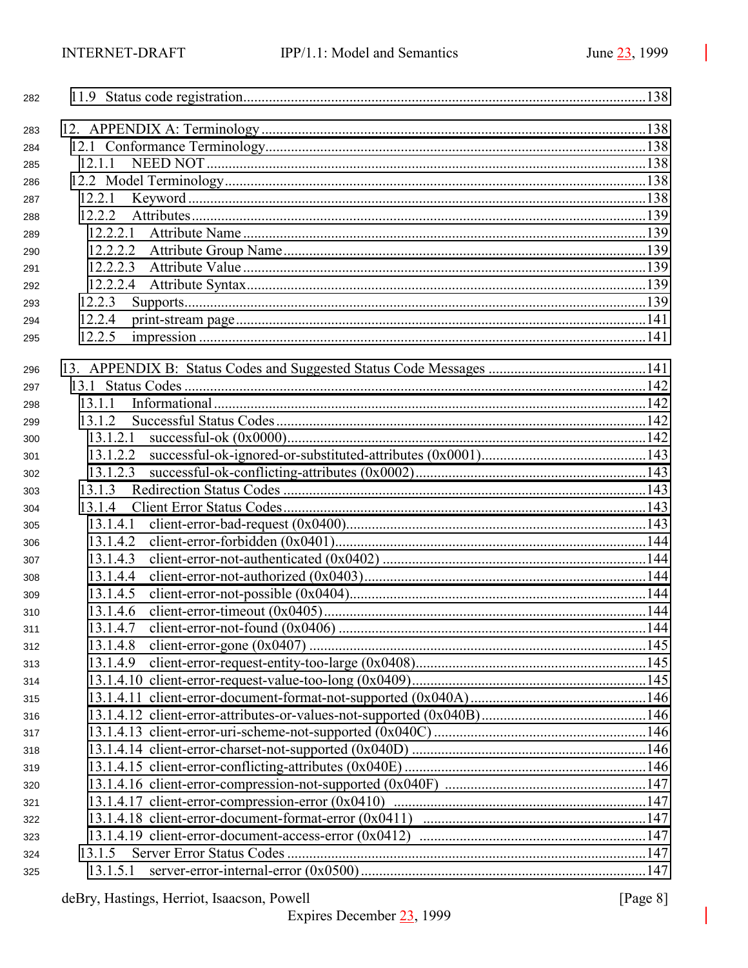| 282        |          |  |
|------------|----------|--|
| 283        |          |  |
| 284        |          |  |
| 285        | 12.1.1   |  |
| 286        |          |  |
| 287        | 12.2.1   |  |
| 288        | 12.2.2   |  |
| 289        | 12.2.2.1 |  |
| 290        | 12.2.2.2 |  |
| 291        | 12.2.2.3 |  |
| 292        | 12.2.2.4 |  |
| 293        | 12.2.3   |  |
| 294        | 12.2.4   |  |
| 295        | 12.2.5   |  |
|            |          |  |
| 296        |          |  |
| 297        |          |  |
| 298        | 13.1.1   |  |
| 299        | 13.1.2   |  |
| 300        | 13.1.2.1 |  |
| 301        | 13.1.2.2 |  |
| 302        | 13.1.2.3 |  |
| 303        | 13.1.3   |  |
| 304        | 13.1.4   |  |
| 305        | 13.1.4.1 |  |
| 306        | 13.1.4.2 |  |
| 307        | 13.1.4.3 |  |
| 308        | 13.1.4.4 |  |
| 309        | 13.1.4.5 |  |
| 310        | 13.1.4.6 |  |
| 311        | 13.1.4.7 |  |
| 312        | 13.1.4.8 |  |
| 313        | 13.1.4.9 |  |
| 314        |          |  |
| 315        |          |  |
| 316        |          |  |
| 317        |          |  |
| 318        |          |  |
| 319        |          |  |
| 320        |          |  |
| 321<br>322 |          |  |
| 323        |          |  |
| 324        | 13.1.5   |  |
|            | 13.1.5.1 |  |
| 325        |          |  |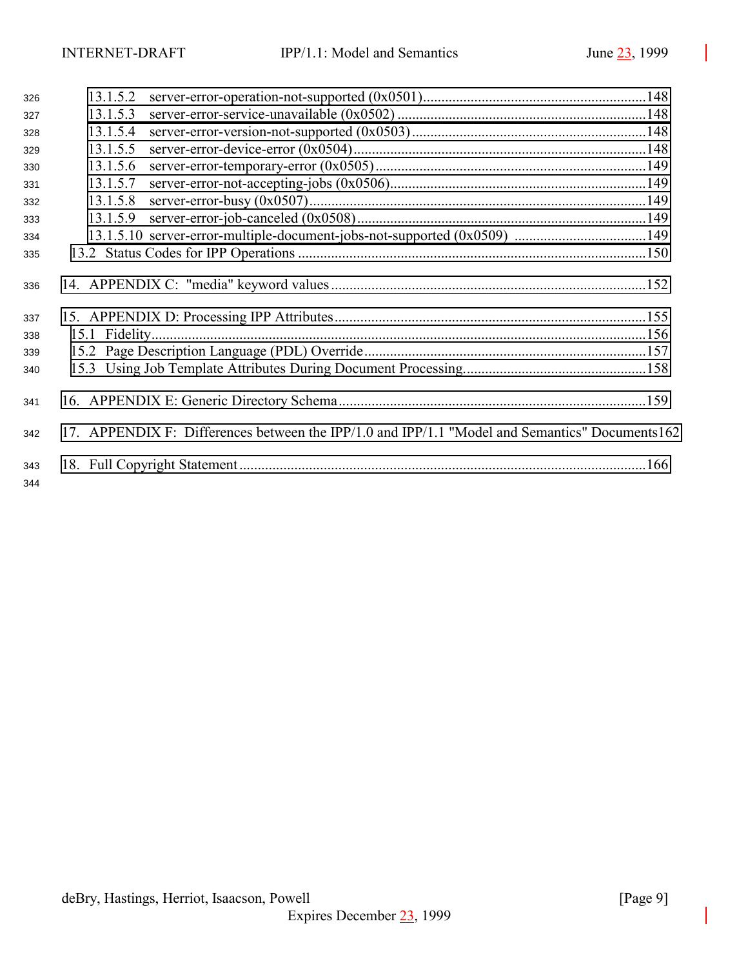| 326        | 13.1.5.2 |                                                                                                 |  |
|------------|----------|-------------------------------------------------------------------------------------------------|--|
| 327        | 13.1.5.3 |                                                                                                 |  |
| 328        | 13.1.5.4 |                                                                                                 |  |
| 329        | 13.1.5.5 |                                                                                                 |  |
| 330        | 13.1.5.6 |                                                                                                 |  |
| 331        | 13.1.5.7 |                                                                                                 |  |
| 332        | 13.1.5.8 |                                                                                                 |  |
| 333        | 13.1.5.9 |                                                                                                 |  |
| 334        |          |                                                                                                 |  |
| 335        |          |                                                                                                 |  |
| 336<br>337 |          |                                                                                                 |  |
| 338        |          |                                                                                                 |  |
| 339        |          |                                                                                                 |  |
| 340        |          |                                                                                                 |  |
| 341        |          |                                                                                                 |  |
| 342        |          | 17. APPENDIX F: Differences between the IPP/1.0 and IPP/1.1 "Model and Semantics" Documents 162 |  |
| 343<br>344 |          |                                                                                                 |  |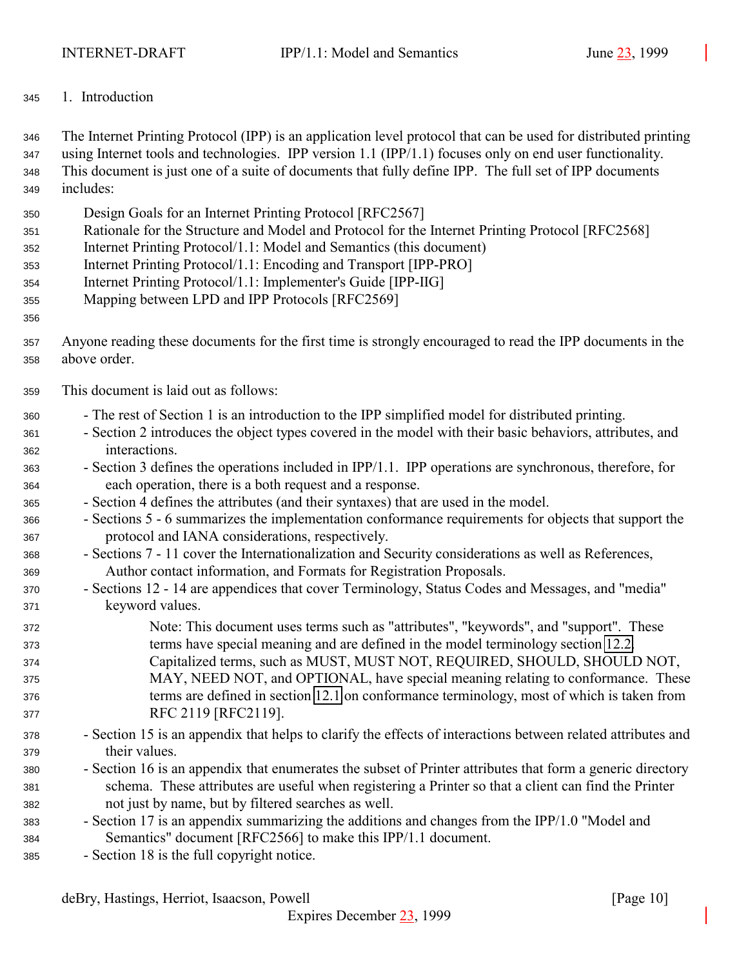<span id="page-9-0"></span>1. Introduction

 The Internet Printing Protocol (IPP) is an application level protocol that can be used for distributed printing using Internet tools and technologies. IPP version 1.1 (IPP/1.1) focuses only on end user functionality. This document is just one of a suite of documents that fully define IPP. The full set of IPP documents includes:

- Design Goals for an Internet Printing Protocol [RFC2567]
- Rationale for the Structure and Model and Protocol for the Internet Printing Protocol [RFC2568]
- Internet Printing Protocol/1.1: Model and Semantics (this document)
- Internet Printing Protocol/1.1: Encoding and Transport [IPP-PRO]
- Internet Printing Protocol/1.1: Implementer's Guide [IPP-IIG]
- Mapping between LPD and IPP Protocols [RFC2569]

## 

- Anyone reading these documents for the first time is strongly encouraged to read the IPP documents in the above order.
- This document is laid out as follows:
- The rest of Section 1 is an introduction to the IPP simplified model for distributed printing.
- Section 2 introduces the object types covered in the model with their basic behaviors, attributes, and interactions.
- Section 3 defines the operations included in IPP/1.1. IPP operations are synchronous, therefore, for each operation, there is a both request and a response.
- Section 4 defines the attributes (and their syntaxes) that are used in the model.
- Sections 5 6 summarizes the implementation conformance requirements for objects that support the protocol and IANA considerations, respectively.
- Sections 7 11 cover the Internationalization and Security considerations as well as References, Author contact information, and Formats for Registration Proposals.
- Sections 12 14 are appendices that cover Terminology, Status Codes and Messages, and "media" keyword values.
- Note: This document uses terms such as "attributes", "keywords", and "support". These terms have special meaning and are defined in the model terminology section [12.2.](#page-137-0) Capitalized terms, such as MUST, MUST NOT, REQUIRED, SHOULD, SHOULD NOT,
- MAY, NEED NOT, and OPTIONAL, have special meaning relating to conformance. These terms are defined in section [12.1](#page-137-0) on conformance terminology, most of which is taken from RFC 2119 [RFC2119].
- Section 15 is an appendix that helps to clarify the effects of interactions between related attributes and their values.
- Section 16 is an appendix that enumerates the subset of Printer attributes that form a generic directory schema. These attributes are useful when registering a Printer so that a client can find the Printer not just by name, but by filtered searches as well.
- Section 17 is an appendix summarizing the additions and changes from the IPP/1.0 "Model and Semantics" document [RFC2566] to make this IPP/1.1 document.
- Section 18 is the full copyright notice.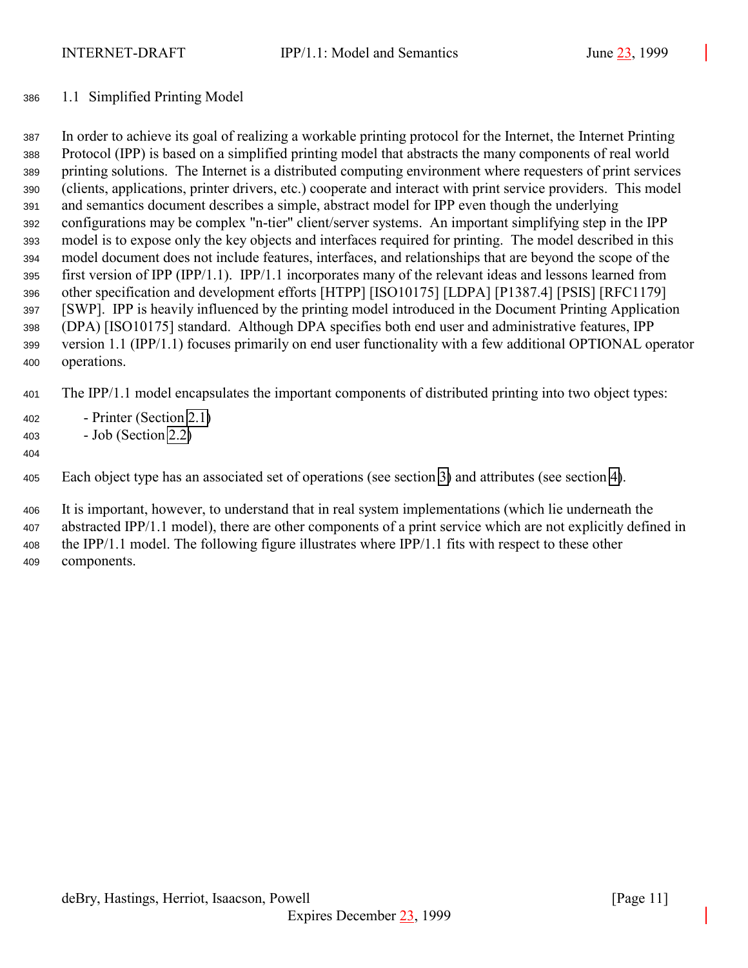#### <span id="page-10-0"></span>1.1 Simplified Printing Model

 In order to achieve its goal of realizing a workable printing protocol for the Internet, the Internet Printing Protocol (IPP) is based on a simplified printing model that abstracts the many components of real world printing solutions. The Internet is a distributed computing environment where requesters of print services (clients, applications, printer drivers, etc.) cooperate and interact with print service providers. This model and semantics document describes a simple, abstract model for IPP even though the underlying configurations may be complex "n-tier" client/server systems. An important simplifying step in the IPP model is to expose only the key objects and interfaces required for printing. The model described in this model document does not include features, interfaces, and relationships that are beyond the scope of the first version of IPP (IPP/1.1). IPP/1.1 incorporates many of the relevant ideas and lessons learned from other specification and development efforts [HTPP] [ISO10175] [LDPA] [P1387.4] [PSIS] [RFC1179] [SWP]. IPP is heavily influenced by the printing model introduced in the Document Printing Application (DPA) [ISO10175] standard. Although DPA specifies both end user and administrative features, IPP version 1.1 (IPP/1.1) focuses primarily on end user functionality with a few additional OPTIONAL operator operations.

The IPP/1.1 model encapsulates the important components of distributed printing into two object types:

- Printer (Section [2.1\)](#page-12-0)
- Job (Section [2.2\)](#page-14-0)
- 

Each object type has an associated set of operations (see section [3\)](#page-18-0) and attributes (see section [4\)](#page-61-0).

 It is important, however, to understand that in real system implementations (which lie underneath the abstracted IPP/1.1 model), there are other components of a print service which are not explicitly defined in the IPP/1.1 model. The following figure illustrates where IPP/1.1 fits with respect to these other components.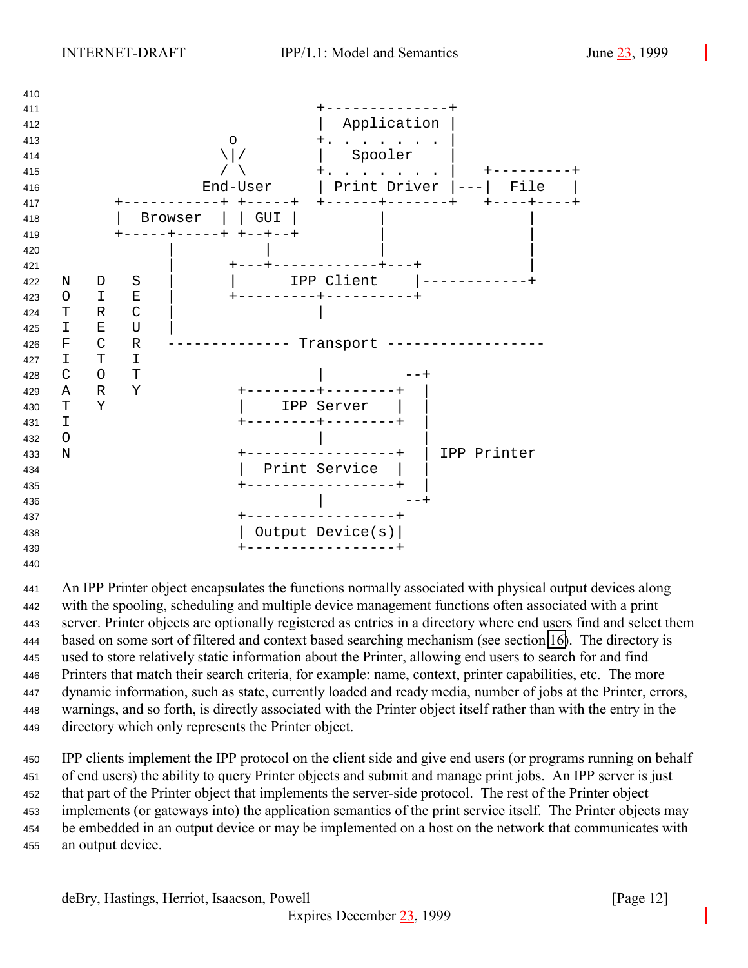

 An IPP Printer object encapsulates the functions normally associated with physical output devices along with the spooling, scheduling and multiple device management functions often associated with a print server. Printer objects are optionally registered as entries in a directory where end users find and select them based on some sort of filtered and context based searching mechanism (see section [16\)](#page-158-0). The directory is used to store relatively static information about the Printer, allowing end users to search for and find Printers that match their search criteria, for example: name, context, printer capabilities, etc. The more dynamic information, such as state, currently loaded and ready media, number of jobs at the Printer, errors, warnings, and so forth, is directly associated with the Printer object itself rather than with the entry in the directory which only represents the Printer object.

 IPP clients implement the IPP protocol on the client side and give end users (or programs running on behalf of end users) the ability to query Printer objects and submit and manage print jobs. An IPP server is just that part of the Printer object that implements the server-side protocol. The rest of the Printer object implements (or gateways into) the application semantics of the print service itself. The Printer objects may be embedded in an output device or may be implemented on a host on the network that communicates with an output device.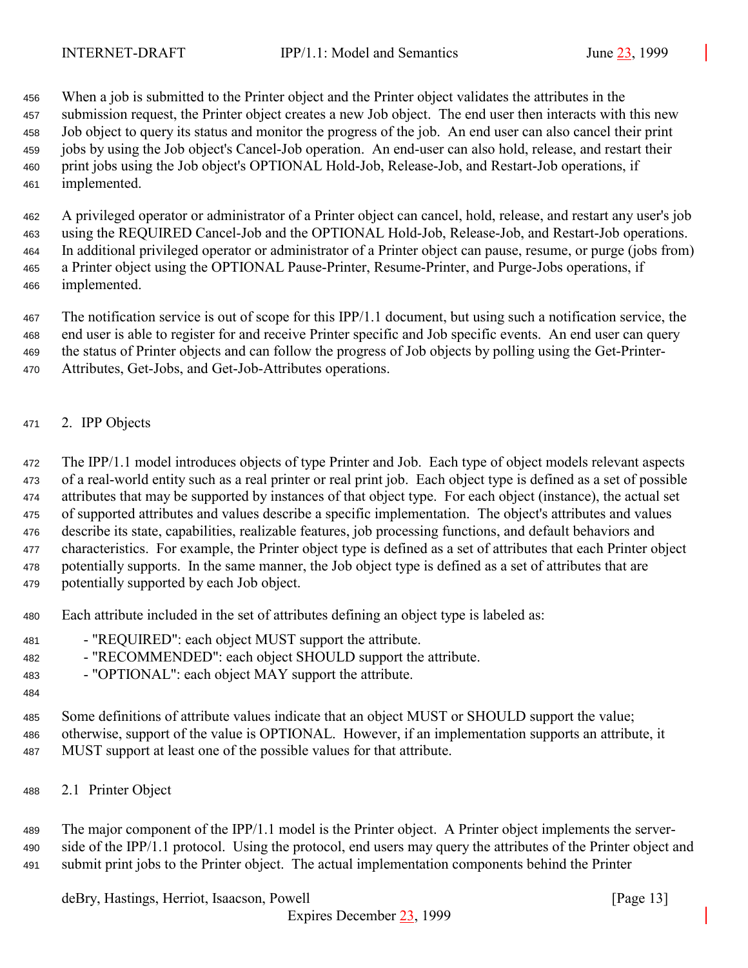<span id="page-12-0"></span> When a job is submitted to the Printer object and the Printer object validates the attributes in the submission request, the Printer object creates a new Job object. The end user then interacts with this new Job object to query its status and monitor the progress of the job. An end user can also cancel their print jobs by using the Job object's Cancel-Job operation. An end-user can also hold, release, and restart their print jobs using the Job object's OPTIONAL Hold-Job, Release-Job, and Restart-Job operations, if implemented.

 A privileged operator or administrator of a Printer object can cancel, hold, release, and restart any user's job using the REQUIRED Cancel-Job and the OPTIONAL Hold-Job, Release-Job, and Restart-Job operations. In additional privileged operator or administrator of a Printer object can pause, resume, or purge (jobs from) a Printer object using the OPTIONAL Pause-Printer, Resume-Printer, and Purge-Jobs operations, if implemented.

 The notification service is out of scope for this IPP/1.1 document, but using such a notification service, the end user is able to register for and receive Printer specific and Job specific events. An end user can query the status of Printer objects and can follow the progress of Job objects by polling using the Get-Printer-Attributes, Get-Jobs, and Get-Job-Attributes operations.

2. IPP Objects

 The IPP/1.1 model introduces objects of type Printer and Job. Each type of object models relevant aspects of a real-world entity such as a real printer or real print job. Each object type is defined as a set of possible attributes that may be supported by instances of that object type. For each object (instance), the actual set of supported attributes and values describe a specific implementation. The object's attributes and values describe its state, capabilities, realizable features, job processing functions, and default behaviors and characteristics. For example, the Printer object type is defined as a set of attributes that each Printer object potentially supports. In the same manner, the Job object type is defined as a set of attributes that are potentially supported by each Job object.

- Each attribute included in the set of attributes defining an object type is labeled as:
- "REQUIRED": each object MUST support the attribute.
- "RECOMMENDED": each object SHOULD support the attribute.
- "OPTIONAL": each object MAY support the attribute.
- 

 Some definitions of attribute values indicate that an object MUST or SHOULD support the value; otherwise, support of the value is OPTIONAL. However, if an implementation supports an attribute, it MUST support at least one of the possible values for that attribute.

2.1 Printer Object

 The major component of the IPP/1.1 model is the Printer object. A Printer object implements the server-490 side of the IPP/1.1 protocol. Using the protocol, end users may query the attributes of the Printer object and submit print jobs to the Printer object. The actual implementation components behind the Printer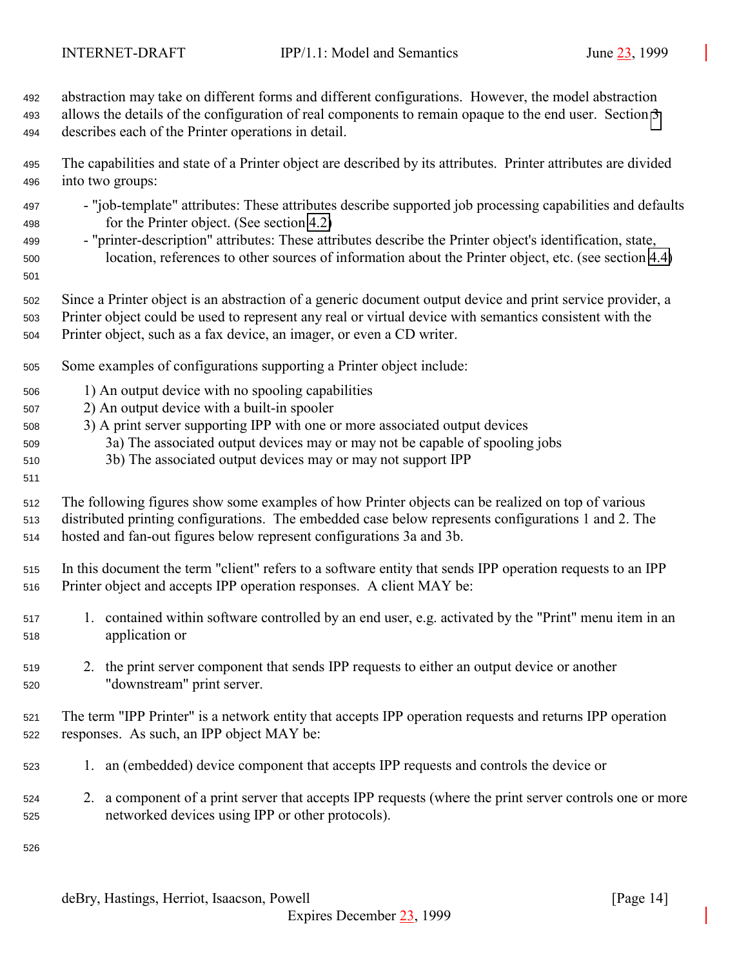abstraction may take on different forms and different configurations. However, the model abstraction allows the details of the configuration of real components to remain opaque to the end user. Section [3](#page-18-0) describes each of the Printer operations in detail.

 The capabilities and state of a Printer object are described by its attributes. Printer attributes are divided into two groups:

- "job-template" attributes: These attributes describe supported job processing capabilities and defaults for the Printer object. (See section [4.2\)](#page-71-0)
- "printer-description" attributes: These attributes describe the Printer object's identification, state, location, references to other sources of information about the Printer object, etc. (see section [4.4\)](#page-98-0)
- 

 Since a Printer object is an abstraction of a generic document output device and print service provider, a Printer object could be used to represent any real or virtual device with semantics consistent with the

Printer object, such as a fax device, an imager, or even a CD writer.

- Some examples of configurations supporting a Printer object include:
- 1) An output device with no spooling capabilities
- 2) An output device with a built-in spooler
- 3) A print server supporting IPP with one or more associated output devices
- 3a) The associated output devices may or may not be capable of spooling jobs
- 3b) The associated output devices may or may not support IPP
- 

 The following figures show some examples of how Printer objects can be realized on top of various distributed printing configurations. The embedded case below represents configurations 1 and 2. The hosted and fan-out figures below represent configurations 3a and 3b.

 In this document the term "client" refers to a software entity that sends IPP operation requests to an IPP Printer object and accepts IPP operation responses. A client MAY be:

- 1. contained within software controlled by an end user, e.g. activated by the "Print" menu item in an application or
- 2. the print server component that sends IPP requests to either an output device or another "downstream" print server.

 The term "IPP Printer" is a network entity that accepts IPP operation requests and returns IPP operation responses. As such, an IPP object MAY be:

- 1. an (embedded) device component that accepts IPP requests and controls the device or
- 2. a component of a print server that accepts IPP requests (where the print server controls one or more networked devices using IPP or other protocols).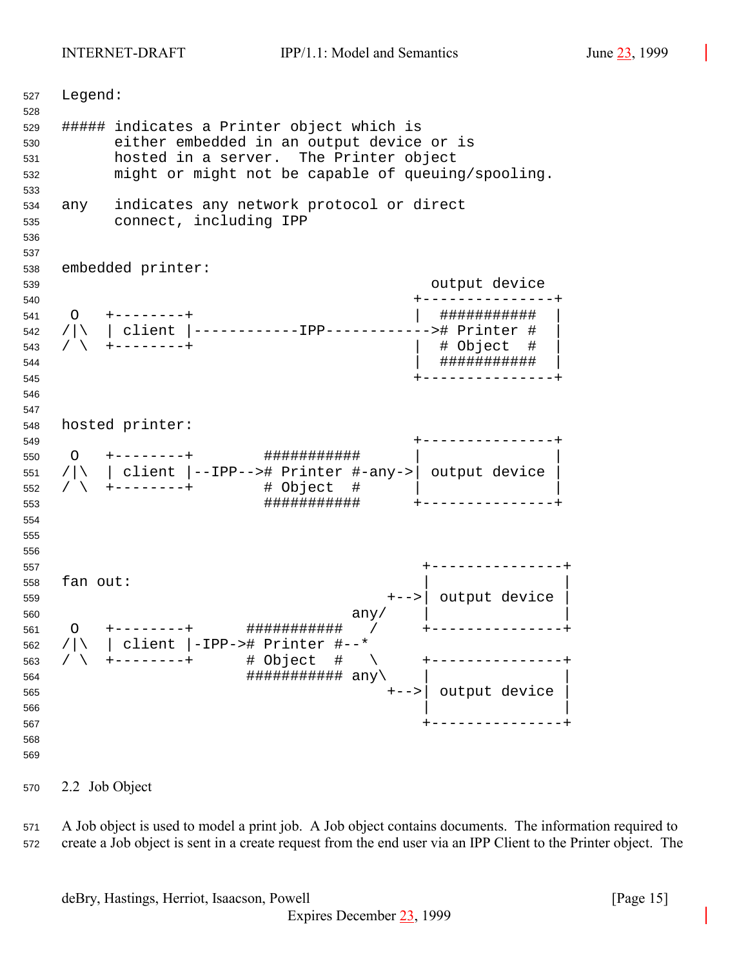<span id="page-14-0"></span> Legend: ##### indicates a Printer object which is either embedded in an output device or is hosted in a server. The Printer object might or might not be capable of queuing/spooling. any indicates any network protocol or direct connect, including IPP embedded printer: output device +---------------+ O +--------+ | ########### | /|\ | client |------------IPP------------># Printer # | / \ +--------+ | # Object # | | ########### | +---------------+ hosted printer: +---------------+ O +--------+ ########### | | /|\ | client |--IPP--># Printer #-any->| output device | / \ +--------+ # Object # | | ########### +---------------+ +---------------+ fan out: +-->| output device | any/  $\vert$  O +--------+ ########### / +---------------+ /|\ | client |-IPP-># Printer #--\* / \ +--------+ # Object # \ +---------------+ ########### any\ | | +-->| output device | | | +---------------+ 

#### 2.2 Job Object

 A Job object is used to model a print job. A Job object contains documents. The information required to create a Job object is sent in a create request from the end user via an IPP Client to the Printer object. The

deBry, Hastings, Herriot, Isaacson, Powell [Page 15]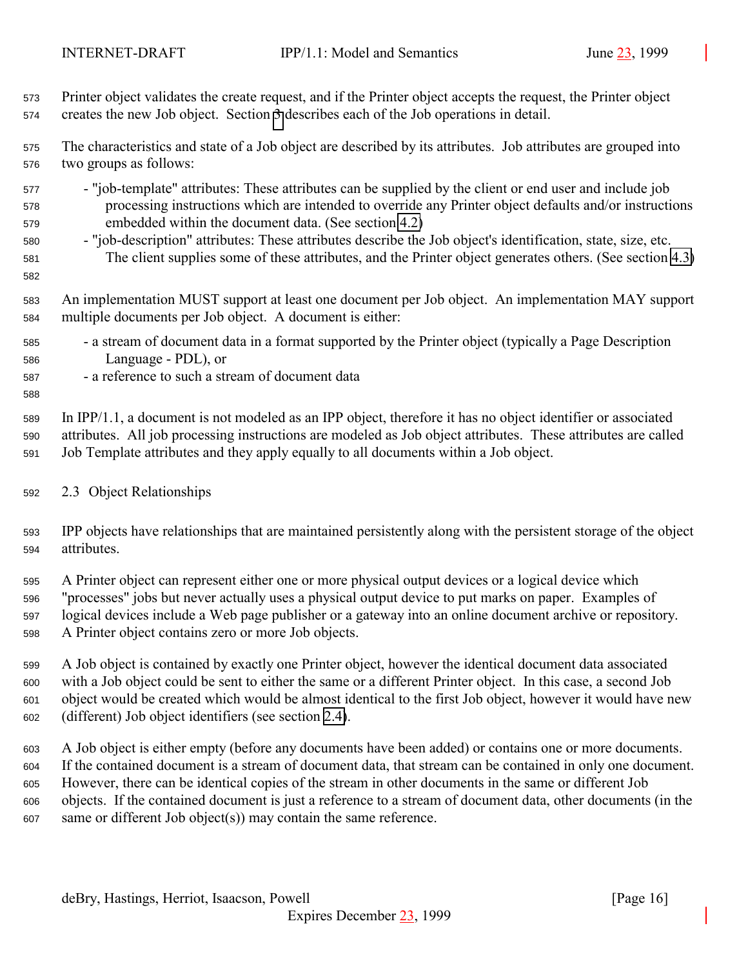<span id="page-15-0"></span> Printer object validates the create request, and if the Printer object accepts the request, the Printer object creates the new Job object. Section [3](#page-18-0) describes each of the Job operations in detail.

 The characteristics and state of a Job object are described by its attributes. Job attributes are grouped into two groups as follows:

- "job-template" attributes: These attributes can be supplied by the client or end user and include job processing instructions which are intended to override any Printer object defaults and/or instructions embedded within the document data. (See section [4.2\)](#page-71-0)
- "job-description" attributes: These attributes describe the Job object's identification, state, size, etc. The client supplies some of these attributes, and the Printer object generates others. (See section [4.3\)](#page-83-0)

 An implementation MUST support at least one document per Job object. An implementation MAY support multiple documents per Job object. A document is either:

- a stream of document data in a format supported by the Printer object (typically a Page Description Language - PDL), or
- a reference to such a stream of document data

 In IPP/1.1, a document is not modeled as an IPP object, therefore it has no object identifier or associated attributes. All job processing instructions are modeled as Job object attributes. These attributes are called Job Template attributes and they apply equally to all documents within a Job object.

#### 2.3 Object Relationships

 IPP objects have relationships that are maintained persistently along with the persistent storage of the object attributes.

 A Printer object can represent either one or more physical output devices or a logical device which "processes" jobs but never actually uses a physical output device to put marks on paper. Examples of logical devices include a Web page publisher or a gateway into an online document archive or repository. A Printer object contains zero or more Job objects.

 A Job object is contained by exactly one Printer object, however the identical document data associated with a Job object could be sent to either the same or a different Printer object. In this case, a second Job object would be created which would be almost identical to the first Job object, however it would have new (different) Job object identifiers (see section [2.4\)](#page-16-0).

 A Job object is either empty (before any documents have been added) or contains one or more documents. If the contained document is a stream of document data, that stream can be contained in only one document. However, there can be identical copies of the stream in other documents in the same or different Job objects. If the contained document is just a reference to a stream of document data, other documents (in the same or different Job object(s)) may contain the same reference.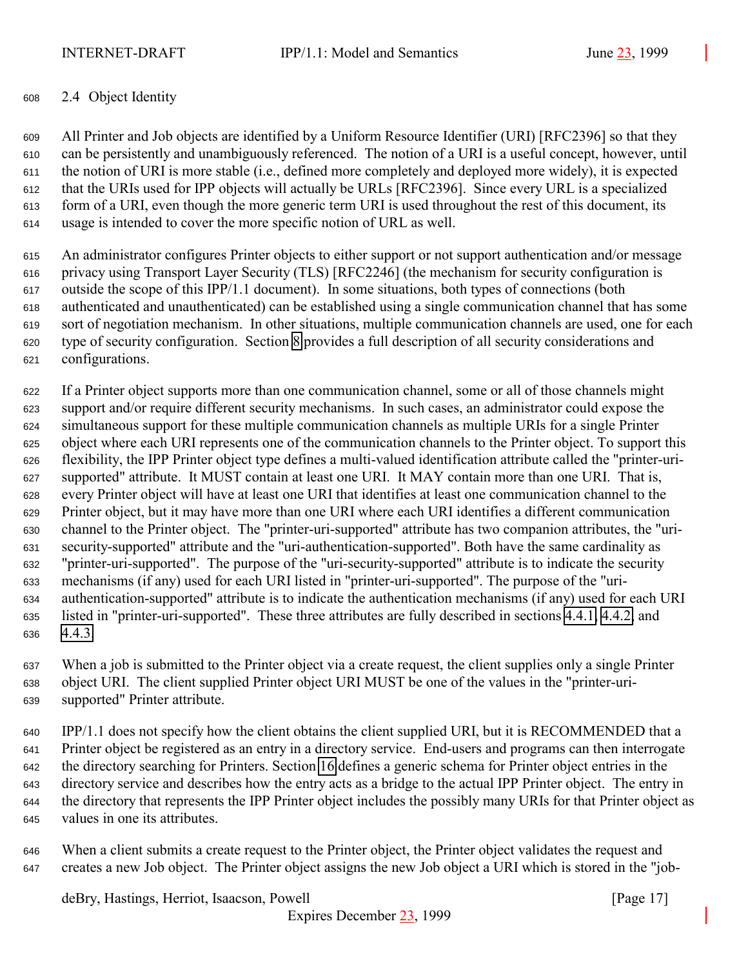#### <span id="page-16-0"></span>2.4 Object Identity

 All Printer and Job objects are identified by a Uniform Resource Identifier (URI) [RFC2396] so that they can be persistently and unambiguously referenced. The notion of a URI is a useful concept, however, until the notion of URI is more stable (i.e., defined more completely and deployed more widely), it is expected that the URIs used for IPP objects will actually be URLs [RFC2396]. Since every URL is a specialized form of a URI, even though the more generic term URI is used throughout the rest of this document, its usage is intended to cover the more specific notion of URL as well.

 An administrator configures Printer objects to either support or not support authentication and/or message privacy using Transport Layer Security (TLS) [RFC2246] (the mechanism for security configuration is outside the scope of this IPP/1.1 document). In some situations, both types of connections (both authenticated and unauthenticated) can be established using a single communication channel that has some sort of negotiation mechanism. In other situations, multiple communication channels are used, one for each type of security configuration. Section [8](#page-125-0) provides a full description of all security considerations and configurations.

 If a Printer object supports more than one communication channel, some or all of those channels might support and/or require different security mechanisms. In such cases, an administrator could expose the simultaneous support for these multiple communication channels as multiple URIs for a single Printer object where each URI represents one of the communication channels to the Printer object. To support this flexibility, the IPP Printer object type defines a multi-valued identification attribute called the "printer-uri- supported" attribute. It MUST contain at least one URI. It MAY contain more than one URI. That is, every Printer object will have at least one URI that identifies at least one communication channel to the Printer object, but it may have more than one URI where each URI identifies a different communication channel to the Printer object. The "printer-uri-supported" attribute has two companion attributes, the "uri- security-supported" attribute and the "uri-authentication-supported". Both have the same cardinality as "printer-uri-supported". The purpose of the "uri-security-supported" attribute is to indicate the security mechanisms (if any) used for each URI listed in "printer-uri-supported". The purpose of the "uri- authentication-supported" attribute is to indicate the authentication mechanisms (if any) used for each URI listed in "printer-uri-supported". These three attributes are fully described in sections [4.4.1,](#page-100-0) [4.4.2,](#page-101-0) and [4.4.3.](#page-101-0)

 When a job is submitted to the Printer object via a create request, the client supplies only a single Printer object URI. The client supplied Printer object URI MUST be one of the values in the "printer-uri-supported" Printer attribute.

 IPP/1.1 does not specify how the client obtains the client supplied URI, but it is RECOMMENDED that a Printer object be registered as an entry in a directory service. End-users and programs can then interrogate the directory searching for Printers. Section [16](#page-158-0) defines a generic schema for Printer object entries in the directory service and describes how the entry acts as a bridge to the actual IPP Printer object. The entry in the directory that represents the IPP Printer object includes the possibly many URIs for that Printer object as values in one its attributes.

 When a client submits a create request to the Printer object, the Printer object validates the request and creates a new Job object. The Printer object assigns the new Job object a URI which is stored in the "job-

deBry, Hastings, Herriot, Isaacson, Powell [Page 17]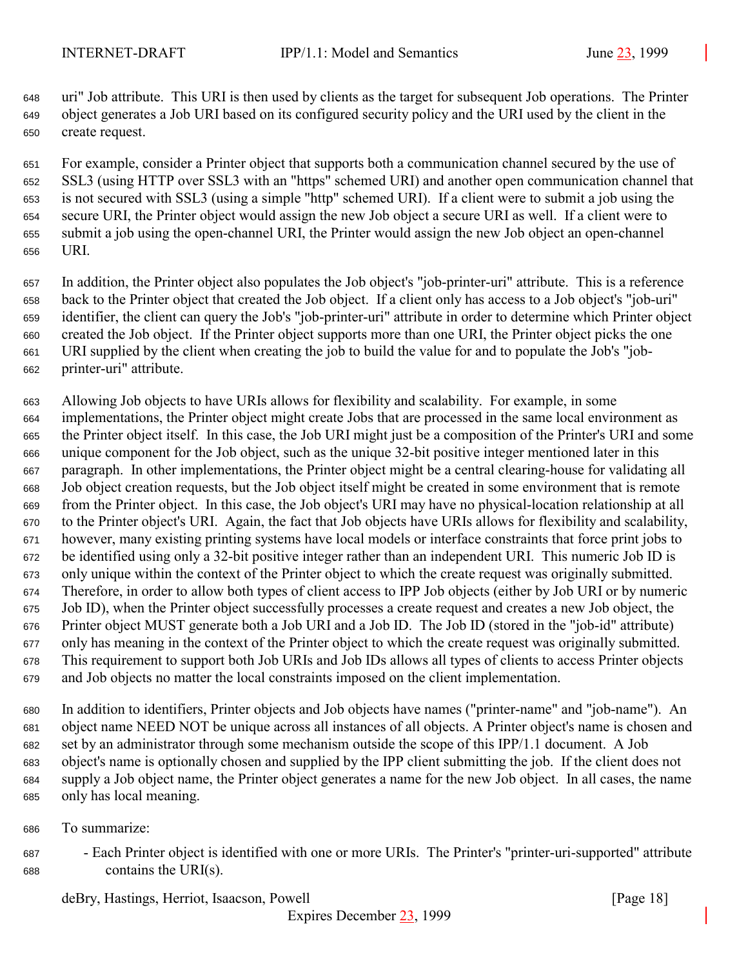uri" Job attribute. This URI is then used by clients as the target for subsequent Job operations. The Printer object generates a Job URI based on its configured security policy and the URI used by the client in the create request.

 For example, consider a Printer object that supports both a communication channel secured by the use of SSL3 (using HTTP over SSL3 with an "https" schemed URI) and another open communication channel that is not secured with SSL3 (using a simple "http" schemed URI). If a client were to submit a job using the secure URI, the Printer object would assign the new Job object a secure URI as well. If a client were to submit a job using the open-channel URI, the Printer would assign the new Job object an open-channel URI.

 In addition, the Printer object also populates the Job object's "job-printer-uri" attribute. This is a reference back to the Printer object that created the Job object. If a client only has access to a Job object's "job-uri" identifier, the client can query the Job's "job-printer-uri" attribute in order to determine which Printer object created the Job object. If the Printer object supports more than one URI, the Printer object picks the one URI supplied by the client when creating the job to build the value for and to populate the Job's "job-printer-uri" attribute.

 Allowing Job objects to have URIs allows for flexibility and scalability. For example, in some implementations, the Printer object might create Jobs that are processed in the same local environment as the Printer object itself. In this case, the Job URI might just be a composition of the Printer's URI and some unique component for the Job object, such as the unique 32-bit positive integer mentioned later in this paragraph. In other implementations, the Printer object might be a central clearing-house for validating all Job object creation requests, but the Job object itself might be created in some environment that is remote from the Printer object. In this case, the Job object's URI may have no physical-location relationship at all to the Printer object's URI. Again, the fact that Job objects have URIs allows for flexibility and scalability, however, many existing printing systems have local models or interface constraints that force print jobs to be identified using only a 32-bit positive integer rather than an independent URI. This numeric Job ID is only unique within the context of the Printer object to which the create request was originally submitted. Therefore, in order to allow both types of client access to IPP Job objects (either by Job URI or by numeric Job ID), when the Printer object successfully processes a create request and creates a new Job object, the Printer object MUST generate both a Job URI and a Job ID. The Job ID (stored in the "job-id" attribute) only has meaning in the context of the Printer object to which the create request was originally submitted. This requirement to support both Job URIs and Job IDs allows all types of clients to access Printer objects and Job objects no matter the local constraints imposed on the client implementation.

 In addition to identifiers, Printer objects and Job objects have names ("printer-name" and "job-name"). An object name NEED NOT be unique across all instances of all objects. A Printer object's name is chosen and set by an administrator through some mechanism outside the scope of this IPP/1.1 document. A Job object's name is optionally chosen and supplied by the IPP client submitting the job. If the client does not supply a Job object name, the Printer object generates a name for the new Job object. In all cases, the name only has local meaning.

To summarize:

 - Each Printer object is identified with one or more URIs. The Printer's "printer-uri-supported" attribute contains the URI(s).

deBry, Hastings, Herriot, Isaacson, Powell [Page 18]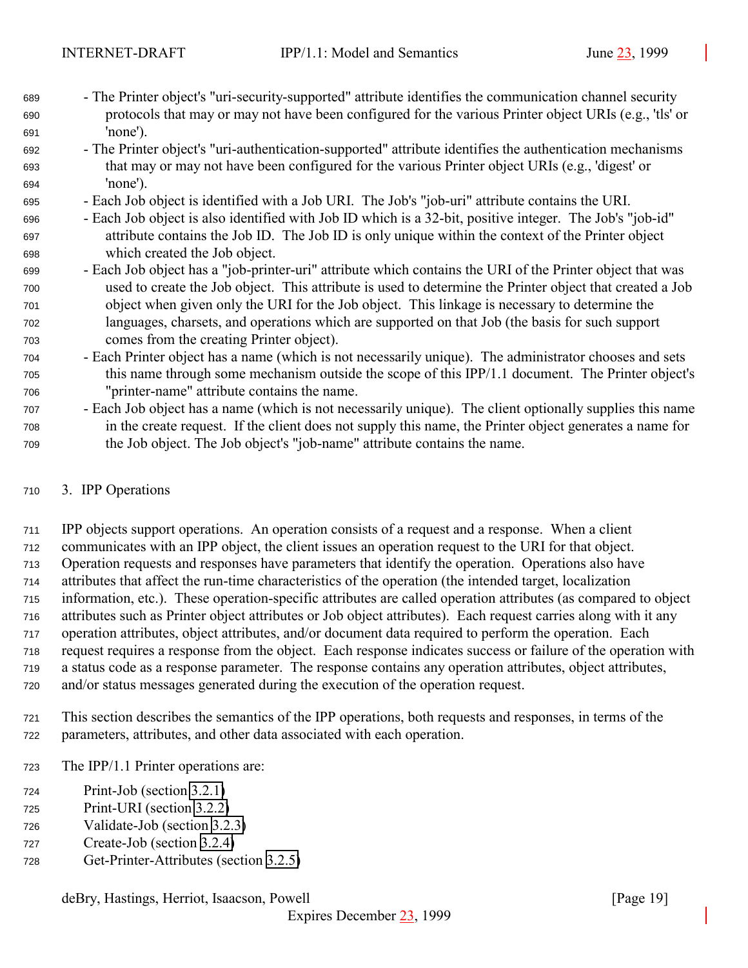- <span id="page-18-0"></span> - The Printer object's "uri-security-supported" attribute identifies the communication channel security protocols that may or may not have been configured for the various Printer object URIs (e.g., 'tls' or 'none').
- The Printer object's "uri-authentication-supported" attribute identifies the authentication mechanisms that may or may not have been configured for the various Printer object URIs (e.g., 'digest' or 'none').
- Each Job object is identified with a Job URI. The Job's "job-uri" attribute contains the URI.
- Each Job object is also identified with Job ID which is a 32-bit, positive integer. The Job's "job-id" attribute contains the Job ID. The Job ID is only unique within the context of the Printer object which created the Job object.
- Each Job object has a "job-printer-uri" attribute which contains the URI of the Printer object that was used to create the Job object. This attribute is used to determine the Printer object that created a Job object when given only the URI for the Job object. This linkage is necessary to determine the languages, charsets, and operations which are supported on that Job (the basis for such support comes from the creating Printer object).
- Each Printer object has a name (which is not necessarily unique). The administrator chooses and sets this name through some mechanism outside the scope of this IPP/1.1 document. The Printer object's "printer-name" attribute contains the name.
- Each Job object has a name (which is not necessarily unique). The client optionally supplies this name in the create request. If the client does not supply this name, the Printer object generates a name for the Job object. The Job object's "job-name" attribute contains the name.

## 3. IPP Operations

 IPP objects support operations. An operation consists of a request and a response. When a client communicates with an IPP object, the client issues an operation request to the URI for that object. Operation requests and responses have parameters that identify the operation. Operations also have attributes that affect the run-time characteristics of the operation (the intended target, localization information, etc.). These operation-specific attributes are called operation attributes (as compared to object attributes such as Printer object attributes or Job object attributes). Each request carries along with it any operation attributes, object attributes, and/or document data required to perform the operation. Each request requires a response from the object. Each response indicates success or failure of the operation with a status code as a response parameter. The response contains any operation attributes, object attributes, and/or status messages generated during the execution of the operation request.

- This section describes the semantics of the IPP operations, both requests and responses, in terms of the parameters, attributes, and other data associated with each operation.
- The IPP/1.1 Printer operations are:
- Print-Job (section [3.2.1\)](#page-33-0)
- Print-URI (section [3.2.2\)](#page-39-0)
- Validate-Job (section [3.2.3\)](#page-40-0)
- Create-Job (section [3.2.4\)](#page-40-0)
- Get-Printer-Attributes (section [3.2.5\)](#page-41-0)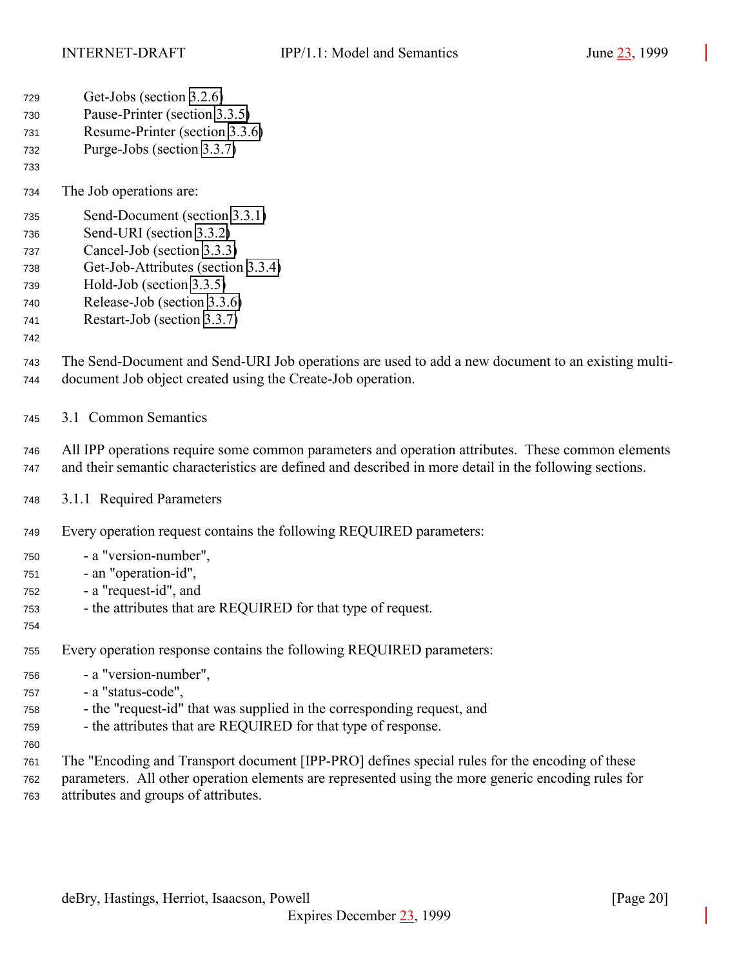- <span id="page-19-0"></span>Get-Jobs (section [3.2.6\)](#page-44-0)
- Pause-Printer (section [3.3.5\)](#page-57-0)
- Resume-Printer (section [3.3.6\)](#page-58-0)
- Purge-Jobs (section [3.3.7\)](#page-59-0)
- 

- The Job operations are:
- Send-Document (section [3.3.1\)](#page-50-0)
- Send-URI (section [3.3.2\)](#page-52-0)
- Cancel-Job (section [3.3.3\)](#page-53-0)
- Get-Job-Attributes (section [3.3.4\)](#page-55-0)
- Hold-Job (section [3.3.5\)](#page-57-0)
- Release-Job (section [3.3.6\)](#page-58-0)
- Restart-Job (section [3.3.7\)](#page-59-0)
- The Send-Document and Send-URI Job operations are used to add a new document to an existing multi-document Job object created using the Create-Job operation.
- 3.1 Common Semantics
- All IPP operations require some common parameters and operation attributes. These common elements and their semantic characteristics are defined and described in more detail in the following sections.
- 3.1.1 Required Parameters
- Every operation request contains the following REQUIRED parameters:
- a "version-number",
- an "operation-id",
- a "request-id", and
- the attributes that are REQUIRED for that type of request.
- 

- Every operation response contains the following REQUIRED parameters:
- a "version-number",
- a "status-code",
- the "request-id" that was supplied in the corresponding request, and
- the attributes that are REQUIRED for that type of response.
- The "Encoding and Transport document [IPP-PRO] defines special rules for the encoding of these parameters. All other operation elements are represented using the more generic encoding rules for attributes and groups of attributes.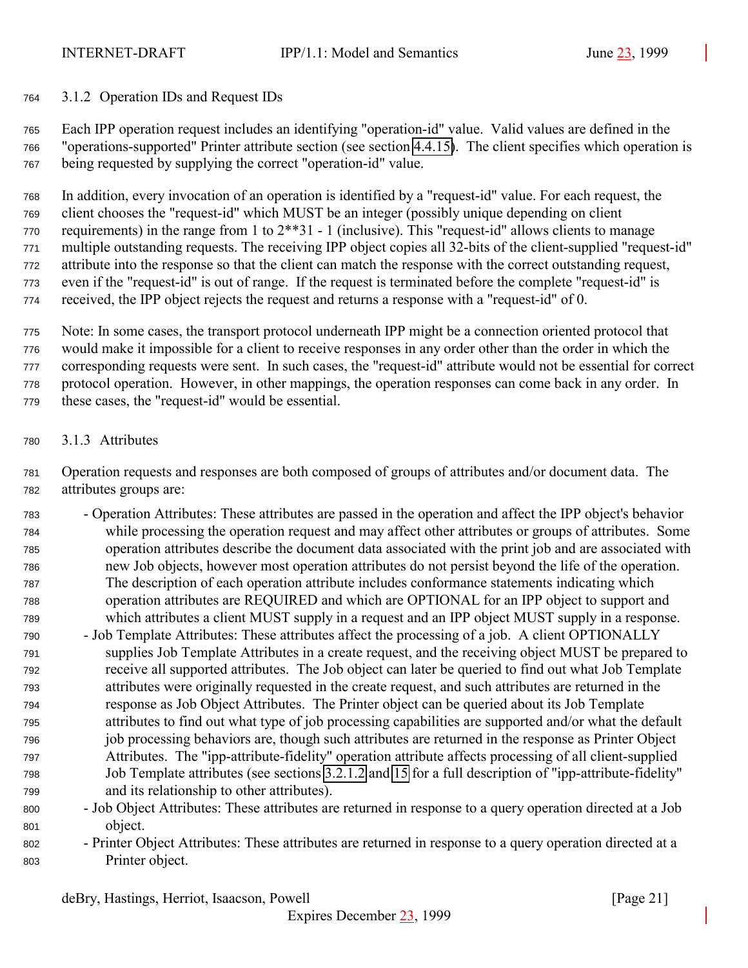<span id="page-20-0"></span>3.1.2 Operation IDs and Request IDs

 Each IPP operation request includes an identifying "operation-id" value. Valid values are defined in the "operations-supported" Printer attribute section (see section [4.4.15\)](#page-106-0). The client specifies which operation is being requested by supplying the correct "operation-id" value.

 In addition, every invocation of an operation is identified by a "request-id" value. For each request, the client chooses the "request-id" which MUST be an integer (possibly unique depending on client requirements) in the range from 1 to 2\*\*31 - 1 (inclusive). This "request-id" allows clients to manage multiple outstanding requests. The receiving IPP object copies all 32-bits of the client-supplied "request-id" attribute into the response so that the client can match the response with the correct outstanding request, even if the "request-id" is out of range. If the request is terminated before the complete "request-id" is received, the IPP object rejects the request and returns a response with a "request-id" of 0.

 Note: In some cases, the transport protocol underneath IPP might be a connection oriented protocol that would make it impossible for a client to receive responses in any order other than the order in which the corresponding requests were sent. In such cases, the "request-id" attribute would not be essential for correct protocol operation. However, in other mappings, the operation responses can come back in any order. In these cases, the "request-id" would be essential.

3.1.3 Attributes

 Operation requests and responses are both composed of groups of attributes and/or document data. The attributes groups are:

- Operation Attributes: These attributes are passed in the operation and affect the IPP object's behavior while processing the operation request and may affect other attributes or groups of attributes. Some operation attributes describe the document data associated with the print job and are associated with new Job objects, however most operation attributes do not persist beyond the life of the operation. The description of each operation attribute includes conformance statements indicating which operation attributes are REQUIRED and which are OPTIONAL for an IPP object to support and which attributes a client MUST supply in a request and an IPP object MUST supply in a response.
- Job Template Attributes: These attributes affect the processing of a job. A client OPTIONALLY supplies Job Template Attributes in a create request, and the receiving object MUST be prepared to receive all supported attributes. The Job object can later be queried to find out what Job Template attributes were originally requested in the create request, and such attributes are returned in the response as Job Object Attributes. The Printer object can be queried about its Job Template attributes to find out what type of job processing capabilities are supported and/or what the default job processing behaviors are, though such attributes are returned in the response as Printer Object Attributes. The "ipp-attribute-fidelity" operation attribute affects processing of all client-supplied Job Template attributes (see sections [3.2.1.2](#page-37-0) and [15](#page-154-0) for a full description of "ipp-attribute-fidelity" and its relationship to other attributes).
- Job Object Attributes: These attributes are returned in response to a query operation directed at a Job object.
- Printer Object Attributes: These attributes are returned in response to a query operation directed at a Printer object.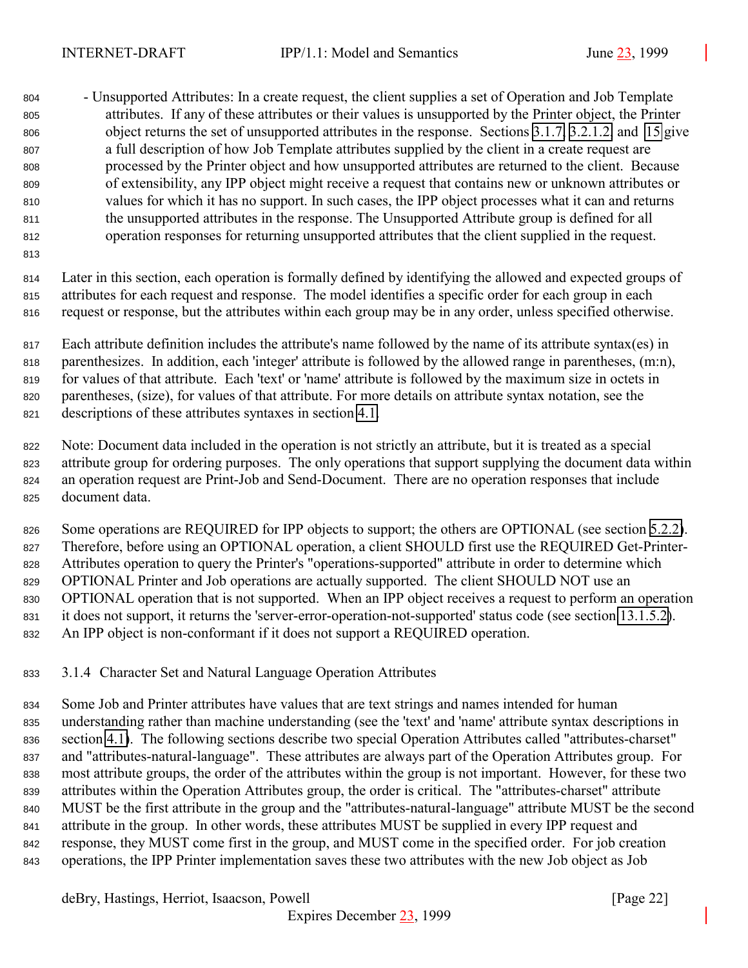<span id="page-21-0"></span> - Unsupported Attributes: In a create request, the client supplies a set of Operation and Job Template attributes. If any of these attributes or their values is unsupported by the Printer object, the Printer object returns the set of unsupported attributes in the response. Sections [3.1.7,](#page-28-0) [3.2.1.2,](#page-37-0) and [15](#page-154-0) give a full description of how Job Template attributes supplied by the client in a create request are processed by the Printer object and how unsupported attributes are returned to the client. Because of extensibility, any IPP object might receive a request that contains new or unknown attributes or values for which it has no support. In such cases, the IPP object processes what it can and returns the unsupported attributes in the response. The Unsupported Attribute group is defined for all operation responses for returning unsupported attributes that the client supplied in the request.

 Later in this section, each operation is formally defined by identifying the allowed and expected groups of attributes for each request and response. The model identifies a specific order for each group in each request or response, but the attributes within each group may be in any order, unless specified otherwise.

 Each attribute definition includes the attribute's name followed by the name of its attribute syntax(es) in parenthesizes. In addition, each 'integer' attribute is followed by the allowed range in parentheses, (m:n), for values of that attribute. Each 'text' or 'name' attribute is followed by the maximum size in octets in parentheses, (size), for values of that attribute. For more details on attribute syntax notation, see the descriptions of these attributes syntaxes in section [4.1.](#page-61-0)

 Note: Document data included in the operation is not strictly an attribute, but it is treated as a special attribute group for ordering purposes. The only operations that support supplying the document data within an operation request are Print-Job and Send-Document. There are no operation responses that include document data.

826 Some operations are REQUIRED for IPP objects to support; the others are OPTIONAL (see section [5.2.2\)](#page-114-0). Therefore, before using an OPTIONAL operation, a client SHOULD first use the REQUIRED Get-Printer- Attributes operation to query the Printer's "operations-supported" attribute in order to determine which OPTIONAL Printer and Job operations are actually supported. The client SHOULD NOT use an OPTIONAL operation that is not supported. When an IPP object receives a request to perform an operation it does not support, it returns the 'server-error-operation-not-supported' status code (see section [13.1.5.2\)](#page-147-0). An IPP object is non-conformant if it does not support a REQUIRED operation.

## 3.1.4 Character Set and Natural Language Operation Attributes

 Some Job and Printer attributes have values that are text strings and names intended for human understanding rather than machine understanding (see the 'text' and 'name' attribute syntax descriptions in section [4.1\)](#page-61-0). The following sections describe two special Operation Attributes called "attributes-charset" and "attributes-natural-language". These attributes are always part of the Operation Attributes group. For most attribute groups, the order of the attributes within the group is not important. However, for these two attributes within the Operation Attributes group, the order is critical. The "attributes-charset" attribute MUST be the first attribute in the group and the "attributes-natural-language" attribute MUST be the second attribute in the group. In other words, these attributes MUST be supplied in every IPP request and response, they MUST come first in the group, and MUST come in the specified order. For job creation operations, the IPP Printer implementation saves these two attributes with the new Job object as Job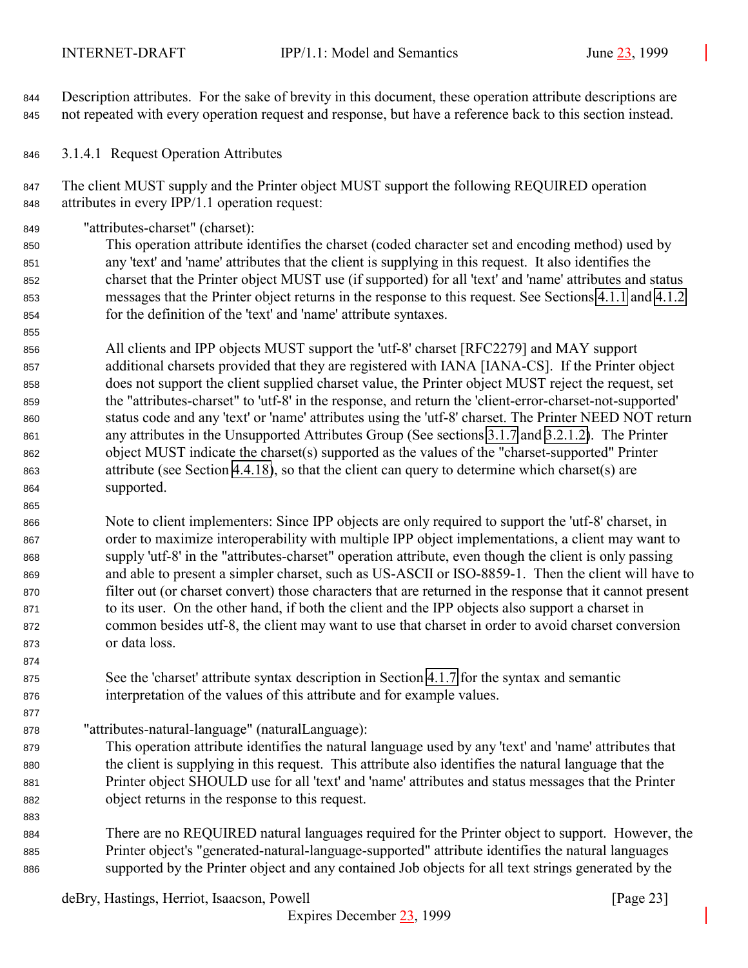<span id="page-22-0"></span> Description attributes. For the sake of brevity in this document, these operation attribute descriptions are not repeated with every operation request and response, but have a reference back to this section instead.

3.1.4.1 Request Operation Attributes

847 The client MUST supply and the Printer object MUST support the following REQUIRED operation attributes in every IPP/1.1 operation request:

"attributes-charset" (charset):

 This operation attribute identifies the charset (coded character set and encoding method) used by any 'text' and 'name' attributes that the client is supplying in this request. It also identifies the charset that the Printer object MUST use (if supported) for all 'text' and 'name' attributes and status messages that the Printer object returns in the response to this request. See Sections [4.1.1](#page-62-0) and [4.1.2](#page-64-0) for the definition of the 'text' and 'name' attribute syntaxes.

 All clients and IPP objects MUST support the 'utf-8' charset [RFC2279] and MAY support additional charsets provided that they are registered with IANA [IANA-CS]. If the Printer object does not support the client supplied charset value, the Printer object MUST reject the request, set the "attributes-charset" to 'utf-8' in the response, and return the 'client-error-charset-not-supported' status code and any 'text' or 'name' attributes using the 'utf-8' charset. The Printer NEED NOT return any attributes in the Unsupported Attributes Group (See sections [3.1.7](#page-28-0) and [3.2.1.2\)](#page-37-0). The Printer object MUST indicate the charset(s) supported as the values of the "charset-supported" Printer attribute (see Section [4.4.18\)](#page-108-0), so that the client can query to determine which charset(s) are supported.

 Note to client implementers: Since IPP objects are only required to support the 'utf-8' charset, in order to maximize interoperability with multiple IPP object implementations, a client may want to supply 'utf-8' in the "attributes-charset" operation attribute, even though the client is only passing and able to present a simpler charset, such as US-ASCII or ISO-8859-1. Then the client will have to filter out (or charset convert) those characters that are returned in the response that it cannot present to its user. On the other hand, if both the client and the IPP objects also support a charset in common besides utf-8, the client may want to use that charset in order to avoid charset conversion or data loss.

 See the 'charset' attribute syntax description in Section [4.1.7](#page-67-0) for the syntax and semantic interpretation of the values of this attribute and for example values.

"attributes-natural-language" (naturalLanguage):

- This operation attribute identifies the natural language used by any 'text' and 'name' attributes that the client is supplying in this request. This attribute also identifies the natural language that the Printer object SHOULD use for all 'text' and 'name' attributes and status messages that the Printer object returns in the response to this request.
- There are no REQUIRED natural languages required for the Printer object to support. However, the Printer object's "generated-natural-language-supported" attribute identifies the natural languages supported by the Printer object and any contained Job objects for all text strings generated by the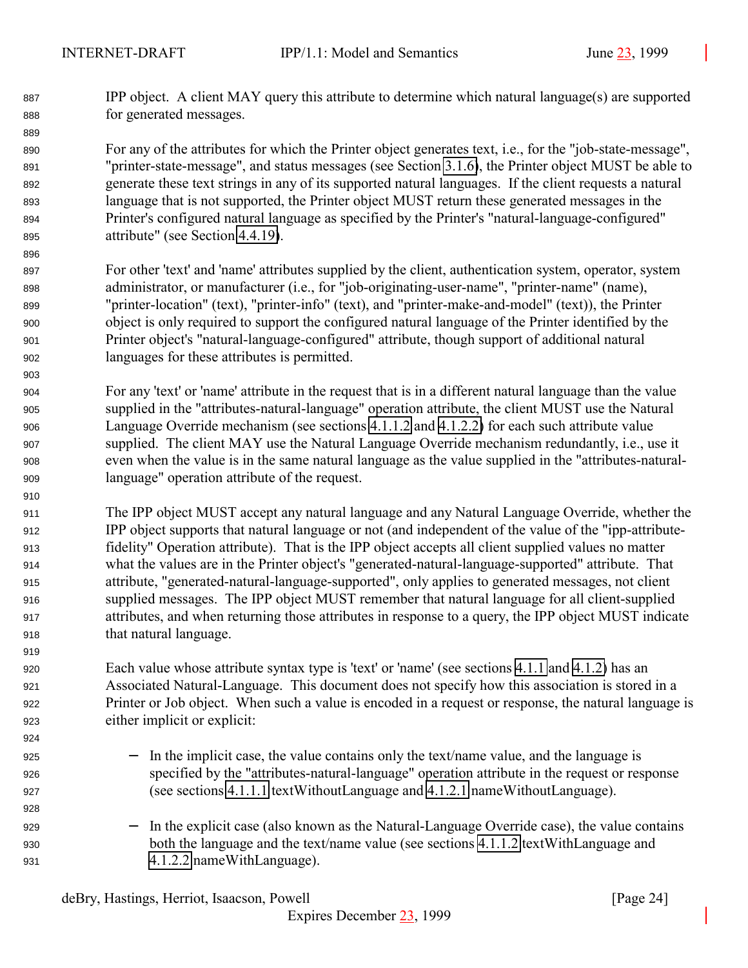IPP object. A client MAY query this attribute to determine which natural language(s) are supported for generated messages.

 For any of the attributes for which the Printer object generates text, i.e., for the "job-state-message", "printer-state-message", and status messages (see Section [3.1.6\)](#page-27-0), the Printer object MUST be able to generate these text strings in any of its supported natural languages. If the client requests a natural language that is not supported, the Printer object MUST return these generated messages in the Printer's configured natural language as specified by the Printer's "natural-language-configured" attribute" (see Section [4.4.19\)](#page-108-0).

- For other 'text' and 'name' attributes supplied by the client, authentication system, operator, system administrator, or manufacturer (i.e., for "job-originating-user-name", "printer-name" (name), "printer-location" (text), "printer-info" (text), and "printer-make-and-model" (text)), the Printer object is only required to support the configured natural language of the Printer identified by the Printer object's "natural-language-configured" attribute, though support of additional natural languages for these attributes is permitted.
- For any 'text' or 'name' attribute in the request that is in a different natural language than the value supplied in the "attributes-natural-language" operation attribute, the client MUST use the Natural Language Override mechanism (see sections [4.1.1.2](#page-63-0) and [4.1.2.2\)](#page-64-0) for each such attribute value supplied. The client MAY use the Natural Language Override mechanism redundantly, i.e., use it even when the value is in the same natural language as the value supplied in the "attributes-natural-language" operation attribute of the request.
- The IPP object MUST accept any natural language and any Natural Language Override, whether the IPP object supports that natural language or not (and independent of the value of the "ipp-attribute- fidelity" Operation attribute). That is the IPP object accepts all client supplied values no matter what the values are in the Printer object's "generated-natural-language-supported" attribute. That attribute, "generated-natural-language-supported", only applies to generated messages, not client supplied messages. The IPP object MUST remember that natural language for all client-supplied attributes, and when returning those attributes in response to a query, the IPP object MUST indicate that natural language.

 Each value whose attribute syntax type is 'text' or 'name' (see sections [4.1.1](#page-62-0) and [4.1.2\)](#page-64-0) has an Associated Natural-Language. This document does not specify how this association is stored in a Printer or Job object. When such a value is encoded in a request or response, the natural language is either implicit or explicit:

- − In the implicit case, the value contains only the text/name value, and the language is specified by the "attributes-natural-language" operation attribute in the request or response (see sections [4.1.1.1](#page-63-0) textWithoutLanguage and [4.1.2.1](#page-64-0) nameWithoutLanguage).
- 929 − In the explicit case (also known as the Natural-Language Override case), the value contains both the language and the text/name value (see sections [4.1.1.2](#page-63-0) textWithLanguage and [4.1.2.2](#page-64-0) nameWithLanguage).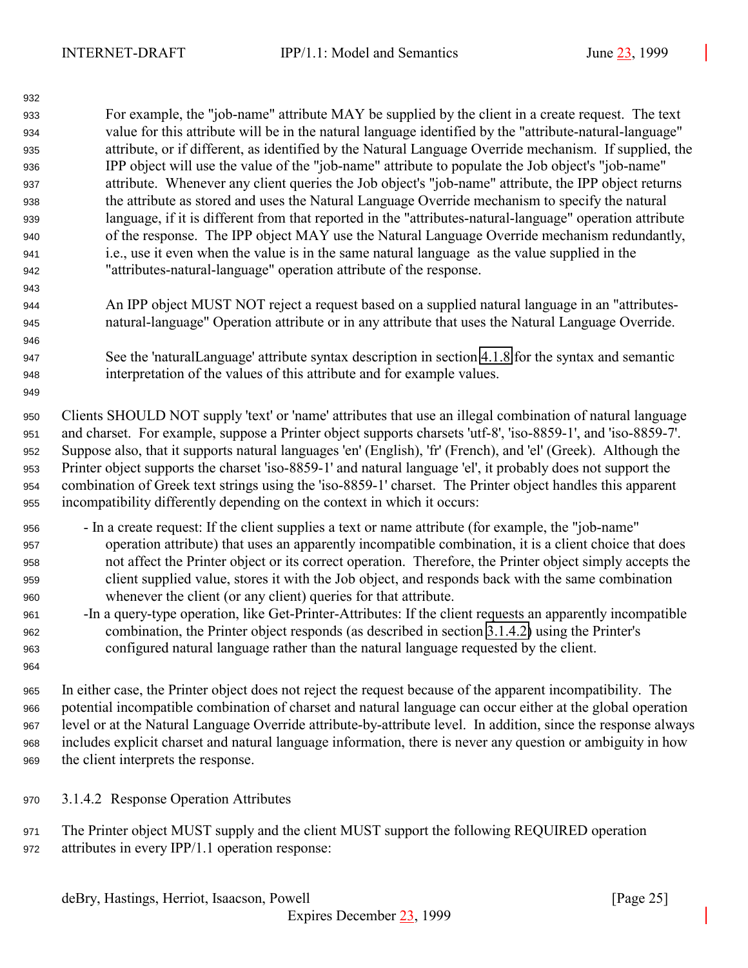<span id="page-24-0"></span> For example, the "job-name" attribute MAY be supplied by the client in a create request. The text value for this attribute will be in the natural language identified by the "attribute-natural-language" attribute, or if different, as identified by the Natural Language Override mechanism. If supplied, the IPP object will use the value of the "job-name" attribute to populate the Job object's "job-name" attribute. Whenever any client queries the Job object's "job-name" attribute, the IPP object returns the attribute as stored and uses the Natural Language Override mechanism to specify the natural language, if it is different from that reported in the "attributes-natural-language" operation attribute of the response. The IPP object MAY use the Natural Language Override mechanism redundantly, i.e., use it even when the value is in the same natural language as the value supplied in the "attributes-natural-language" operation attribute of the response.

- An IPP object MUST NOT reject a request based on a supplied natural language in an "attributes-natural-language" Operation attribute or in any attribute that uses the Natural Language Override.
- See the 'naturalLanguage' attribute syntax description in section [4.1.8](#page-68-0) for the syntax and semantic interpretation of the values of this attribute and for example values.

 Clients SHOULD NOT supply 'text' or 'name' attributes that use an illegal combination of natural language and charset. For example, suppose a Printer object supports charsets 'utf-8', 'iso-8859-1', and 'iso-8859-7'. Suppose also, that it supports natural languages 'en' (English), 'fr' (French), and 'el' (Greek). Although the Printer object supports the charset 'iso-8859-1' and natural language 'el', it probably does not support the combination of Greek text strings using the 'iso-8859-1' charset. The Printer object handles this apparent incompatibility differently depending on the context in which it occurs:

- In a create request: If the client supplies a text or name attribute (for example, the "job-name" operation attribute) that uses an apparently incompatible combination, it is a client choice that does not affect the Printer object or its correct operation. Therefore, the Printer object simply accepts the client supplied value, stores it with the Job object, and responds back with the same combination whenever the client (or any client) queries for that attribute.
- -In a query-type operation, like Get-Printer-Attributes: If the client requests an apparently incompatible combination, the Printer object responds (as described in section 3.1.4.2) using the Printer's configured natural language rather than the natural language requested by the client.

 In either case, the Printer object does not reject the request because of the apparent incompatibility. The potential incompatible combination of charset and natural language can occur either at the global operation level or at the Natural Language Override attribute-by-attribute level. In addition, since the response always includes explicit charset and natural language information, there is never any question or ambiguity in how the client interprets the response.

- 3.1.4.2 Response Operation Attributes
- The Printer object MUST supply and the client MUST support the following REQUIRED operation attributes in every IPP/1.1 operation response: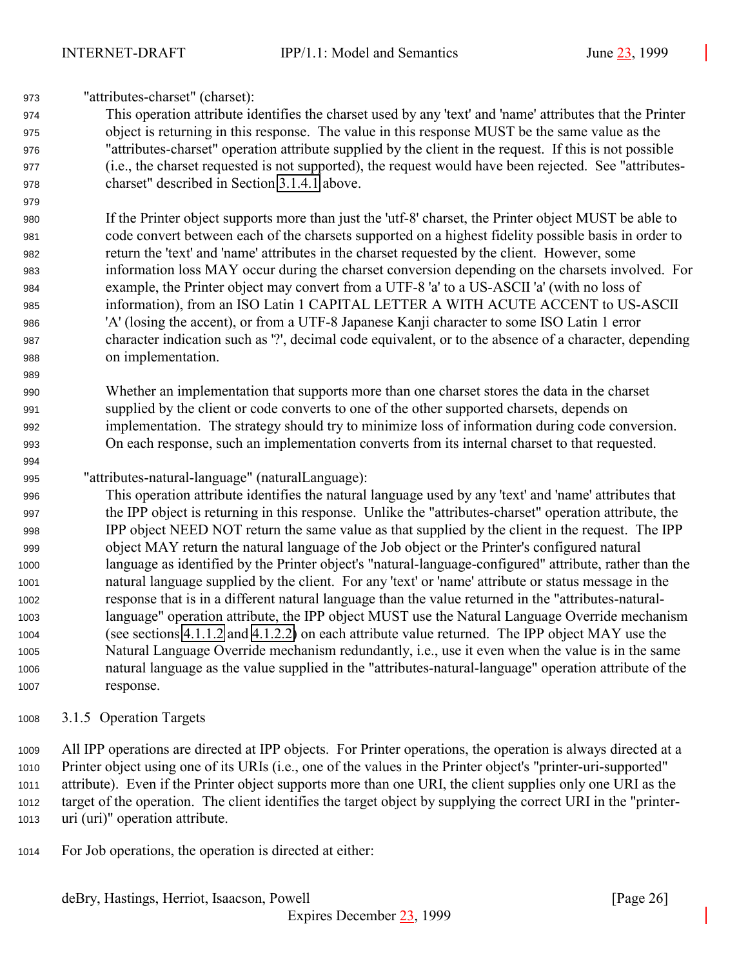<span id="page-25-0"></span>"attributes-charset" (charset):

 This operation attribute identifies the charset used by any 'text' and 'name' attributes that the Printer object is returning in this response. The value in this response MUST be the same value as the "attributes-charset" operation attribute supplied by the client in the request. If this is not possible (i.e., the charset requested is not supported), the request would have been rejected. See "attributes-charset" described in Section [3.1.4.1](#page-22-0) above.

 If the Printer object supports more than just the 'utf-8' charset, the Printer object MUST be able to code convert between each of the charsets supported on a highest fidelity possible basis in order to return the 'text' and 'name' attributes in the charset requested by the client. However, some information loss MAY occur during the charset conversion depending on the charsets involved. For example, the Printer object may convert from a UTF-8 'a' to a US-ASCII 'a' (with no loss of information), from an ISO Latin 1 CAPITAL LETTER A WITH ACUTE ACCENT to US-ASCII 'A' (losing the accent), or from a UTF-8 Japanese Kanji character to some ISO Latin 1 error character indication such as '?', decimal code equivalent, or to the absence of a character, depending on implementation.

 Whether an implementation that supports more than one charset stores the data in the charset supplied by the client or code converts to one of the other supported charsets, depends on implementation. The strategy should try to minimize loss of information during code conversion. On each response, such an implementation converts from its internal charset to that requested.

## "attributes-natural-language" (naturalLanguage):

 This operation attribute identifies the natural language used by any 'text' and 'name' attributes that the IPP object is returning in this response. Unlike the "attributes-charset" operation attribute, the IPP object NEED NOT return the same value as that supplied by the client in the request. The IPP object MAY return the natural language of the Job object or the Printer's configured natural language as identified by the Printer object's "natural-language-configured" attribute, rather than the natural language supplied by the client. For any 'text' or 'name' attribute or status message in the response that is in a different natural language than the value returned in the "attributes-natural- language" operation attribute, the IPP object MUST use the Natural Language Override mechanism (see sections [4.1.1.2](#page-63-0) and [4.1.2.2\)](#page-64-0) on each attribute value returned. The IPP object MAY use the Natural Language Override mechanism redundantly, i.e., use it even when the value is in the same natural language as the value supplied in the "attributes-natural-language" operation attribute of the response.

## 3.1.5 Operation Targets

 All IPP operations are directed at IPP objects. For Printer operations, the operation is always directed at a Printer object using one of its URIs (i.e., one of the values in the Printer object's "printer-uri-supported" attribute). Even if the Printer object supports more than one URI, the client supplies only one URI as the target of the operation. The client identifies the target object by supplying the correct URI in the "printer-uri (uri)" operation attribute.

For Job operations, the operation is directed at either: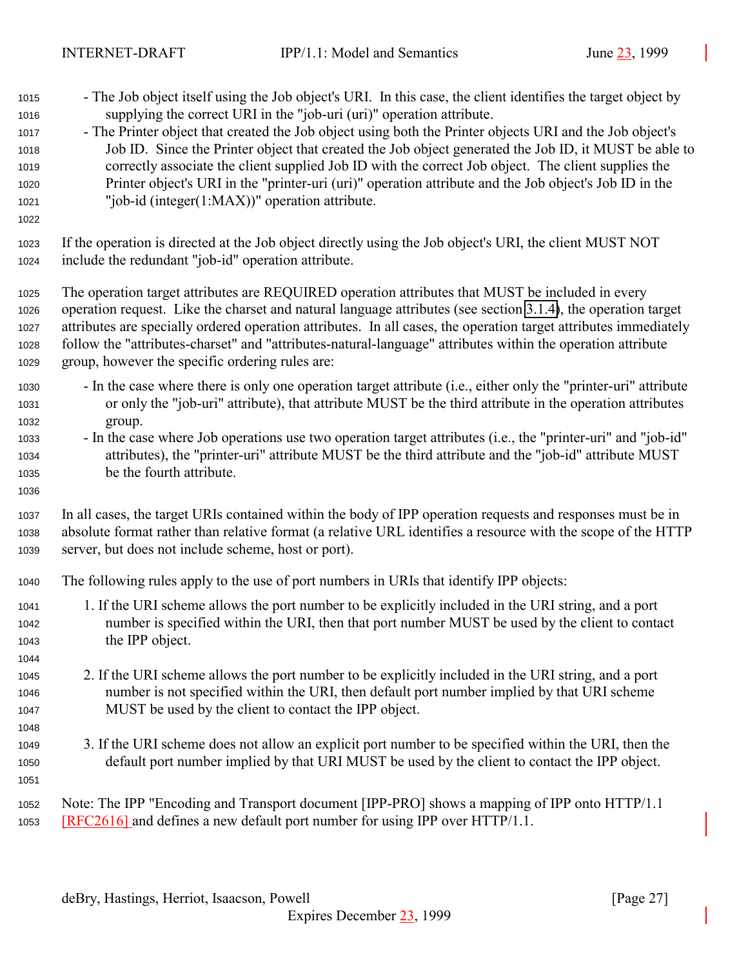- The Job object itself using the Job object's URI. In this case, the client identifies the target object by supplying the correct URI in the "job-uri (uri)" operation attribute.
- The Printer object that created the Job object using both the Printer objects URI and the Job object's Job ID. Since the Printer object that created the Job object generated the Job ID, it MUST be able to correctly associate the client supplied Job ID with the correct Job object. The client supplies the Printer object's URI in the "printer-uri (uri)" operation attribute and the Job object's Job ID in the "job-id (integer(1:MAX))" operation attribute.
- 

- If the operation is directed at the Job object directly using the Job object's URI, the client MUST NOT include the redundant "job-id" operation attribute.
- The operation target attributes are REQUIRED operation attributes that MUST be included in every operation request. Like the charset and natural language attributes (see section [3.1.4\)](#page-21-0), the operation target attributes are specially ordered operation attributes. In all cases, the operation target attributes immediately follow the "attributes-charset" and "attributes-natural-language" attributes within the operation attribute group, however the specific ordering rules are:
- In the case where there is only one operation target attribute (i.e., either only the "printer-uri" attribute or only the "job-uri" attribute), that attribute MUST be the third attribute in the operation attributes group.
- In the case where Job operations use two operation target attributes (i.e., the "printer-uri" and "job-id" attributes), the "printer-uri" attribute MUST be the third attribute and the "job-id" attribute MUST be the fourth attribute.
- In all cases, the target URIs contained within the body of IPP operation requests and responses must be in absolute format rather than relative format (a relative URL identifies a resource with the scope of the HTTP server, but does not include scheme, host or port).
- The following rules apply to the use of port numbers in URIs that identify IPP objects:
- 1. If the URI scheme allows the port number to be explicitly included in the URI string, and a port number is specified within the URI, then that port number MUST be used by the client to contact the IPP object.
- 2. If the URI scheme allows the port number to be explicitly included in the URI string, and a port number is not specified within the URI, then default port number implied by that URI scheme MUST be used by the client to contact the IPP object.
- 3. If the URI scheme does not allow an explicit port number to be specified within the URI, then the default port number implied by that URI MUST be used by the client to contact the IPP object.
- 

 Note: The IPP "Encoding and Transport document [IPP-PRO] shows a mapping of IPP onto HTTP/1.1 [RFC2616] and defines a new default port number for using IPP over HTTP/1.1.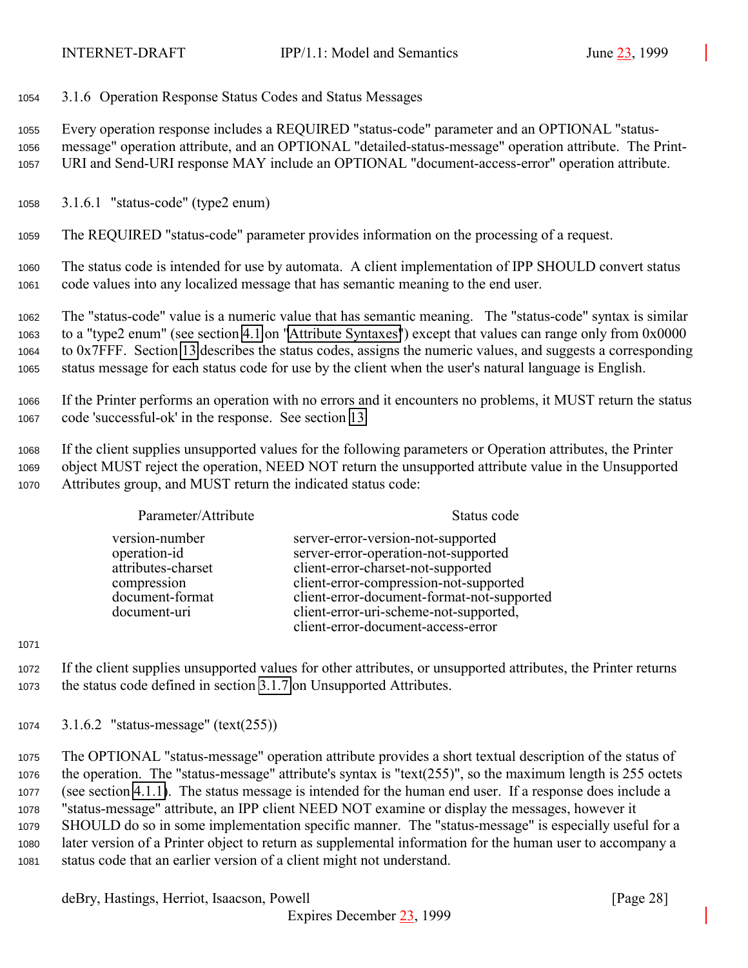<span id="page-27-0"></span>3.1.6 Operation Response Status Codes and Status Messages

 Every operation response includes a REQUIRED "status-code" parameter and an OPTIONAL "status- message" operation attribute, and an OPTIONAL "detailed-status-message" operation attribute. The Print-URI and Send-URI response MAY include an OPTIONAL "document-access-error" operation attribute.

3.1.6.1 "status-code" (type2 enum)

The REQUIRED "status-code" parameter provides information on the processing of a request.

 The status code is intended for use by automata. A client implementation of IPP SHOULD convert status code values into any localized message that has semantic meaning to the end user.

 The "status-code" value is a numeric value that has semantic meaning. The "status-code" syntax is similar to a "type2 enum" (see section [4.1](#page-61-0) on ["Attribute Syntaxes"](#page-61-0)) except that values can range only from 0x0000 to 0x7FFF. Section [13](#page-140-0) describes the status codes, assigns the numeric values, and suggests a corresponding status message for each status code for use by the client when the user's natural language is English.

 If the Printer performs an operation with no errors and it encounters no problems, it MUST return the status code 'successful-ok' in the response. See section [13.](#page-140-0)

 If the client supplies unsupported values for the following parameters or Operation attributes, the Printer object MUST reject the operation, NEED NOT return the unsupported attribute value in the Unsupported Attributes group, and MUST return the indicated status code:

| Parameter/Attribute                                                                                    | Status code                                                                                                                                                                                                                                                                              |
|--------------------------------------------------------------------------------------------------------|------------------------------------------------------------------------------------------------------------------------------------------------------------------------------------------------------------------------------------------------------------------------------------------|
| version-number<br>operation-id<br>attributes-charset<br>compression<br>document-format<br>document-uri | server-error-version-not-supported<br>server-error-operation-not-supported<br>client-error-charset-not-supported<br>client-error-compression-not-supported<br>client-error-document-format-not-supported<br>client-error-uri-scheme-not-supported,<br>client-error-document-access-error |

 If the client supplies unsupported values for other attributes, or unsupported attributes, the Printer returns the status code defined in section [3.1.7](#page-28-0) on Unsupported Attributes.

3.1.6.2 "status-message" (text(255))

 The OPTIONAL "status-message" operation attribute provides a short textual description of the status of the operation. The "status-message" attribute's syntax is "text(255)", so the maximum length is 255 octets (see section [4.1.1\)](#page-62-0). The status message is intended for the human end user. If a response does include a "status-message" attribute, an IPP client NEED NOT examine or display the messages, however it SHOULD do so in some implementation specific manner. The "status-message" is especially useful for a later version of a Printer object to return as supplemental information for the human user to accompany a status code that an earlier version of a client might not understand.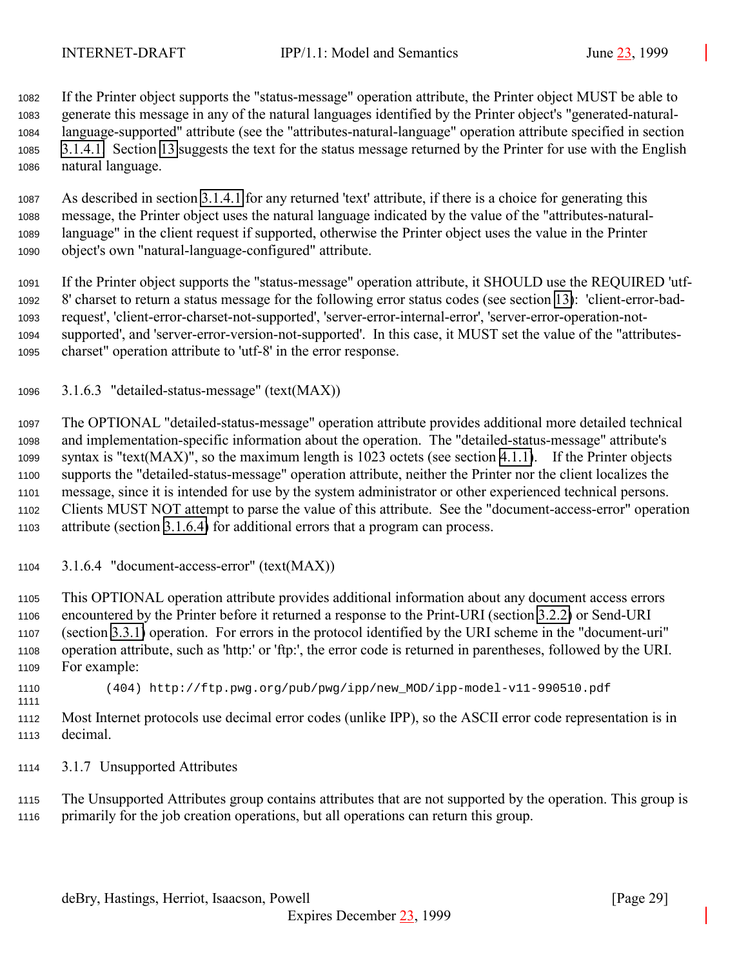<span id="page-28-0"></span>

 If the Printer object supports the "status-message" operation attribute, the Printer object MUST be able to generate this message in any of the natural languages identified by the Printer object's "generated-natural- language-supported" attribute (see the "attributes-natural-language" operation attribute specified in section [3.1.4.1.](#page-22-0) Section [13](#page-140-0) suggests the text for the status message returned by the Printer for use with the English natural language.

 As described in section [3.1.4.1](#page-22-0) for any returned 'text' attribute, if there is a choice for generating this message, the Printer object uses the natural language indicated by the value of the "attributes-natural- language" in the client request if supported, otherwise the Printer object uses the value in the Printer object's own "natural-language-configured" attribute.

 If the Printer object supports the "status-message" operation attribute, it SHOULD use the REQUIRED 'utf- 8' charset to return a status message for the following error status codes (see section [13\)](#page-140-0): 'client-error-bad- request', 'client-error-charset-not-supported', 'server-error-internal-error', 'server-error-operation-not- supported', and 'server-error-version-not-supported'. In this case, it MUST set the value of the "attributes-charset" operation attribute to 'utf-8' in the error response.

3.1.6.3 "detailed-status-message" (text(MAX))

 The OPTIONAL "detailed-status-message" operation attribute provides additional more detailed technical and implementation-specific information about the operation. The "detailed-status-message" attribute's syntax is "text(MAX)", so the maximum length is 1023 octets (see section [4.1.1\)](#page-62-0). If the Printer objects supports the "detailed-status-message" operation attribute, neither the Printer nor the client localizes the message, since it is intended for use by the system administrator or other experienced technical persons. Clients MUST NOT attempt to parse the value of this attribute. See the "document-access-error" operation attribute (section 3.1.6.4) for additional errors that a program can process.

3.1.6.4 "document-access-error" (text(MAX))

 This OPTIONAL operation attribute provides additional information about any document access errors encountered by the Printer before it returned a response to the Print-URI (section [3.2.2\)](#page-39-0) or Send-URI (section [3.3.1\)](#page-50-0) operation. For errors in the protocol identified by the URI scheme in the "document-uri" operation attribute, such as 'http:' or 'ftp:', the error code is returned in parentheses, followed by the URI. For example:

 (404) http://ftp.pwg.org/pub/pwg/ipp/new\_MOD/ipp-model-v11-990510.pdf 

 Most Internet protocols use decimal error codes (unlike IPP), so the ASCII error code representation is in decimal.

3.1.7 Unsupported Attributes

 The Unsupported Attributes group contains attributes that are not supported by the operation. This group is primarily for the job creation operations, but all operations can return this group.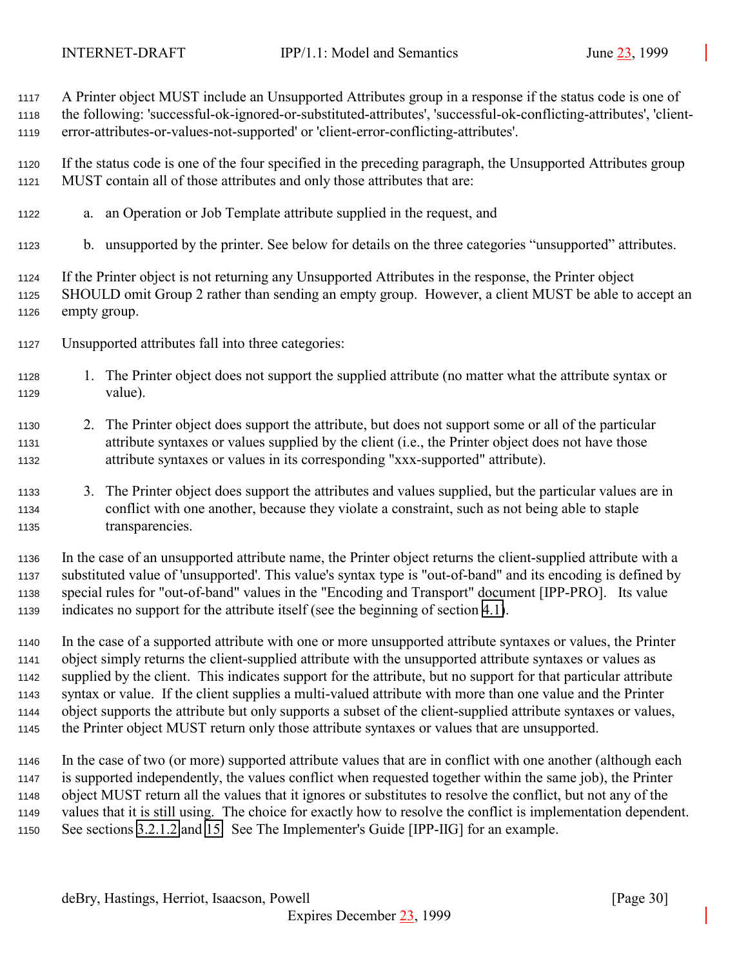A Printer object MUST include an Unsupported Attributes group in a response if the status code is one of

 the following: 'successful-ok-ignored-or-substituted-attributes', 'successful-ok-conflicting-attributes', 'client-error-attributes-or-values-not-supported' or 'client-error-conflicting-attributes'.

 If the status code is one of the four specified in the preceding paragraph, the Unsupported Attributes group MUST contain all of those attributes and only those attributes that are:

- a. an Operation or Job Template attribute supplied in the request, and
- b. unsupported by the printer. See below for details on the three categories "unsupported" attributes.

 If the Printer object is not returning any Unsupported Attributes in the response, the Printer object SHOULD omit Group 2 rather than sending an empty group. However, a client MUST be able to accept an empty group.

- Unsupported attributes fall into three categories:
- 1. The Printer object does not support the supplied attribute (no matter what the attribute syntax or value).
- 2. The Printer object does support the attribute, but does not support some or all of the particular attribute syntaxes or values supplied by the client (i.e., the Printer object does not have those attribute syntaxes or values in its corresponding "xxx-supported" attribute).
- 3. The Printer object does support the attributes and values supplied, but the particular values are in conflict with one another, because they violate a constraint, such as not being able to staple transparencies.

 In the case of an unsupported attribute name, the Printer object returns the client-supplied attribute with a substituted value of 'unsupported'. This value's syntax type is "out-of-band" and its encoding is defined by special rules for "out-of-band" values in the "Encoding and Transport" document [IPP-PRO]. Its value indicates no support for the attribute itself (see the beginning of section [4.1\)](#page-61-0).

 In the case of a supported attribute with one or more unsupported attribute syntaxes or values, the Printer object simply returns the client-supplied attribute with the unsupported attribute syntaxes or values as supplied by the client. This indicates support for the attribute, but no support for that particular attribute syntax or value. If the client supplies a multi-valued attribute with more than one value and the Printer object supports the attribute but only supports a subset of the client-supplied attribute syntaxes or values, the Printer object MUST return only those attribute syntaxes or values that are unsupported.

 In the case of two (or more) supported attribute values that are in conflict with one another (although each is supported independently, the values conflict when requested together within the same job), the Printer object MUST return all the values that it ignores or substitutes to resolve the conflict, but not any of the values that it is still using. The choice for exactly how to resolve the conflict is implementation dependent. See sections [3.2.1.2](#page-37-0) and [15.](#page-154-0) See The Implementer's Guide [IPP-IIG] for an example.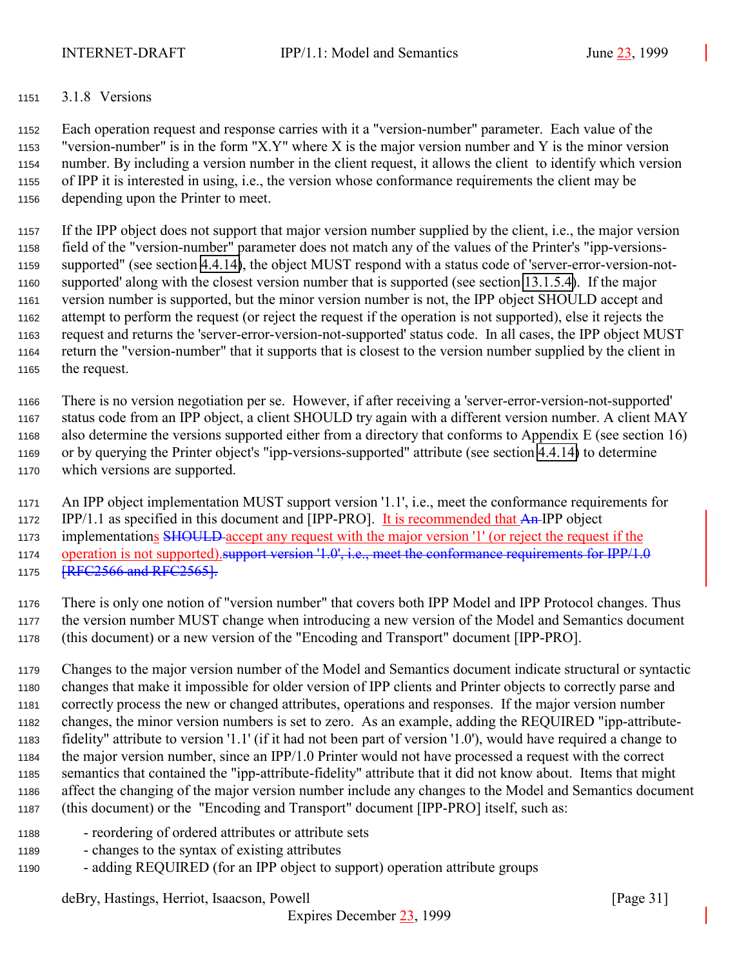#### <span id="page-30-0"></span>3.1.8 Versions

 Each operation request and response carries with it a "version-number" parameter. Each value of the "version-number" is in the form "X.Y" where X is the major version number and Y is the minor version number. By including a version number in the client request, it allows the client to identify which version of IPP it is interested in using, i.e., the version whose conformance requirements the client may be depending upon the Printer to meet.

 If the IPP object does not support that major version number supplied by the client, i.e., the major version field of the "version-number" parameter does not match any of the values of the Printer's "ipp-versions- supported" (see section [4.4.14\)](#page-106-0), the object MUST respond with a status code of 'server-error-version-not- supported' along with the closest version number that is supported (see section [13.1.5.4\)](#page-147-0). If the major version number is supported, but the minor version number is not, the IPP object SHOULD accept and attempt to perform the request (or reject the request if the operation is not supported), else it rejects the request and returns the 'server-error-version-not-supported' status code. In all cases, the IPP object MUST return the "version-number" that it supports that is closest to the version number supplied by the client in the request.

 There is no version negotiation per se. However, if after receiving a 'server-error-version-not-supported' status code from an IPP object, a client SHOULD try again with a different version number. A client MAY also determine the versions supported either from a directory that conforms to Appendix E (see section 16) or by querying the Printer object's "ipp-versions-supported" attribute (see section [4.4.14\)](#page-106-0) to determine which versions are supported.

An IPP object implementation MUST support version '1.1', i.e., meet the conformance requirements for

1172 IPP/1.1 as specified in this document and [IPP-PRO]. It is recommended that An-IPP object

1173 implementations SHOULD accept any request with the major version '1' (or reject the request if the

1174 operation is not supported). support version '1.0', i.e., meet the conformance requirements for IPP/1.0 **[RFC2566 and RFC2565]**.

 There is only one notion of "version number" that covers both IPP Model and IPP Protocol changes. Thus the version number MUST change when introducing a new version of the Model and Semantics document (this document) or a new version of the "Encoding and Transport" document [IPP-PRO].

 Changes to the major version number of the Model and Semantics document indicate structural or syntactic changes that make it impossible for older version of IPP clients and Printer objects to correctly parse and correctly process the new or changed attributes, operations and responses. If the major version number changes, the minor version numbers is set to zero. As an example, adding the REQUIRED "ipp-attribute- fidelity" attribute to version '1.1' (if it had not been part of version '1.0'), would have required a change to the major version number, since an IPP/1.0 Printer would not have processed a request with the correct semantics that contained the "ipp-attribute-fidelity" attribute that it did not know about. Items that might affect the changing of the major version number include any changes to the Model and Semantics document (this document) or the "Encoding and Transport" document [IPP-PRO] itself, such as:

- reordering of ordered attributes or attribute sets
- changes to the syntax of existing attributes
- adding REQUIRED (for an IPP object to support) operation attribute groups

deBry, Hastings, Herriot, Isaacson, Powell [Page 31]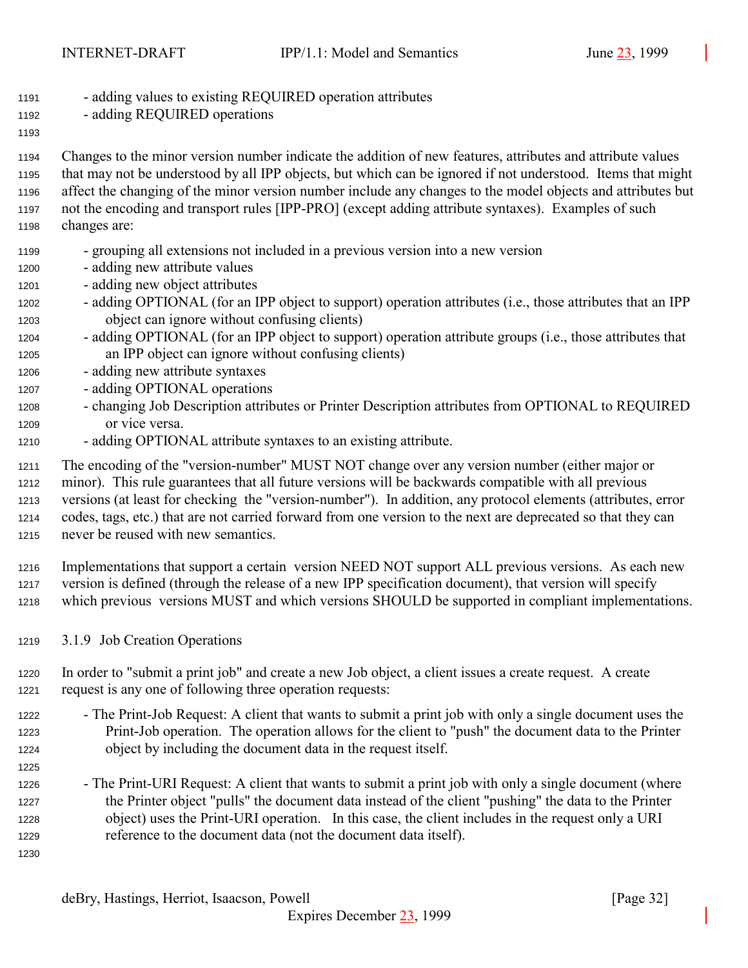<span id="page-31-0"></span>

| 1191 |  | - adding values to existing REQUIRED operation attributes |  |
|------|--|-----------------------------------------------------------|--|
|------|--|-----------------------------------------------------------|--|

- adding REQUIRED operations
- 

 Changes to the minor version number indicate the addition of new features, attributes and attribute values that may not be understood by all IPP objects, but which can be ignored if not understood. Items that might affect the changing of the minor version number include any changes to the model objects and attributes but not the encoding and transport rules [IPP-PRO] (except adding attribute syntaxes). Examples of such changes are:

- grouping all extensions not included in a previous version into a new version
- adding new attribute values
- adding new object attributes
- adding OPTIONAL (for an IPP object to support) operation attributes (i.e., those attributes that an IPP object can ignore without confusing clients)
- adding OPTIONAL (for an IPP object to support) operation attribute groups (i.e., those attributes that an IPP object can ignore without confusing clients)
- adding new attribute syntaxes
- adding OPTIONAL operations
- changing Job Description attributes or Printer Description attributes from OPTIONAL to REQUIRED or vice versa.
- adding OPTIONAL attribute syntaxes to an existing attribute.

 The encoding of the "version-number" MUST NOT change over any version number (either major or minor). This rule guarantees that all future versions will be backwards compatible with all previous versions (at least for checking the "version-number"). In addition, any protocol elements (attributes, error codes, tags, etc.) that are not carried forward from one version to the next are deprecated so that they can never be reused with new semantics.

 Implementations that support a certain version NEED NOT support ALL previous versions. As each new version is defined (through the release of a new IPP specification document), that version will specify which previous versions MUST and which versions SHOULD be supported in compliant implementations.

3.1.9 Job Creation Operations

 In order to "submit a print job" and create a new Job object, a client issues a create request. A create request is any one of following three operation requests:

- The Print-Job Request: A client that wants to submit a print job with only a single document uses the Print-Job operation. The operation allows for the client to "push" the document data to the Printer object by including the document data in the request itself.
- The Print-URI Request: A client that wants to submit a print job with only a single document (where the Printer object "pulls" the document data instead of the client "pushing" the data to the Printer object) uses the Print-URI operation. In this case, the client includes in the request only a URI reference to the document data (not the document data itself).
-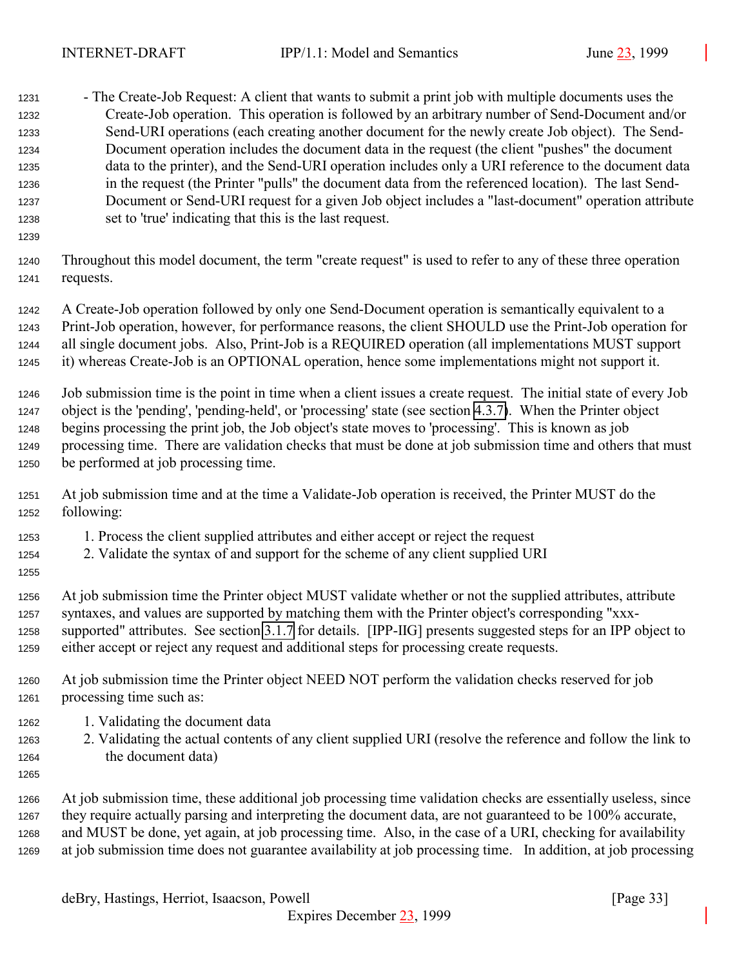| 1231<br>1232<br>1233<br>1234<br>1235<br>1236<br>1237<br>1238<br>1239 | - The Create-Job Request: A client that wants to submit a print job with multiple documents uses the<br>Create-Job operation. This operation is followed by an arbitrary number of Send-Document and/or<br>Send-URI operations (each creating another document for the newly create Job object). The Send-<br>Document operation includes the document data in the request (the client "pushes" the document<br>data to the printer), and the Send-URI operation includes only a URI reference to the document data<br>in the request (the Printer "pulls" the document data from the referenced location). The last Send-<br>Document or Send-URI request for a given Job object includes a "last-document" operation attribute<br>set to 'true' indicating that this is the last request. |
|----------------------------------------------------------------------|---------------------------------------------------------------------------------------------------------------------------------------------------------------------------------------------------------------------------------------------------------------------------------------------------------------------------------------------------------------------------------------------------------------------------------------------------------------------------------------------------------------------------------------------------------------------------------------------------------------------------------------------------------------------------------------------------------------------------------------------------------------------------------------------|
| 1240                                                                 | Throughout this model document, the term "create request" is used to refer to any of these three operation                                                                                                                                                                                                                                                                                                                                                                                                                                                                                                                                                                                                                                                                                  |
| 1241                                                                 | requests.                                                                                                                                                                                                                                                                                                                                                                                                                                                                                                                                                                                                                                                                                                                                                                                   |
| 1242                                                                 | A Create-Job operation followed by only one Send-Document operation is semantically equivalent to a                                                                                                                                                                                                                                                                                                                                                                                                                                                                                                                                                                                                                                                                                         |
| 1243                                                                 | Print-Job operation, however, for performance reasons, the client SHOULD use the Print-Job operation for                                                                                                                                                                                                                                                                                                                                                                                                                                                                                                                                                                                                                                                                                    |
| 1244                                                                 | all single document jobs. Also, Print-Job is a REQUIRED operation (all implementations MUST support                                                                                                                                                                                                                                                                                                                                                                                                                                                                                                                                                                                                                                                                                         |
| 1245                                                                 | it) whereas Create-Job is an OPTIONAL operation, hence some implementations might not support it.                                                                                                                                                                                                                                                                                                                                                                                                                                                                                                                                                                                                                                                                                           |
| 1246                                                                 | Job submission time is the point in time when a client issues a create request. The initial state of every Job                                                                                                                                                                                                                                                                                                                                                                                                                                                                                                                                                                                                                                                                              |
| 1247                                                                 | object is the 'pending', 'pending-held', or 'processing' state (see section 4.3.7). When the Printer object                                                                                                                                                                                                                                                                                                                                                                                                                                                                                                                                                                                                                                                                                 |
| 1248                                                                 | begins processing the print job, the Job object's state moves to 'processing'. This is known as job                                                                                                                                                                                                                                                                                                                                                                                                                                                                                                                                                                                                                                                                                         |
| 1249                                                                 | processing time. There are validation checks that must be done at job submission time and others that must                                                                                                                                                                                                                                                                                                                                                                                                                                                                                                                                                                                                                                                                                  |
| 1250                                                                 | be performed at job processing time.                                                                                                                                                                                                                                                                                                                                                                                                                                                                                                                                                                                                                                                                                                                                                        |
| 1251                                                                 | At job submission time and at the time a Validate-Job operation is received, the Printer MUST do the                                                                                                                                                                                                                                                                                                                                                                                                                                                                                                                                                                                                                                                                                        |
| 1252                                                                 | following:                                                                                                                                                                                                                                                                                                                                                                                                                                                                                                                                                                                                                                                                                                                                                                                  |
| 1253<br>1254<br>1255                                                 | 1. Process the client supplied attributes and either accept or reject the request<br>2. Validate the syntax of and support for the scheme of any client supplied URI                                                                                                                                                                                                                                                                                                                                                                                                                                                                                                                                                                                                                        |
| 1256                                                                 | At job submission time the Printer object MUST validate whether or not the supplied attributes, attribute                                                                                                                                                                                                                                                                                                                                                                                                                                                                                                                                                                                                                                                                                   |
| 1257                                                                 | syntaxes, and values are supported by matching them with the Printer object's corresponding "xxx-                                                                                                                                                                                                                                                                                                                                                                                                                                                                                                                                                                                                                                                                                           |
| 1258                                                                 | supported" attributes. See section 3.1.7 for details. [IPP-IIG] presents suggested steps for an IPP object to                                                                                                                                                                                                                                                                                                                                                                                                                                                                                                                                                                                                                                                                               |
| 1259                                                                 | either accept or reject any request and additional steps for processing create requests.                                                                                                                                                                                                                                                                                                                                                                                                                                                                                                                                                                                                                                                                                                    |
| 1260                                                                 | At job submission time the Printer object NEED NOT perform the validation checks reserved for job                                                                                                                                                                                                                                                                                                                                                                                                                                                                                                                                                                                                                                                                                           |
| 1261                                                                 | processing time such as:                                                                                                                                                                                                                                                                                                                                                                                                                                                                                                                                                                                                                                                                                                                                                                    |
| 1262<br>1263<br>1264<br>1265                                         | 1. Validating the document data<br>2. Validating the actual contents of any client supplied URI (resolve the reference and follow the link to<br>the document data)                                                                                                                                                                                                                                                                                                                                                                                                                                                                                                                                                                                                                         |
| 1266                                                                 | At job submission time, these additional job processing time validation checks are essentially useless, since                                                                                                                                                                                                                                                                                                                                                                                                                                                                                                                                                                                                                                                                               |
| 1267                                                                 | they require actually parsing and interpreting the document data, are not guaranteed to be 100% accurate,                                                                                                                                                                                                                                                                                                                                                                                                                                                                                                                                                                                                                                                                                   |
| 1268                                                                 | and MUST be done, yet again, at job processing time. Also, in the case of a URI, checking for availability                                                                                                                                                                                                                                                                                                                                                                                                                                                                                                                                                                                                                                                                                  |
| 1269                                                                 | at job submission time does not guarantee availability at job processing time. In addition, at job processing                                                                                                                                                                                                                                                                                                                                                                                                                                                                                                                                                                                                                                                                               |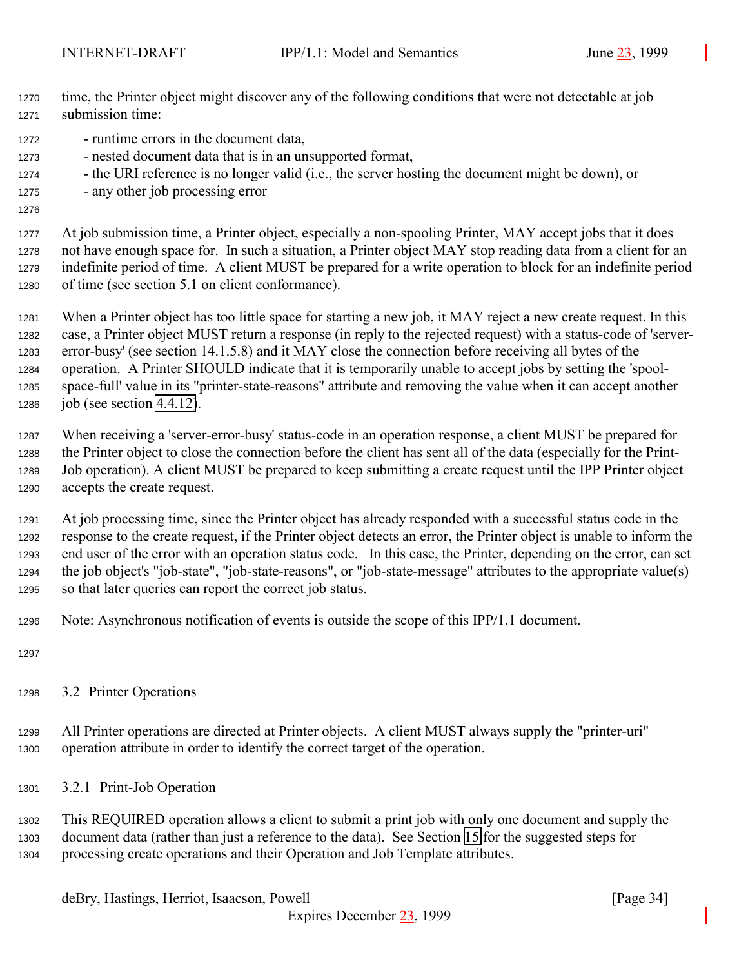- <span id="page-33-0"></span> time, the Printer object might discover any of the following conditions that were not detectable at job submission time:
- runtime errors in the document data,
- nested document data that is in an unsupported format,
- the URI reference is no longer valid (i.e., the server hosting the document might be down), or
- any other job processing error
- 

 At job submission time, a Printer object, especially a non-spooling Printer, MAY accept jobs that it does not have enough space for. In such a situation, a Printer object MAY stop reading data from a client for an indefinite period of time. A client MUST be prepared for a write operation to block for an indefinite period of time (see section 5.1 on client conformance).

 When a Printer object has too little space for starting a new job, it MAY reject a new create request. In this case, a Printer object MUST return a response (in reply to the rejected request) with a status-code of 'server- error-busy' (see section 14.1.5.8) and it MAY close the connection before receiving all bytes of the operation. A Printer SHOULD indicate that it is temporarily unable to accept jobs by setting the 'spool- space-full' value in its "printer-state-reasons" attribute and removing the value when it can accept another job (see section [4.4.12\)](#page-104-0).

 When receiving a 'server-error-busy' status-code in an operation response, a client MUST be prepared for the Printer object to close the connection before the client has sent all of the data (especially for the Print- Job operation). A client MUST be prepared to keep submitting a create request until the IPP Printer object accepts the create request.

 At job processing time, since the Printer object has already responded with a successful status code in the response to the create request, if the Printer object detects an error, the Printer object is unable to inform the end user of the error with an operation status code. In this case, the Printer, depending on the error, can set the job object's "job-state", "job-state-reasons", or "job-state-message" attributes to the appropriate value(s) so that later queries can report the correct job status.

Note: Asynchronous notification of events is outside the scope of this IPP/1.1 document.

- 
- 3.2 Printer Operations

 All Printer operations are directed at Printer objects. A client MUST always supply the "printer-uri" operation attribute in order to identify the correct target of the operation.

3.2.1 Print-Job Operation

 This REQUIRED operation allows a client to submit a print job with only one document and supply the document data (rather than just a reference to the data). See Section [15](#page-154-0) for the suggested steps for processing create operations and their Operation and Job Template attributes.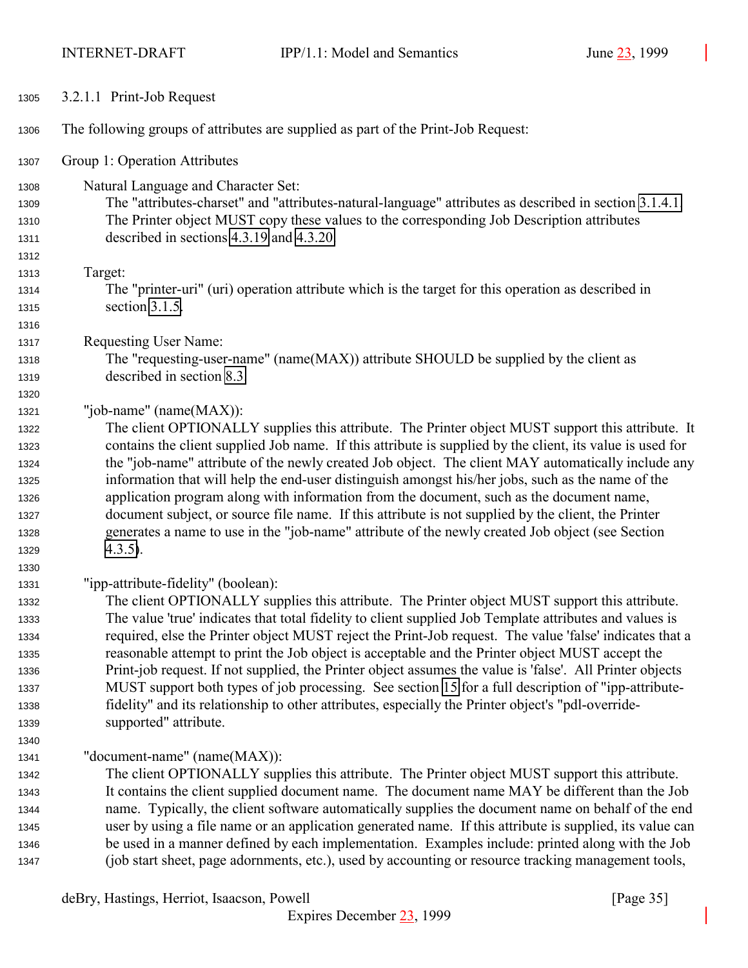<span id="page-34-0"></span>

| 1305         | 3.2.1.1 Print-Job Request                                                                                                                                                                               |
|--------------|---------------------------------------------------------------------------------------------------------------------------------------------------------------------------------------------------------|
| 1306         | The following groups of attributes are supplied as part of the Print-Job Request:                                                                                                                       |
| 1307         | Group 1: Operation Attributes                                                                                                                                                                           |
| 1308         | Natural Language and Character Set:                                                                                                                                                                     |
| 1309         | The "attributes-charset" and "attributes-natural-language" attributes as described in section 3.1.4.1.                                                                                                  |
| 1310         | The Printer object MUST copy these values to the corresponding Job Description attributes                                                                                                               |
| 1311         | described in sections 4.3.19 and 4.3.20.                                                                                                                                                                |
| 1312         |                                                                                                                                                                                                         |
| 1313         | Target:                                                                                                                                                                                                 |
| 1314         | The "printer-uri" (uri) operation attribute which is the target for this operation as described in                                                                                                      |
| 1315         | section 3.1.5.                                                                                                                                                                                          |
| 1316         |                                                                                                                                                                                                         |
| 1317         | Requesting User Name:                                                                                                                                                                                   |
| 1318         | The "requesting-user-name" (name(MAX)) attribute SHOULD be supplied by the client as                                                                                                                    |
| 1319         | described in section 8.3.                                                                                                                                                                               |
| 1320         |                                                                                                                                                                                                         |
| 1321         | "job-name" (name(MAX)):                                                                                                                                                                                 |
| 1322         | The client OPTIONALLY supplies this attribute. The Printer object MUST support this attribute. It                                                                                                       |
| 1323         | contains the client supplied Job name. If this attribute is supplied by the client, its value is used for                                                                                               |
| 1324         | the "job-name" attribute of the newly created Job object. The client MAY automatically include any                                                                                                      |
| 1325         | information that will help the end-user distinguish amongst his/her jobs, such as the name of the                                                                                                       |
| 1326         | application program along with information from the document, such as the document name,<br>document subject, or source file name. If this attribute is not supplied by the client, the Printer         |
| 1327<br>1328 | generates a name to use in the "job-name" attribute of the newly created Job object (see Section                                                                                                        |
| 1329         | $4.3.5$ ).                                                                                                                                                                                              |
| 1330         |                                                                                                                                                                                                         |
| 1331         | "ipp-attribute-fidelity" (boolean):                                                                                                                                                                     |
| 1332         | The client OPTIONALLY supplies this attribute. The Printer object MUST support this attribute.                                                                                                          |
| 1333         | The value 'true' indicates that total fidelity to client supplied Job Template attributes and values is                                                                                                 |
| 1334         | required, else the Printer object MUST reject the Print-Job request. The value 'false' indicates that a                                                                                                 |
| 1335         | reasonable attempt to print the Job object is acceptable and the Printer object MUST accept the                                                                                                         |
| 1336         | Print-job request. If not supplied, the Printer object assumes the value is 'false'. All Printer objects                                                                                                |
| 1337         | MUST support both types of job processing. See section 15 for a full description of "ipp-attribute-                                                                                                     |
| 1338         | fidelity" and its relationship to other attributes, especially the Printer object's "pdl-override-                                                                                                      |
| 1339         | supported" attribute.                                                                                                                                                                                   |
| 1340         |                                                                                                                                                                                                         |
| 1341         | "document-name" (name(MAX)):                                                                                                                                                                            |
| 1342         | The client OPTIONALLY supplies this attribute. The Printer object MUST support this attribute.                                                                                                          |
| 1343         | It contains the client supplied document name. The document name MAY be different than the Job                                                                                                          |
| 1344         | name. Typically, the client software automatically supplies the document name on behalf of the end                                                                                                      |
| 1345         | user by using a file name or an application generated name. If this attribute is supplied, its value can                                                                                                |
| 1346<br>1347 | be used in a manner defined by each implementation. Examples include: printed along with the Job<br>(job start sheet, page adornments, etc.), used by accounting or resource tracking management tools, |
|              | deBry, Hastings, Herriot, Isaacson, Powell<br>[Page $35$ ]                                                                                                                                              |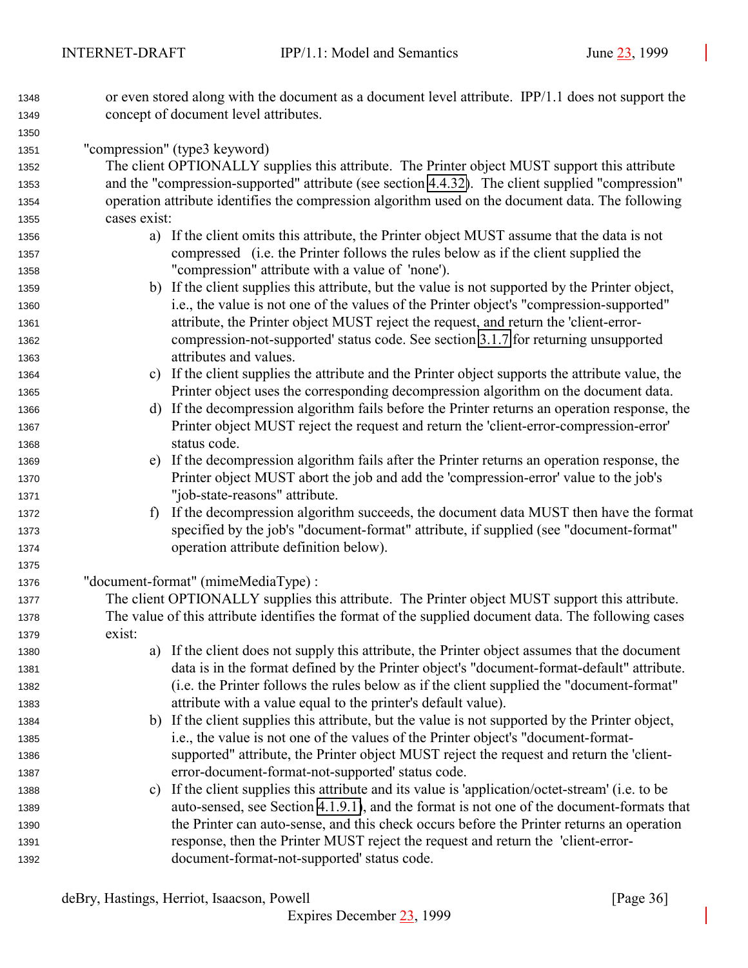- or even stored along with the document as a document level attribute. IPP/1.1 does not support the concept of document level attributes.
- "compression" (type3 keyword)
- The client OPTIONALLY supplies this attribute. The Printer object MUST support this attribute and the "compression-supported" attribute (see section [4.4.32\)](#page-111-0). The client supplied "compression" operation attribute identifies the compression algorithm used on the document data. The following cases exist:
- a) If the client omits this attribute, the Printer object MUST assume that the data is not compressed (i.e. the Printer follows the rules below as if the client supplied the "compression" attribute with a value of 'none').
- b) If the client supplies this attribute, but the value is not supported by the Printer object, i.e., the value is not one of the values of the Printer object's "compression-supported" attribute, the Printer object MUST reject the request, and return the 'client-error- compression-not-supported' status code. See section [3.1.7](#page-28-0) for returning unsupported attributes and values.
- c) If the client supplies the attribute and the Printer object supports the attribute value, the Printer object uses the corresponding decompression algorithm on the document data.
- d) If the decompression algorithm fails before the Printer returns an operation response, the Printer object MUST reject the request and return the 'client-error-compression-error' status code.
- e) If the decompression algorithm fails after the Printer returns an operation response, the Printer object MUST abort the job and add the 'compression-error' value to the job's "job-state-reasons" attribute.
- f) If the decompression algorithm succeeds, the document data MUST then have the format specified by the job's "document-format" attribute, if supplied (see "document-format" operation attribute definition below).

"document-format" (mimeMediaType) :

- The client OPTIONALLY supplies this attribute. The Printer object MUST support this attribute. The value of this attribute identifies the format of the supplied document data. The following cases exist:
- a) If the client does not supply this attribute, the Printer object assumes that the document data is in the format defined by the Printer object's "document-format-default" attribute. (i.e. the Printer follows the rules below as if the client supplied the "document-format" attribute with a value equal to the printer's default value).
- b) If the client supplies this attribute, but the value is not supported by the Printer object, i.e., the value is not one of the values of the Printer object's "document-format- supported" attribute, the Printer object MUST reject the request and return the 'client-error-document-format-not-supported' status code.
- c) If the client supplies this attribute and its value is 'application/octet-stream' (i.e. to be auto-sensed, see Section [4.1.9.1\)](#page-68-0), and the format is not one of the document-formats that the Printer can auto-sense, and this check occurs before the Printer returns an operation response, then the Printer MUST reject the request and return the 'client-error-document-format-not-supported' status code.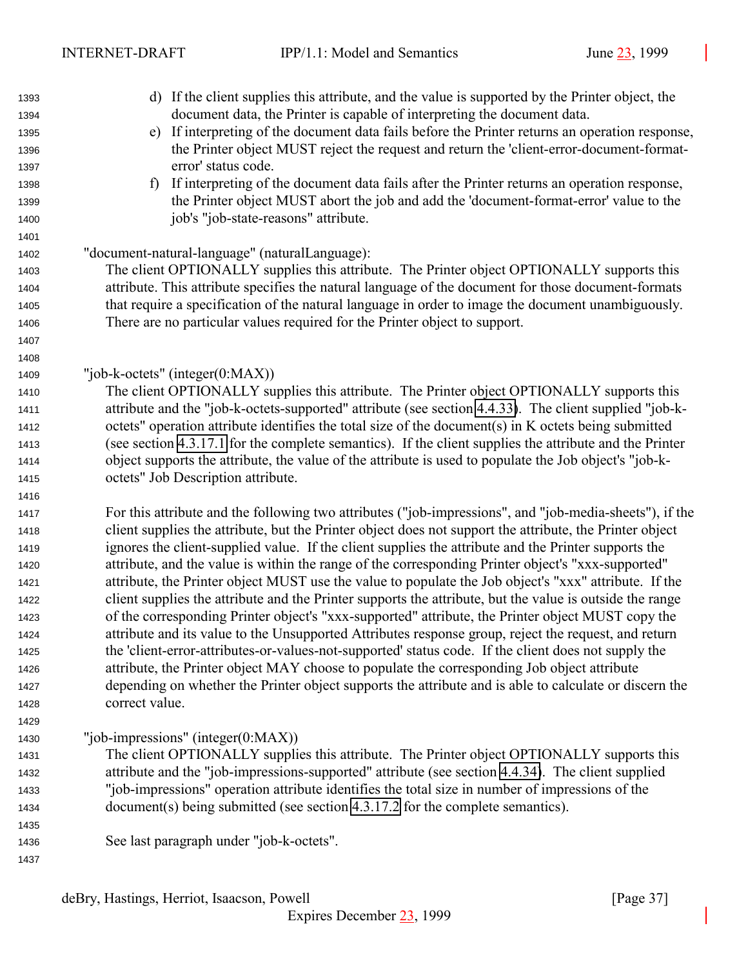| 1393 | d) If the client supplies this attribute, and the value is supported by the Printer object, the          |  |  |
|------|----------------------------------------------------------------------------------------------------------|--|--|
| 1394 | document data, the Printer is capable of interpreting the document data.                                 |  |  |
| 1395 | If interpreting of the document data fails before the Printer returns an operation response,<br>e)       |  |  |
| 1396 | the Printer object MUST reject the request and return the 'client-error-document-format-                 |  |  |
| 1397 | error' status code.                                                                                      |  |  |
| 1398 | If interpreting of the document data fails after the Printer returns an operation response,<br>f)        |  |  |
| 1399 | the Printer object MUST abort the job and add the 'document-format-error' value to the                   |  |  |
| 1400 | job's "job-state-reasons" attribute.                                                                     |  |  |
| 1401 |                                                                                                          |  |  |
| 1402 | "document-natural-language" (naturalLanguage):                                                           |  |  |
| 1403 | The client OPTIONALLY supplies this attribute. The Printer object OPTIONALLY supports this               |  |  |
| 1404 | attribute. This attribute specifies the natural language of the document for those document-formats      |  |  |
| 1405 | that require a specification of the natural language in order to image the document unambiguously.       |  |  |
| 1406 | There are no particular values required for the Printer object to support.                               |  |  |
| 1407 |                                                                                                          |  |  |
| 1408 |                                                                                                          |  |  |
| 1409 | "job-k-octets" (integer $(0:MAX)$ )                                                                      |  |  |
| 1410 | The client OPTIONALLY supplies this attribute. The Printer object OPTIONALLY supports this               |  |  |
| 1411 | attribute and the "job-k-octets-supported" attribute (see section 4.4.33). The client supplied "job-k-   |  |  |
| 1412 | octets" operation attribute identifies the total size of the document(s) in K octets being submitted     |  |  |
| 1413 | (see section 4.3.17.1 for the complete semantics). If the client supplies the attribute and the Printer  |  |  |
| 1414 | object supports the attribute, the value of the attribute is used to populate the Job object's "job-k-   |  |  |
| 1415 | octets" Job Description attribute.                                                                       |  |  |
| 1416 |                                                                                                          |  |  |
| 1417 | For this attribute and the following two attributes ("job-impressions", and "job-media-sheets"), if the  |  |  |
| 1418 | client supplies the attribute, but the Printer object does not support the attribute, the Printer object |  |  |
| 1419 | ignores the client-supplied value. If the client supplies the attribute and the Printer supports the     |  |  |
| 1420 | attribute, and the value is within the range of the corresponding Printer object's "xxx-supported"       |  |  |
| 1421 | attribute, the Printer object MUST use the value to populate the Job object's "xxx" attribute. If the    |  |  |
| 1422 | client supplies the attribute and the Printer supports the attribute, but the value is outside the range |  |  |
| 1423 | of the corresponding Printer object's "xxx-supported" attribute, the Printer object MUST copy the        |  |  |
| 1424 | attribute and its value to the Unsupported Attributes response group, reject the request, and return     |  |  |
| 1425 | the 'client-error-attributes-or-values-not-supported' status code. If the client does not supply the     |  |  |
| 1426 | attribute, the Printer object MAY choose to populate the corresponding Job object attribute              |  |  |
| 1427 | depending on whether the Printer object supports the attribute and is able to calculate or discern the   |  |  |
| 1428 | correct value.                                                                                           |  |  |
| 1429 |                                                                                                          |  |  |
| 1430 | "job-impressions" (integer $(0:MAX)$ )                                                                   |  |  |
| 1431 | The client OPTIONALLY supplies this attribute. The Printer object OPTIONALLY supports this               |  |  |
| 1432 | attribute and the "job-impressions-supported" attribute (see section 4.4.34). The client supplied        |  |  |
| 1433 | "job-impressions" operation attribute identifies the total size in number of impressions of the          |  |  |
| 1434 | document(s) being submitted (see section 4.3.17.2 for the complete semantics).                           |  |  |
| 1435 |                                                                                                          |  |  |
| 1436 | See last paragraph under "job-k-octets".                                                                 |  |  |
| 1437 |                                                                                                          |  |  |
|      |                                                                                                          |  |  |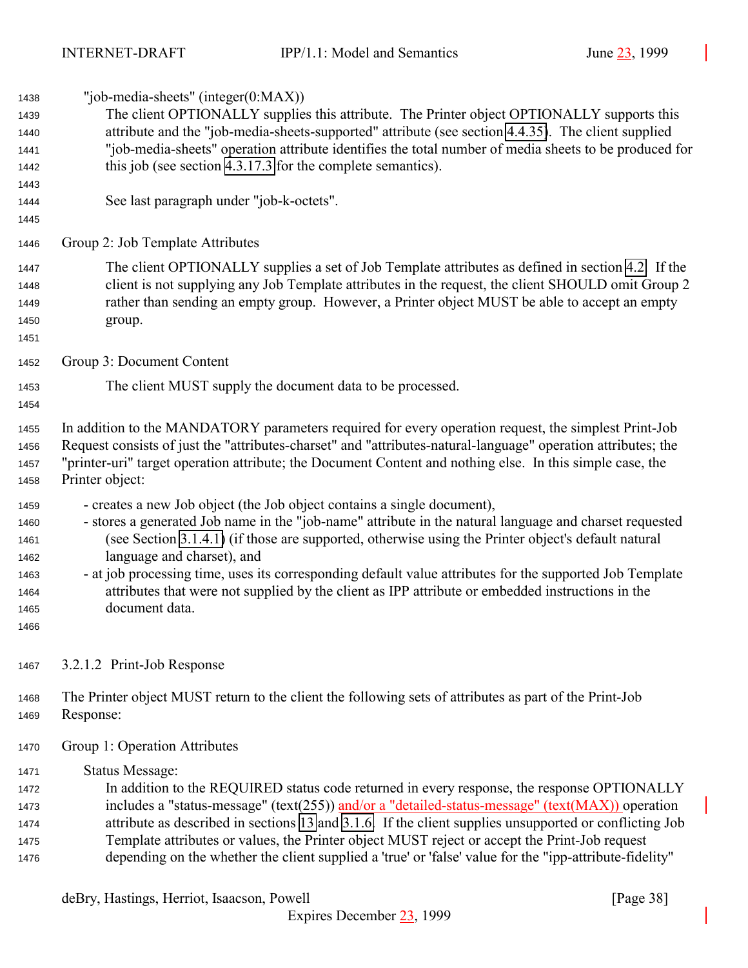<span id="page-37-0"></span> "job-media-sheets" (integer(0:MAX)) The client OPTIONALLY supplies this attribute. The Printer object OPTIONALLY supports this attribute and the "job-media-sheets-supported" attribute (see section [4.4.35\)](#page-112-0). The client supplied "job-media-sheets" operation attribute identifies the total number of media sheets to be produced for this job (see section [4.3.17.3](#page-96-0) for the complete semantics). See last paragraph under "job-k-octets". Group 2: Job Template Attributes The client OPTIONALLY supplies a set of Job Template attributes as defined in section [4.2.](#page-71-0) If the client is not supplying any Job Template attributes in the request, the client SHOULD omit Group 2 rather than sending an empty group. However, a Printer object MUST be able to accept an empty group. Group 3: Document Content The client MUST supply the document data to be processed. In addition to the MANDATORY parameters required for every operation request, the simplest Print-Job Request consists of just the "attributes-charset" and "attributes-natural-language" operation attributes; the "printer-uri" target operation attribute; the Document Content and nothing else. In this simple case, the Printer object: - creates a new Job object (the Job object contains a single document), - stores a generated Job name in the "job-name" attribute in the natural language and charset requested (see Section [3.1.4.1\)](#page-22-0) (if those are supported, otherwise using the Printer object's default natural language and charset), and - at job processing time, uses its corresponding default value attributes for the supported Job Template attributes that were not supplied by the client as IPP attribute or embedded instructions in the document data. 3.2.1.2 Print-Job Response The Printer object MUST return to the client the following sets of attributes as part of the Print-Job Response: Group 1: Operation Attributes Status Message: In addition to the REQUIRED status code returned in every response, the response OPTIONALLY 1473 includes a "status-message" (text(255)) and/or a "detailed-status-message" (text(MAX)) operation attribute as described in sections [13](#page-140-0) and [3.1.6.](#page-27-0) If the client supplies unsupported or conflicting Job Template attributes or values, the Printer object MUST reject or accept the Print-Job request depending on the whether the client supplied a 'true' or 'false' value for the "ipp-attribute-fidelity"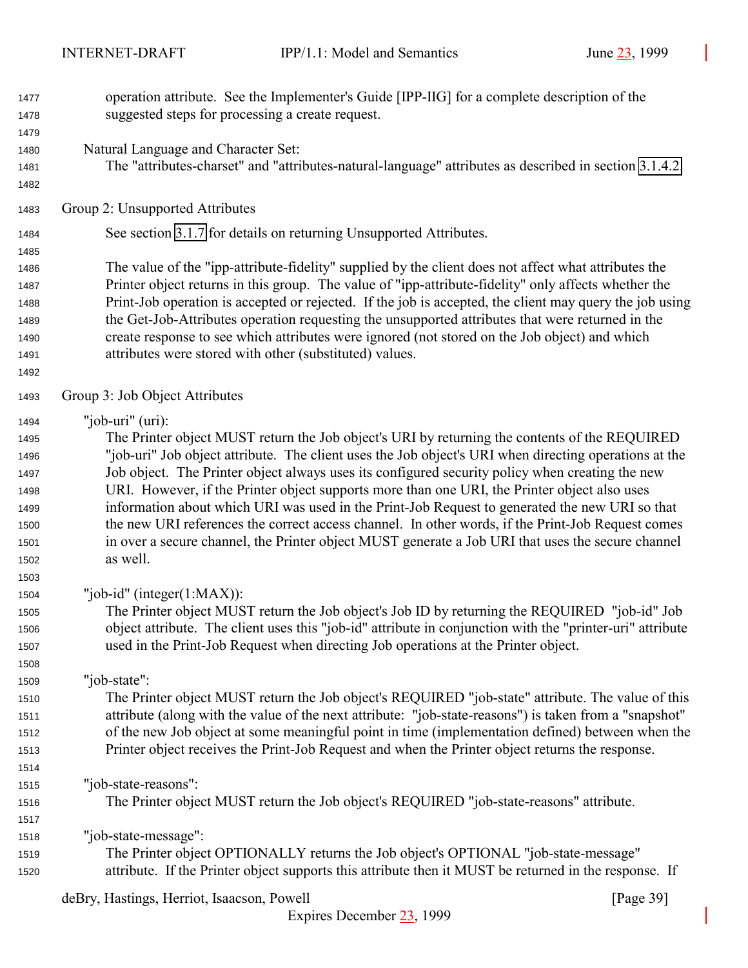- operation attribute. See the Implementer's Guide [IPP-IIG] for a complete description of the suggested steps for processing a create request. Natural Language and Character Set: The "attributes-charset" and "attributes-natural-language" attributes as described in section [3.1.4.2.](#page-24-0)
- 

Group 2: Unsupported Attributes

See section [3.1.7](#page-28-0) for details on returning Unsupported Attributes.

 The value of the "ipp-attribute-fidelity" supplied by the client does not affect what attributes the Printer object returns in this group. The value of "ipp-attribute-fidelity" only affects whether the Print-Job operation is accepted or rejected. If the job is accepted, the client may query the job using the Get-Job-Attributes operation requesting the unsupported attributes that were returned in the create response to see which attributes were ignored (not stored on the Job object) and which attributes were stored with other (substituted) values.

Group 3: Job Object Attributes

"job-uri" (uri):

 The Printer object MUST return the Job object's URI by returning the contents of the REQUIRED "job-uri" Job object attribute. The client uses the Job object's URI when directing operations at the Job object. The Printer object always uses its configured security policy when creating the new URI. However, if the Printer object supports more than one URI, the Printer object also uses information about which URI was used in the Print-Job Request to generated the new URI so that the new URI references the correct access channel. In other words, if the Print-Job Request comes in over a secure channel, the Printer object MUST generate a Job URI that uses the secure channel as well.

"job-id" (integer(1:MAX)):

 The Printer object MUST return the Job object's Job ID by returning the REQUIRED "job-id" Job object attribute. The client uses this "job-id" attribute in conjunction with the "printer-uri" attribute used in the Print-Job Request when directing Job operations at the Printer object.

"job-state":

 The Printer object MUST return the Job object's REQUIRED "job-state" attribute. The value of this attribute (along with the value of the next attribute: "job-state-reasons") is taken from a "snapshot" of the new Job object at some meaningful point in time (implementation defined) between when the Printer object receives the Print-Job Request and when the Printer object returns the response.

"job-state-reasons":

The Printer object MUST return the Job object's REQUIRED "job-state-reasons" attribute.

"job-state-message":

 The Printer object OPTIONALLY returns the Job object's OPTIONAL "job-state-message" attribute. If the Printer object supports this attribute then it MUST be returned in the response. If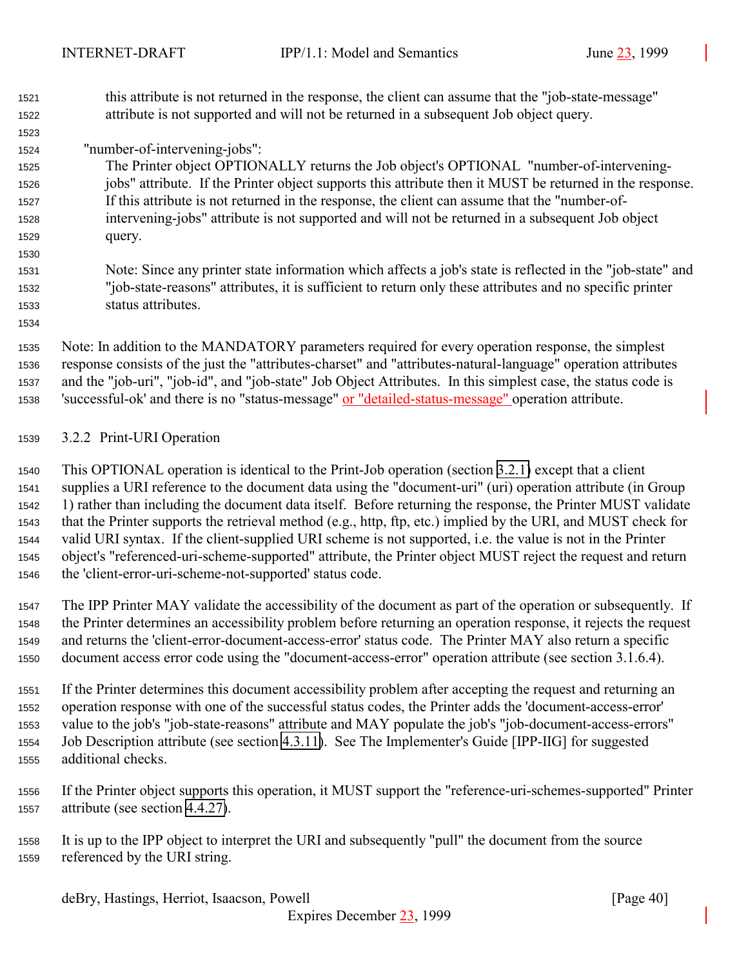<span id="page-39-0"></span> this attribute is not returned in the response, the client can assume that the "job-state-message" attribute is not supported and will not be returned in a subsequent Job object query.

# "number-of-intervening-jobs":

 The Printer object OPTIONALLY returns the Job object's OPTIONAL "number-of-intervening- jobs" attribute. If the Printer object supports this attribute then it MUST be returned in the response. If this attribute is not returned in the response, the client can assume that the "number-of- intervening-jobs" attribute is not supported and will not be returned in a subsequent Job object query.

 Note: Since any printer state information which affects a job's state is reflected in the "job-state" and "job-state-reasons" attributes, it is sufficient to return only these attributes and no specific printer status attributes.

 Note: In addition to the MANDATORY parameters required for every operation response, the simplest response consists of the just the "attributes-charset" and "attributes-natural-language" operation attributes and the "job-uri", "job-id", and "job-state" Job Object Attributes. In this simplest case, the status code is 'successful-ok' and there is no "status-message" or "detailed-status-message" operation attribute.

## 3.2.2 Print-URI Operation

 This OPTIONAL operation is identical to the Print-Job operation (section [3.2.1\)](#page-33-0) except that a client supplies a URI reference to the document data using the "document-uri" (uri) operation attribute (in Group 1) rather than including the document data itself. Before returning the response, the Printer MUST validate that the Printer supports the retrieval method (e.g., http, ftp, etc.) implied by the URI, and MUST check for valid URI syntax. If the client-supplied URI scheme is not supported, i.e. the value is not in the Printer object's "referenced-uri-scheme-supported" attribute, the Printer object MUST reject the request and return the 'client-error-uri-scheme-not-supported' status code.

 The IPP Printer MAY validate the accessibility of the document as part of the operation or subsequently. If the Printer determines an accessibility problem before returning an operation response, it rejects the request and returns the 'client-error-document-access-error' status code. The Printer MAY also return a specific document access error code using the "document-access-error" operation attribute (see section 3.1.6.4).

 If the Printer determines this document accessibility problem after accepting the request and returning an operation response with one of the successful status codes, the Printer adds the 'document-access-error' value to the job's "job-state-reasons" attribute and MAY populate the job's "job-document-access-errors" Job Description attribute (see section [4.3.11\)](#page-93-0). See The Implementer's Guide [IPP-IIG] for suggested additional checks.

 If the Printer object supports this operation, it MUST support the "reference-uri-schemes-supported" Printer attribute (see section [4.4.27\)](#page-110-0).

 It is up to the IPP object to interpret the URI and subsequently "pull" the document from the source referenced by the URI string.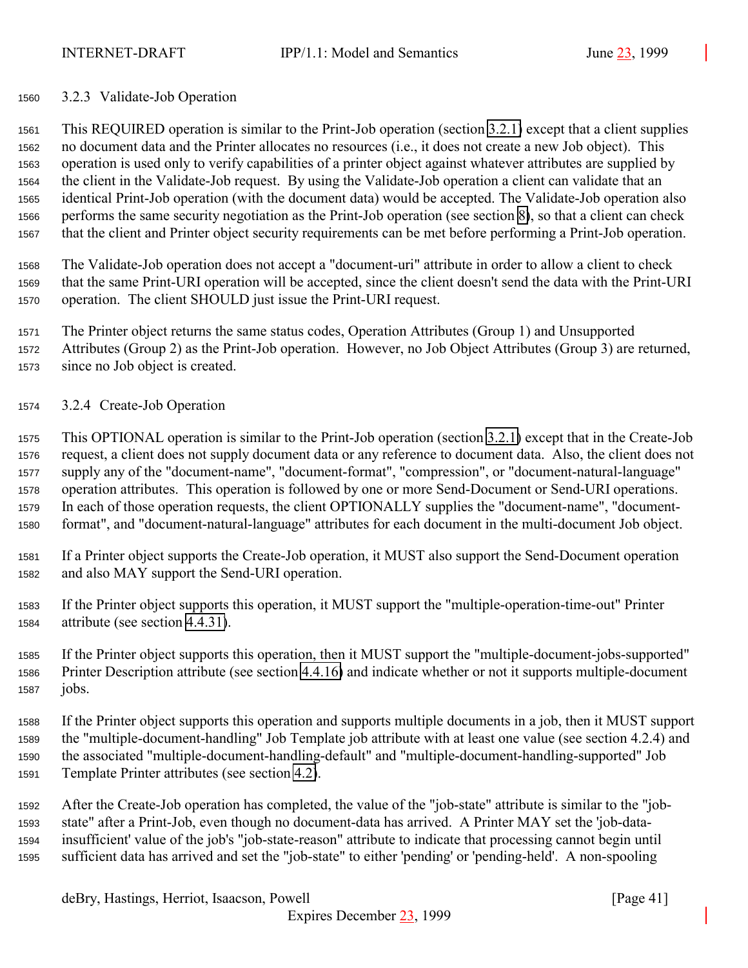### 3.2.3 Validate-Job Operation

 This REQUIRED operation is similar to the Print-Job operation (section [3.2.1\)](#page-33-0) except that a client supplies no document data and the Printer allocates no resources (i.e., it does not create a new Job object). This operation is used only to verify capabilities of a printer object against whatever attributes are supplied by the client in the Validate-Job request. By using the Validate-Job operation a client can validate that an identical Print-Job operation (with the document data) would be accepted. The Validate-Job operation also performs the same security negotiation as the Print-Job operation (see section [8\)](#page-125-0), so that a client can check that the client and Printer object security requirements can be met before performing a Print-Job operation.

 The Validate-Job operation does not accept a "document-uri" attribute in order to allow a client to check that the same Print-URI operation will be accepted, since the client doesn't send the data with the Print-URI operation. The client SHOULD just issue the Print-URI request.

 The Printer object returns the same status codes, Operation Attributes (Group 1) and Unsupported Attributes (Group 2) as the Print-Job operation. However, no Job Object Attributes (Group 3) are returned, since no Job object is created.

3.2.4 Create-Job Operation

 This OPTIONAL operation is similar to the Print-Job operation (section [3.2.1\)](#page-33-0) except that in the Create-Job request, a client does not supply document data or any reference to document data. Also, the client does not supply any of the "document-name", "document-format", "compression", or "document-natural-language" operation attributes. This operation is followed by one or more Send-Document or Send-URI operations. In each of those operation requests, the client OPTIONALLY supplies the "document-name", "document-format", and "document-natural-language" attributes for each document in the multi-document Job object.

- If a Printer object supports the Create-Job operation, it MUST also support the Send-Document operation and also MAY support the Send-URI operation.
- If the Printer object supports this operation, it MUST support the "multiple-operation-time-out" Printer attribute (see section [4.4.31\)](#page-111-0).

 If the Printer object supports this operation, then it MUST support the "multiple-document-jobs-supported" Printer Description attribute (see section [4.4.16\)](#page-107-0) and indicate whether or not it supports multiple-document jobs.

 If the Printer object supports this operation and supports multiple documents in a job, then it MUST support the "multiple-document-handling" Job Template job attribute with at least one value (see section 4.2.4) and the associated "multiple-document-handling-default" and "multiple-document-handling-supported" Job Template Printer attributes (see section [4.2\)](#page-71-0).

 After the Create-Job operation has completed, the value of the "job-state" attribute is similar to the "job- state" after a Print-Job, even though no document-data has arrived. A Printer MAY set the 'job-data- insufficient' value of the job's "job-state-reason" attribute to indicate that processing cannot begin until sufficient data has arrived and set the "job-state" to either 'pending' or 'pending-held'. A non-spooling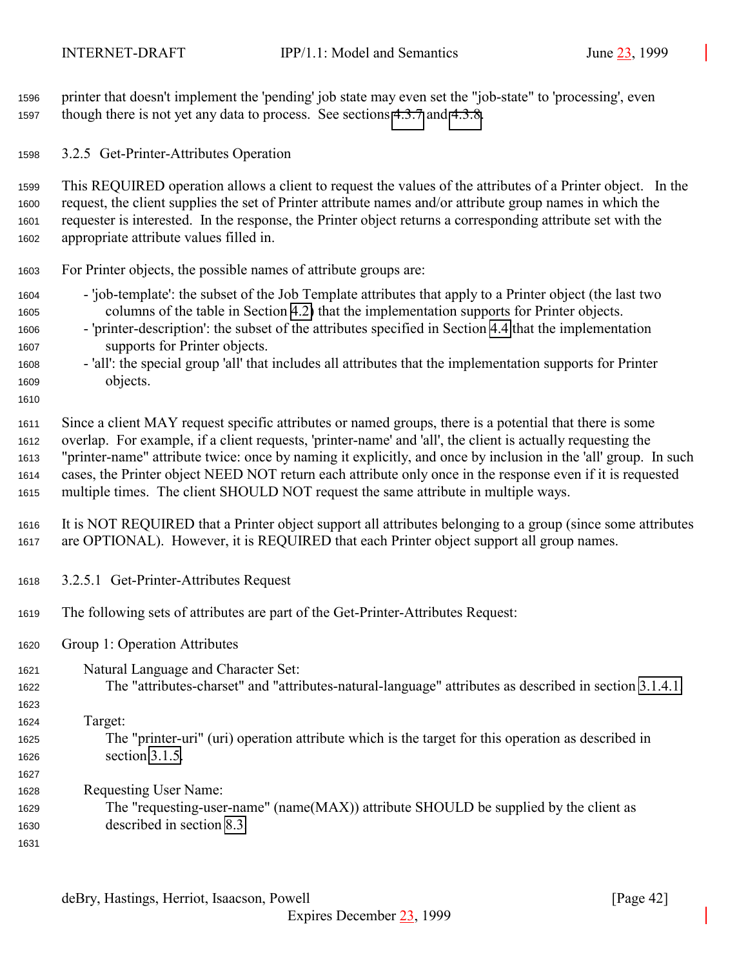<span id="page-41-0"></span> printer that doesn't implement the 'pending' job state may even set the "job-state" to 'processing', even though there is not yet any data to process. See sections [4.3.7](#page-86-0) and [4.3.8.](#page-89-0)

3.2.5 Get-Printer-Attributes Operation

 This REQUIRED operation allows a client to request the values of the attributes of a Printer object. In the request, the client supplies the set of Printer attribute names and/or attribute group names in which the requester is interested. In the response, the Printer object returns a corresponding attribute set with the appropriate attribute values filled in.

For Printer objects, the possible names of attribute groups are:

- 'job-template': the subset of the Job Template attributes that apply to a Printer object (the last two columns of the table in Section [4.2\)](#page-71-0) that the implementation supports for Printer objects.
- 'printer-description': the subset of the attributes specified in Section [4.4](#page-98-0) that the implementation supports for Printer objects.
- 'all': the special group 'all' that includes all attributes that the implementation supports for Printer objects.

 Since a client MAY request specific attributes or named groups, there is a potential that there is some overlap. For example, if a client requests, 'printer-name' and 'all', the client is actually requesting the "printer-name" attribute twice: once by naming it explicitly, and once by inclusion in the 'all' group. In such cases, the Printer object NEED NOT return each attribute only once in the response even if it is requested multiple times. The client SHOULD NOT request the same attribute in multiple ways.

 It is NOT REQUIRED that a Printer object support all attributes belonging to a group (since some attributes are OPTIONAL). However, it is REQUIRED that each Printer object support all group names.

- 3.2.5.1 Get-Printer-Attributes Request
- The following sets of attributes are part of the Get-Printer-Attributes Request:
- Group 1: Operation Attributes
- Natural Language and Character Set:
- The "attributes-charset" and "attributes-natural-language" attributes as described in section [3.1.4.1.](#page-22-0)

Target:

- The "printer-uri" (uri) operation attribute which is the target for this operation as described in section [3.1.5.](#page-25-0)
- Requesting User Name:
- The "requesting-user-name" (name(MAX)) attribute SHOULD be supplied by the client as described in section [8.3.](#page-127-0)
-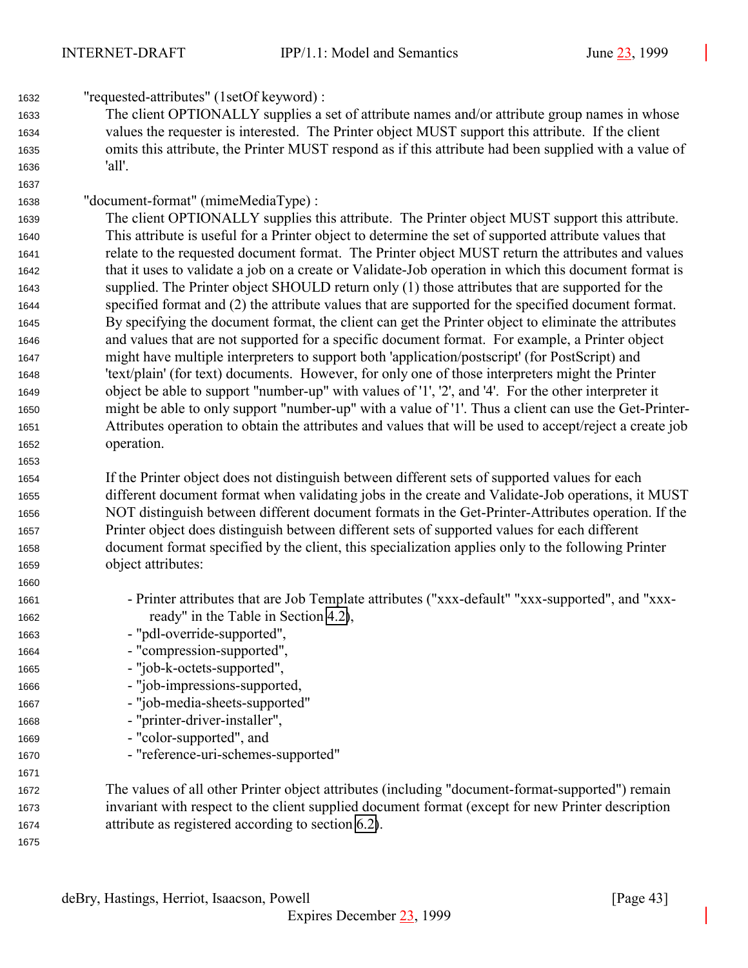"requested-attributes" (1setOf keyword) : The client OPTIONALLY supplies a set of attribute names and/or attribute group names in whose values the requester is interested. The Printer object MUST support this attribute. If the client omits this attribute, the Printer MUST respond as if this attribute had been supplied with a value of 'all'. "document-format" (mimeMediaType) : The client OPTIONALLY supplies this attribute. The Printer object MUST support this attribute. This attribute is useful for a Printer object to determine the set of supported attribute values that relate to the requested document format. The Printer object MUST return the attributes and values that it uses to validate a job on a create or Validate-Job operation in which this document format is supplied. The Printer object SHOULD return only (1) those attributes that are supported for the specified format and (2) the attribute values that are supported for the specified document format. By specifying the document format, the client can get the Printer object to eliminate the attributes and values that are not supported for a specific document format. For example, a Printer object might have multiple interpreters to support both 'application/postscript' (for PostScript) and 'text/plain' (for text) documents. However, for only one of those interpreters might the Printer object be able to support "number-up" with values of '1', '2', and '4'. For the other interpreter it might be able to only support "number-up" with a value of '1'. Thus a client can use the Get-Printer- Attributes operation to obtain the attributes and values that will be used to accept/reject a create job operation. If the Printer object does not distinguish between different sets of supported values for each different document format when validating jobs in the create and Validate-Job operations, it MUST NOT distinguish between different document formats in the Get-Printer-Attributes operation. If the Printer object does distinguish between different sets of supported values for each different document format specified by the client, this specialization applies only to the following Printer object attributes: - Printer attributes that are Job Template attributes ("xxx-default" "xxx-supported", and "xxx- ready" in the Table in Section [4.2\)](#page-71-0), - "pdl-override-supported", - "compression-supported", - "job-k-octets-supported", - "job-impressions-supported, - "job-media-sheets-supported" - "printer-driver-installer", - "color-supported", and - "reference-uri-schemes-supported" The values of all other Printer object attributes (including "document-format-supported") remain invariant with respect to the client supplied document format (except for new Printer description attribute as registered according to section [6.2\)](#page-119-0).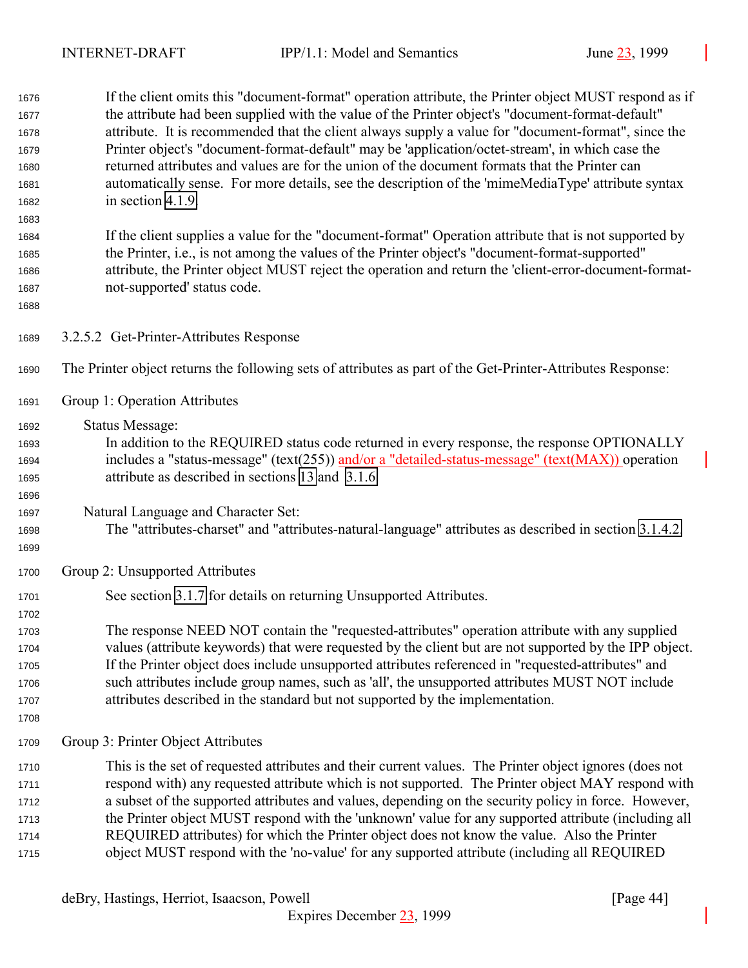If the client omits this "document-format" operation attribute, the Printer object MUST respond as if the attribute had been supplied with the value of the Printer object's "document-format-default" attribute. It is recommended that the client always supply a value for "document-format", since the Printer object's "document-format-default" may be 'application/octet-stream', in which case the returned attributes and values are for the union of the document formats that the Printer can automatically sense. For more details, see the description of the 'mimeMediaType' attribute syntax in section [4.1.9.](#page-68-0) If the client supplies a value for the "document-format" Operation attribute that is not supported by the Printer, i.e., is not among the values of the Printer object's "document-format-supported" attribute, the Printer object MUST reject the operation and return the 'client-error-document-format- not-supported' status code. 3.2.5.2 Get-Printer-Attributes Response The Printer object returns the following sets of attributes as part of the Get-Printer-Attributes Response:

Group 1: Operation Attributes

Status Message:

- In addition to the REQUIRED status code returned in every response, the response OPTIONALLY includes a "status-message" (text(255)) and/or a "detailed-status-message" (text(MAX)) operation attribute as described in sections [13](#page-140-0) and [3.1.6.](#page-27-0)
- Natural Language and Character Set:
- The "attributes-charset" and "attributes-natural-language" attributes as described in section [3.1.4.2.](#page-24-0)
- 

Group 2: Unsupported Attributes

- See section [3.1.7](#page-28-0) for details on returning Unsupported Attributes.
- The response NEED NOT contain the "requested-attributes" operation attribute with any supplied values (attribute keywords) that were requested by the client but are not supported by the IPP object. If the Printer object does include unsupported attributes referenced in "requested-attributes" and such attributes include group names, such as 'all', the unsupported attributes MUST NOT include attributes described in the standard but not supported by the implementation.
- 
- Group 3: Printer Object Attributes
- This is the set of requested attributes and their current values. The Printer object ignores (does not respond with) any requested attribute which is not supported. The Printer object MAY respond with a subset of the supported attributes and values, depending on the security policy in force. However, the Printer object MUST respond with the 'unknown' value for any supported attribute (including all REQUIRED attributes) for which the Printer object does not know the value. Also the Printer object MUST respond with the 'no-value' for any supported attribute (including all REQUIRED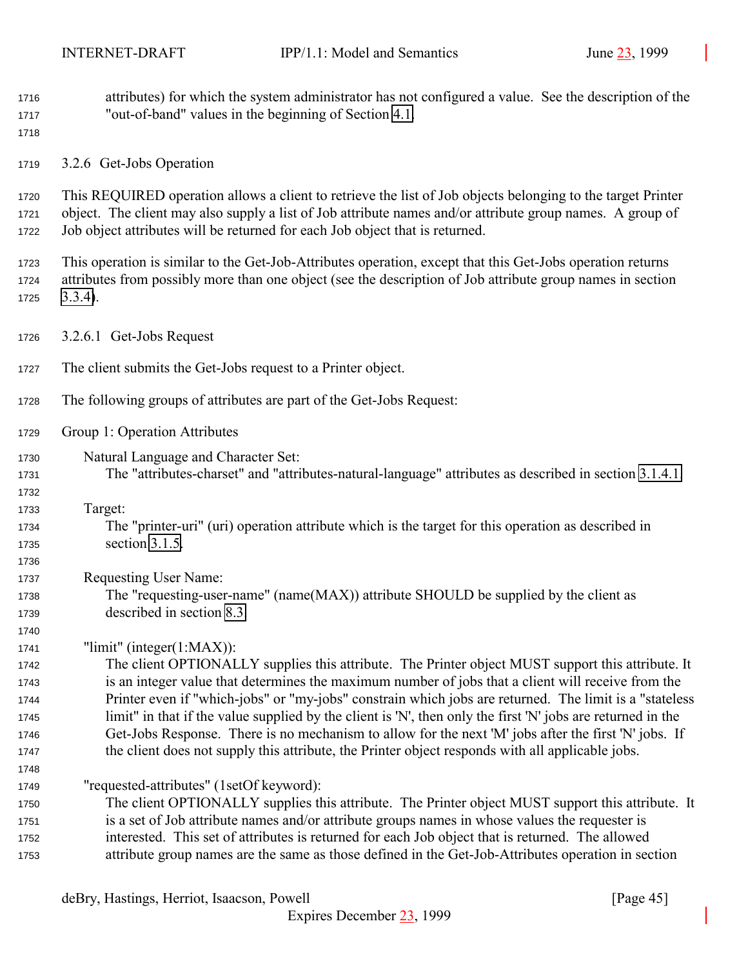attributes) for which the system administrator has not configured a value. See the description of the "out-of-band" values in the beginning of Section [4.1.](#page-61-0)

3.2.6 Get-Jobs Operation

 This REQUIRED operation allows a client to retrieve the list of Job objects belonging to the target Printer object. The client may also supply a list of Job attribute names and/or attribute group names. A group of Job object attributes will be returned for each Job object that is returned.

 This operation is similar to the Get-Job-Attributes operation, except that this Get-Jobs operation returns attributes from possibly more than one object (see the description of Job attribute group names in section [3.3.4\)](#page-55-0).

- 3.2.6.1 Get-Jobs Request
- The client submits the Get-Jobs request to a Printer object.
- The following groups of attributes are part of the Get-Jobs Request:
- Group 1: Operation Attributes
- Natural Language and Character Set:
- The "attributes-charset" and "attributes-natural-language" attributes as described in section [3.1.4.1.](#page-22-0)
- 

- Target:
- The "printer-uri" (uri) operation attribute which is the target for this operation as described in section [3.1.5.](#page-25-0)
- Requesting User Name:
- The "requesting-user-name" (name(MAX)) attribute SHOULD be supplied by the client as described in section [8.3.](#page-127-0)

"limit" (integer(1:MAX)):

 The client OPTIONALLY supplies this attribute. The Printer object MUST support this attribute. It is an integer value that determines the maximum number of jobs that a client will receive from the Printer even if "which-jobs" or "my-jobs" constrain which jobs are returned. The limit is a "stateless limit" in that if the value supplied by the client is 'N', then only the first 'N' jobs are returned in the Get-Jobs Response. There is no mechanism to allow for the next 'M' jobs after the first 'N' jobs. If the client does not supply this attribute, the Printer object responds with all applicable jobs.

"requested-attributes" (1setOf keyword):

 The client OPTIONALLY supplies this attribute. The Printer object MUST support this attribute. It is a set of Job attribute names and/or attribute groups names in whose values the requester is interested. This set of attributes is returned for each Job object that is returned. The allowed attribute group names are the same as those defined in the Get-Job-Attributes operation in section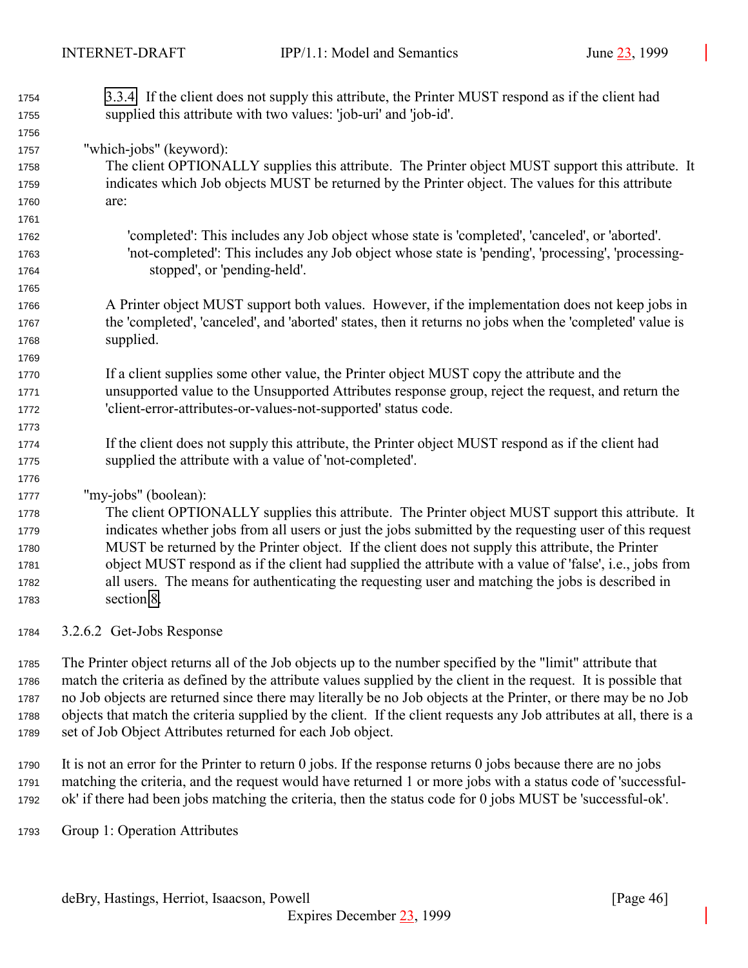[3.3.4.](#page-55-0) If the client does not supply this attribute, the Printer MUST respond as if the client had supplied this attribute with two values: 'job-uri' and 'job-id'.

"which-jobs" (keyword):

 The client OPTIONALLY supplies this attribute. The Printer object MUST support this attribute. It indicates which Job objects MUST be returned by the Printer object. The values for this attribute are:

 'completed': This includes any Job object whose state is 'completed', 'canceled', or 'aborted'. 'not-completed': This includes any Job object whose state is 'pending', 'processing', 'processing-stopped', or 'pending-held'.

- A Printer object MUST support both values. However, if the implementation does not keep jobs in the 'completed', 'canceled', and 'aborted' states, then it returns no jobs when the 'completed' value is supplied.
- If a client supplies some other value, the Printer object MUST copy the attribute and the unsupported value to the Unsupported Attributes response group, reject the request, and return the 'client-error-attributes-or-values-not-supported' status code.
- If the client does not supply this attribute, the Printer object MUST respond as if the client had supplied the attribute with a value of 'not-completed'.

"my-jobs" (boolean):

 The client OPTIONALLY supplies this attribute. The Printer object MUST support this attribute. It indicates whether jobs from all users or just the jobs submitted by the requesting user of this request MUST be returned by the Printer object. If the client does not supply this attribute, the Printer object MUST respond as if the client had supplied the attribute with a value of 'false', i.e., jobs from all users. The means for authenticating the requesting user and matching the jobs is described in section [8.](#page-125-0)

3.2.6.2 Get-Jobs Response

 The Printer object returns all of the Job objects up to the number specified by the "limit" attribute that match the criteria as defined by the attribute values supplied by the client in the request. It is possible that no Job objects are returned since there may literally be no Job objects at the Printer, or there may be no Job objects that match the criteria supplied by the client. If the client requests any Job attributes at all, there is a set of Job Object Attributes returned for each Job object.

 It is not an error for the Printer to return 0 jobs. If the response returns 0 jobs because there are no jobs matching the criteria, and the request would have returned 1 or more jobs with a status code of 'successful-ok' if there had been jobs matching the criteria, then the status code for 0 jobs MUST be 'successful-ok'.

Group 1: Operation Attributes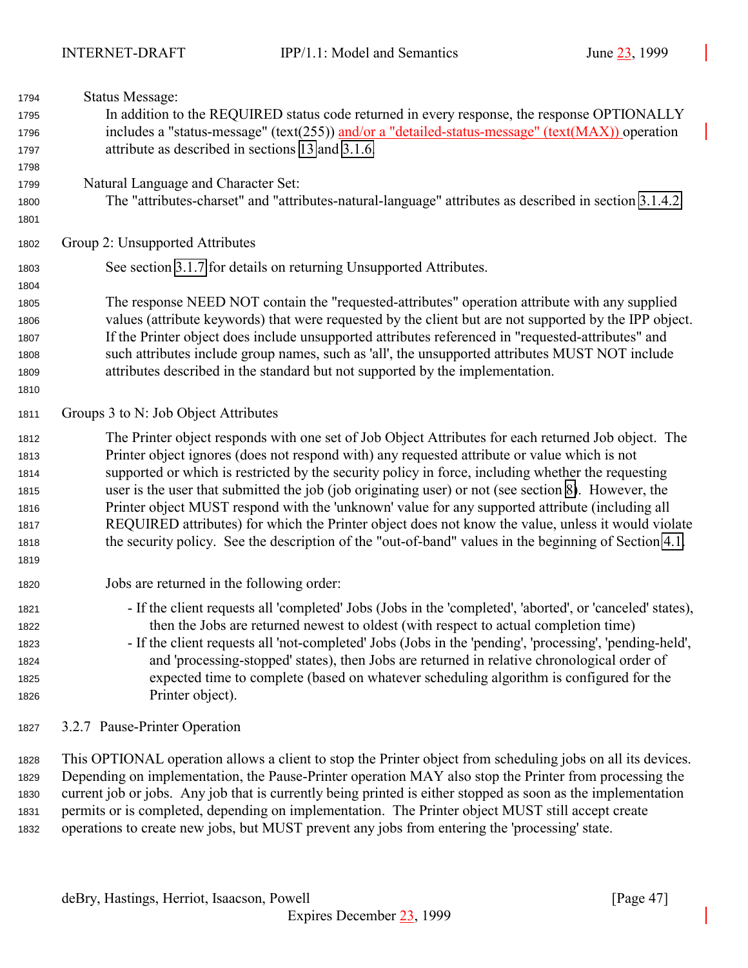| 1794                                                         | <b>Status Message:</b>                                                                                                                                                                                                                                                                                                                                                                                                                                                                                                                                                                                                                                                                                                             |
|--------------------------------------------------------------|------------------------------------------------------------------------------------------------------------------------------------------------------------------------------------------------------------------------------------------------------------------------------------------------------------------------------------------------------------------------------------------------------------------------------------------------------------------------------------------------------------------------------------------------------------------------------------------------------------------------------------------------------------------------------------------------------------------------------------|
| 1795<br>1796<br>1797                                         | In addition to the REQUIRED status code returned in every response, the response OPTIONALLY<br>includes a "status-message" (text(255)) and/or a "detailed-status-message" (text(MAX)) operation<br>attribute as described in sections 13 and 3.1.6.                                                                                                                                                                                                                                                                                                                                                                                                                                                                                |
| 1798<br>1799<br>1800<br>1801                                 | Natural Language and Character Set:<br>The "attributes-charset" and "attributes-natural-language" attributes as described in section 3.1.4.2.                                                                                                                                                                                                                                                                                                                                                                                                                                                                                                                                                                                      |
| 1802                                                         | Group 2: Unsupported Attributes                                                                                                                                                                                                                                                                                                                                                                                                                                                                                                                                                                                                                                                                                                    |
| 1803<br>1804                                                 | See section 3.1.7 for details on returning Unsupported Attributes.                                                                                                                                                                                                                                                                                                                                                                                                                                                                                                                                                                                                                                                                 |
| 1805<br>1806<br>1807<br>1808<br>1809<br>1810                 | The response NEED NOT contain the "requested-attributes" operation attribute with any supplied<br>values (attribute keywords) that were requested by the client but are not supported by the IPP object.<br>If the Printer object does include unsupported attributes referenced in "requested-attributes" and<br>such attributes include group names, such as 'all', the unsupported attributes MUST NOT include<br>attributes described in the standard but not supported by the implementation.                                                                                                                                                                                                                                 |
| 1811                                                         | Groups 3 to N: Job Object Attributes                                                                                                                                                                                                                                                                                                                                                                                                                                                                                                                                                                                                                                                                                               |
| 1812<br>1813<br>1814<br>1815<br>1816<br>1817<br>1818<br>1819 | The Printer object responds with one set of Job Object Attributes for each returned Job object. The<br>Printer object ignores (does not respond with) any requested attribute or value which is not<br>supported or which is restricted by the security policy in force, including whether the requesting<br>user is the user that submitted the job (job originating user) or not (see section 8). However, the<br>Printer object MUST respond with the 'unknown' value for any supported attribute (including all<br>REQUIRED attributes) for which the Printer object does not know the value, unless it would violate<br>the security policy. See the description of the "out-of-band" values in the beginning of Section 4.1. |
| 1820                                                         | Jobs are returned in the following order:                                                                                                                                                                                                                                                                                                                                                                                                                                                                                                                                                                                                                                                                                          |
| 1821<br>1822<br>1823<br>1824<br>1825<br>1826                 | - If the client requests all 'completed' Jobs (Jobs in the 'completed', 'aborted', or 'canceled' states),<br>then the Jobs are returned newest to oldest (with respect to actual completion time)<br>- If the client requests all 'not-completed' Jobs (Jobs in the 'pending', 'processing', 'pending-held',<br>and 'processing-stopped' states), then Jobs are returned in relative chronological order of<br>expected time to complete (based on whatever scheduling algorithm is configured for the<br>Printer object).                                                                                                                                                                                                         |
| 1827                                                         | 3.2.7 Pause-Printer Operation                                                                                                                                                                                                                                                                                                                                                                                                                                                                                                                                                                                                                                                                                                      |

 This OPTIONAL operation allows a client to stop the Printer object from scheduling jobs on all its devices. Depending on implementation, the Pause-Printer operation MAY also stop the Printer from processing the current job or jobs. Any job that is currently being printed is either stopped as soon as the implementation permits or is completed, depending on implementation. The Printer object MUST still accept create operations to create new jobs, but MUST prevent any jobs from entering the 'processing' state.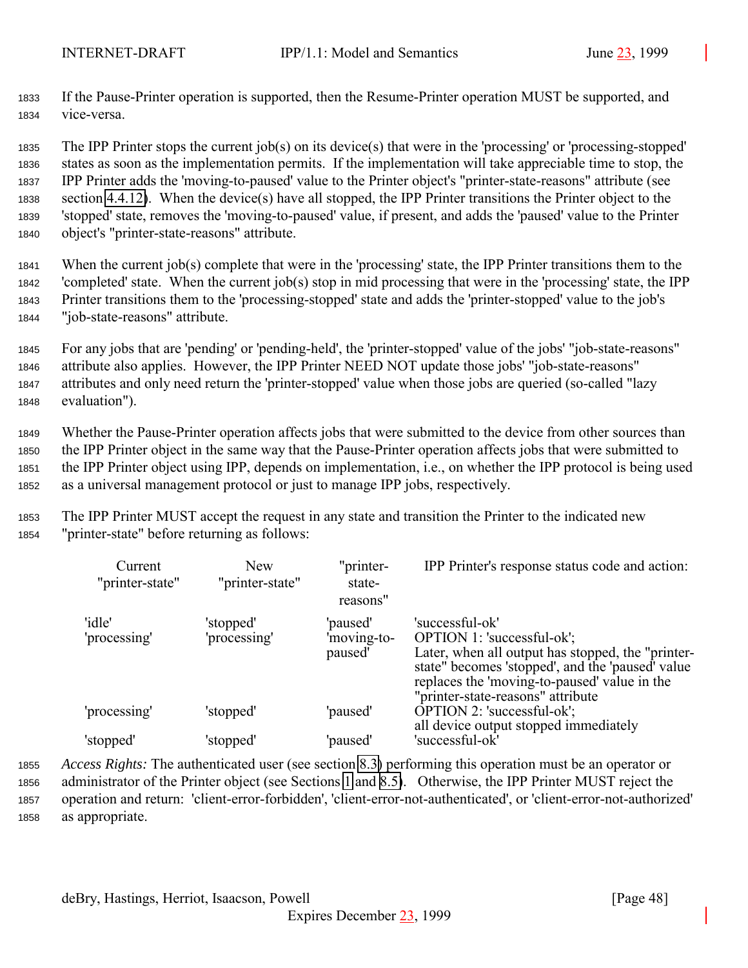<sup>1833</sup> If the Pause-Printer operation is supported, then the Resume-Printer operation MUST be supported, and <sup>1834</sup> vice-versa.

 The IPP Printer stops the current job(s) on its device(s) that were in the 'processing' or 'processing-stopped' states as soon as the implementation permits. If the implementation will take appreciable time to stop, the IPP Printer adds the 'moving-to-paused' value to the Printer object's "printer-state-reasons" attribute (see section [4.4.12\)](#page-104-0). When the device(s) have all stopped, the IPP Printer transitions the Printer object to the 'stopped' state, removes the 'moving-to-paused' value, if present, and adds the 'paused' value to the Printer object's "printer-state-reasons" attribute.

 When the current job(s) complete that were in the 'processing' state, the IPP Printer transitions them to the 'completed' state. When the current job(s) stop in mid processing that were in the 'processing' state, the IPP Printer transitions them to the 'processing-stopped' state and adds the 'printer-stopped' value to the job's "job-state-reasons" attribute.

 For any jobs that are 'pending' or 'pending-held', the 'printer-stopped' value of the jobs' "job-state-reasons" attribute also applies. However, the IPP Printer NEED NOT update those jobs' "job-state-reasons" attributes and only need return the 'printer-stopped' value when those jobs are queried (so-called "lazy evaluation").

 Whether the Pause-Printer operation affects jobs that were submitted to the device from other sources than the IPP Printer object in the same way that the Pause-Printer operation affects jobs that were submitted to the IPP Printer object using IPP, depends on implementation, i.e., on whether the IPP protocol is being used as a universal management protocol or just to manage IPP jobs, respectively.

<sup>1853</sup> The IPP Printer MUST accept the request in any state and transition the Printer to the indicated new <sup>1854</sup> "printer-state" before returning as follows:

| Current<br>"printer-state" | <b>New</b><br>"printer-state" | "printer-<br>state-<br>reasons"    | IPP Printer's response status code and action:                                                                                                                                                                                              |
|----------------------------|-------------------------------|------------------------------------|---------------------------------------------------------------------------------------------------------------------------------------------------------------------------------------------------------------------------------------------|
| 'idle'<br>'processing'     | 'stopped'<br>'processing'     | 'paused'<br>'moving-to-<br>paused' | 'successful-ok'<br>OPTION 1: 'successful-ok';<br>Later, when all output has stopped, the "printer-<br>state" becomes 'stopped', and the 'paused' value<br>replaces the 'moving-to-paused' value in the<br>"printer-state-reasons" attribute |
| 'processing'               | 'stopped'                     | 'paused'                           | OPTION 2: 'successful-ok';<br>all device output stopped immediately                                                                                                                                                                         |
| 'stopped'                  | 'stopped'                     | 'paused'                           | 'successful-ok'                                                                                                                                                                                                                             |

 *Access Rights:* The authenticated user (see section [8.3\)](#page-127-0) performing this operation must be an operator or administrator of the Printer object (see Sections [1](#page-9-0) and [8.5\)](#page-127-0). Otherwise, the IPP Printer MUST reject the operation and return: 'client-error-forbidden', 'client-error-not-authenticated', or 'client-error-not-authorized' as appropriate.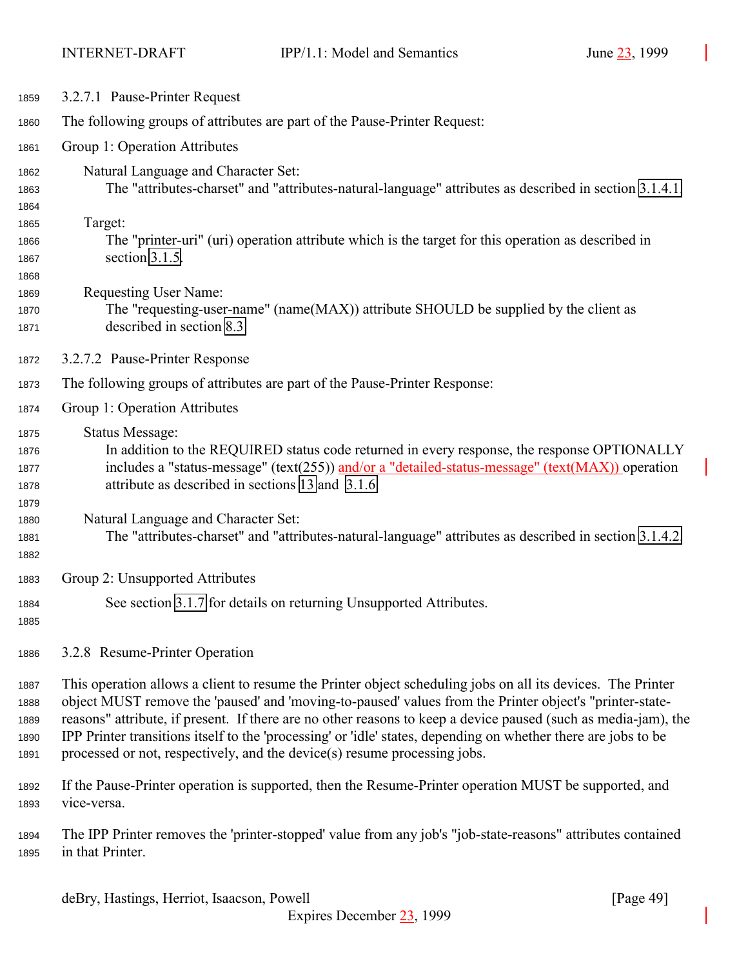<span id="page-48-0"></span>

| 1859                                 | 3.2.7.1 Pause-Printer Request                                                                                                                                                                                                                                                                                                                                                                                                                                                                                                           |
|--------------------------------------|-----------------------------------------------------------------------------------------------------------------------------------------------------------------------------------------------------------------------------------------------------------------------------------------------------------------------------------------------------------------------------------------------------------------------------------------------------------------------------------------------------------------------------------------|
| 1860                                 | The following groups of attributes are part of the Pause-Printer Request:                                                                                                                                                                                                                                                                                                                                                                                                                                                               |
| 1861                                 | Group 1: Operation Attributes                                                                                                                                                                                                                                                                                                                                                                                                                                                                                                           |
| 1862<br>1863<br>1864<br>1865         | Natural Language and Character Set:<br>The "attributes-charset" and "attributes-natural-language" attributes as described in section 3.1.4.1.<br>Target:                                                                                                                                                                                                                                                                                                                                                                                |
| 1866<br>1867<br>1868                 | The "printer-uri" (uri) operation attribute which is the target for this operation as described in<br>section 3.1.5.                                                                                                                                                                                                                                                                                                                                                                                                                    |
| 1869<br>1870<br>1871                 | <b>Requesting User Name:</b><br>The "requesting-user-name" (name(MAX)) attribute SHOULD be supplied by the client as<br>described in section 8.3.                                                                                                                                                                                                                                                                                                                                                                                       |
| 1872                                 | 3.2.7.2 Pause-Printer Response                                                                                                                                                                                                                                                                                                                                                                                                                                                                                                          |
| 1873                                 | The following groups of attributes are part of the Pause-Printer Response:                                                                                                                                                                                                                                                                                                                                                                                                                                                              |
| 1874                                 | Group 1: Operation Attributes                                                                                                                                                                                                                                                                                                                                                                                                                                                                                                           |
| 1875<br>1876<br>1877<br>1878<br>1879 | <b>Status Message:</b><br>In addition to the REQUIRED status code returned in every response, the response OPTIONALLY<br>includes a "status-message" (text(255)) and/or a "detailed-status-message" (text(MAX)) operation<br>attribute as described in sections 13 and 3.1.6.                                                                                                                                                                                                                                                           |
| 1880<br>1881<br>1882                 | Natural Language and Character Set:<br>The "attributes-charset" and "attributes-natural-language" attributes as described in section 3.1.4.2.                                                                                                                                                                                                                                                                                                                                                                                           |
| 1883                                 | Group 2: Unsupported Attributes                                                                                                                                                                                                                                                                                                                                                                                                                                                                                                         |
| 1884<br>1885                         | See section 3.1.7 for details on returning Unsupported Attributes.                                                                                                                                                                                                                                                                                                                                                                                                                                                                      |
| 1886                                 | 3.2.8 Resume-Printer Operation                                                                                                                                                                                                                                                                                                                                                                                                                                                                                                          |
| 1887<br>1888<br>1889<br>1890<br>1891 | This operation allows a client to resume the Printer object scheduling jobs on all its devices. The Printer<br>object MUST remove the 'paused' and 'moving-to-paused' values from the Printer object's "printer-state-<br>reasons" attribute, if present. If there are no other reasons to keep a device paused (such as media-jam), the<br>IPP Printer transitions itself to the 'processing' or 'idle' states, depending on whether there are jobs to be<br>processed or not, respectively, and the device(s) resume processing jobs. |
| 1892<br>1893                         | If the Pause-Printer operation is supported, then the Resume-Printer operation MUST be supported, and<br>vice-versa.                                                                                                                                                                                                                                                                                                                                                                                                                    |

 The IPP Printer removes the 'printer-stopped' value from any job's "job-state-reasons" attributes contained in that Printer.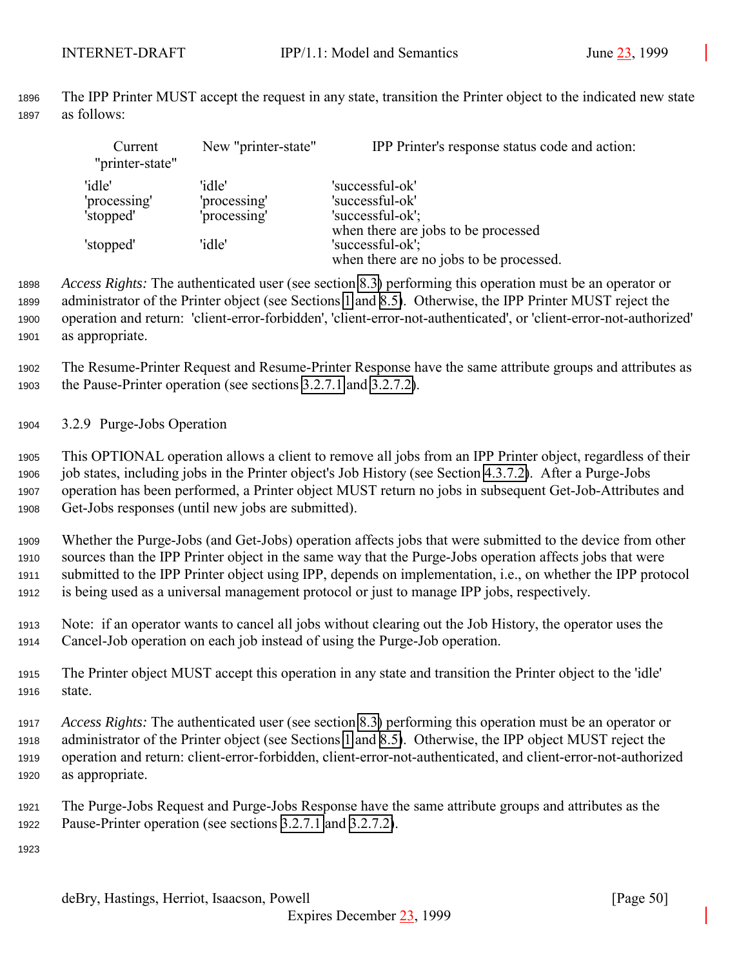The IPP Printer MUST accept the request in any state, transition the Printer object to the indicated new state as follows:

| Current<br>"printer-state"          | New "printer-state"                    | IPP Printer's response status code and action:                                                     |
|-------------------------------------|----------------------------------------|----------------------------------------------------------------------------------------------------|
| 'idle'<br>'processing'<br>'stopped' | 'idle'<br>'processing'<br>'processing' | 'successful-ok'<br>'successful-ok'<br>'successful-ok';                                             |
| 'stopped'                           | 'idle'                                 | when there are jobs to be processed<br>'successful-ok';<br>when there are no jobs to be processed. |

 *Access Rights:* The authenticated user (see section [8.3\)](#page-127-0) performing this operation must be an operator or administrator of the Printer object (see Sections [1](#page-9-0) and [8.5\)](#page-127-0). Otherwise, the IPP Printer MUST reject the operation and return: 'client-error-forbidden', 'client-error-not-authenticated', or 'client-error-not-authorized' as appropriate.

 The Resume-Printer Request and Resume-Printer Response have the same attribute groups and attributes as the Pause-Printer operation (see sections [3.2.7.1](#page-48-0) and [3.2.7.2\)](#page-48-0).

3.2.9 Purge-Jobs Operation

 This OPTIONAL operation allows a client to remove all jobs from an IPP Printer object, regardless of their job states, including jobs in the Printer object's Job History (see Section [4.3.7.2\)](#page-89-0). After a Purge-Jobs operation has been performed, a Printer object MUST return no jobs in subsequent Get-Job-Attributes and Get-Jobs responses (until new jobs are submitted).

 Whether the Purge-Jobs (and Get-Jobs) operation affects jobs that were submitted to the device from other sources than the IPP Printer object in the same way that the Purge-Jobs operation affects jobs that were submitted to the IPP Printer object using IPP, depends on implementation, i.e., on whether the IPP protocol is being used as a universal management protocol or just to manage IPP jobs, respectively.

 Note: if an operator wants to cancel all jobs without clearing out the Job History, the operator uses the Cancel-Job operation on each job instead of using the Purge-Job operation.

 The Printer object MUST accept this operation in any state and transition the Printer object to the 'idle' state.

 *Access Rights:* The authenticated user (see section [8.3\)](#page-127-0) performing this operation must be an operator or administrator of the Printer object (see Sections [1](#page-9-0) and [8.5\)](#page-127-0). Otherwise, the IPP object MUST reject the operation and return: client-error-forbidden, client-error-not-authenticated, and client-error-not-authorized as appropriate.

 The Purge-Jobs Request and Purge-Jobs Response have the same attribute groups and attributes as the Pause-Printer operation (see sections [3.2.7.1](#page-48-0) and [3.2.7.2\)](#page-48-0).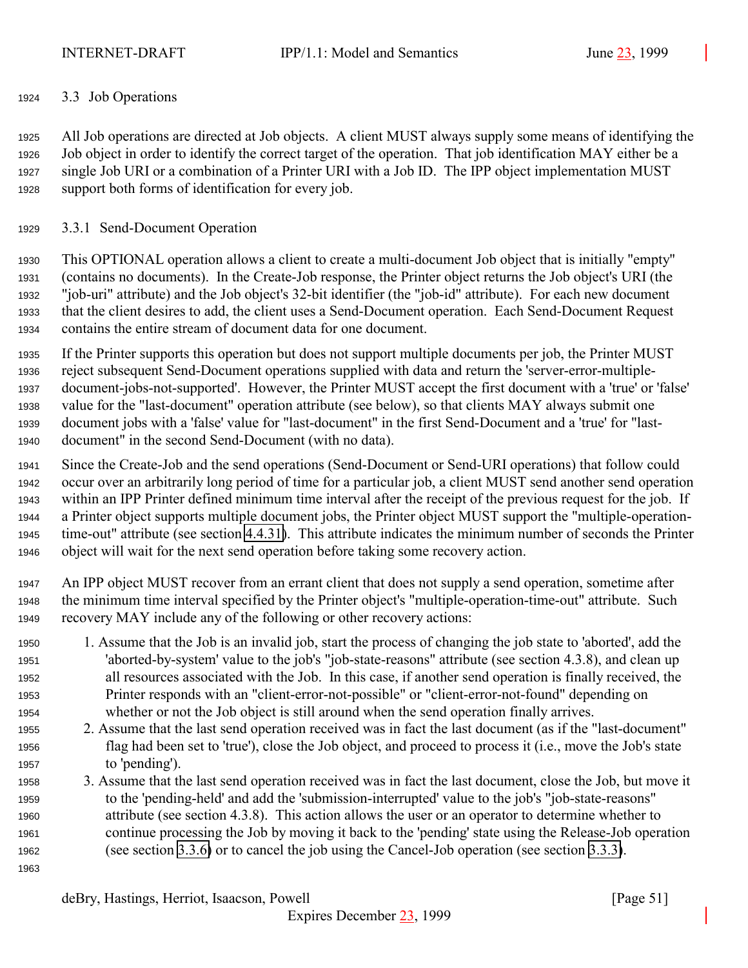## <span id="page-50-0"></span>3.3 Job Operations

 All Job operations are directed at Job objects. A client MUST always supply some means of identifying the Job object in order to identify the correct target of the operation. That job identification MAY either be a single Job URI or a combination of a Printer URI with a Job ID. The IPP object implementation MUST support both forms of identification for every job.

## 3.3.1 Send-Document Operation

 This OPTIONAL operation allows a client to create a multi-document Job object that is initially "empty" (contains no documents). In the Create-Job response, the Printer object returns the Job object's URI (the "job-uri" attribute) and the Job object's 32-bit identifier (the "job-id" attribute). For each new document that the client desires to add, the client uses a Send-Document operation. Each Send-Document Request contains the entire stream of document data for one document.

 If the Printer supports this operation but does not support multiple documents per job, the Printer MUST reject subsequent Send-Document operations supplied with data and return the 'server-error-multiple- document-jobs-not-supported'. However, the Printer MUST accept the first document with a 'true' or 'false' value for the "last-document" operation attribute (see below), so that clients MAY always submit one document jobs with a 'false' value for "last-document" in the first Send-Document and a 'true' for "last-document" in the second Send-Document (with no data).

 Since the Create-Job and the send operations (Send-Document or Send-URI operations) that follow could occur over an arbitrarily long period of time for a particular job, a client MUST send another send operation within an IPP Printer defined minimum time interval after the receipt of the previous request for the job. If a Printer object supports multiple document jobs, the Printer object MUST support the "multiple-operation- time-out" attribute (see section [4.4.31\)](#page-111-0). This attribute indicates the minimum number of seconds the Printer object will wait for the next send operation before taking some recovery action.

- An IPP object MUST recover from an errant client that does not supply a send operation, sometime after the minimum time interval specified by the Printer object's "multiple-operation-time-out" attribute. Such recovery MAY include any of the following or other recovery actions:
- 1. Assume that the Job is an invalid job, start the process of changing the job state to 'aborted', add the 'aborted-by-system' value to the job's "job-state-reasons" attribute (see section 4.3.8), and clean up all resources associated with the Job. In this case, if another send operation is finally received, the Printer responds with an "client-error-not-possible" or "client-error-not-found" depending on whether or not the Job object is still around when the send operation finally arrives.
- 2. Assume that the last send operation received was in fact the last document (as if the "last-document" flag had been set to 'true'), close the Job object, and proceed to process it (i.e., move the Job's state to 'pending').
- 3. Assume that the last send operation received was in fact the last document, close the Job, but move it to the 'pending-held' and add the 'submission-interrupted' value to the job's "job-state-reasons" attribute (see section 4.3.8). This action allows the user or an operator to determine whether to continue processing the Job by moving it back to the 'pending' state using the Release-Job operation (see section [3.3.6\)](#page-58-0) or to cancel the job using the Cancel-Job operation (see section [3.3.3\)](#page-53-0).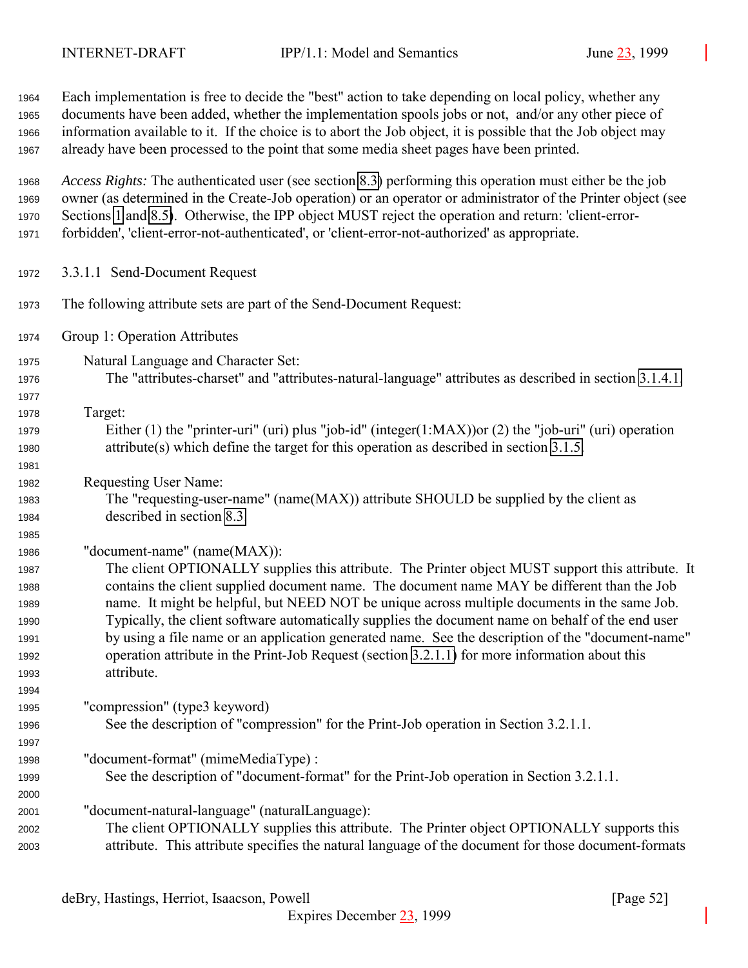Each implementation is free to decide the "best" action to take depending on local policy, whether any documents have been added, whether the implementation spools jobs or not, and/or any other piece of information available to it. If the choice is to abort the Job object, it is possible that the Job object may already have been processed to the point that some media sheet pages have been printed.

 *Access Rights:* The authenticated user (see section [8.3\)](#page-127-0) performing this operation must either be the job owner (as determined in the Create-Job operation) or an operator or administrator of the Printer object (see Sections [1](#page-9-0) and [8.5\)](#page-127-0). Otherwise, the IPP object MUST reject the operation and return: 'client-error-forbidden', 'client-error-not-authenticated', or 'client-error-not-authorized' as appropriate.

- 3.3.1.1 Send-Document Request
- The following attribute sets are part of the Send-Document Request:
- Group 1: Operation Attributes
- Natural Language and Character Set:
- The "attributes-charset" and "attributes-natural-language" attributes as described in section [3.1.4.1.](#page-22-0)
- 

- Target: Either (1) the "printer-uri" (uri) plus "job-id" (integer(1:MAX))or (2) the "job-uri" (uri) operation attribute(s) which define the target for this operation as described in section [3.1.5.](#page-25-0)
- Requesting User Name:
- The "requesting-user-name" (name(MAX)) attribute SHOULD be supplied by the client as described in section [8.3.](#page-127-0)
- "document-name" (name(MAX)):

 The client OPTIONALLY supplies this attribute. The Printer object MUST support this attribute. It contains the client supplied document name. The document name MAY be different than the Job name. It might be helpful, but NEED NOT be unique across multiple documents in the same Job. Typically, the client software automatically supplies the document name on behalf of the end user by using a file name or an application generated name. See the description of the "document-name" operation attribute in the Print-Job Request (section [3.2.1.1\)](#page-34-0) for more information about this attribute.

"compression" (type3 keyword)

- See the description of "compression" for the Print-Job operation in Section 3.2.1.1.
- "document-format" (mimeMediaType) :
- See the description of "document-format" for the Print-Job operation in Section 3.2.1.1.
- "document-natural-language" (naturalLanguage):
- The client OPTIONALLY supplies this attribute. The Printer object OPTIONALLY supports this attribute. This attribute specifies the natural language of the document for those document-formats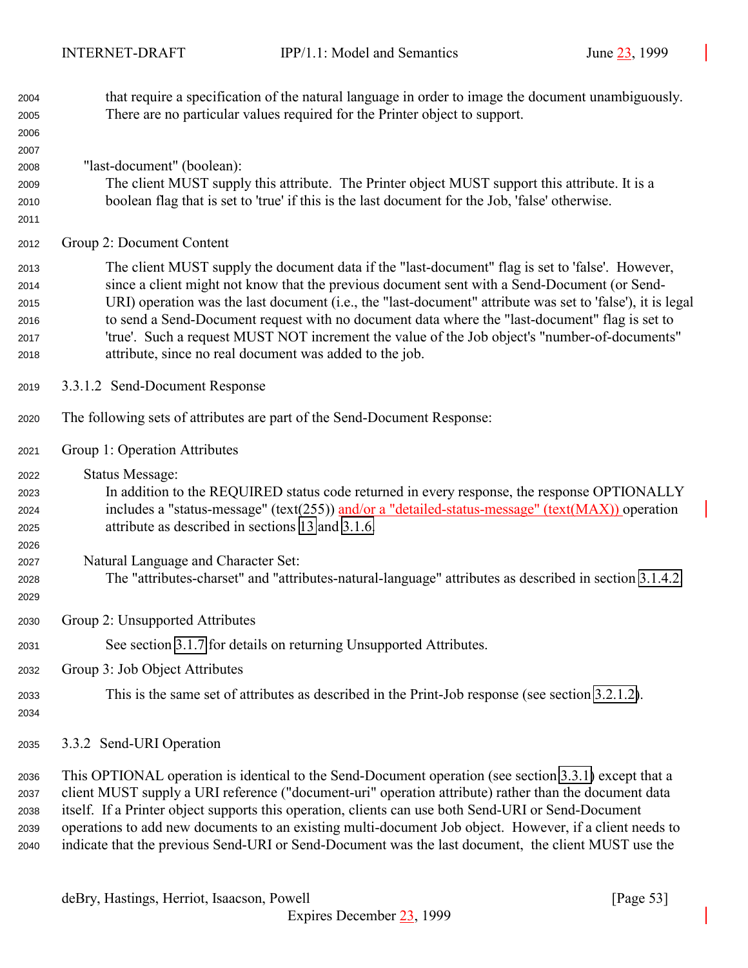| 2004<br>2005<br>2006                         | that require a specification of the natural language in order to image the document unambiguously.<br>There are no particular values required for the Printer object to support.                                                                                                                                                                                                                                                                                                                                                                                             |
|----------------------------------------------|------------------------------------------------------------------------------------------------------------------------------------------------------------------------------------------------------------------------------------------------------------------------------------------------------------------------------------------------------------------------------------------------------------------------------------------------------------------------------------------------------------------------------------------------------------------------------|
| 2007<br>2008<br>2009<br>2010<br>2011         | "last-document" (boolean):<br>The client MUST supply this attribute. The Printer object MUST support this attribute. It is a<br>boolean flag that is set to 'true' if this is the last document for the Job, 'false' otherwise.                                                                                                                                                                                                                                                                                                                                              |
| 2012                                         | Group 2: Document Content                                                                                                                                                                                                                                                                                                                                                                                                                                                                                                                                                    |
| 2013<br>2014<br>2015<br>2016<br>2017<br>2018 | The client MUST supply the document data if the "last-document" flag is set to 'false'. However,<br>since a client might not know that the previous document sent with a Send-Document (or Send-<br>URI) operation was the last document (i.e., the "last-document" attribute was set to 'false'), it is legal<br>to send a Send-Document request with no document data where the "last-document" flag is set to<br>'true'. Such a request MUST NOT increment the value of the Job object's "number-of-documents"<br>attribute, since no real document was added to the job. |
| 2019                                         | 3.3.1.2 Send-Document Response                                                                                                                                                                                                                                                                                                                                                                                                                                                                                                                                               |
| 2020                                         | The following sets of attributes are part of the Send-Document Response:                                                                                                                                                                                                                                                                                                                                                                                                                                                                                                     |
| 2021                                         | Group 1: Operation Attributes                                                                                                                                                                                                                                                                                                                                                                                                                                                                                                                                                |
| 2022<br>2023<br>2024<br>2025<br>2026<br>2027 | <b>Status Message:</b><br>In addition to the REQUIRED status code returned in every response, the response OPTIONALLY<br>includes a "status-message" (text(255)) and/or a "detailed-status-message" (text(MAX)) operation<br>attribute as described in sections 13 and 3.1.6.<br>Natural Language and Character Set:                                                                                                                                                                                                                                                         |
| 2028<br>2029                                 | The "attributes-charset" and "attributes-natural-language" attributes as described in section 3.1.4.2.                                                                                                                                                                                                                                                                                                                                                                                                                                                                       |
| 2030                                         | Group 2: Unsupported Attributes                                                                                                                                                                                                                                                                                                                                                                                                                                                                                                                                              |
| 2031                                         | See section 3.1.7 for details on returning Unsupported Attributes.                                                                                                                                                                                                                                                                                                                                                                                                                                                                                                           |
| 2032                                         | Group 3: Job Object Attributes                                                                                                                                                                                                                                                                                                                                                                                                                                                                                                                                               |
| 2033<br>2034                                 | This is the same set of attributes as described in the Print-Job response (see section 3.2.1.2).                                                                                                                                                                                                                                                                                                                                                                                                                                                                             |
| 2035                                         | 3.3.2 Send-URI Operation                                                                                                                                                                                                                                                                                                                                                                                                                                                                                                                                                     |
| 2036<br>2037<br>2038<br>2039<br>2040         | This OPTIONAL operation is identical to the Send-Document operation (see section 3.3.1) except that a<br>client MUST supply a URI reference ("document-uri" operation attribute) rather than the document data<br>itself. If a Printer object supports this operation, clients can use both Send-URI or Send-Document<br>operations to add new documents to an existing multi-document Job object. However, if a client needs to<br>indicate that the previous Send-URI or Send-Document was the last document, the client MUST use the                                      |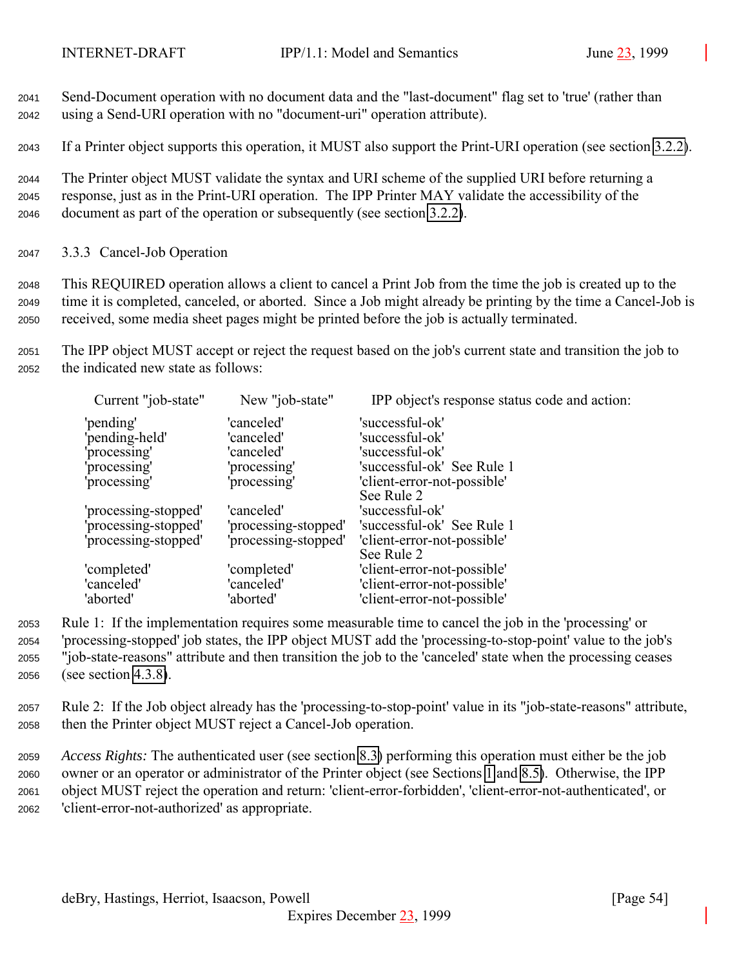<span id="page-53-0"></span><sup>2041</sup> Send-Document operation with no document data and the "last-document" flag set to 'true' (rather than <sup>2042</sup> using a Send-URI operation with no "document-uri" operation attribute).

<sup>2043</sup> If a Printer object supports this operation, it MUST also support the Print-URI operation (see section [3.2.2\)](#page-39-0).

<sup>2044</sup> The Printer object MUST validate the syntax and URI scheme of the supplied URI before returning a <sup>2045</sup> response, just as in the Print-URI operation. The IPP Printer MAY validate the accessibility of the <sup>2046</sup> document as part of the operation or subsequently (see section [3.2.2\)](#page-39-0).

<sup>2047</sup> 3.3.3 Cancel-Job Operation

<sup>2048</sup> This REQUIRED operation allows a client to cancel a Print Job from the time the job is created up to the <sup>2049</sup> time it is completed, canceled, or aborted. Since a Job might already be printing by the time a Cancel-Job is <sup>2050</sup> received, some media sheet pages might be printed before the job is actually terminated.

<sup>2051</sup> The IPP object MUST accept or reject the request based on the job's current state and transition the job to <sup>2052</sup> the indicated new state as follows:

| New "job-state"      | IPP object's response status code and action: |
|----------------------|-----------------------------------------------|
| 'canceled'           | 'successful-ok'                               |
| 'canceled'           | 'successful-ok'                               |
| 'canceled'           | 'successful-ok'                               |
| 'processing'         | 'successful-ok' See Rule 1                    |
| 'processing'         | 'client-error-not-possible'                   |
|                      | See Rule 2                                    |
| 'canceled'           | 'successful-ok'                               |
| 'processing-stopped' | 'successful-ok' See Rule 1                    |
| 'processing-stopped' | 'client-error-not-possible'                   |
|                      | See Rule 2                                    |
|                      | 'client-error-not-possible'                   |
| 'canceled'           | 'client-error-not-possible'                   |
| 'aborted'            | 'client-error-not-possible'                   |
|                      | 'completed'                                   |

 Rule 1: If the implementation requires some measurable time to cancel the job in the 'processing' or 'processing-stopped' job states, the IPP object MUST add the 'processing-to-stop-point' value to the job's "job-state-reasons" attribute and then transition the job to the 'canceled' state when the processing ceases (see section [4.3.8\)](#page-89-0).

<sup>2057</sup> Rule 2: If the Job object already has the 'processing-to-stop-point' value in its "job-state-reasons" attribute, <sup>2058</sup> then the Printer object MUST reject a Cancel-Job operation.

 *Access Rights:* The authenticated user (see section [8.3\)](#page-127-0) performing this operation must either be the job owner or an operator or administrator of the Printer object (see Sections [1](#page-9-0) and [8.5\)](#page-127-0). Otherwise, the IPP object MUST reject the operation and return: 'client-error-forbidden', 'client-error-not-authenticated', or 'client-error-not-authorized' as appropriate.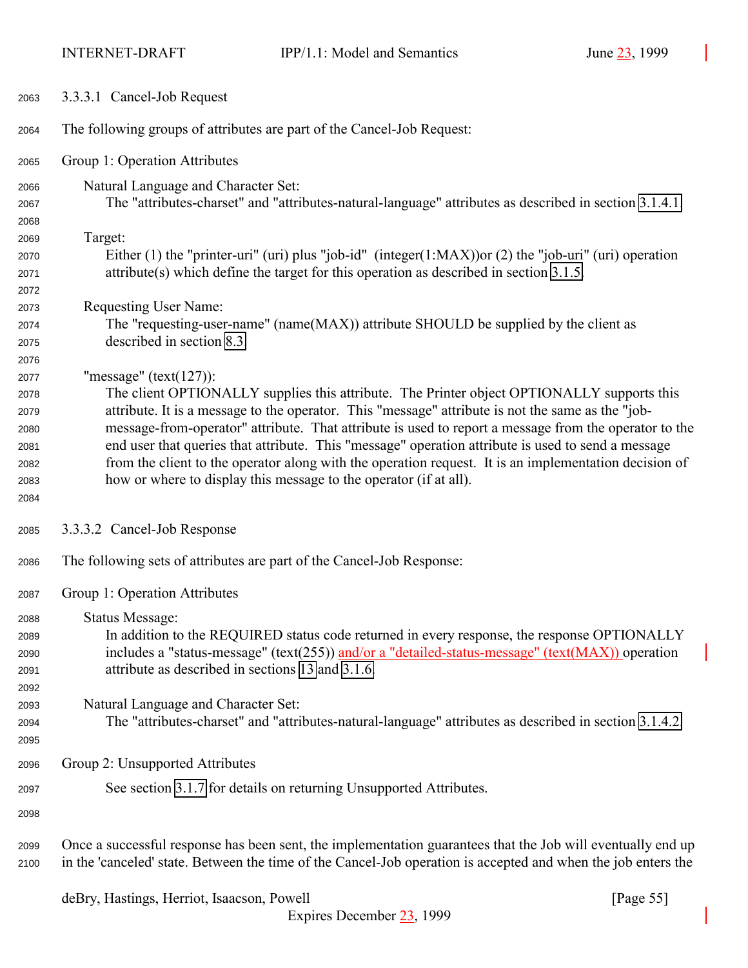<span id="page-54-0"></span>

| 2063                                                                 | 3.3.3.1 Cancel-Job Request                                                                                                                                                                                                                                                                                                                                                                                                                                                                                                                                                                                                |
|----------------------------------------------------------------------|---------------------------------------------------------------------------------------------------------------------------------------------------------------------------------------------------------------------------------------------------------------------------------------------------------------------------------------------------------------------------------------------------------------------------------------------------------------------------------------------------------------------------------------------------------------------------------------------------------------------------|
| 2064                                                                 | The following groups of attributes are part of the Cancel-Job Request:                                                                                                                                                                                                                                                                                                                                                                                                                                                                                                                                                    |
| 2065                                                                 | Group 1: Operation Attributes                                                                                                                                                                                                                                                                                                                                                                                                                                                                                                                                                                                             |
| 2066<br>2067<br>2068                                                 | Natural Language and Character Set:<br>The "attributes-charset" and "attributes-natural-language" attributes as described in section 3.1.4.1.                                                                                                                                                                                                                                                                                                                                                                                                                                                                             |
| 2069<br>2070<br>2071<br>2072                                         | Target:<br>Either (1) the "printer-uri" (uri) plus "job-id" (integer(1:MAX)) or (2) the "job-uri" (uri) operation<br>$attribute(s)$ which define the target for this operation as described in section 3.1.5.                                                                                                                                                                                                                                                                                                                                                                                                             |
| 2073<br>2074<br>2075                                                 | Requesting User Name:<br>The "requesting-user-name" (name(MAX)) attribute SHOULD be supplied by the client as<br>described in section 8.3.                                                                                                                                                                                                                                                                                                                                                                                                                                                                                |
| 2076<br>2077<br>2078<br>2079<br>2080<br>2081<br>2082<br>2083<br>2084 | "message" $(text(127))$ :<br>The client OPTIONALLY supplies this attribute. The Printer object OPTIONALLY supports this<br>attribute. It is a message to the operator. This "message" attribute is not the same as the "job-<br>message-from-operator" attribute. That attribute is used to report a message from the operator to the<br>end user that queries that attribute. This "message" operation attribute is used to send a message<br>from the client to the operator along with the operation request. It is an implementation decision of<br>how or where to display this message to the operator (if at all). |
| 2085                                                                 | 3.3.3.2 Cancel-Job Response                                                                                                                                                                                                                                                                                                                                                                                                                                                                                                                                                                                               |
| 2086                                                                 | The following sets of attributes are part of the Cancel-Job Response:                                                                                                                                                                                                                                                                                                                                                                                                                                                                                                                                                     |
| 2087                                                                 | Group 1: Operation Attributes                                                                                                                                                                                                                                                                                                                                                                                                                                                                                                                                                                                             |
| 2088<br>2089<br>2090<br>2091<br>2092<br>2093                         | <b>Status Message:</b><br>In addition to the REQUIRED status code returned in every response, the response OPTIONALLY<br>includes a "status-message" (text(255)) and/or a "detailed-status-message" (text( $MAX$ )) operation<br>attribute as described in sections 13 and 3.1.6.<br>Natural Language and Character Set:                                                                                                                                                                                                                                                                                                  |
| 2094<br>2095                                                         | The "attributes-charset" and "attributes-natural-language" attributes as described in section 3.1.4.2.                                                                                                                                                                                                                                                                                                                                                                                                                                                                                                                    |
| 2096                                                                 | Group 2: Unsupported Attributes                                                                                                                                                                                                                                                                                                                                                                                                                                                                                                                                                                                           |
| 2097<br>2098                                                         | See section 3.1.7 for details on returning Unsupported Attributes.                                                                                                                                                                                                                                                                                                                                                                                                                                                                                                                                                        |
| 2099<br>2100                                                         | Once a successful response has been sent, the implementation guarantees that the Job will eventually end up<br>in the 'canceled' state. Between the time of the Cancel-Job operation is accepted and when the job enters the                                                                                                                                                                                                                                                                                                                                                                                              |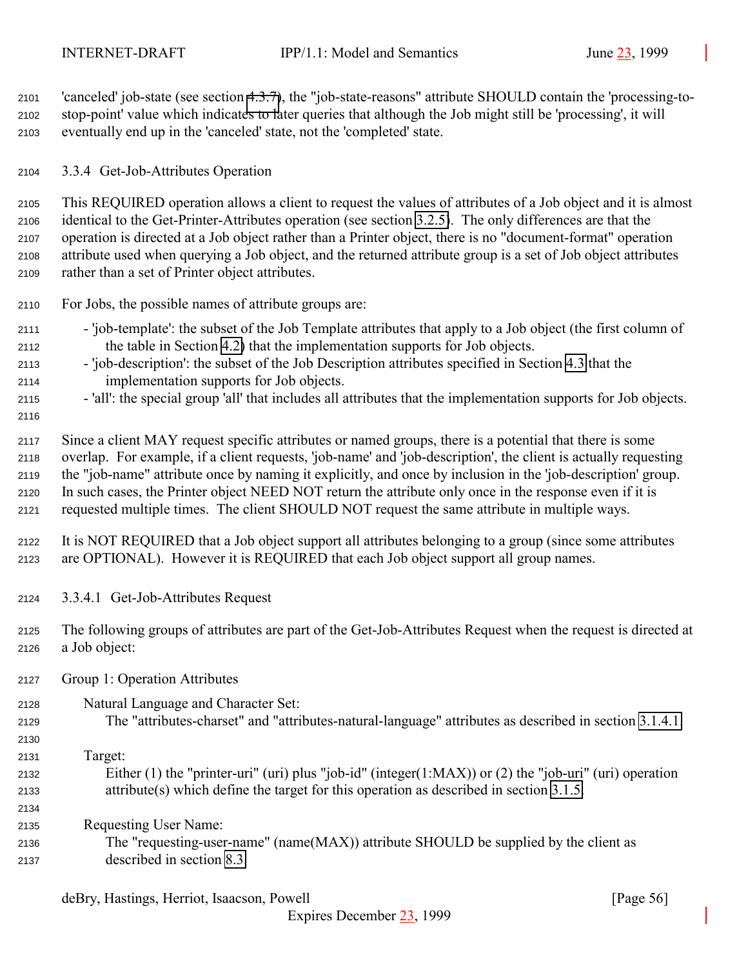<span id="page-55-0"></span> 'canceled' job-state (see section [4.3.7\)](#page-86-0), the "job-state-reasons" attribute SHOULD contain the 'processing-to- stop-point' value which indicates to later queries that although the Job might still be 'processing', it will eventually end up in the 'canceled' state, not the 'completed' state.

3.3.4 Get-Job-Attributes Operation

 This REQUIRED operation allows a client to request the values of attributes of a Job object and it is almost identical to the Get-Printer-Attributes operation (see section [3.2.5\)](#page-41-0). The only differences are that the operation is directed at a Job object rather than a Printer object, there is no "document-format" operation attribute used when querying a Job object, and the returned attribute group is a set of Job object attributes rather than a set of Printer object attributes.

- For Jobs, the possible names of attribute groups are:
- 'job-template': the subset of the Job Template attributes that apply to a Job object (the first column of the table in Section [4.2\)](#page-71-0) that the implementation supports for Job objects.
- 'job-description': the subset of the Job Description attributes specified in Section [4.3](#page-83-0) that the implementation supports for Job objects.
- 'all': the special group 'all' that includes all attributes that the implementation supports for Job objects.
- 

 Since a client MAY request specific attributes or named groups, there is a potential that there is some overlap. For example, if a client requests, 'job-name' and 'job-description', the client is actually requesting the "job-name" attribute once by naming it explicitly, and once by inclusion in the 'job-description' group. In such cases, the Printer object NEED NOT return the attribute only once in the response even if it is requested multiple times. The client SHOULD NOT request the same attribute in multiple ways.

- It is NOT REQUIRED that a Job object support all attributes belonging to a group (since some attributes are OPTIONAL). However it is REQUIRED that each Job object support all group names.
- 3.3.4.1 Get-Job-Attributes Request
- The following groups of attributes are part of the Get-Job-Attributes Request when the request is directed at a Job object:
- Group 1: Operation Attributes
- Natural Language and Character Set:
- The "attributes-charset" and "attributes-natural-language" attributes as described in section [3.1.4.1.](#page-22-0)
- Target:

 Either (1) the "printer-uri" (uri) plus "job-id" (integer(1:MAX)) or (2) the "job-uri" (uri) operation attribute(s) which define the target for this operation as described in section [3.1.5.](#page-25-0)

Requesting User Name:

 The "requesting-user-name" (name(MAX)) attribute SHOULD be supplied by the client as described in section [8.3.](#page-127-0)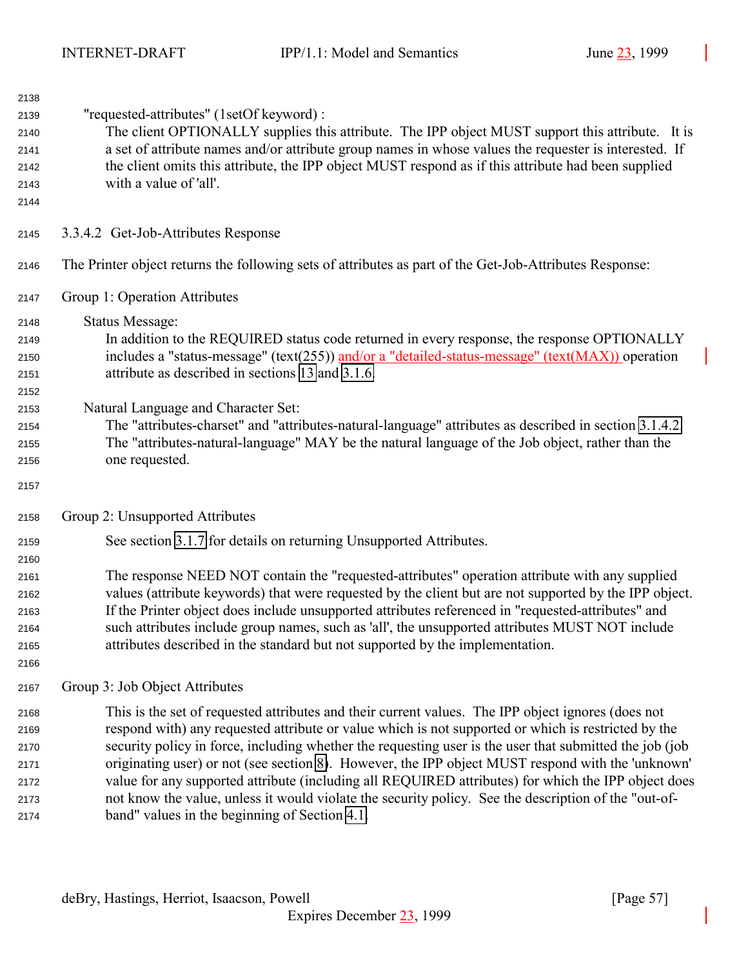| 2138 |                                                                                                         |
|------|---------------------------------------------------------------------------------------------------------|
| 2139 | "requested-attributes" (1setOf keyword) :                                                               |
| 2140 | The client OPTIONALLY supplies this attribute. The IPP object MUST support this attribute. It is        |
| 2141 | a set of attribute names and/or attribute group names in whose values the requester is interested. If   |
| 2142 | the client omits this attribute, the IPP object MUST respond as if this attribute had been supplied     |
| 2143 | with a value of 'all'.                                                                                  |
| 2144 |                                                                                                         |
| 2145 | 3.3.4.2 Get-Job-Attributes Response                                                                     |
| 2146 | The Printer object returns the following sets of attributes as part of the Get-Job-Attributes Response: |
| 2147 | Group 1: Operation Attributes                                                                           |
| 2148 | <b>Status Message:</b>                                                                                  |
| 2149 | In addition to the REQUIRED status code returned in every response, the response OPTIONALLY             |
| 2150 | includes a "status-message" (text(255)) and/or a "detailed-status-message" (text( $MAX$ )) operation    |
| 2151 | attribute as described in sections 13 and 3.1.6.                                                        |
| 2152 |                                                                                                         |
| 2153 | Natural Language and Character Set:                                                                     |
| 2154 | The "attributes-charset" and "attributes-natural-language" attributes as described in section 3.1.4.2.  |
| 2155 | The "attributes-natural-language" MAY be the natural language of the Job object, rather than the        |
| 2156 | one requested.                                                                                          |
| 2157 |                                                                                                         |
| 2158 | Group 2: Unsupported Attributes                                                                         |
| 2159 | See section 3.1.7 for details on returning Unsupported Attributes.                                      |
| 2160 |                                                                                                         |
| 2161 | The response NEED NOT contain the "requested-attributes" operation attribute with any supplied          |
| 2162 | values (attribute keywords) that were requested by the client but are not supported by the IPP object.  |
| 2163 | If the Printer object does include unsupported attributes referenced in "requested-attributes" and      |
| 2164 | such attributes include group names, such as 'all', the unsupported attributes MUST NOT include         |
| 2165 | attributes described in the standard but not supported by the implementation.                           |
| 2166 | Group 3: Job Object Attributes                                                                          |
| 2167 |                                                                                                         |
| 2168 | This is the set of requested attributes and their current values. The IPP object ignores (does not      |
| 2169 | respond with) any requested attribute or value which is not supported or which is restricted by the     |
| 2170 | security policy in force, including whether the requesting user is the user that submitted the job (job |
| 2171 | originating user) or not (see section 8). However, the IPP object MUST respond with the 'unknown'       |
| 2172 | value for any supported attribute (including all REQUIRED attributes) for which the IPP object does     |
| 2173 | not know the value, unless it would violate the security policy. See the description of the "out-of-    |
| 2174 | band" values in the beginning of Section 4.1.                                                           |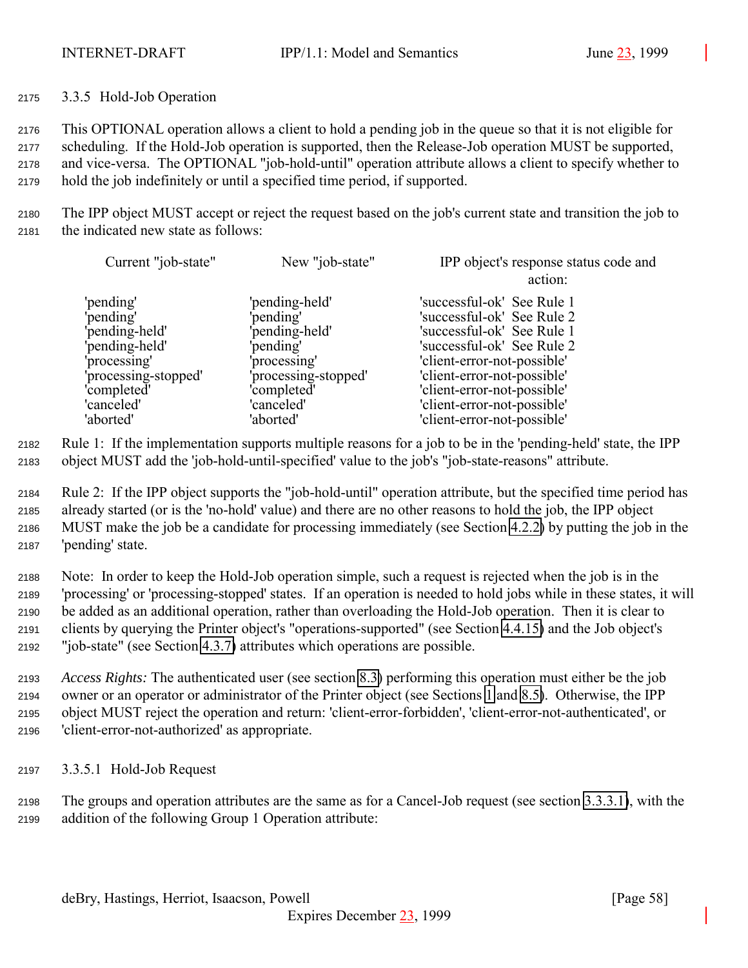3.3.5 Hold-Job Operation

 This OPTIONAL operation allows a client to hold a pending job in the queue so that it is not eligible for scheduling. If the Hold-Job operation is supported, then the Release-Job operation MUST be supported, and vice-versa. The OPTIONAL "job-hold-until" operation attribute allows a client to specify whether to hold the job indefinitely or until a specified time period, if supported.

 The IPP object MUST accept or reject the request based on the job's current state and transition the job to the indicated new state as follows:

| Current "job-state"                                                                                                             | New "job-state"                                                                                                                 | IPP object's response status code and<br>action:                                                                                                                                                                                                 |
|---------------------------------------------------------------------------------------------------------------------------------|---------------------------------------------------------------------------------------------------------------------------------|--------------------------------------------------------------------------------------------------------------------------------------------------------------------------------------------------------------------------------------------------|
| 'pending'<br>'pending'<br>'pending-held'<br>'pending-held'<br>'processing'<br>'processing-stopped'<br>'completed'<br>'canceled' | 'pending-held'<br>'pending'<br>'pending-held'<br>'pending'<br>'processing'<br>'processing-stopped'<br>'completed'<br>'canceled' | 'successful-ok' See Rule 1<br>'successful-ok' See Rule 2<br>'successful-ok' See Rule 1<br>'successful-ok' See Rule 2<br>'client-error-not-possible'<br>'client-error-not-possible'<br>'client-error-not-possible'<br>'client-error-not-possible' |
| 'aborted'                                                                                                                       | 'aborted'                                                                                                                       | 'client-error-not-possible'                                                                                                                                                                                                                      |

 Rule 1: If the implementation supports multiple reasons for a job to be in the 'pending-held' state, the IPP object MUST add the 'job-hold-until-specified' value to the job's "job-state-reasons" attribute.

 Rule 2: If the IPP object supports the "job-hold-until" operation attribute, but the specified time period has already started (or is the 'no-hold' value) and there are no other reasons to hold the job, the IPP object MUST make the job be a candidate for processing immediately (see Section [4.2.2\)](#page-75-0) by putting the job in the 'pending' state.

 Note: In order to keep the Hold-Job operation simple, such a request is rejected when the job is in the 'processing' or 'processing-stopped' states. If an operation is needed to hold jobs while in these states, it will be added as an additional operation, rather than overloading the Hold-Job operation. Then it is clear to clients by querying the Printer object's "operations-supported" (see Section [4.4.15\)](#page-106-0) and the Job object's "job-state" (see Section [4.3.7\)](#page-86-0) attributes which operations are possible.

 *Access Rights:* The authenticated user (see section [8.3\)](#page-127-0) performing this operation must either be the job owner or an operator or administrator of the Printer object (see Sections [1](#page-9-0) and [8.5\)](#page-127-0). Otherwise, the IPP object MUST reject the operation and return: 'client-error-forbidden', 'client-error-not-authenticated', or 'client-error-not-authorized' as appropriate.

3.3.5.1 Hold-Job Request

 The groups and operation attributes are the same as for a Cancel-Job request (see section [3.3.3.1\)](#page-54-0), with the addition of the following Group 1 Operation attribute: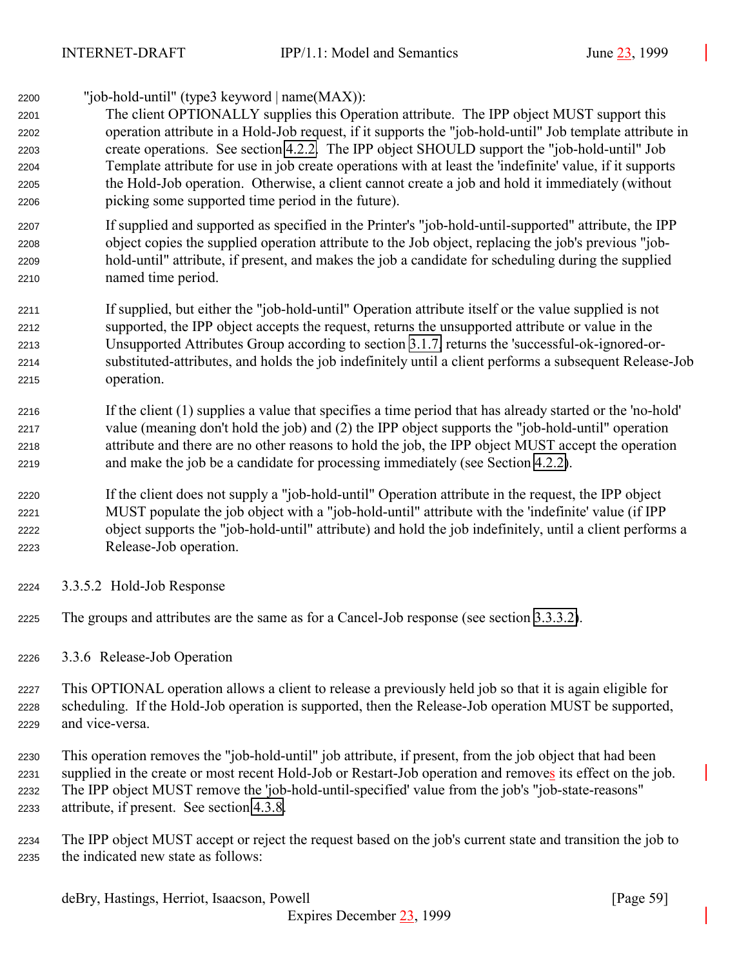<span id="page-58-0"></span>

| 2200 | "job-hold-until" (type3 keyword $ name(MAX) $ :                                                           |
|------|-----------------------------------------------------------------------------------------------------------|
| 2201 | The client OPTIONALLY supplies this Operation attribute. The IPP object MUST support this                 |
| 2202 | operation attribute in a Hold-Job request, if it supports the "job-hold-until" Job template attribute in  |
| 2203 | create operations. See section 4.2.2. The IPP object SHOULD support the "job-hold-until" Job              |
| 2204 | Template attribute for use in job create operations with at least the 'indefinite' value, if it supports  |
| 2205 | the Hold-Job operation. Otherwise, a client cannot create a job and hold it immediately (without          |
| 2206 | picking some supported time period in the future).                                                        |
| 2207 | If supplied and supported as specified in the Printer's "job-hold-until-supported" attribute, the IPP     |
| 2208 | object copies the supplied operation attribute to the Job object, replacing the job's previous "job-      |
| 2209 | hold-until" attribute, if present, and makes the job a candidate for scheduling during the supplied       |
| 2210 | named time period.                                                                                        |
| 2211 | If supplied, but either the "job-hold-until" Operation attribute itself or the value supplied is not      |
| 2212 | supported, the IPP object accepts the request, returns the unsupported attribute or value in the          |
| 2213 | Unsupported Attributes Group according to section 3.1.7, returns the 'successful-ok-ignored-or-           |
| 2214 | substituted-attributes, and holds the job indefinitely until a client performs a subsequent Release-Job   |
| 2215 | operation.                                                                                                |
| 2216 | If the client (1) supplies a value that specifies a time period that has already started or the 'no-hold' |
| 2217 | value (meaning don't hold the job) and (2) the IPP object supports the "job-hold-until" operation         |
| 2218 | attribute and there are no other reasons to hold the job, the IPP object MUST accept the operation        |
| 2219 | and make the job be a candidate for processing immediately (see Section 4.2.2).                           |
| 2220 | If the client does not supply a "job-hold-until" Operation attribute in the request, the IPP object       |
| 2221 | MUST populate the job object with a "job-hold-until" attribute with the 'indefinite' value (if IPP        |

- object supports the "job-hold-until" attribute) and hold the job indefinitely, until a client performs a Release-Job operation.
- 3.3.5.2 Hold-Job Response
- The groups and attributes are the same as for a Cancel-Job response (see section [3.3.3.2\)](#page-54-0).

3.3.6 Release-Job Operation

 This OPTIONAL operation allows a client to release a previously held job so that it is again eligible for scheduling. If the Hold-Job operation is supported, then the Release-Job operation MUST be supported, and vice-versa.

 This operation removes the "job-hold-until" job attribute, if present, from the job object that had been supplied in the create or most recent Hold-Job or Restart-Job operation and removes its effect on the job. The IPP object MUST remove the 'job-hold-until-specified' value from the job's "job-state-reasons" attribute, if present. See section [4.3.8.](#page-89-0)

 The IPP object MUST accept or reject the request based on the job's current state and transition the job to the indicated new state as follows: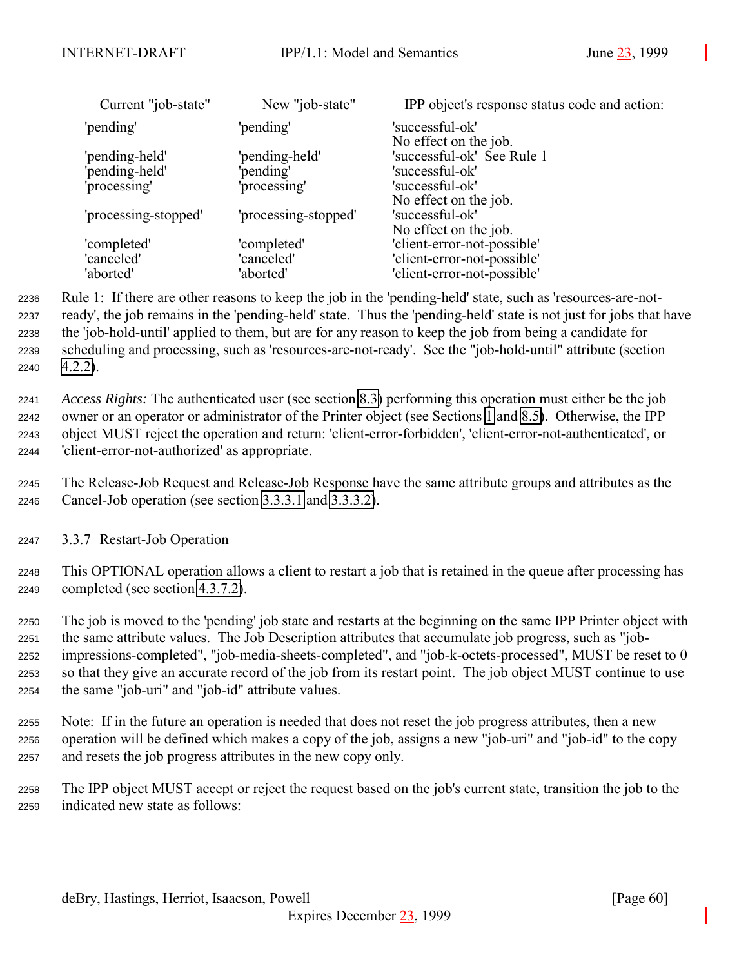| New "job-state"      | IPP object's response status code and action: |
|----------------------|-----------------------------------------------|
| 'pending'            | 'successful-ok'                               |
|                      | No effect on the job.                         |
|                      | 'successful-ok' See Rule 1                    |
| pending'             | 'successful-ok'                               |
| 'processing'         | 'successful-ok'                               |
|                      | No effect on the job.                         |
| 'processing-stopped' | 'successful-ok'                               |
|                      | No effect on the job.                         |
| 'completed'          | 'client-error-not-possible'                   |
| 'canceled'           | 'client-error-not-possible'                   |
| 'aborted'            | 'client-error-not-possible'                   |
|                      | 'pending-held'                                |

 Rule 1: If there are other reasons to keep the job in the 'pending-held' state, such as 'resources-are-not- ready', the job remains in the 'pending-held' state. Thus the 'pending-held' state is not just for jobs that have the 'job-hold-until' applied to them, but are for any reason to keep the job from being a candidate for scheduling and processing, such as 'resources-are-not-ready'. See the "job-hold-until" attribute (section [4.2.2\)](#page-75-0).

 *Access Rights:* The authenticated user (see section [8.3\)](#page-127-0) performing this operation must either be the job owner or an operator or administrator of the Printer object (see Sections [1](#page-9-0) and [8.5\)](#page-127-0). Otherwise, the IPP object MUST reject the operation and return: 'client-error-forbidden', 'client-error-not-authenticated', or 'client-error-not-authorized' as appropriate.

 The Release-Job Request and Release-Job Response have the same attribute groups and attributes as the Cancel-Job operation (see section [3.3.3.1](#page-54-0) and [3.3.3.2\)](#page-54-0).

3.3.7 Restart-Job Operation

 This OPTIONAL operation allows a client to restart a job that is retained in the queue after processing has completed (see section [4.3.7.2\)](#page-89-0).

 The job is moved to the 'pending' job state and restarts at the beginning on the same IPP Printer object with the same attribute values. The Job Description attributes that accumulate job progress, such as "job- impressions-completed", "job-media-sheets-completed", and "job-k-octets-processed", MUST be reset to 0 so that they give an accurate record of the job from its restart point. The job object MUST continue to use the same "job-uri" and "job-id" attribute values.

 Note: If in the future an operation is needed that does not reset the job progress attributes, then a new operation will be defined which makes a copy of the job, assigns a new "job-uri" and "job-id" to the copy and resets the job progress attributes in the new copy only.

 The IPP object MUST accept or reject the request based on the job's current state, transition the job to the indicated new state as follows: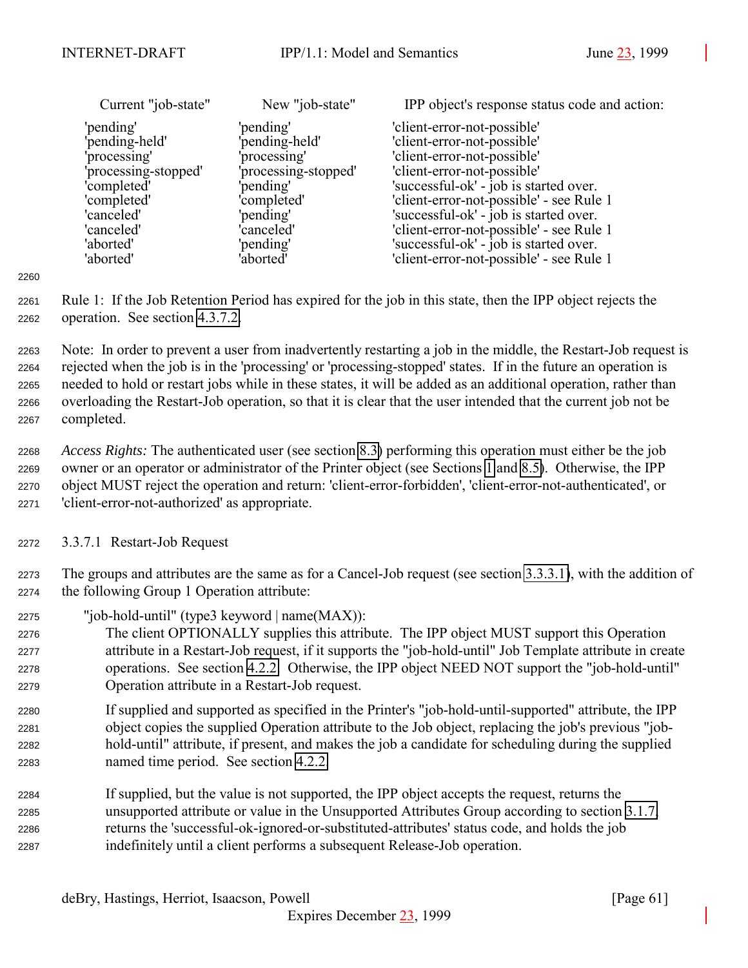| Current "job-state"  | New "job-state"      | IPP object's response status code and action: |
|----------------------|----------------------|-----------------------------------------------|
| 'pending'            | 'pending'            | 'client-error-not-possible'                   |
| 'pending-held'       | 'pending-held'       | 'client-error-not-possible'                   |
| 'processing'         | 'processing'         | 'client-error-not-possible'                   |
| 'processing-stopped' | 'processing-stopped' | 'client-error-not-possible'                   |
| 'completed'          | 'pending'            | 'successful-ok' - job is started over.        |
| 'completed'          | 'completed'          | 'client-error-not-possible' - see Rule 1      |
| 'canceled'           | 'pending'            | 'successful-ok' - job is started over.        |
| 'canceled'           | 'canceled'           | 'client-error-not-possible' - see Rule 1      |
| 'aborted'            | 'pending'            | 'successful-ok' - job is started over.        |
| 'aborted'            | 'aborted'            | 'client-error-not-possible' - see Rule 1      |

 Rule 1: If the Job Retention Period has expired for the job in this state, then the IPP object rejects the operation. See section [4.3.7.2.](#page-89-0)

 Note: In order to prevent a user from inadvertently restarting a job in the middle, the Restart-Job request is rejected when the job is in the 'processing' or 'processing-stopped' states. If in the future an operation is needed to hold or restart jobs while in these states, it will be added as an additional operation, rather than overloading the Restart-Job operation, so that it is clear that the user intended that the current job not be completed.

 *Access Rights:* The authenticated user (see section [8.3\)](#page-127-0) performing this operation must either be the job owner or an operator or administrator of the Printer object (see Sections [1](#page-9-0) and [8.5\)](#page-127-0). Otherwise, the IPP object MUST reject the operation and return: 'client-error-forbidden', 'client-error-not-authenticated', or 'client-error-not-authorized' as appropriate.

3.3.7.1 Restart-Job Request

 The groups and attributes are the same as for a Cancel-Job request (see section [3.3.3.1\)](#page-54-0), with the addition of the following Group 1 Operation attribute:

"job-hold-until" (type3 keyword | name(MAX)):

 The client OPTIONALLY supplies this attribute. The IPP object MUST support this Operation attribute in a Restart-Job request, if it supports the "job-hold-until" Job Template attribute in create operations. See section [4.2.2.](#page-75-0) Otherwise, the IPP object NEED NOT support the "job-hold-until" Operation attribute in a Restart-Job request.

 If supplied and supported as specified in the Printer's "job-hold-until-supported" attribute, the IPP object copies the supplied Operation attribute to the Job object, replacing the job's previous "job- hold-until" attribute, if present, and makes the job a candidate for scheduling during the supplied named time period. See section [4.2.2.](#page-75-0)

 If supplied, but the value is not supported, the IPP object accepts the request, returns the unsupported attribute or value in the Unsupported Attributes Group according to section [3.1.7,](#page-28-0) returns the 'successful-ok-ignored-or-substituted-attributes' status code, and holds the job indefinitely until a client performs a subsequent Release-Job operation.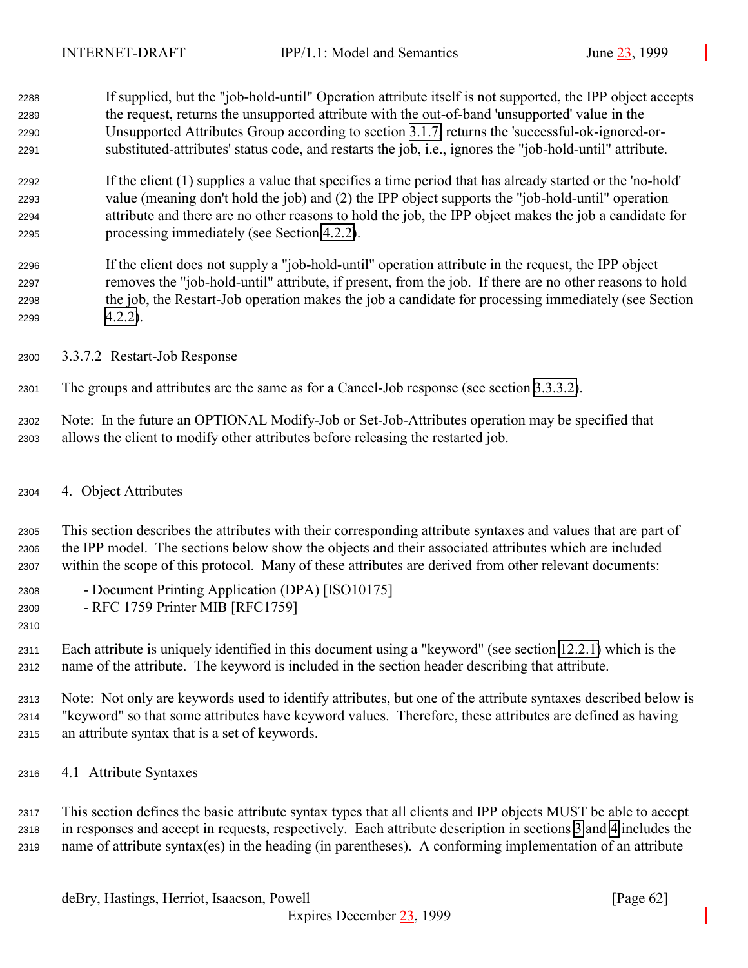<span id="page-61-0"></span> If supplied, but the "job-hold-until" Operation attribute itself is not supported, the IPP object accepts the request, returns the unsupported attribute with the out-of-band 'unsupported' value in the Unsupported Attributes Group according to section [3.1.7,](#page-28-0) returns the 'successful-ok-ignored-or-substituted-attributes' status code, and restarts the job, i.e., ignores the "job-hold-until" attribute.

 If the client (1) supplies a value that specifies a time period that has already started or the 'no-hold' value (meaning don't hold the job) and (2) the IPP object supports the "job-hold-until" operation attribute and there are no other reasons to hold the job, the IPP object makes the job a candidate for processing immediately (see Section [4.2.2\)](#page-75-0).

- If the client does not supply a "job-hold-until" operation attribute in the request, the IPP object removes the "job-hold-until" attribute, if present, from the job. If there are no other reasons to hold the job, the Restart-Job operation makes the job a candidate for processing immediately (see Section [4.2.2\)](#page-75-0).
- 3.3.7.2 Restart-Job Response

The groups and attributes are the same as for a Cancel-Job response (see section [3.3.3.2\)](#page-54-0).

 Note: In the future an OPTIONAL Modify-Job or Set-Job-Attributes operation may be specified that allows the client to modify other attributes before releasing the restarted job.

4. Object Attributes

 This section describes the attributes with their corresponding attribute syntaxes and values that are part of the IPP model. The sections below show the objects and their associated attributes which are included within the scope of this protocol. Many of these attributes are derived from other relevant documents:

- Document Printing Application (DPA) [ISO10175]
- RFC 1759 Printer MIB [RFC1759]
- 

 Each attribute is uniquely identified in this document using a "keyword" (see section [12.2.1\)](#page-137-0) which is the name of the attribute. The keyword is included in the section header describing that attribute.

 Note: Not only are keywords used to identify attributes, but one of the attribute syntaxes described below is "keyword" so that some attributes have keyword values. Therefore, these attributes are defined as having an attribute syntax that is a set of keywords.

4.1 Attribute Syntaxes

 This section defines the basic attribute syntax types that all clients and IPP objects MUST be able to accept in responses and accept in requests, respectively. Each attribute description in sections [3](#page-18-0) and 4 includes the name of attribute syntax(es) in the heading (in parentheses). A conforming implementation of an attribute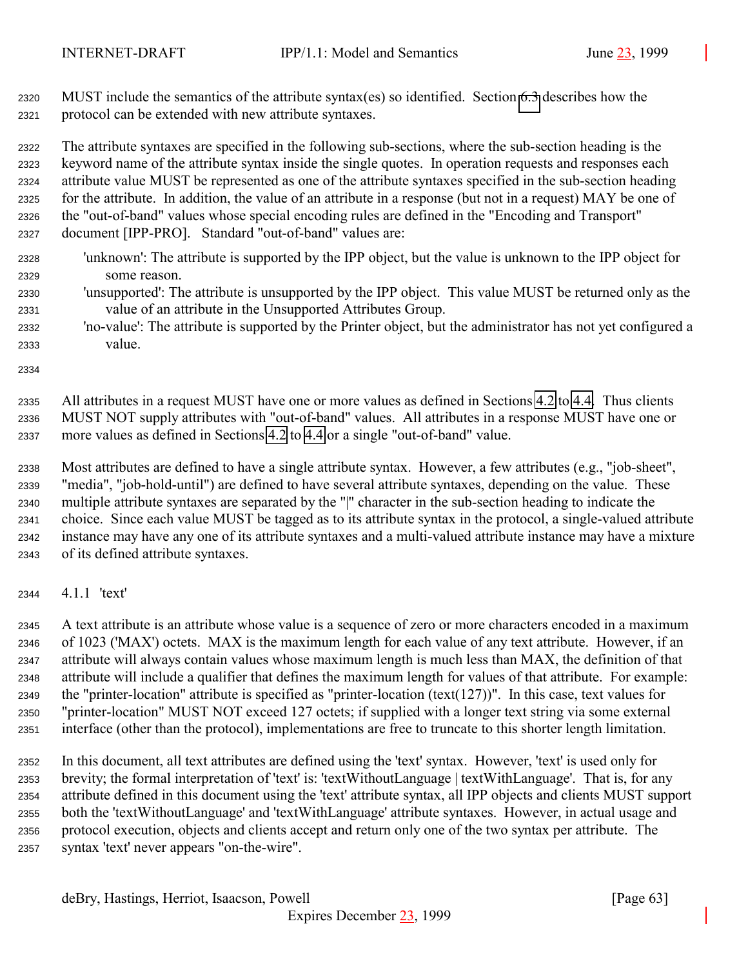MUST include the semantics of the attribute syntax(es) so identified. Section [6.3](#page-120-0) describes how the protocol can be extended with new attribute syntaxes.

 The attribute syntaxes are specified in the following sub-sections, where the sub-section heading is the keyword name of the attribute syntax inside the single quotes. In operation requests and responses each attribute value MUST be represented as one of the attribute syntaxes specified in the sub-section heading for the attribute. In addition, the value of an attribute in a response (but not in a request) MAY be one of the "out-of-band" values whose special encoding rules are defined in the "Encoding and Transport" document [IPP-PRO]. Standard "out-of-band" values are:

- 'unknown': The attribute is supported by the IPP object, but the value is unknown to the IPP object for some reason.
- 'unsupported': The attribute is unsupported by the IPP object. This value MUST be returned only as the value of an attribute in the Unsupported Attributes Group.
- 'no-value': The attribute is supported by the Printer object, but the administrator has not yet configured a value.

 All attributes in a request MUST have one or more values as defined in Sections [4.2](#page-71-0) to [4.4.](#page-98-0) Thus clients MUST NOT supply attributes with "out-of-band" values. All attributes in a response MUST have one or more values as defined in Sections [4.2](#page-71-0) to [4.4](#page-98-0) or a single "out-of-band" value.

 Most attributes are defined to have a single attribute syntax. However, a few attributes (e.g., "job-sheet", "media", "job-hold-until") are defined to have several attribute syntaxes, depending on the value. These multiple attribute syntaxes are separated by the "|" character in the sub-section heading to indicate the choice. Since each value MUST be tagged as to its attribute syntax in the protocol, a single-valued attribute instance may have any one of its attribute syntaxes and a multi-valued attribute instance may have a mixture of its defined attribute syntaxes.

4.1.1 'text'

 A text attribute is an attribute whose value is a sequence of zero or more characters encoded in a maximum of 1023 ('MAX') octets. MAX is the maximum length for each value of any text attribute. However, if an attribute will always contain values whose maximum length is much less than MAX, the definition of that attribute will include a qualifier that defines the maximum length for values of that attribute. For example: the "printer-location" attribute is specified as "printer-location (text(127))". In this case, text values for "printer-location" MUST NOT exceed 127 octets; if supplied with a longer text string via some external interface (other than the protocol), implementations are free to truncate to this shorter length limitation.

 In this document, all text attributes are defined using the 'text' syntax. However, 'text' is used only for brevity; the formal interpretation of 'text' is: 'textWithoutLanguage | textWithLanguage'. That is, for any attribute defined in this document using the 'text' attribute syntax, all IPP objects and clients MUST support both the 'textWithoutLanguage' and 'textWithLanguage' attribute syntaxes. However, in actual usage and protocol execution, objects and clients accept and return only one of the two syntax per attribute. The syntax 'text' never appears "on-the-wire".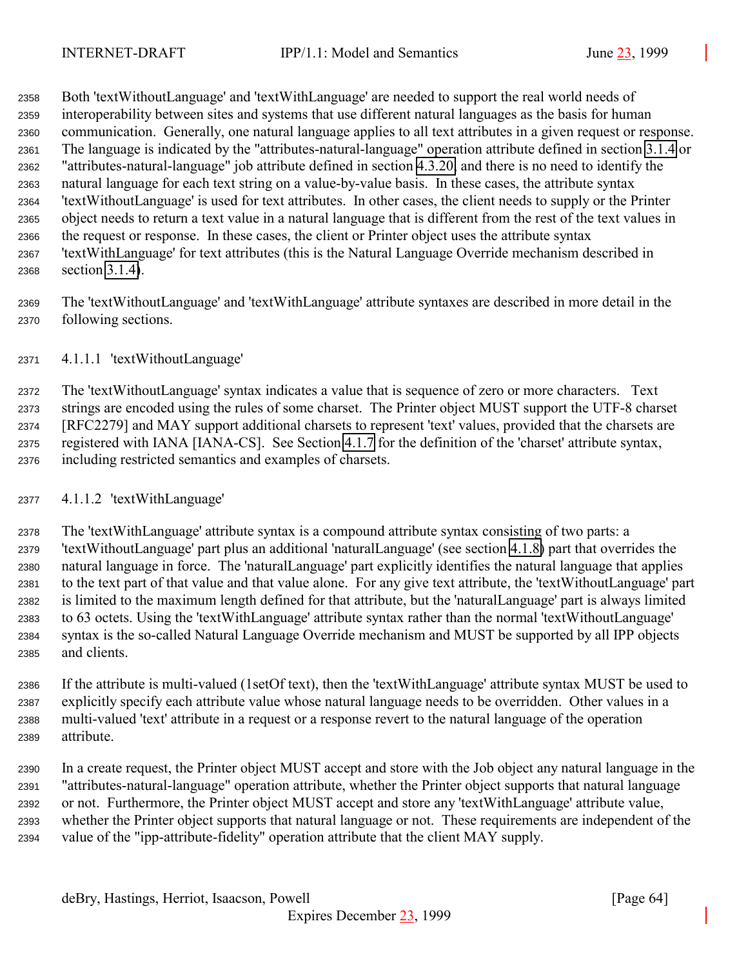Both 'textWithoutLanguage' and 'textWithLanguage' are needed to support the real world needs of interoperability between sites and systems that use different natural languages as the basis for human communication. Generally, one natural language applies to all text attributes in a given request or response. The language is indicated by the "attributes-natural-language" operation attribute defined in section [3.1.4](#page-21-0) or "attributes-natural-language" job attribute defined in section [4.3.20,](#page-97-0) and there is no need to identify the natural language for each text string on a value-by-value basis. In these cases, the attribute syntax 'textWithoutLanguage' is used for text attributes. In other cases, the client needs to supply or the Printer object needs to return a text value in a natural language that is different from the rest of the text values in the request or response. In these cases, the client or Printer object uses the attribute syntax 'textWithLanguage' for text attributes (this is the Natural Language Override mechanism described in section [3.1.4\)](#page-21-0).

 The 'textWithoutLanguage' and 'textWithLanguage' attribute syntaxes are described in more detail in the following sections.

### 4.1.1.1 'textWithoutLanguage'

 The 'textWithoutLanguage' syntax indicates a value that is sequence of zero or more characters. Text strings are encoded using the rules of some charset. The Printer object MUST support the UTF-8 charset [RFC2279] and MAY support additional charsets to represent 'text' values, provided that the charsets are registered with IANA [IANA-CS]. See Section [4.1.7](#page-67-0) for the definition of the 'charset' attribute syntax, including restricted semantics and examples of charsets.

#### 4.1.1.2 'textWithLanguage'

 The 'textWithLanguage' attribute syntax is a compound attribute syntax consisting of two parts: a 'textWithoutLanguage' part plus an additional 'naturalLanguage' (see section [4.1.8\)](#page-68-0) part that overrides the natural language in force. The 'naturalLanguage' part explicitly identifies the natural language that applies to the text part of that value and that value alone. For any give text attribute, the 'textWithoutLanguage' part is limited to the maximum length defined for that attribute, but the 'naturalLanguage' part is always limited to 63 octets. Using the 'textWithLanguage' attribute syntax rather than the normal 'textWithoutLanguage' syntax is the so-called Natural Language Override mechanism and MUST be supported by all IPP objects and clients.

 If the attribute is multi-valued (1setOf text), then the 'textWithLanguage' attribute syntax MUST be used to explicitly specify each attribute value whose natural language needs to be overridden. Other values in a multi-valued 'text' attribute in a request or a response revert to the natural language of the operation attribute.

 In a create request, the Printer object MUST accept and store with the Job object any natural language in the "attributes-natural-language" operation attribute, whether the Printer object supports that natural language or not. Furthermore, the Printer object MUST accept and store any 'textWithLanguage' attribute value, whether the Printer object supports that natural language or not. These requirements are independent of the value of the "ipp-attribute-fidelity" operation attribute that the client MAY supply.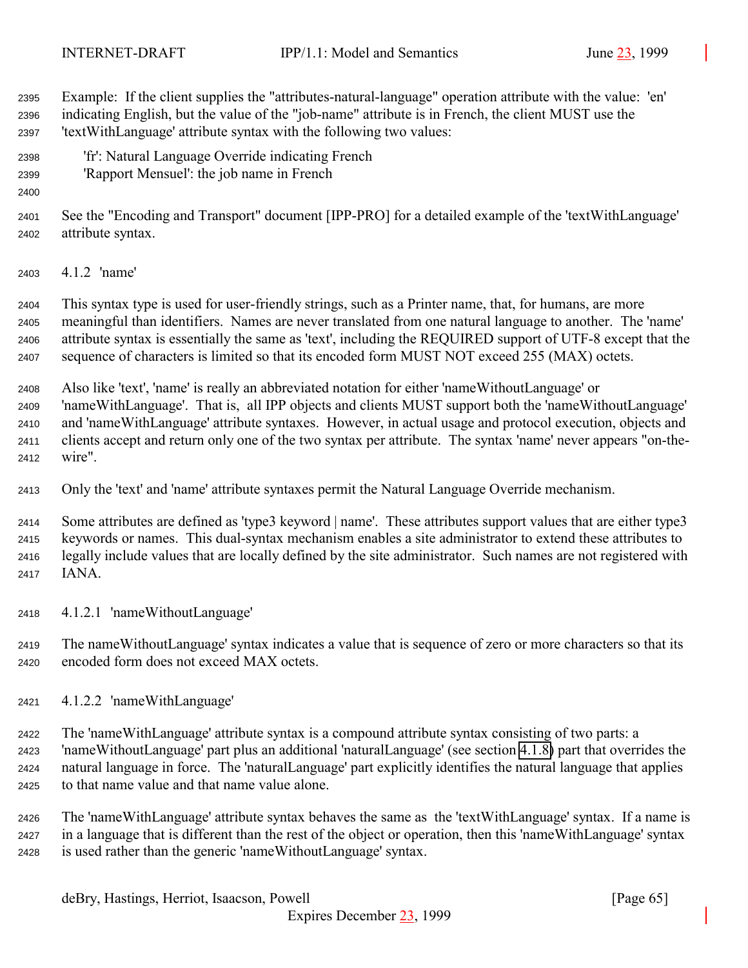Example: If the client supplies the "attributes-natural-language" operation attribute with the value: 'en' indicating English, but the value of the "job-name" attribute is in French, the client MUST use the 'textWithLanguage' attribute syntax with the following two values:

- 'fr': Natural Language Override indicating French
- 'Rapport Mensuel': the job name in French
- 

 See the "Encoding and Transport" document [IPP-PRO] for a detailed example of the 'textWithLanguage' attribute syntax.

4.1.2 'name'

 This syntax type is used for user-friendly strings, such as a Printer name, that, for humans, are more meaningful than identifiers. Names are never translated from one natural language to another. The 'name' attribute syntax is essentially the same as 'text', including the REQUIRED support of UTF-8 except that the sequence of characters is limited so that its encoded form MUST NOT exceed 255 (MAX) octets.

 Also like 'text', 'name' is really an abbreviated notation for either 'nameWithoutLanguage' or 'nameWithLanguage'. That is, all IPP objects and clients MUST support both the 'nameWithoutLanguage' and 'nameWithLanguage' attribute syntaxes. However, in actual usage and protocol execution, objects and clients accept and return only one of the two syntax per attribute. The syntax 'name' never appears "on-the-wire".

Only the 'text' and 'name' attribute syntaxes permit the Natural Language Override mechanism.

 Some attributes are defined as 'type3 keyword | name'. These attributes support values that are either type3 keywords or names. This dual-syntax mechanism enables a site administrator to extend these attributes to legally include values that are locally defined by the site administrator. Such names are not registered with IANA.

4.1.2.1 'nameWithoutLanguage'

 The nameWithoutLanguage' syntax indicates a value that is sequence of zero or more characters so that its encoded form does not exceed MAX octets.

4.1.2.2 'nameWithLanguage'

 The 'nameWithLanguage' attribute syntax is a compound attribute syntax consisting of two parts: a 'nameWithoutLanguage' part plus an additional 'naturalLanguage' (see section [4.1.8\)](#page-68-0) part that overrides the natural language in force. The 'naturalLanguage' part explicitly identifies the natural language that applies to that name value and that name value alone.

 The 'nameWithLanguage' attribute syntax behaves the same as the 'textWithLanguage' syntax. If a name is in a language that is different than the rest of the object or operation, then this 'nameWithLanguage' syntax is used rather than the generic 'nameWithoutLanguage' syntax.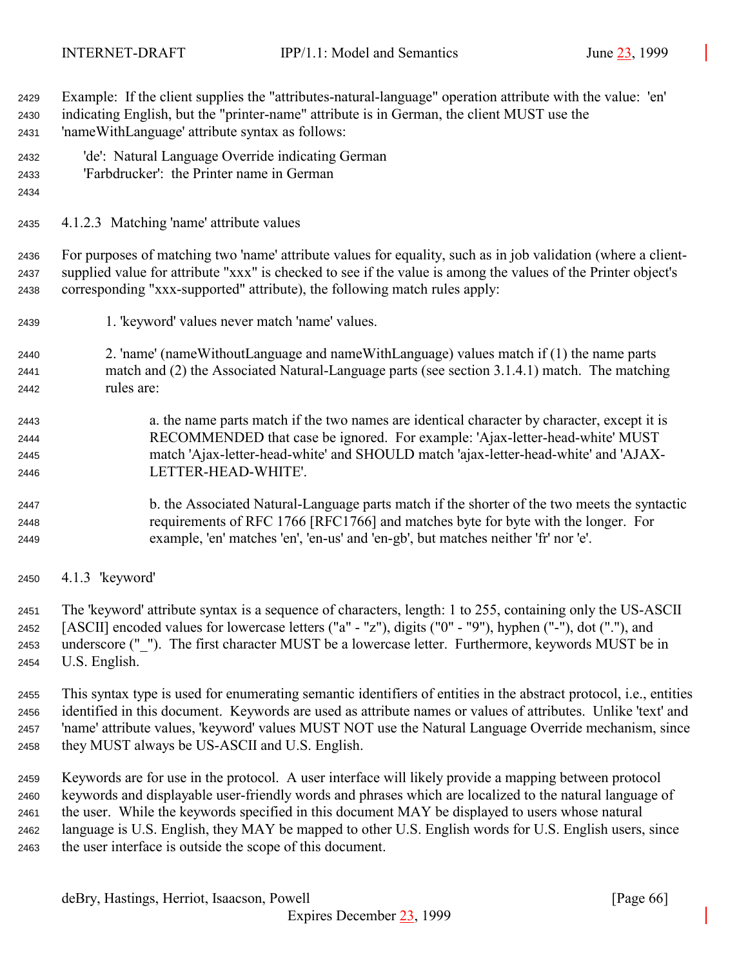Example: If the client supplies the "attributes-natural-language" operation attribute with the value: 'en' indicating English, but the "printer-name" attribute is in German, the client MUST use the 'nameWithLanguage' attribute syntax as follows:

- 'de': Natural Language Override indicating German
- 'Farbdrucker': the Printer name in German
- 
- 4.1.2.3 Matching 'name' attribute values

 For purposes of matching two 'name' attribute values for equality, such as in job validation (where a client- supplied value for attribute "xxx" is checked to see if the value is among the values of the Printer object's corresponding "xxx-supported" attribute), the following match rules apply:

- 1. 'keyword' values never match 'name' values.
- 2. 'name' (nameWithoutLanguage and nameWithLanguage) values match if (1) the name parts match and (2) the Associated Natural-Language parts (see section 3.1.4.1) match. The matching rules are:
- a. the name parts match if the two names are identical character by character, except it is RECOMMENDED that case be ignored. For example: 'Ajax-letter-head-white' MUST match 'Ajax-letter-head-white' and SHOULD match 'ajax-letter-head-white' and 'AJAX-LETTER-HEAD-WHITE'.
- b. the Associated Natural-Language parts match if the shorter of the two meets the syntactic requirements of RFC 1766 [RFC1766] and matches byte for byte with the longer. For example, 'en' matches 'en', 'en-us' and 'en-gb', but matches neither 'fr' nor 'e'.
- 4.1.3 'keyword'

 The 'keyword' attribute syntax is a sequence of characters, length: 1 to 255, containing only the US-ASCII [ASCII] encoded values for lowercase letters ("a" - "z"), digits ("0" - "9"), hyphen ("-"), dot ("."), and underscore ("\_"). The first character MUST be a lowercase letter. Furthermore, keywords MUST be in U.S. English.

 This syntax type is used for enumerating semantic identifiers of entities in the abstract protocol, i.e., entities identified in this document. Keywords are used as attribute names or values of attributes. Unlike 'text' and 'name' attribute values, 'keyword' values MUST NOT use the Natural Language Override mechanism, since they MUST always be US-ASCII and U.S. English.

 Keywords are for use in the protocol. A user interface will likely provide a mapping between protocol keywords and displayable user-friendly words and phrases which are localized to the natural language of the user. While the keywords specified in this document MAY be displayed to users whose natural language is U.S. English, they MAY be mapped to other U.S. English words for U.S. English users, since the user interface is outside the scope of this document.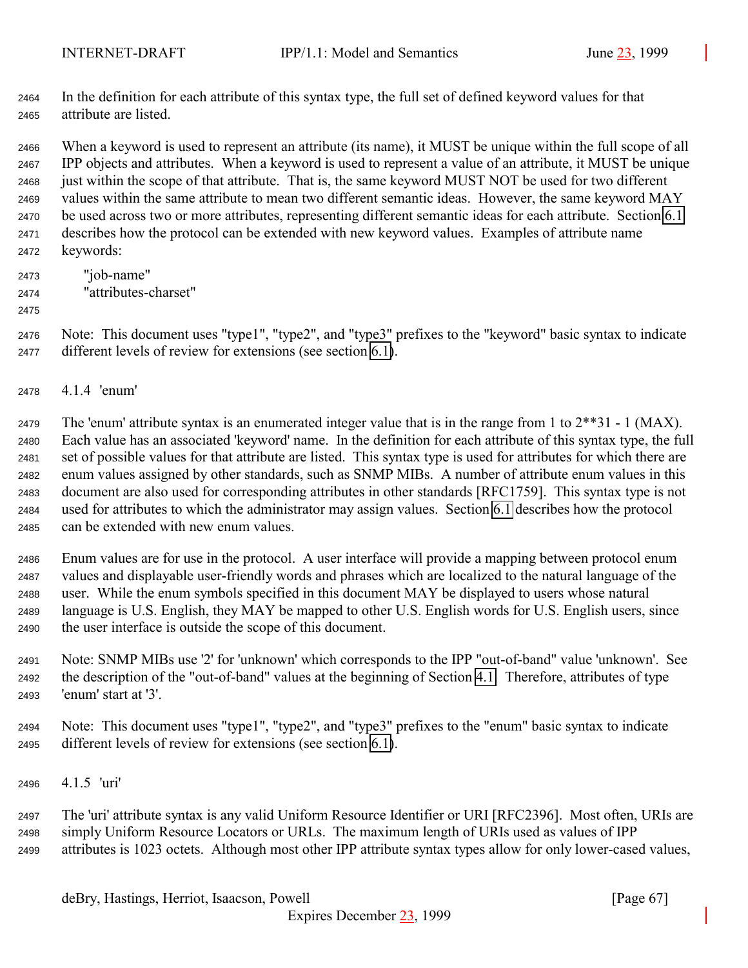In the definition for each attribute of this syntax type, the full set of defined keyword values for that attribute are listed.

 When a keyword is used to represent an attribute (its name), it MUST be unique within the full scope of all IPP objects and attributes. When a keyword is used to represent a value of an attribute, it MUST be unique just within the scope of that attribute. That is, the same keyword MUST NOT be used for two different values within the same attribute to mean two different semantic ideas. However, the same keyword MAY be used across two or more attributes, representing different semantic ideas for each attribute. Section [6.1](#page-118-0) describes how the protocol can be extended with new keyword values. Examples of attribute name keywords:

- "job-name" "attributes-charset"
- 

 Note: This document uses "type1", "type2", and "type3" prefixes to the "keyword" basic syntax to indicate different levels of review for extensions (see section [6.1\)](#page-118-0).

4.1.4 'enum'

2479 The 'enum' attribute syntax is an enumerated integer value that is in the range from 1 to  $2^{**}31 - 1$  (MAX). Each value has an associated 'keyword' name. In the definition for each attribute of this syntax type, the full set of possible values for that attribute are listed. This syntax type is used for attributes for which there are enum values assigned by other standards, such as SNMP MIBs. A number of attribute enum values in this document are also used for corresponding attributes in other standards [RFC1759]. This syntax type is not used for attributes to which the administrator may assign values. Section [6.1](#page-118-0) describes how the protocol can be extended with new enum values.

 Enum values are for use in the protocol. A user interface will provide a mapping between protocol enum values and displayable user-friendly words and phrases which are localized to the natural language of the user. While the enum symbols specified in this document MAY be displayed to users whose natural language is U.S. English, they MAY be mapped to other U.S. English words for U.S. English users, since the user interface is outside the scope of this document.

 Note: SNMP MIBs use '2' for 'unknown' which corresponds to the IPP "out-of-band" value 'unknown'. See the description of the "out-of-band" values at the beginning of Section [4.1.](#page-61-0) Therefore, attributes of type 'enum' start at '3'.

 Note: This document uses "type1", "type2", and "type3" prefixes to the "enum" basic syntax to indicate different levels of review for extensions (see section [6.1\)](#page-118-0).

4.1.5 'uri'

 The 'uri' attribute syntax is any valid Uniform Resource Identifier or URI [RFC2396]. Most often, URIs are simply Uniform Resource Locators or URLs. The maximum length of URIs used as values of IPP attributes is 1023 octets. Although most other IPP attribute syntax types allow for only lower-cased values,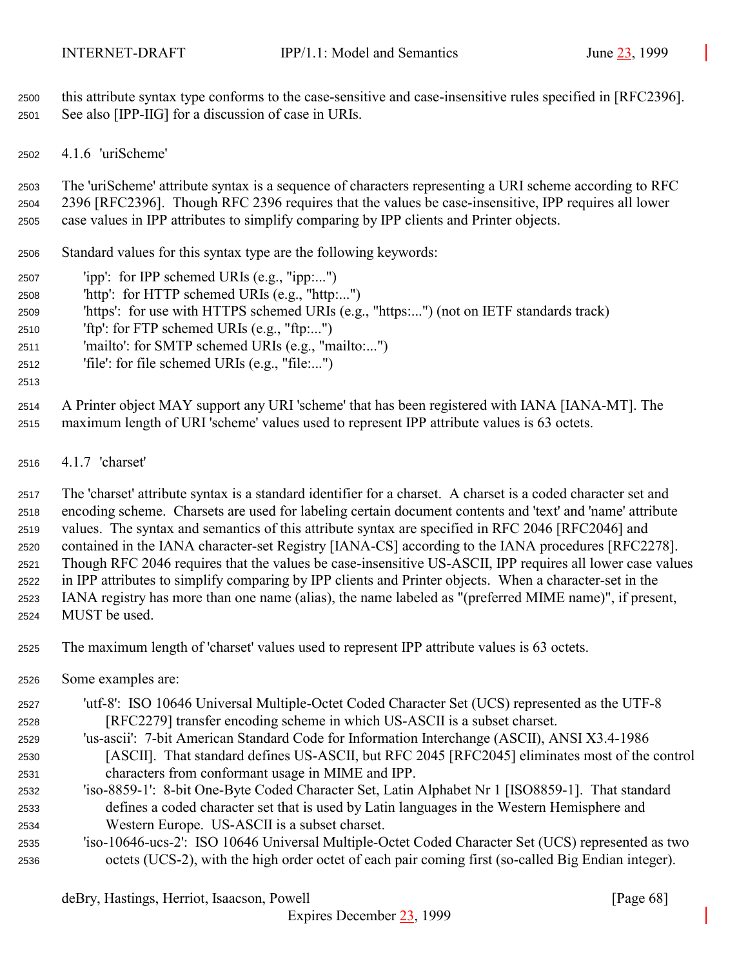<span id="page-67-0"></span> this attribute syntax type conforms to the case-sensitive and case-insensitive rules specified in [RFC2396]. See also [IPP-IIG] for a discussion of case in URIs.

4.1.6 'uriScheme'

 The 'uriScheme' attribute syntax is a sequence of characters representing a URI scheme according to RFC 2396 [RFC2396]. Though RFC 2396 requires that the values be case-insensitive, IPP requires all lower case values in IPP attributes to simplify comparing by IPP clients and Printer objects.

Standard values for this syntax type are the following keywords:

- 'ipp': for IPP schemed URIs (e.g., "ipp:...")
- 'http': for HTTP schemed URIs (e.g., "http:...")
- 'https': for use with HTTPS schemed URIs (e.g., "https:...") (not on IETF standards track)
- 'ftp': for FTP schemed URIs (e.g., "ftp:...")
- 'mailto': for SMTP schemed URIs (e.g., "mailto:...")
- 'file': for file schemed URIs (e.g., "file:...")
- 

 A Printer object MAY support any URI 'scheme' that has been registered with IANA [IANA-MT]. The maximum length of URI 'scheme' values used to represent IPP attribute values is 63 octets.

4.1.7 'charset'

 The 'charset' attribute syntax is a standard identifier for a charset. A charset is a coded character set and encoding scheme. Charsets are used for labeling certain document contents and 'text' and 'name' attribute values. The syntax and semantics of this attribute syntax are specified in RFC 2046 [RFC2046] and contained in the IANA character-set Registry [IANA-CS] according to the IANA procedures [RFC2278]. Though RFC 2046 requires that the values be case-insensitive US-ASCII, IPP requires all lower case values in IPP attributes to simplify comparing by IPP clients and Printer objects. When a character-set in the IANA registry has more than one name (alias), the name labeled as "(preferred MIME name)", if present, MUST be used.

The maximum length of 'charset' values used to represent IPP attribute values is 63 octets.

- Some examples are:
- 'utf-8': ISO 10646 Universal Multiple-Octet Coded Character Set (UCS) represented as the UTF-8 [RFC2279] transfer encoding scheme in which US-ASCII is a subset charset.
- 'us-ascii': 7-bit American Standard Code for Information Interchange (ASCII), ANSI X3.4-1986 [ASCII]. That standard defines US-ASCII, but RFC 2045 [RFC2045] eliminates most of the control characters from conformant usage in MIME and IPP.
- 'iso-8859-1': 8-bit One-Byte Coded Character Set, Latin Alphabet Nr 1 [ISO8859-1]. That standard defines a coded character set that is used by Latin languages in the Western Hemisphere and Western Europe. US-ASCII is a subset charset.
- 'iso-10646-ucs-2': ISO 10646 Universal Multiple-Octet Coded Character Set (UCS) represented as two octets (UCS-2), with the high order octet of each pair coming first (so-called Big Endian integer).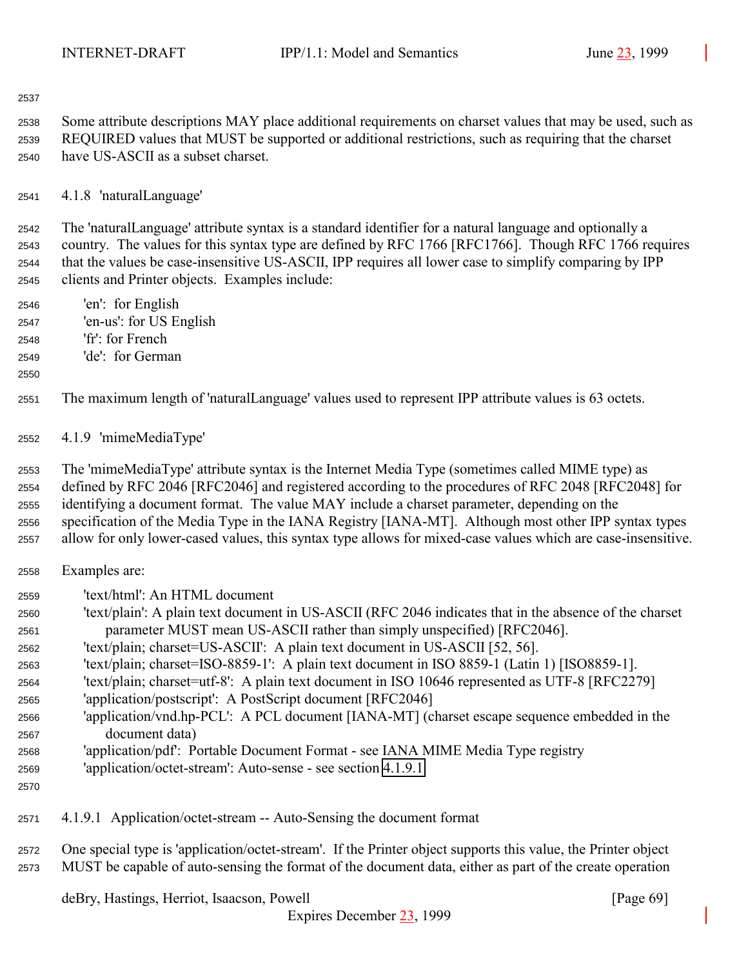<span id="page-68-0"></span>

 Some attribute descriptions MAY place additional requirements on charset values that may be used, such as REQUIRED values that MUST be supported or additional restrictions, such as requiring that the charset have US-ASCII as a subset charset.

4.1.8 'naturalLanguage'

 The 'naturalLanguage' attribute syntax is a standard identifier for a natural language and optionally a country. The values for this syntax type are defined by RFC 1766 [RFC1766]. Though RFC 1766 requires that the values be case-insensitive US-ASCII, IPP requires all lower case to simplify comparing by IPP clients and Printer objects. Examples include:

- 'en': for English 'en-us': for US English 'fr': for French
- 'de': for German
- 

The maximum length of 'naturalLanguage' values used to represent IPP attribute values is 63 octets.

4.1.9 'mimeMediaType'

 The 'mimeMediaType' attribute syntax is the Internet Media Type (sometimes called MIME type) as defined by RFC 2046 [RFC2046] and registered according to the procedures of RFC 2048 [RFC2048] for identifying a document format. The value MAY include a charset parameter, depending on the specification of the Media Type in the IANA Registry [IANA-MT]. Although most other IPP syntax types allow for only lower-cased values, this syntax type allows for mixed-case values which are case-insensitive.

- Examples are:
- 'text/html': An HTML document
- 'text/plain': A plain text document in US-ASCII (RFC 2046 indicates that in the absence of the charset parameter MUST mean US-ASCII rather than simply unspecified) [RFC2046].
- 'text/plain; charset=US-ASCII': A plain text document in US-ASCII [52, 56].
- 'text/plain; charset=ISO-8859-1': A plain text document in ISO 8859-1 (Latin 1) [ISO8859-1].
- 'text/plain; charset=utf-8': A plain text document in ISO 10646 represented as UTF-8 [RFC2279]
- 'application/postscript': A PostScript document [RFC2046]
- 'application/vnd.hp-PCL': A PCL document [IANA-MT] (charset escape sequence embedded in the document data)
- 'application/pdf': Portable Document Format see IANA MIME Media Type registry
- 'application/octet-stream': Auto-sense see section 4.1.9.1
- 

4.1.9.1 Application/octet-stream -- Auto-Sensing the document format

 One special type is 'application/octet-stream'. If the Printer object supports this value, the Printer object MUST be capable of auto-sensing the format of the document data, either as part of the create operation

deBry, Hastings, Herriot, Isaacson, Powell [Page 69]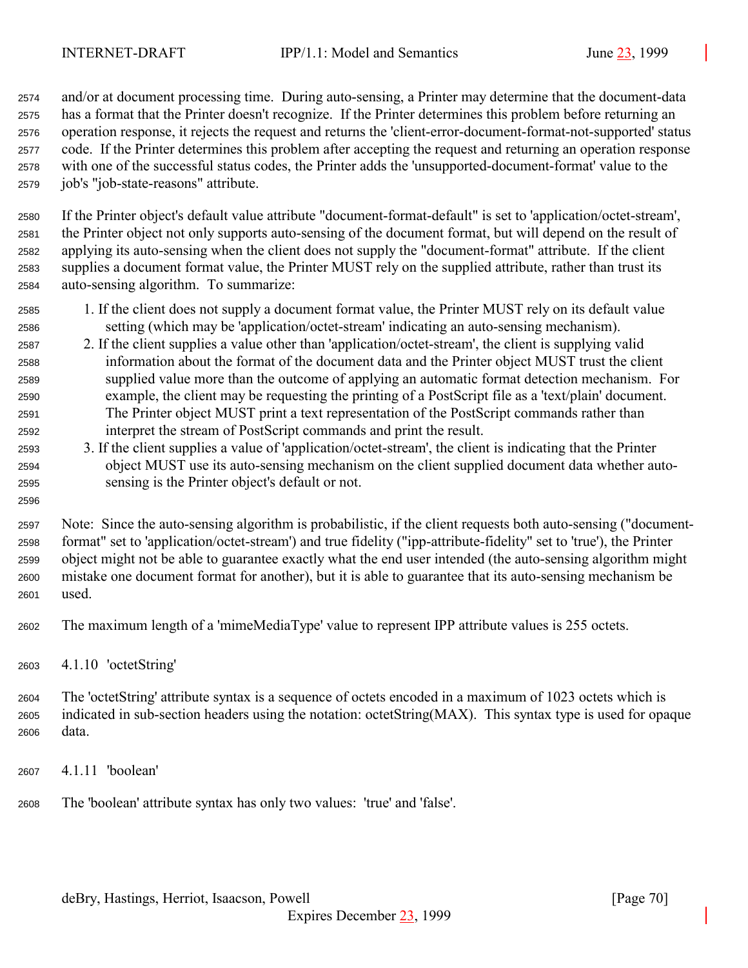and/or at document processing time. During auto-sensing, a Printer may determine that the document-data has a format that the Printer doesn't recognize. If the Printer determines this problem before returning an operation response, it rejects the request and returns the 'client-error-document-format-not-supported' status code. If the Printer determines this problem after accepting the request and returning an operation response with one of the successful status codes, the Printer adds the 'unsupported-document-format' value to the job's "job-state-reasons" attribute.

 If the Printer object's default value attribute "document-format-default" is set to 'application/octet-stream', the Printer object not only supports auto-sensing of the document format, but will depend on the result of applying its auto-sensing when the client does not supply the "document-format" attribute. If the client supplies a document format value, the Printer MUST rely on the supplied attribute, rather than trust its auto-sensing algorithm. To summarize:

- 1. If the client does not supply a document format value, the Printer MUST rely on its default value setting (which may be 'application/octet-stream' indicating an auto-sensing mechanism).
- 2. If the client supplies a value other than 'application/octet-stream', the client is supplying valid information about the format of the document data and the Printer object MUST trust the client supplied value more than the outcome of applying an automatic format detection mechanism. For example, the client may be requesting the printing of a PostScript file as a 'text/plain' document. The Printer object MUST print a text representation of the PostScript commands rather than interpret the stream of PostScript commands and print the result.
- 3. If the client supplies a value of 'application/octet-stream', the client is indicating that the Printer object MUST use its auto-sensing mechanism on the client supplied document data whether auto-sensing is the Printer object's default or not.
- Note: Since the auto-sensing algorithm is probabilistic, if the client requests both auto-sensing ("document- format" set to 'application/octet-stream') and true fidelity ("ipp-attribute-fidelity" set to 'true'), the Printer object might not be able to guarantee exactly what the end user intended (the auto-sensing algorithm might mistake one document format for another), but it is able to guarantee that its auto-sensing mechanism be used.
- The maximum length of a 'mimeMediaType' value to represent IPP attribute values is 255 octets.
- 4.1.10 'octetString'

 The 'octetString' attribute syntax is a sequence of octets encoded in a maximum of 1023 octets which is indicated in sub-section headers using the notation: octetString(MAX). This syntax type is used for opaque data.

- 4.1.11 'boolean'
- The 'boolean' attribute syntax has only two values: 'true' and 'false'.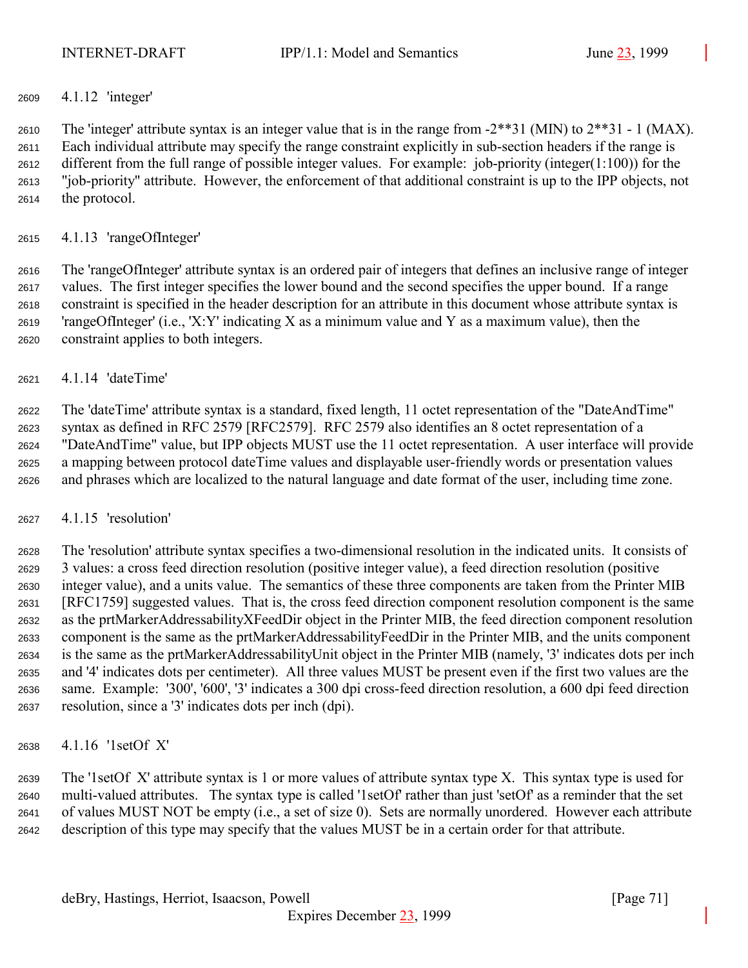## 4.1.12 'integer'

2610 The 'integer' attribute syntax is an integer value that is in the range from  $-2**31$  (MIN) to  $2**31$  - 1 (MAX). Each individual attribute may specify the range constraint explicitly in sub-section headers if the range is different from the full range of possible integer values. For example: job-priority (integer(1:100)) for the "job-priority" attribute. However, the enforcement of that additional constraint is up to the IPP objects, not the protocol.

### 4.1.13 'rangeOfInteger'

 The 'rangeOfInteger' attribute syntax is an ordered pair of integers that defines an inclusive range of integer values. The first integer specifies the lower bound and the second specifies the upper bound. If a range constraint is specified in the header description for an attribute in this document whose attribute syntax is 2619 'rangeOfInteger' (i.e., 'X:Y' indicating X as a minimum value and Y as a maximum value), then the constraint applies to both integers.

4.1.14 'dateTime'

 The 'dateTime' attribute syntax is a standard, fixed length, 11 octet representation of the "DateAndTime" syntax as defined in RFC 2579 [RFC2579]. RFC 2579 also identifies an 8 octet representation of a "DateAndTime" value, but IPP objects MUST use the 11 octet representation. A user interface will provide a mapping between protocol dateTime values and displayable user-friendly words or presentation values and phrases which are localized to the natural language and date format of the user, including time zone.

## 4.1.15 'resolution'

 The 'resolution' attribute syntax specifies a two-dimensional resolution in the indicated units. It consists of 3 values: a cross feed direction resolution (positive integer value), a feed direction resolution (positive integer value), and a units value. The semantics of these three components are taken from the Printer MIB [RFC1759] suggested values. That is, the cross feed direction component resolution component is the same as the prtMarkerAddressabilityXFeedDir object in the Printer MIB, the feed direction component resolution component is the same as the prtMarkerAddressabilityFeedDir in the Printer MIB, and the units component is the same as the prtMarkerAddressabilityUnit object in the Printer MIB (namely, '3' indicates dots per inch and '4' indicates dots per centimeter). All three values MUST be present even if the first two values are the same. Example: '300', '600', '3' indicates a 300 dpi cross-feed direction resolution, a 600 dpi feed direction resolution, since a '3' indicates dots per inch (dpi).

4.1.16 '1setOf X'

 The '1setOf X' attribute syntax is 1 or more values of attribute syntax type X. This syntax type is used for multi-valued attributes. The syntax type is called '1setOf' rather than just 'setOf' as a reminder that the set of values MUST NOT be empty (i.e., a set of size 0). Sets are normally unordered. However each attribute description of this type may specify that the values MUST be in a certain order for that attribute.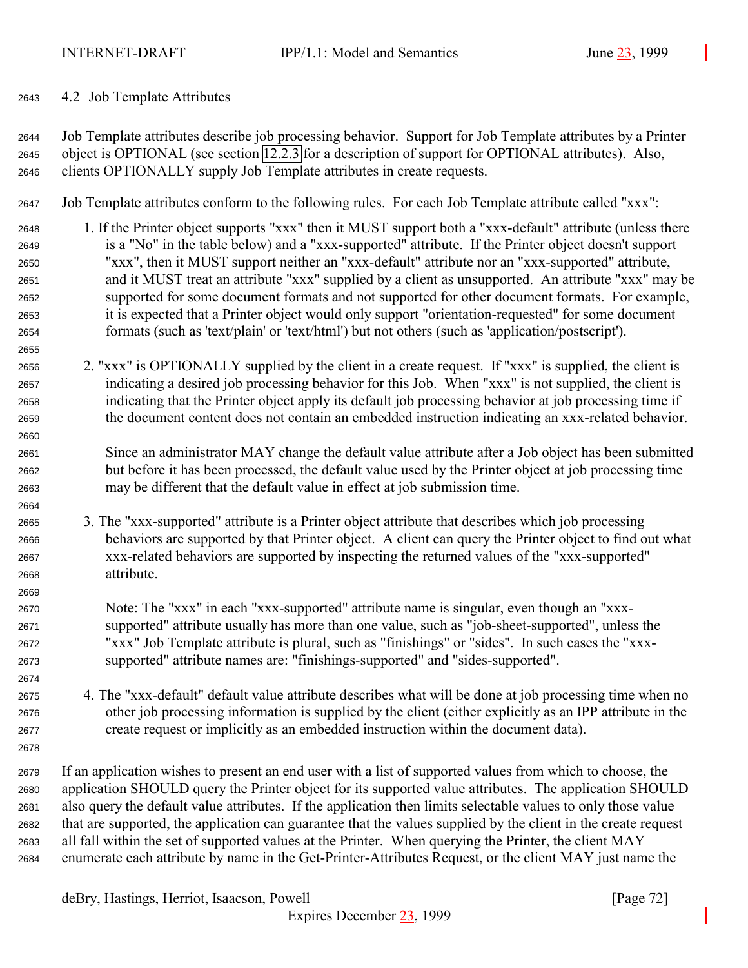<span id="page-71-0"></span>4.2 Job Template Attributes

 Job Template attributes describe job processing behavior. Support for Job Template attributes by a Printer object is OPTIONAL (see section [12.2.3](#page-138-0) for a description of support for OPTIONAL attributes). Also, clients OPTIONALLY supply Job Template attributes in create requests.

Job Template attributes conform to the following rules. For each Job Template attribute called "xxx":

- 1. If the Printer object supports "xxx" then it MUST support both a "xxx-default" attribute (unless there is a "No" in the table below) and a "xxx-supported" attribute. If the Printer object doesn't support "xxx", then it MUST support neither an "xxx-default" attribute nor an "xxx-supported" attribute, and it MUST treat an attribute "xxx" supplied by a client as unsupported. An attribute "xxx" may be supported for some document formats and not supported for other document formats. For example, it is expected that a Printer object would only support "orientation-requested" for some document formats (such as 'text/plain' or 'text/html') but not others (such as 'application/postscript').
- 2. "xxx" is OPTIONALLY supplied by the client in a create request. If "xxx" is supplied, the client is indicating a desired job processing behavior for this Job. When "xxx" is not supplied, the client is indicating that the Printer object apply its default job processing behavior at job processing time if the document content does not contain an embedded instruction indicating an xxx-related behavior.
- Since an administrator MAY change the default value attribute after a Job object has been submitted but before it has been processed, the default value used by the Printer object at job processing time may be different that the default value in effect at job submission time.
- 3. The "xxx-supported" attribute is a Printer object attribute that describes which job processing behaviors are supported by that Printer object. A client can query the Printer object to find out what xxx-related behaviors are supported by inspecting the returned values of the "xxx-supported" attribute.
- Note: The "xxx" in each "xxx-supported" attribute name is singular, even though an "xxx- supported" attribute usually has more than one value, such as "job-sheet-supported", unless the "xxx" Job Template attribute is plural, such as "finishings" or "sides". In such cases the "xxx-supported" attribute names are: "finishings-supported" and "sides-supported".
- 4. The "xxx-default" default value attribute describes what will be done at job processing time when no other job processing information is supplied by the client (either explicitly as an IPP attribute in the create request or implicitly as an embedded instruction within the document data).
- 

 If an application wishes to present an end user with a list of supported values from which to choose, the application SHOULD query the Printer object for its supported value attributes. The application SHOULD also query the default value attributes. If the application then limits selectable values to only those value that are supported, the application can guarantee that the values supplied by the client in the create request all fall within the set of supported values at the Printer. When querying the Printer, the client MAY enumerate each attribute by name in the Get-Printer-Attributes Request, or the client MAY just name the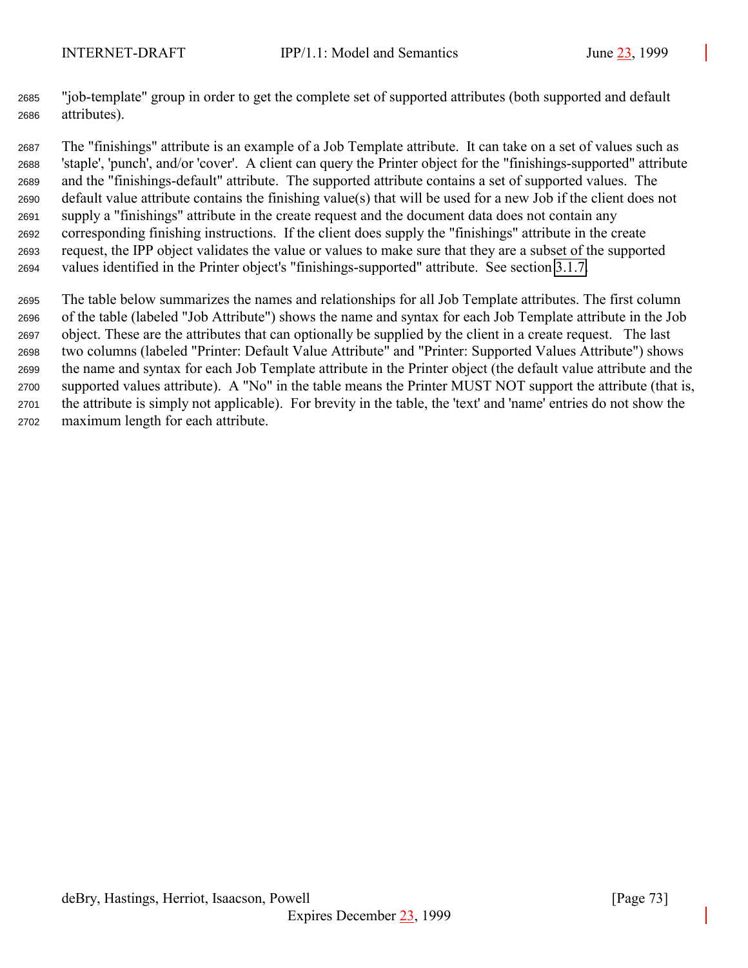"job-template" group in order to get the complete set of supported attributes (both supported and default attributes).

 The "finishings" attribute is an example of a Job Template attribute. It can take on a set of values such as 'staple', 'punch', and/or 'cover'. A client can query the Printer object for the "finishings-supported" attribute and the "finishings-default" attribute. The supported attribute contains a set of supported values. The default value attribute contains the finishing value(s) that will be used for a new Job if the client does not supply a "finishings" attribute in the create request and the document data does not contain any corresponding finishing instructions. If the client does supply the "finishings" attribute in the create request, the IPP object validates the value or values to make sure that they are a subset of the supported values identified in the Printer object's "finishings-supported" attribute. See section [3.1.7.](#page-28-0)

 The table below summarizes the names and relationships for all Job Template attributes. The first column of the table (labeled "Job Attribute") shows the name and syntax for each Job Template attribute in the Job object. These are the attributes that can optionally be supplied by the client in a create request. The last two columns (labeled "Printer: Default Value Attribute" and "Printer: Supported Values Attribute") shows the name and syntax for each Job Template attribute in the Printer object (the default value attribute and the supported values attribute). A "No" in the table means the Printer MUST NOT support the attribute (that is, the attribute is simply not applicable). For brevity in the table, the 'text' and 'name' entries do not show the maximum length for each attribute.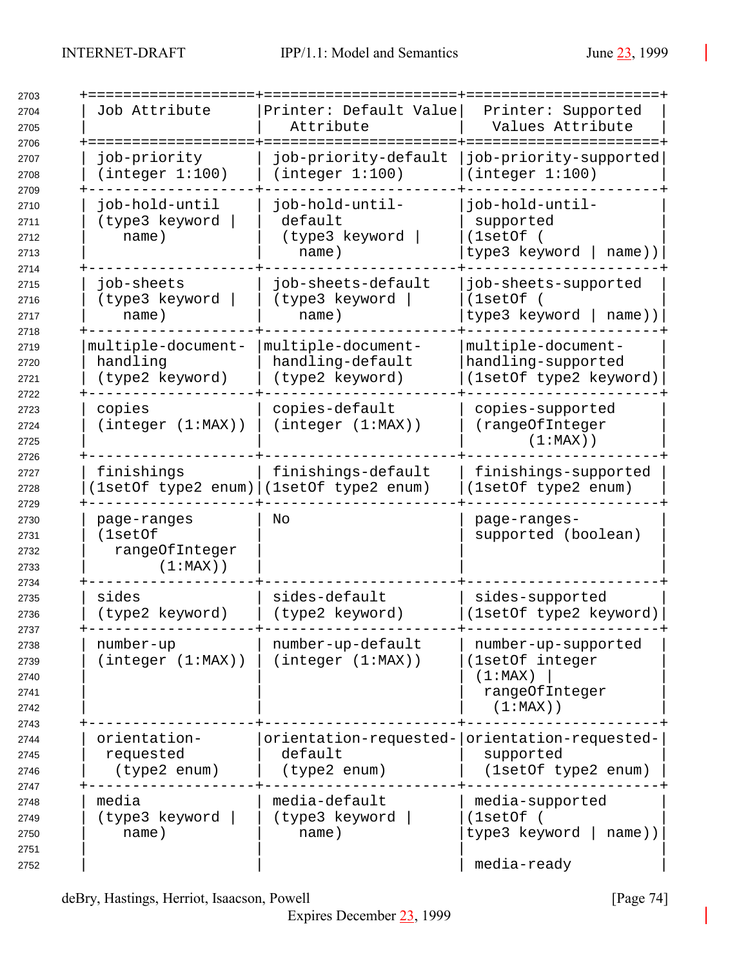| Job Attribute                                           | Printer: Default Value<br>Attribute                                      | Printer: Supported<br>Values Attribute                                             |
|---------------------------------------------------------|--------------------------------------------------------------------------|------------------------------------------------------------------------------------|
| job-priority<br>(integer 1:100)                         | job-priority-default<br>(integer 1:100)                                  | job-priority-supported<br>(integer 1:100)                                          |
| job-hold-until<br>(type3 keyword<br>name)               | job-hold-until-<br>default<br>(type3 keyword<br>name)                    | job-hold-until-<br>supported<br>(1setOf)<br>type3 keyword<br>$name)$ )             |
| job-sheets<br>(type3 keyword<br>name)                   | job-sheets-default<br>(type3 keyword<br>name)                            | job-sheets-supported<br>(1setOf)<br>type3 keyword  <br>name))                      |
| multiple-document-<br>handling<br>(type2 keyword)       | multiple-document-<br>handling-default<br>(type2 keyword)                | multiple-document-<br>handling-supported<br>(1setOf type2 keyword)                 |
| copies<br>(integer (1:MAX))                             | copies-default<br>(integer (1:MAX))                                      | copies-supported<br>(rangeOfInteger<br>$(1:MAX)$ )                                 |
| finishings                                              | finishings-default<br>1setOf type2 enum) (1setOf type2 enum)             | finishings-supported<br>(1setOf type2 enum)                                        |
| page-ranges<br>(1setOf<br>rangeOfInteger<br>$(1:MAX)$ ) | No                                                                       | page-ranges-<br>supported (boolean)                                                |
| sides<br>(type2 keyword)                                | sides-default<br>(type2 keyword)                                         | sides-supported<br>(1setOf type2 keyword)                                          |
| number-up<br>(integer (1:MAX))                          | number-up-default<br>(integer (1:MAX))                                   | number-up-supported<br>(1setOf integer<br>(1:MAX)<br>rangeOfInteger<br>$(1:MAX)$ ) |
| orientation-<br>requested<br>(type2 enum)               | orientation-requested- orientation-requested-<br>default<br>(type2 enum) | supported<br>(1setOf type2 enum)                                                   |
| media<br>(type3 keyword<br>name)                        | media-default<br>(type3 keyword<br>name)                                 | media-supported<br>(1setOf)<br>type3 keyword<br>$name)$ )<br>media-ready           |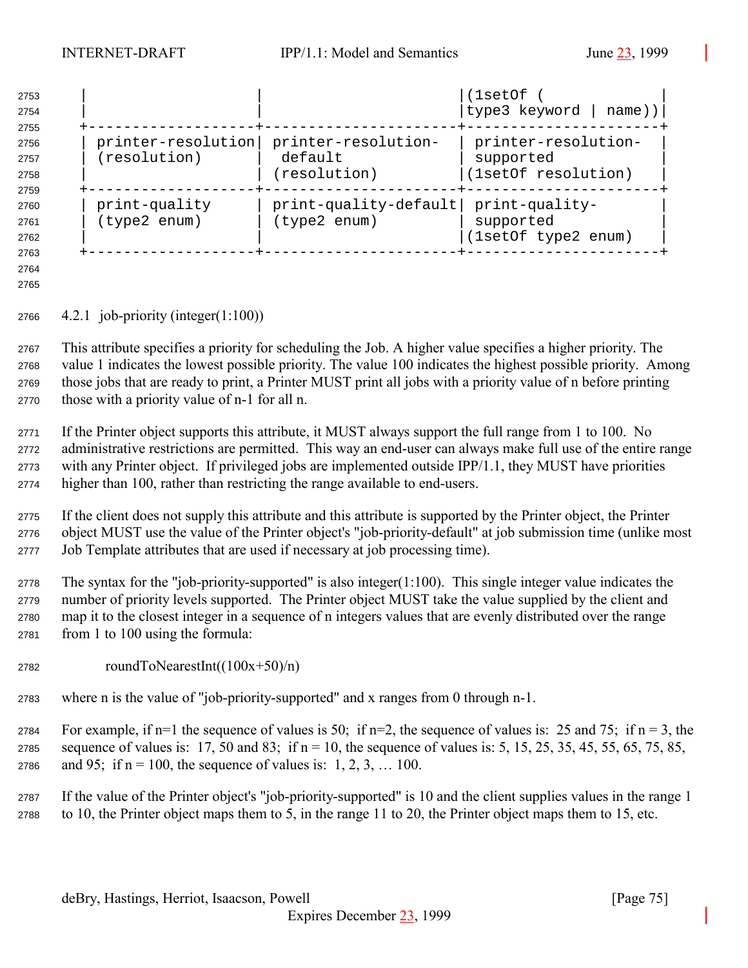| 2753<br>2754<br>2755 |                    |                         | (1setOf<br> type3 keyword  <br>name)) |
|----------------------|--------------------|-------------------------|---------------------------------------|
| 2756                 | printer-resolution | printer-resolution-     | printer-resolution-                   |
|                      |                    |                         |                                       |
| 2757                 | (resolution)       | default                 | supported                             |
| 2758                 |                    | (resolution)            | (1setOf resolution)                   |
| 2759                 |                    |                         |                                       |
| 2760                 | print-quality      | $print-quality-default$ | print-quality-                        |
| 2761                 | (type2 enum)       | (type2 enum)            | supported                             |
| 2762                 |                    |                         | (1setOf type2 enum)                   |
| 2763                 |                    |                         |                                       |

 

4.2.1 job-priority (integer(1:100))

 This attribute specifies a priority for scheduling the Job. A higher value specifies a higher priority. The value 1 indicates the lowest possible priority. The value 100 indicates the highest possible priority. Among those jobs that are ready to print, a Printer MUST print all jobs with a priority value of n before printing those with a priority value of n-1 for all n.

 If the Printer object supports this attribute, it MUST always support the full range from 1 to 100. No administrative restrictions are permitted. This way an end-user can always make full use of the entire range with any Printer object. If privileged jobs are implemented outside IPP/1.1, they MUST have priorities higher than 100, rather than restricting the range available to end-users.

 If the client does not supply this attribute and this attribute is supported by the Printer object, the Printer object MUST use the value of the Printer object's "job-priority-default" at job submission time (unlike most Job Template attributes that are used if necessary at job processing time).

 The syntax for the "job-priority-supported" is also integer(1:100). This single integer value indicates the number of priority levels supported. The Printer object MUST take the value supplied by the client and map it to the closest integer in a sequence of n integers values that are evenly distributed over the range from 1 to 100 using the formula:

- roundToNearestInt( $(100x+50)/n$ )
- where n is the value of "job-priority-supported" and x ranges from 0 through n-1.
- 2784 For example, if n=1 the sequence of values is 50; if n=2, the sequence of values is: 25 and 75; if n = 3, the 2785 sequence of values is: 17, 50 and 83; if  $n = 10$ , the sequence of values is: 5, 15, 25, 35, 45, 55, 65, 75, 85, 2786 and 95; if  $n = 100$ , the sequence of values is: 1, 2, 3, ... 100.

 If the value of the Printer object's "job-priority-supported" is 10 and the client supplies values in the range 1 to 10, the Printer object maps them to 5, in the range 11 to 20, the Printer object maps them to 15, etc.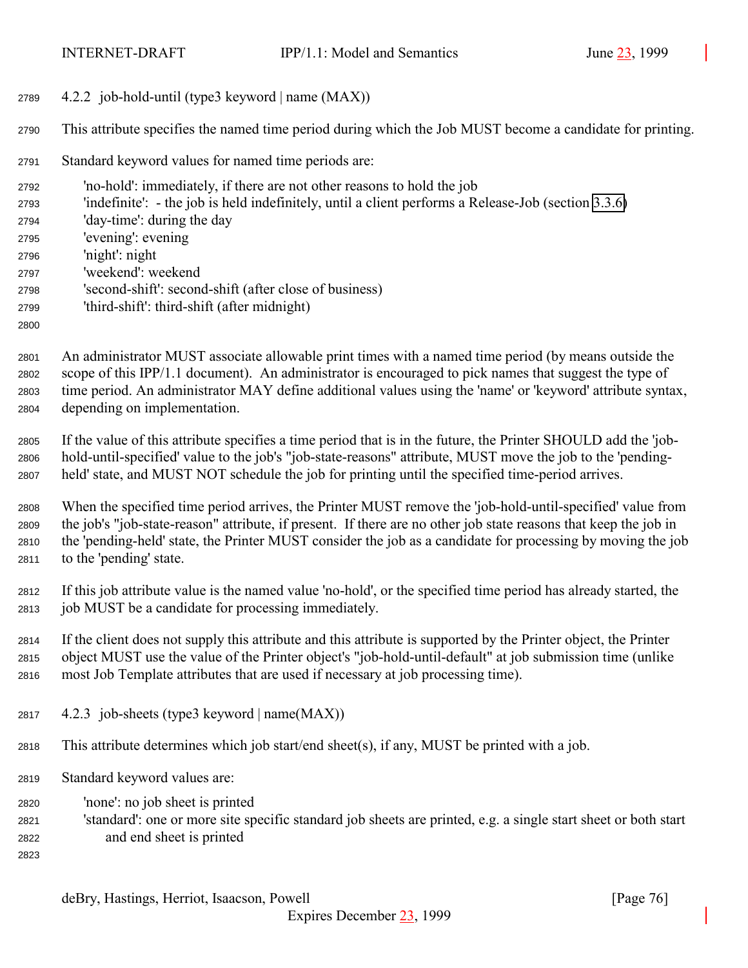4.2.2 job-hold-until (type3 keyword | name (MAX))

This attribute specifies the named time period during which the Job MUST become a candidate for printing.

Standard keyword values for named time periods are:

 'no-hold': immediately, if there are not other reasons to hold the job 'indefinite': - the job is held indefinitely, until a client performs a Release-Job (section [3.3.6\)](#page-58-0) 'day-time': during the day 'evening': evening 'night': night 'weekend': weekend 'second-shift': second-shift (after close of business) 'third-shift': third-shift (after midnight) 

 An administrator MUST associate allowable print times with a named time period (by means outside the scope of this IPP/1.1 document). An administrator is encouraged to pick names that suggest the type of time period. An administrator MAY define additional values using the 'name' or 'keyword' attribute syntax, depending on implementation.

 If the value of this attribute specifies a time period that is in the future, the Printer SHOULD add the 'job- hold-until-specified' value to the job's "job-state-reasons" attribute, MUST move the job to the 'pending-held' state, and MUST NOT schedule the job for printing until the specified time-period arrives.

 When the specified time period arrives, the Printer MUST remove the 'job-hold-until-specified' value from the job's "job-state-reason" attribute, if present. If there are no other job state reasons that keep the job in the 'pending-held' state, the Printer MUST consider the job as a candidate for processing by moving the job to the 'pending' state.

 If this job attribute value is the named value 'no-hold', or the specified time period has already started, the job MUST be a candidate for processing immediately.

 If the client does not supply this attribute and this attribute is supported by the Printer object, the Printer object MUST use the value of the Printer object's "job-hold-until-default" at job submission time (unlike most Job Template attributes that are used if necessary at job processing time).

- 2817  $4.2.3$  job-sheets (type3 keyword | name $(MAX)$ )
- This attribute determines which job start/end sheet(s), if any, MUST be printed with a job.
- Standard keyword values are:
- 'none': no job sheet is printed
- 'standard': one or more site specific standard job sheets are printed, e.g. a single start sheet or both start and end sheet is printed
- 

deBry, Hastings, Herriot, Isaacson, Powell [Page 76]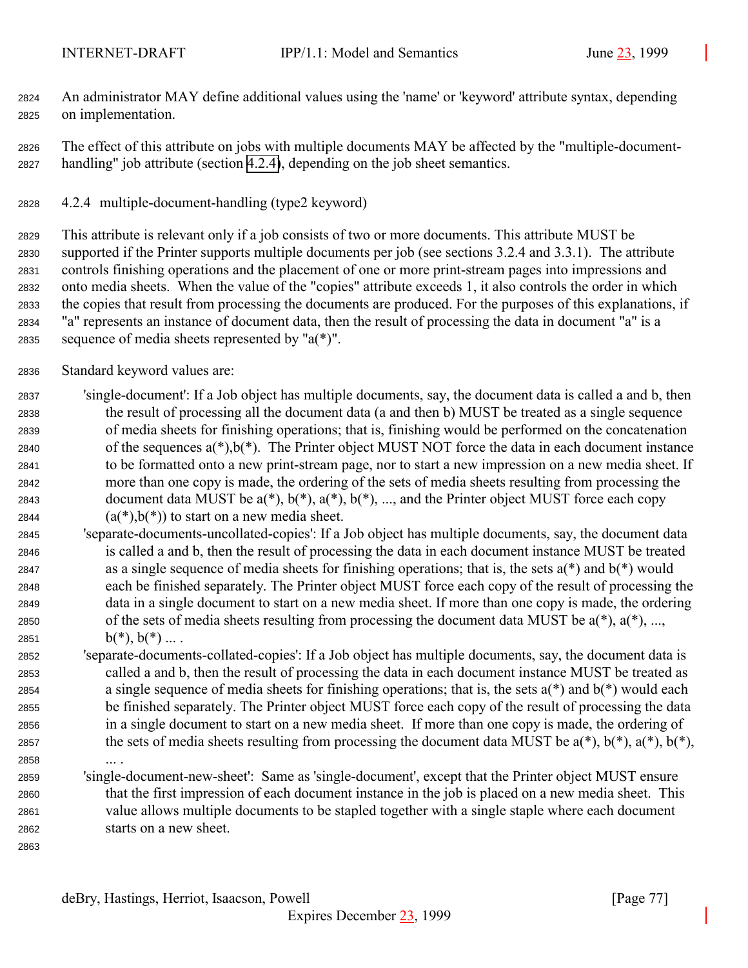<span id="page-76-0"></span> An administrator MAY define additional values using the 'name' or 'keyword' attribute syntax, depending on implementation.

 The effect of this attribute on jobs with multiple documents MAY be affected by the "multiple-document-handling" job attribute (section 4.2.4), depending on the job sheet semantics.

4.2.4 multiple-document-handling (type2 keyword)

 This attribute is relevant only if a job consists of two or more documents. This attribute MUST be supported if the Printer supports multiple documents per job (see sections 3.2.4 and 3.3.1). The attribute controls finishing operations and the placement of one or more print-stream pages into impressions and onto media sheets. When the value of the "copies" attribute exceeds 1, it also controls the order in which the copies that result from processing the documents are produced. For the purposes of this explanations, if "a" represents an instance of document data, then the result of processing the data in document "a" is a 2835 sequence of media sheets represented by " $a(*)$ ".

Standard keyword values are:

 'single-document': If a Job object has multiple documents, say, the document data is called a and b, then the result of processing all the document data (a and then b) MUST be treated as a single sequence of media sheets for finishing operations; that is, finishing would be performed on the concatenation 2840 of the sequences  $a(*)$ ,  $b(*)$ . The Printer object MUST NOT force the data in each document instance to be formatted onto a new print-stream page, nor to start a new impression on a new media sheet. If more than one copy is made, the ordering of the sets of media sheets resulting from processing the 2843 document data MUST be  $a(*)$ ,  $b(*)$ ,  $a(*)$ ,  $b(*)$ , ..., and the Printer object MUST force each copy  $(a(*)$ ,  $b(*)$ ) to start on a new media sheet.

- 'separate-documents-uncollated-copies': If a Job object has multiple documents, say, the document data is called a and b, then the result of processing the data in each document instance MUST be treated 2847 as a single sequence of media sheets for finishing operations; that is, the sets  $a(*)$  and  $b(*)$  would each be finished separately. The Printer object MUST force each copy of the result of processing the data in a single document to start on a new media sheet. If more than one copy is made, the ordering 2850 of the sets of media sheets resulting from processing the document data MUST be  $a(*)$ ,  $a(*)$ , ..., 2851  $b(*)$ ,  $b(*)$  ....
- 'separate-documents-collated-copies': If a Job object has multiple documents, say, the document data is called a and b, then the result of processing the data in each document instance MUST be treated as a single sequence of media sheets for finishing operations; that is, the sets a(\*) and b(\*) would each be finished separately. The Printer object MUST force each copy of the result of processing the data in a single document to start on a new media sheet. If more than one copy is made, the ordering of 2857 the sets of media sheets resulting from processing the document data MUST be  $a(*)$ ,  $b(*)$ ,  $a(*)$ ,  $b(*)$ ,  $b(*)$ ,
- ... .

 'single-document-new-sheet': Same as 'single-document', except that the Printer object MUST ensure that the first impression of each document instance in the job is placed on a new media sheet. This value allows multiple documents to be stapled together with a single staple where each document starts on a new sheet.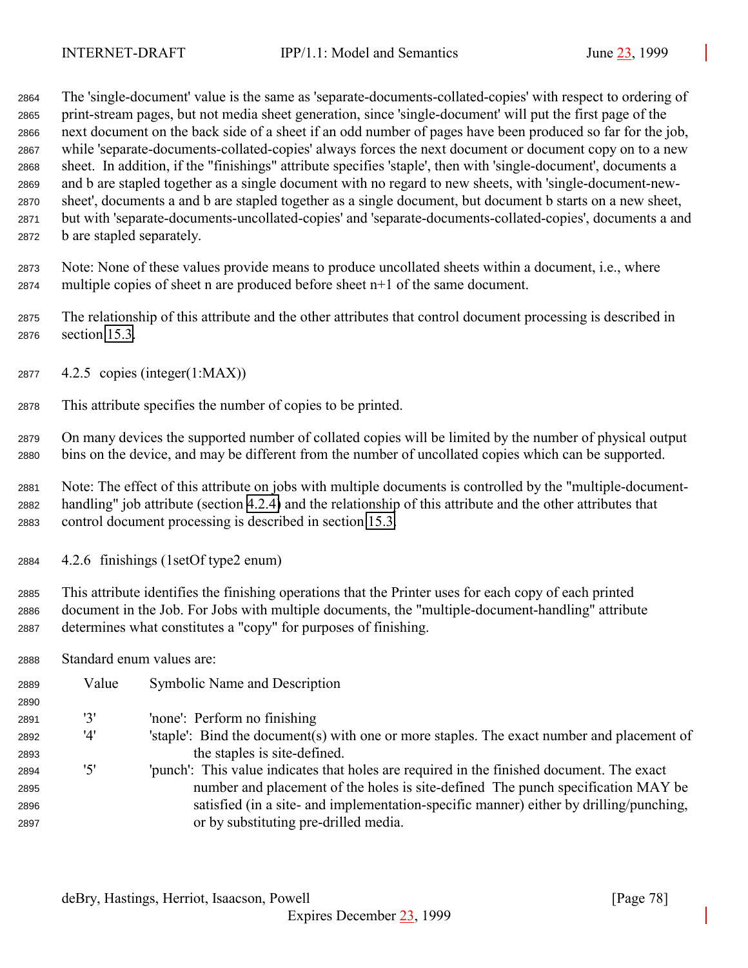The 'single-document' value is the same as 'separate-documents-collated-copies' with respect to ordering of print-stream pages, but not media sheet generation, since 'single-document' will put the first page of the next document on the back side of a sheet if an odd number of pages have been produced so far for the job, while 'separate-documents-collated-copies' always forces the next document or document copy on to a new sheet. In addition, if the "finishings" attribute specifies 'staple', then with 'single-document', documents a and b are stapled together as a single document with no regard to new sheets, with 'single-document-new- sheet', documents a and b are stapled together as a single document, but document b starts on a new sheet, but with 'separate-documents-uncollated-copies' and 'separate-documents-collated-copies', documents a and b are stapled separately.

 Note: None of these values provide means to produce uncollated sheets within a document, i.e., where multiple copies of sheet n are produced before sheet n+1 of the same document.

 The relationship of this attribute and the other attributes that control document processing is described in section [15.3.](#page-157-0)

- 4.2.5 copies (integer(1:MAX))
- This attribute specifies the number of copies to be printed.

 On many devices the supported number of collated copies will be limited by the number of physical output bins on the device, and may be different from the number of uncollated copies which can be supported.

 Note: The effect of this attribute on jobs with multiple documents is controlled by the "multiple-document- handling" job attribute (section [4.2.4\)](#page-76-0) and the relationship of this attribute and the other attributes that control document processing is described in section [15.3.](#page-157-0)

4.2.6 finishings (1setOf type2 enum)

 This attribute identifies the finishing operations that the Printer uses for each copy of each printed document in the Job. For Jobs with multiple documents, the "multiple-document-handling" attribute determines what constitutes a "copy" for purposes of finishing.

Standard enum values are:

| 2889 | Value | Symbolic Name and Description                                                              |
|------|-------|--------------------------------------------------------------------------------------------|
| 2890 |       |                                                                                            |
| 2891 | '3'   | 'none': Perform no finishing                                                               |
| 2892 | '4'   | 'staple': Bind the document(s) with one or more staples. The exact number and placement of |
| 2893 |       | the staples is site-defined.                                                               |
| 2894 | '5'   | 'punch': This value indicates that holes are required in the finished document. The exact  |
| 2895 |       | number and placement of the holes is site-defined. The punch specification MAY be          |
| 2896 |       | satisfied (in a site- and implementation-specific manner) either by drilling/punching,     |
| 2897 |       | or by substituting pre-drilled media.                                                      |
|      |       |                                                                                            |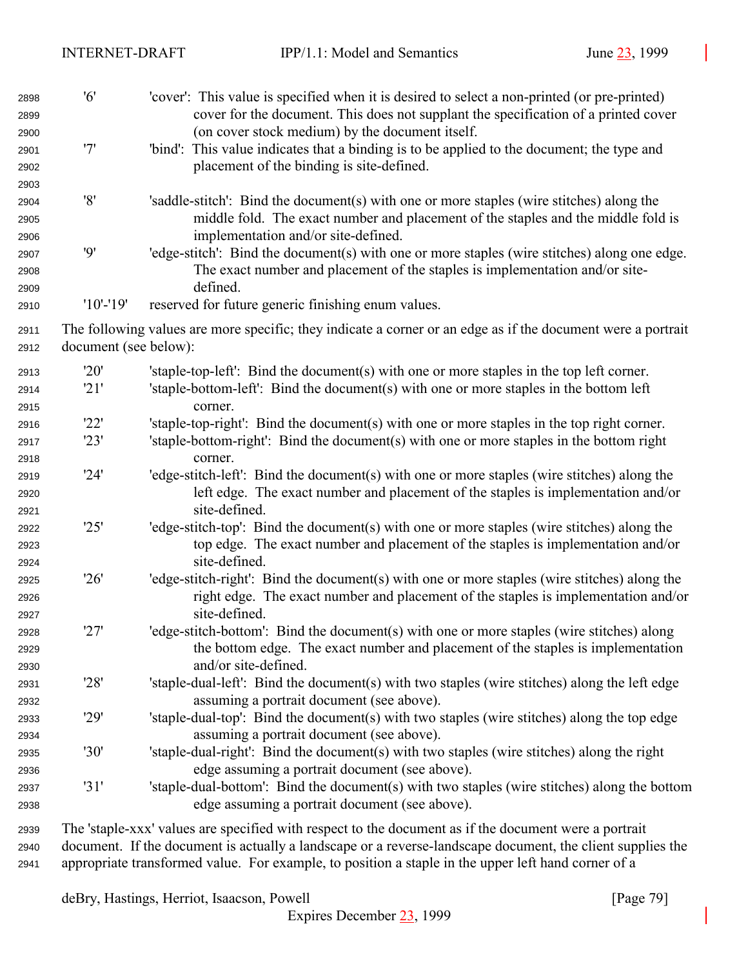| 2898<br>2899         | '6'                   | 'cover': This value is specified when it is desired to select a non-printed (or pre-printed)<br>cover for the document. This does not supplant the specification of a printed cover        |
|----------------------|-----------------------|--------------------------------------------------------------------------------------------------------------------------------------------------------------------------------------------|
| 2900<br>2901<br>2902 | '7'                   | (on cover stock medium) by the document itself.<br>'bind': This value indicates that a binding is to be applied to the document; the type and<br>placement of the binding is site-defined. |
| 2903                 |                       |                                                                                                                                                                                            |
| 2904                 | '8'                   | 'saddle-stitch': Bind the document(s) with one or more staples (wire stitches) along the                                                                                                   |
| 2905<br>2906         |                       | middle fold. The exact number and placement of the staples and the middle fold is<br>implementation and/or site-defined.                                                                   |
| 2907                 | 9'                    | 'edge-stitch': Bind the document(s) with one or more staples (wire stitches) along one edge.                                                                                               |
| 2908                 |                       | The exact number and placement of the staples is implementation and/or site-                                                                                                               |
| 2909                 |                       | defined.                                                                                                                                                                                   |
| 2910                 | $'10'$ -'19'          | reserved for future generic finishing enum values.                                                                                                                                         |
| 2911                 |                       | The following values are more specific; they indicate a corner or an edge as if the document were a portrait                                                                               |
| 2912                 | document (see below): |                                                                                                                                                                                            |
| 2913                 | '20'                  | 'staple-top-left': Bind the document(s) with one or more staples in the top left corner.                                                                                                   |
| 2914                 | '21'                  | 'staple-bottom-left': Bind the document(s) with one or more staples in the bottom left                                                                                                     |
| 2915                 |                       | corner.                                                                                                                                                                                    |
| 2916                 | '22'                  | 'staple-top-right': Bind the document(s) with one or more staples in the top right corner.                                                                                                 |
| 2917                 | '23'                  | 'staple-bottom-right': Bind the document(s) with one or more staples in the bottom right                                                                                                   |
| 2918                 |                       | corner.                                                                                                                                                                                    |
| 2919                 | '24'                  | 'edge-stitch-left': Bind the document(s) with one or more staples (wire stitches) along the                                                                                                |
| 2920                 |                       | left edge. The exact number and placement of the staples is implementation and/or                                                                                                          |
| 2921                 |                       | site-defined.                                                                                                                                                                              |
| 2922                 | '25'                  | 'edge-stitch-top': Bind the document(s) with one or more staples (wire stitches) along the                                                                                                 |
| 2923                 |                       | top edge. The exact number and placement of the staples is implementation and/or                                                                                                           |
| 2924                 |                       | site-defined.                                                                                                                                                                              |
| 2925                 | '26'                  | 'edge-stitch-right': Bind the document(s) with one or more staples (wire stitches) along the                                                                                               |
| 2926                 |                       | right edge. The exact number and placement of the staples is implementation and/or                                                                                                         |
| 2927                 |                       | site-defined.                                                                                                                                                                              |
| 2928                 | '27'                  | 'edge-stitch-bottom': Bind the document(s) with one or more staples (wire stitches) along                                                                                                  |
| 2929                 |                       | the bottom edge. The exact number and placement of the staples is implementation                                                                                                           |
| 2930                 |                       | and/or site-defined.                                                                                                                                                                       |
| 2931                 | '28'                  | 'staple-dual-left': Bind the document(s) with two staples (wire stitches) along the left edge                                                                                              |
| 2932                 |                       | assuming a portrait document (see above).                                                                                                                                                  |
| 2933                 | '29'                  | 'staple-dual-top': Bind the document(s) with two staples (wire stitches) along the top edge                                                                                                |
| 2934                 |                       | assuming a portrait document (see above).                                                                                                                                                  |
| 2935                 | '30'                  | 'staple-dual-right': Bind the document(s) with two staples (wire stitches) along the right                                                                                                 |
| 2936                 | '31'                  | edge assuming a portrait document (see above).<br>'staple-dual-bottom': Bind the document(s) with two staples (wire stitches) along the bottom                                             |
| 2937<br>2938         |                       | edge assuming a portrait document (see above).                                                                                                                                             |
|                      |                       |                                                                                                                                                                                            |
| 2939                 |                       | The 'staple-xxx' values are specified with respect to the document as if the document were a portrait                                                                                      |

 document. If the document is actually a landscape or a reverse-landscape document, the client supplies the appropriate transformed value. For example, to position a staple in the upper left hand corner of a

deBry, Hastings, Herriot, Isaacson, Powell [Page 79]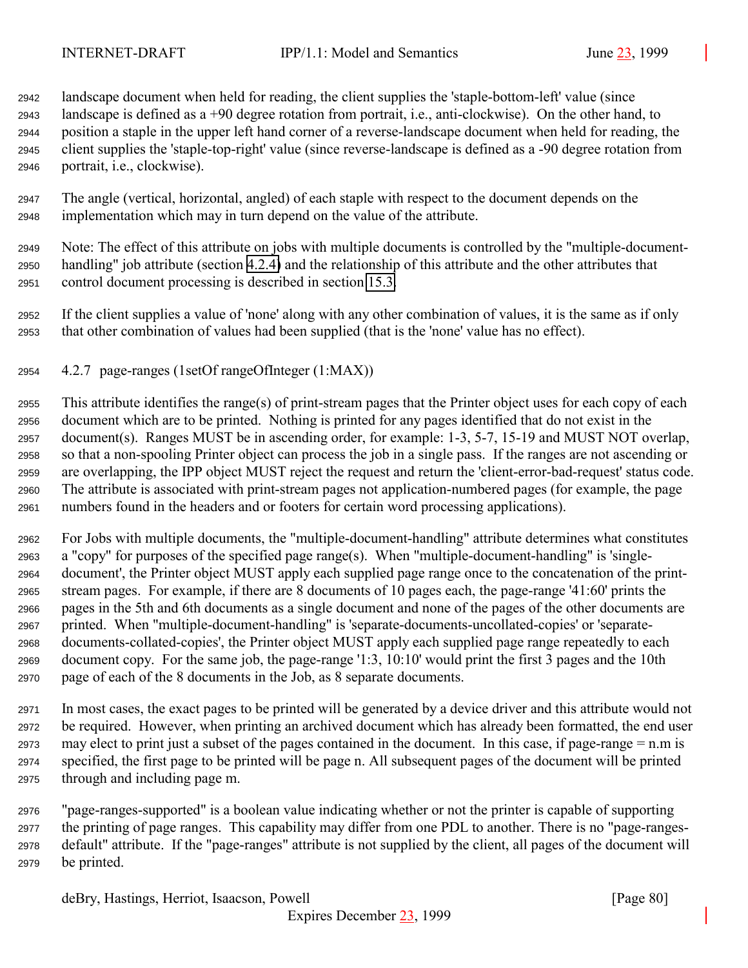landscape document when held for reading, the client supplies the 'staple-bottom-left' value (since landscape is defined as a +90 degree rotation from portrait, i.e., anti-clockwise). On the other hand, to position a staple in the upper left hand corner of a reverse-landscape document when held for reading, the client supplies the 'staple-top-right' value (since reverse-landscape is defined as a -90 degree rotation from portrait, i.e., clockwise).

 The angle (vertical, horizontal, angled) of each staple with respect to the document depends on the implementation which may in turn depend on the value of the attribute.

 Note: The effect of this attribute on jobs with multiple documents is controlled by the "multiple-document- handling" job attribute (section [4.2.4\)](#page-76-0) and the relationship of this attribute and the other attributes that control document processing is described in section [15.3.](#page-157-0)

 If the client supplies a value of 'none' along with any other combination of values, it is the same as if only that other combination of values had been supplied (that is the 'none' value has no effect).

4.2.7 page-ranges (1setOf rangeOfInteger (1:MAX))

 This attribute identifies the range(s) of print-stream pages that the Printer object uses for each copy of each document which are to be printed. Nothing is printed for any pages identified that do not exist in the document(s). Ranges MUST be in ascending order, for example: 1-3, 5-7, 15-19 and MUST NOT overlap, so that a non-spooling Printer object can process the job in a single pass. If the ranges are not ascending or are overlapping, the IPP object MUST reject the request and return the 'client-error-bad-request' status code. The attribute is associated with print-stream pages not application-numbered pages (for example, the page numbers found in the headers and or footers for certain word processing applications).

 For Jobs with multiple documents, the "multiple-document-handling" attribute determines what constitutes a "copy" for purposes of the specified page range(s). When "multiple-document-handling" is 'single- document', the Printer object MUST apply each supplied page range once to the concatenation of the print- stream pages. For example, if there are 8 documents of 10 pages each, the page-range '41:60' prints the pages in the 5th and 6th documents as a single document and none of the pages of the other documents are printed. When "multiple-document-handling" is 'separate-documents-uncollated-copies' or 'separate- documents-collated-copies', the Printer object MUST apply each supplied page range repeatedly to each document copy. For the same job, the page-range '1:3, 10:10' would print the first 3 pages and the 10th page of each of the 8 documents in the Job, as 8 separate documents.

 In most cases, the exact pages to be printed will be generated by a device driver and this attribute would not be required. However, when printing an archived document which has already been formatted, the end user may elect to print just a subset of the pages contained in the document. In this case, if page-range = n.m is specified, the first page to be printed will be page n. All subsequent pages of the document will be printed through and including page m.

 "page-ranges-supported" is a boolean value indicating whether or not the printer is capable of supporting the printing of page ranges. This capability may differ from one PDL to another. There is no "page-ranges- default" attribute. If the "page-ranges" attribute is not supplied by the client, all pages of the document will be printed.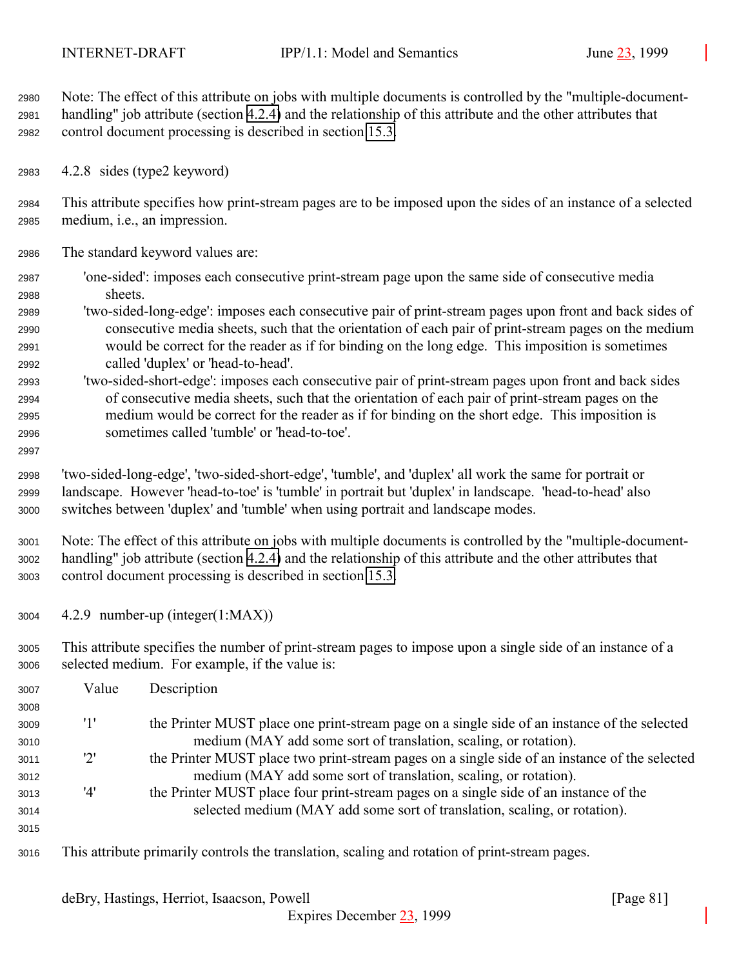Note: The effect of this attribute on jobs with multiple documents is controlled by the "multiple-document- handling" job attribute (section [4.2.4\)](#page-76-0) and the relationship of this attribute and the other attributes that control document processing is described in section [15.3.](#page-157-0)

4.2.8 sides (type2 keyword)

 This attribute specifies how print-stream pages are to be imposed upon the sides of an instance of a selected medium, i.e., an impression.

- The standard keyword values are:
- 'one-sided': imposes each consecutive print-stream page upon the same side of consecutive media sheets.
- 'two-sided-long-edge': imposes each consecutive pair of print-stream pages upon front and back sides of consecutive media sheets, such that the orientation of each pair of print-stream pages on the medium would be correct for the reader as if for binding on the long edge. This imposition is sometimes called 'duplex' or 'head-to-head'.
- 'two-sided-short-edge': imposes each consecutive pair of print-stream pages upon front and back sides of consecutive media sheets, such that the orientation of each pair of print-stream pages on the medium would be correct for the reader as if for binding on the short edge. This imposition is sometimes called 'tumble' or 'head-to-toe'.
- 

 'two-sided-long-edge', 'two-sided-short-edge', 'tumble', and 'duplex' all work the same for portrait or landscape. However 'head-to-toe' is 'tumble' in portrait but 'duplex' in landscape. 'head-to-head' also switches between 'duplex' and 'tumble' when using portrait and landscape modes.

 Note: The effect of this attribute on jobs with multiple documents is controlled by the "multiple-document- handling" job attribute (section [4.2.4\)](#page-76-0) and the relationship of this attribute and the other attributes that control document processing is described in section [15.3.](#page-157-0)

4.2.9 number-up (integer(1:MAX))

 This attribute specifies the number of print-stream pages to impose upon a single side of an instance of a selected medium. For example, if the value is:

| 3007 | Value | Description                                                                                    |
|------|-------|------------------------------------------------------------------------------------------------|
| 3008 |       |                                                                                                |
| 3009 | '1'   | the Printer MUST place one print-stream page on a single side of an instance of the selected   |
| 3010 |       | medium (MAY add some sort of translation, scaling, or rotation).                               |
| 3011 | '2'   | the Printer MUST place two print-stream pages on a single side of an instance of the selected  |
| 3012 |       | medium (MAY add some sort of translation, scaling, or rotation).                               |
| 3013 | '4'   | the Printer MUST place four print-stream pages on a single side of an instance of the          |
| 3014 |       | selected medium (MAY add some sort of translation, scaling, or rotation).                      |
| 3015 |       |                                                                                                |
| 3016 |       | This attribute primarily controls the translation, scaling and rotation of print-stream pages. |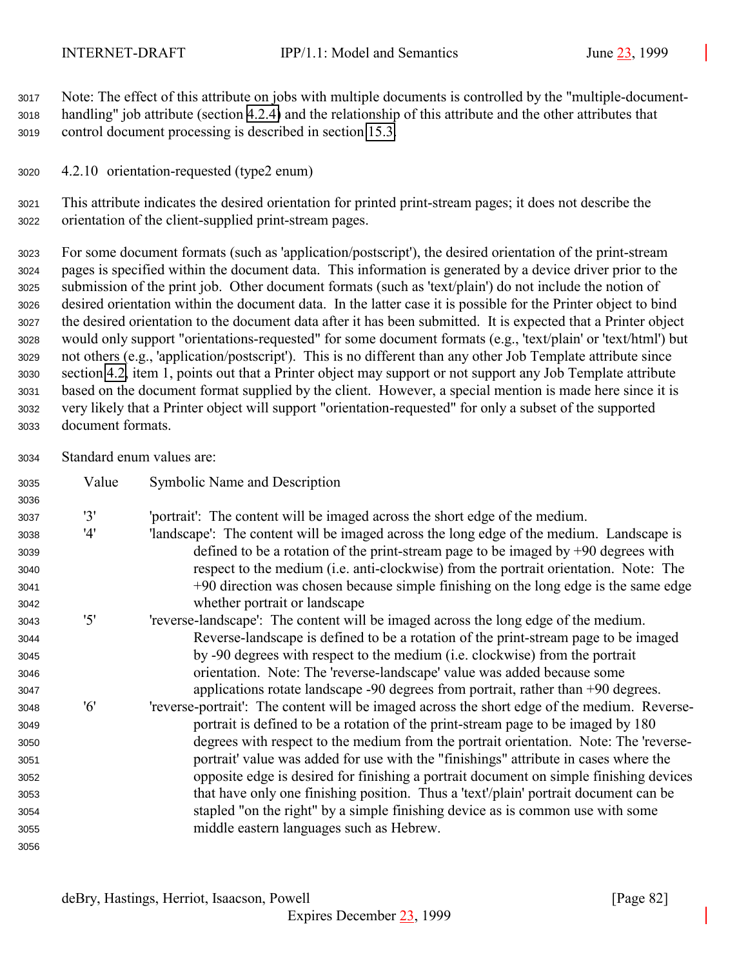Note: The effect of this attribute on jobs with multiple documents is controlled by the "multiple-document- handling" job attribute (section [4.2.4\)](#page-76-0) and the relationship of this attribute and the other attributes that control document processing is described in section [15.3.](#page-157-0)

4.2.10 orientation-requested (type2 enum)

 This attribute indicates the desired orientation for printed print-stream pages; it does not describe the orientation of the client-supplied print-stream pages.

 For some document formats (such as 'application/postscript'), the desired orientation of the print-stream pages is specified within the document data. This information is generated by a device driver prior to the submission of the print job. Other document formats (such as 'text/plain') do not include the notion of desired orientation within the document data. In the latter case it is possible for the Printer object to bind the desired orientation to the document data after it has been submitted. It is expected that a Printer object would only support "orientations-requested" for some document formats (e.g., 'text/plain' or 'text/html') but not others (e.g., 'application/postscript'). This is no different than any other Job Template attribute since section [4.2,](#page-71-0) item 1, points out that a Printer object may support or not support any Job Template attribute based on the document format supplied by the client. However, a special mention is made here since it is very likely that a Printer object will support "orientation-requested" for only a subset of the supported document formats.

Standard enum values are:

| 3035 | Value | Symbolic Name and Description                                                                |
|------|-------|----------------------------------------------------------------------------------------------|
| 3036 |       |                                                                                              |
| 3037 | '3'   | 'portrait': The content will be imaged across the short edge of the medium.                  |
| 3038 | '4'   | 'landscape': The content will be imaged across the long edge of the medium. Landscape is     |
| 3039 |       | defined to be a rotation of the print-stream page to be imaged by $+90$ degrees with         |
| 3040 |       | respect to the medium (i.e. anti-clockwise) from the portrait orientation. Note: The         |
| 3041 |       | +90 direction was chosen because simple finishing on the long edge is the same edge          |
| 3042 |       | whether portrait or landscape                                                                |
| 3043 | '5'   | 'reverse-landscape': The content will be imaged across the long edge of the medium.          |
| 3044 |       | Reverse-landscape is defined to be a rotation of the print-stream page to be imaged          |
| 3045 |       | by -90 degrees with respect to the medium (i.e. clockwise) from the portrait                 |
| 3046 |       | orientation. Note: The 'reverse-landscape' value was added because some                      |
| 3047 |       | applications rotate landscape $-90$ degrees from portrait, rather than $+90$ degrees.        |
| 3048 | '6'   | 'reverse-portrait': The content will be imaged across the short edge of the medium. Reverse- |
| 3049 |       | portrait is defined to be a rotation of the print-stream page to be imaged by 180            |
| 3050 |       | degrees with respect to the medium from the portrait orientation. Note: The 'reverse-        |
| 3051 |       | portrait' value was added for use with the "finishings" attribute in cases where the         |
| 3052 |       | opposite edge is desired for finishing a portrait document on simple finishing devices       |
| 3053 |       | that have only one finishing position. Thus a 'text'/plain' portrait document can be         |
| 3054 |       | stapled "on the right" by a simple finishing device as is common use with some               |
| 3055 |       | middle eastern languages such as Hebrew.                                                     |
| 3056 |       |                                                                                              |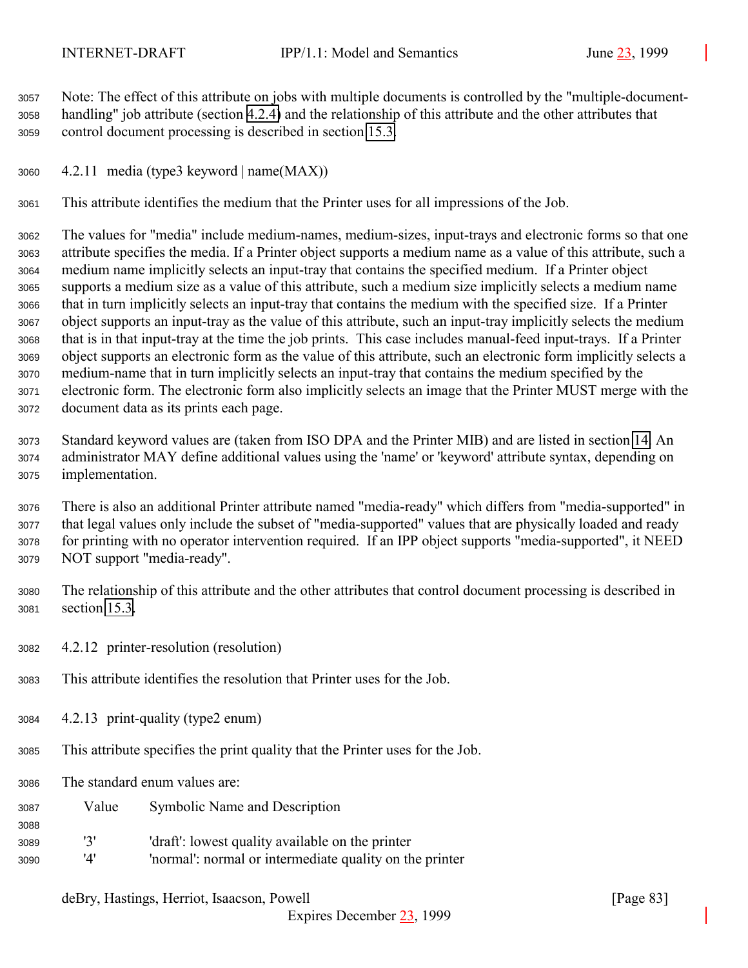Note: The effect of this attribute on jobs with multiple documents is controlled by the "multiple-document- handling" job attribute (section [4.2.4\)](#page-76-0) and the relationship of this attribute and the other attributes that control document processing is described in section [15.3.](#page-157-0)

4.2.11 media (type3 keyword | name(MAX))

This attribute identifies the medium that the Printer uses for all impressions of the Job.

 The values for "media" include medium-names, medium-sizes, input-trays and electronic forms so that one attribute specifies the media. If a Printer object supports a medium name as a value of this attribute, such a medium name implicitly selects an input-tray that contains the specified medium. If a Printer object supports a medium size as a value of this attribute, such a medium size implicitly selects a medium name that in turn implicitly selects an input-tray that contains the medium with the specified size. If a Printer object supports an input-tray as the value of this attribute, such an input-tray implicitly selects the medium that is in that input-tray at the time the job prints. This case includes manual-feed input-trays. If a Printer object supports an electronic form as the value of this attribute, such an electronic form implicitly selects a medium-name that in turn implicitly selects an input-tray that contains the medium specified by the electronic form. The electronic form also implicitly selects an image that the Printer MUST merge with the document data as its prints each page.

 Standard keyword values are (taken from ISO DPA and the Printer MIB) and are listed in section [14.](#page-151-0) An administrator MAY define additional values using the 'name' or 'keyword' attribute syntax, depending on implementation.

 There is also an additional Printer attribute named "media-ready" which differs from "media-supported" in that legal values only include the subset of "media-supported" values that are physically loaded and ready for printing with no operator intervention required. If an IPP object supports "media-supported", it NEED NOT support "media-ready".

- The relationship of this attribute and the other attributes that control document processing is described in section [15.3.](#page-157-0)
- 4.2.12 printer-resolution (resolution)
- This attribute identifies the resolution that Printer uses for the Job.
- 4.2.13 print-quality (type2 enum)
- This attribute specifies the print quality that the Printer uses for the Job.
- The standard enum values are:

- Value Symbolic Name and Description
- '3' 'draft': lowest quality available on the printer
- '4' 'normal': normal or intermediate quality on the printer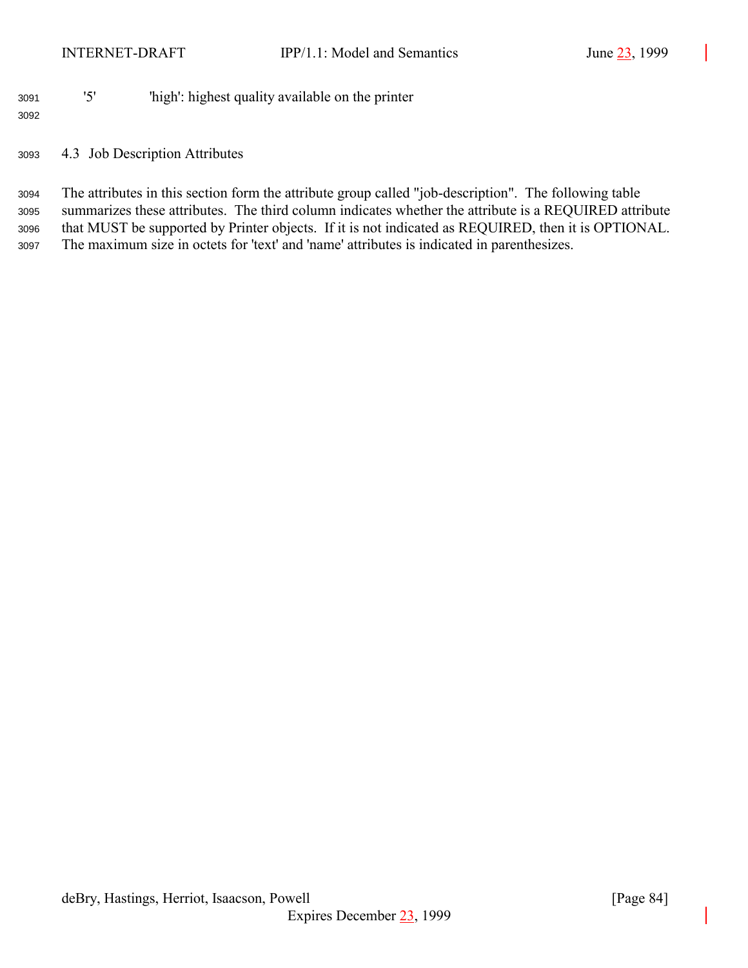## '5' 'high': highest quality available on the printer

## 4.3 Job Description Attributes

 The attributes in this section form the attribute group called "job-description". The following table summarizes these attributes. The third column indicates whether the attribute is a REQUIRED attribute that MUST be supported by Printer objects. If it is not indicated as REQUIRED, then it is OPTIONAL. The maximum size in octets for 'text' and 'name' attributes is indicated in parenthesizes.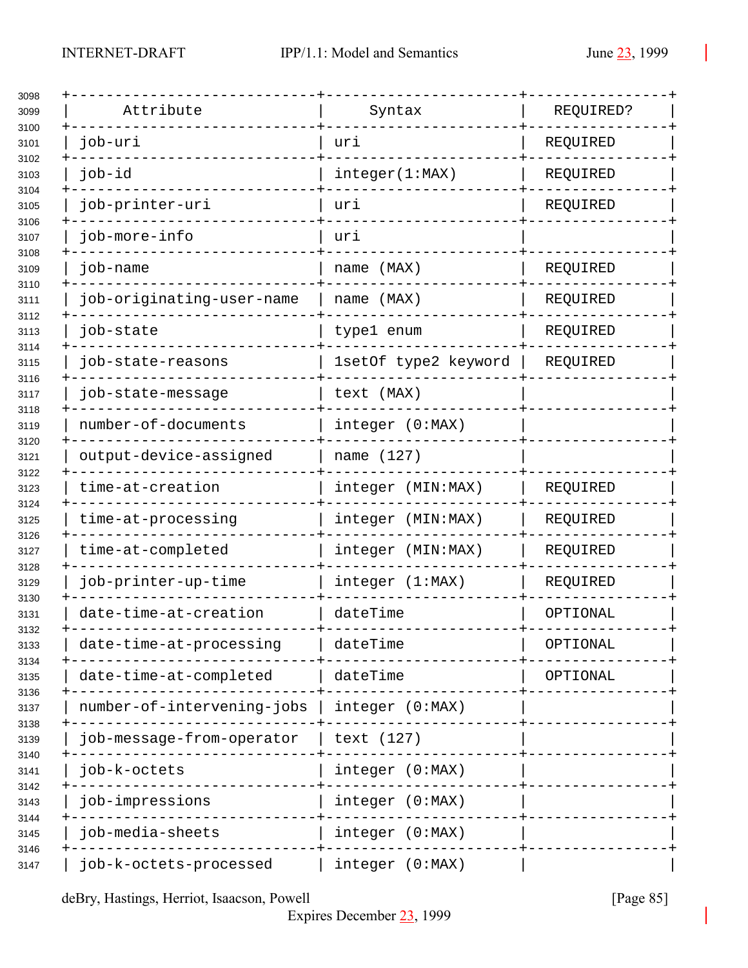| Attribute                  | Syntax               | REQUIRED? |
|----------------------------|----------------------|-----------|
| job-uri                    | uri                  | REQUIRED  |
| job-id                     | integer(1:MAX)       | REQUIRED  |
| job-printer-uri            | uri                  | REQUIRED  |
| job-more-info              | uri                  |           |
| job-name                   | name (MAX)           | REQUIRED  |
| job-originating-user-name  | name (MAX)           | REQUIRED  |
| job-state                  | type1 enum           | REQUIRED  |
| job-state-reasons          | 1setOf type2 keyword | REQUIRED  |
| job-state-message          | text (MAX)           |           |
| number-of-documents        | integer (0:MAX)      |           |
| output-device-assigned     | name (127)           |           |
| time-at-creation           | integer (MIN:MAX)    | REQUIRED  |
| time-at-processing         | integer (MIN:MAX)    | REQUIRED  |
| time-at-completed          | integer (MIN: MAX)   | REQUIRED  |
| job-printer-up-time        | integer (1:MAX)      | REQUIRED  |
| date-time-at-creation      | dateTime             | OPTIONAL  |
| date-time-at-processing    | dateTime             | OPTIONAL  |
| date-time-at-completed     | dateTime             | OPTIONAL  |
| number-of-intervening-jobs | integer (0:MAX)      |           |
| job-message-from-operator  | text (127)           |           |
| job-k-octets               | integer (0:MAX)      |           |
| job-impressions            | integer (0:MAX)      |           |
| job-media-sheets           | integer (0:MAX)      |           |
| job-k-octets-processed     | integer (0:MAX)      |           |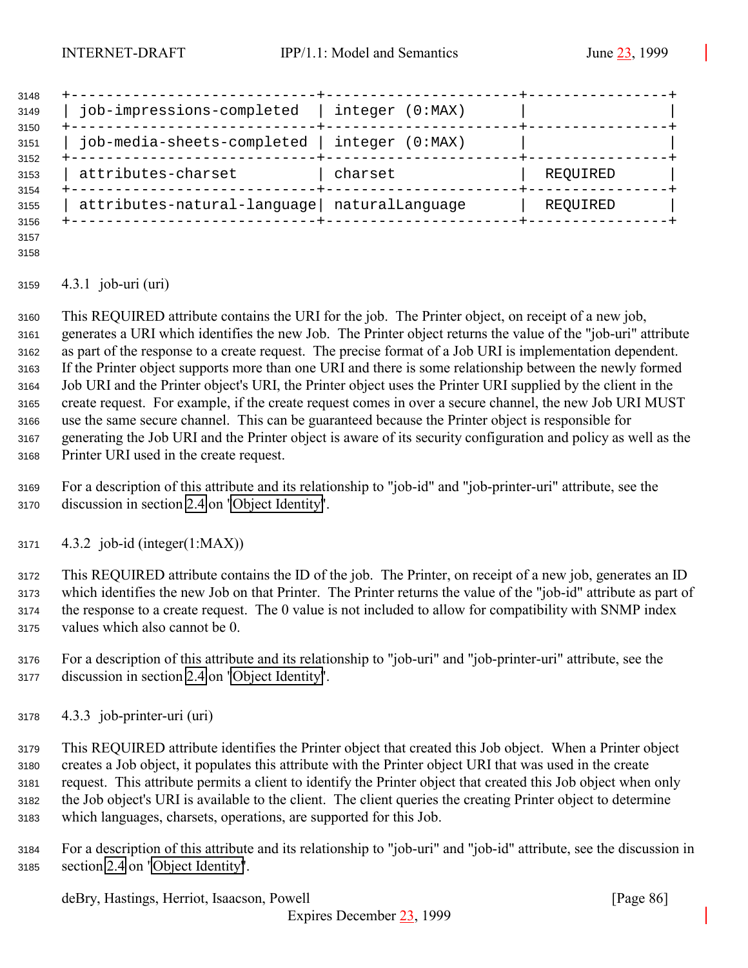| 3148         |                                             |                    |          |
|--------------|---------------------------------------------|--------------------|----------|
| 3149<br>3150 | job-impressions-completed                   | integer (0:MAX)    |          |
| 3151<br>3152 | job-media-sheets-completed                  | integer<br>(0:MAX) |          |
| 3153<br>3154 | attributes-charset                          | charset            | REQUIRED |
| 3155<br>3156 | attributes-natural-language naturalLanguage |                    | REQUIRED |
|              |                                             |                    |          |

 

## 4.3.1 job-uri (uri)

 This REQUIRED attribute contains the URI for the job. The Printer object, on receipt of a new job, generates a URI which identifies the new Job. The Printer object returns the value of the "job-uri" attribute as part of the response to a create request. The precise format of a Job URI is implementation dependent. If the Printer object supports more than one URI and there is some relationship between the newly formed Job URI and the Printer object's URI, the Printer object uses the Printer URI supplied by the client in the create request. For example, if the create request comes in over a secure channel, the new Job URI MUST use the same secure channel. This can be guaranteed because the Printer object is responsible for generating the Job URI and the Printer object is aware of its security configuration and policy as well as the Printer URI used in the create request.

 For a description of this attribute and its relationship to "job-id" and "job-printer-uri" attribute, see the discussion in section [2.4](#page-16-0) on ["Object Identity"](#page-16-0).

4.3.2 job-id (integer(1:MAX))

 This REQUIRED attribute contains the ID of the job. The Printer, on receipt of a new job, generates an ID which identifies the new Job on that Printer. The Printer returns the value of the "job-id" attribute as part of the response to a create request. The 0 value is not included to allow for compatibility with SNMP index values which also cannot be 0.

- For a description of this attribute and its relationship to "job-uri" and "job-printer-uri" attribute, see the discussion in section [2.4](#page-16-0) on ["Object Identity"](#page-16-0).
- 4.3.3 job-printer-uri (uri)

 This REQUIRED attribute identifies the Printer object that created this Job object. When a Printer object creates a Job object, it populates this attribute with the Printer object URI that was used in the create request. This attribute permits a client to identify the Printer object that created this Job object when only the Job object's URI is available to the client. The client queries the creating Printer object to determine which languages, charsets, operations, are supported for this Job.

 For a description of this attribute and its relationship to "job-uri" and "job-id" attribute, see the discussion in section [2.4](#page-16-0) on ["Object Identity"](#page-16-0).

deBry, Hastings, Herriot, Isaacson, Powell [Page 86]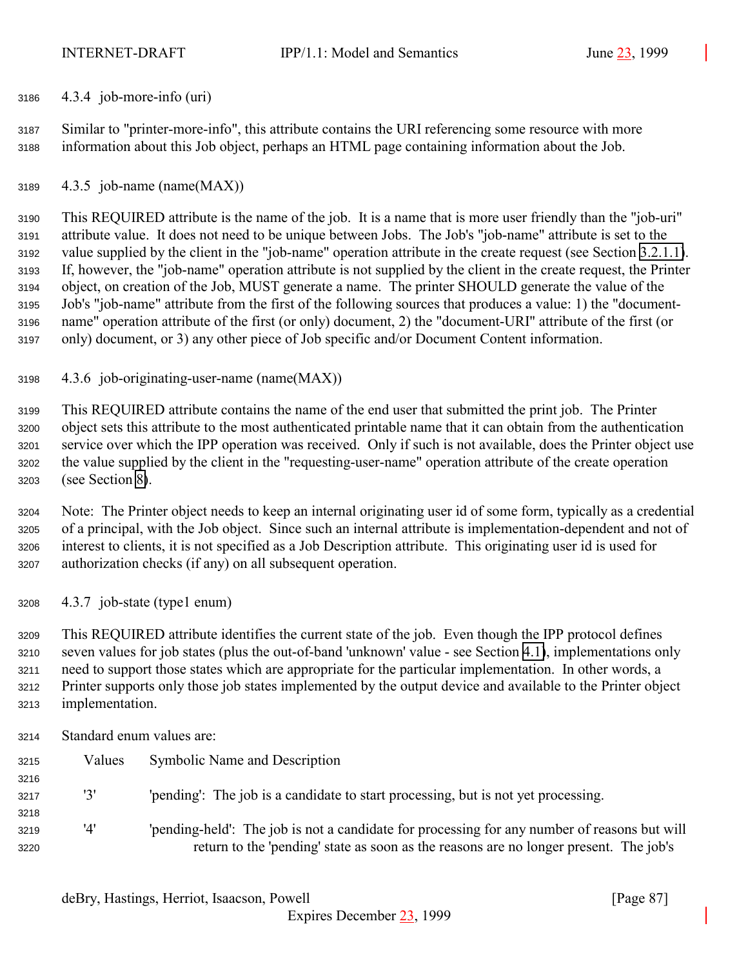4.3.4 job-more-info (uri)

 Similar to "printer-more-info", this attribute contains the URI referencing some resource with more information about this Job object, perhaps an HTML page containing information about the Job.

4.3.5 job-name (name(MAX))

 This REQUIRED attribute is the name of the job. It is a name that is more user friendly than the "job-uri" attribute value. It does not need to be unique between Jobs. The Job's "job-name" attribute is set to the value supplied by the client in the "job-name" operation attribute in the create request (see Section [3.2.1.1\)](#page-34-0). If, however, the "job-name" operation attribute is not supplied by the client in the create request, the Printer object, on creation of the Job, MUST generate a name. The printer SHOULD generate the value of the Job's "job-name" attribute from the first of the following sources that produces a value: 1) the "document- name" operation attribute of the first (or only) document, 2) the "document-URI" attribute of the first (or only) document, or 3) any other piece of Job specific and/or Document Content information.

4.3.6 job-originating-user-name (name(MAX))

 This REQUIRED attribute contains the name of the end user that submitted the print job. The Printer object sets this attribute to the most authenticated printable name that it can obtain from the authentication service over which the IPP operation was received. Only if such is not available, does the Printer object use the value supplied by the client in the "requesting-user-name" operation attribute of the create operation (see Section [8\)](#page-125-0).

 Note: The Printer object needs to keep an internal originating user id of some form, typically as a credential of a principal, with the Job object. Since such an internal attribute is implementation-dependent and not of interest to clients, it is not specified as a Job Description attribute. This originating user id is used for authorization checks (if any) on all subsequent operation.

4.3.7 job-state (type1 enum)

 This REQUIRED attribute identifies the current state of the job. Even though the IPP protocol defines seven values for job states (plus the out-of-band 'unknown' value - see Section [4.1\)](#page-61-0), implementations only need to support those states which are appropriate for the particular implementation. In other words, a Printer supports only those job states implemented by the output device and available to the Printer object implementation.

Standard enum values are:

| 3215 | Values | Symbolic Name and Description                                                                |
|------|--------|----------------------------------------------------------------------------------------------|
| 3216 |        |                                                                                              |
| 3217 | '3'    | 'pending': The job is a candidate to start processing, but is not yet processing.            |
| 3218 |        |                                                                                              |
| 3219 | '4'    | 'pending-held': The job is not a candidate for processing for any number of reasons but will |
| 3220 |        | return to the 'pending' state as soon as the reasons are no longer present. The job's        |
|      |        |                                                                                              |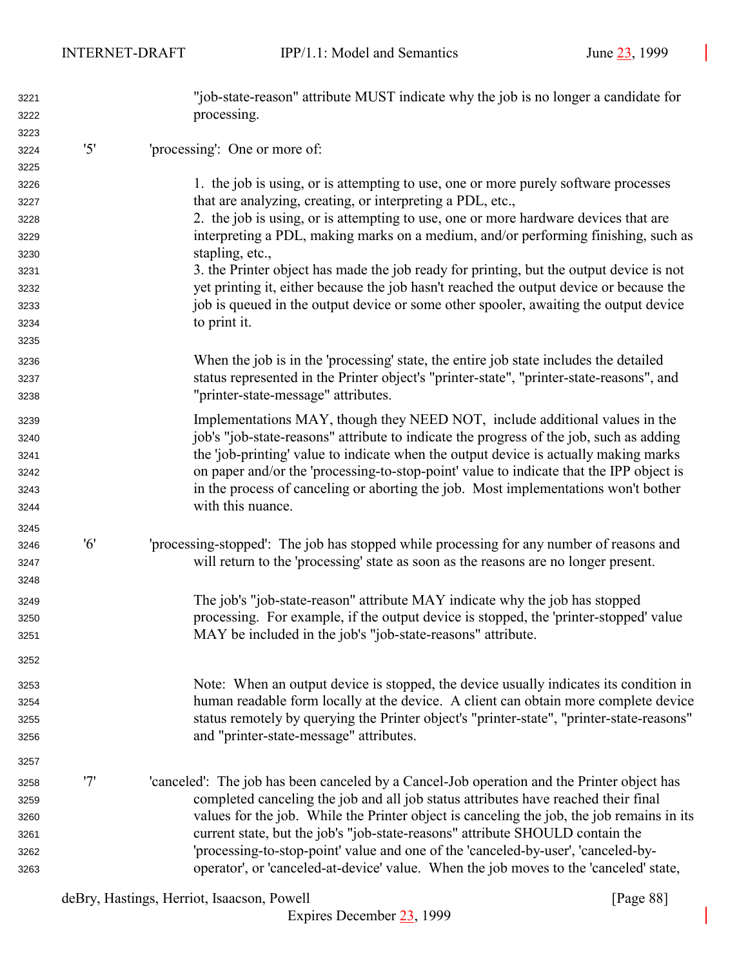| 3221 |     | "job-state-reason" attribute MUST indicate why the job is no longer a candidate for        |
|------|-----|--------------------------------------------------------------------------------------------|
| 3222 |     | processing.                                                                                |
| 3223 |     |                                                                                            |
| 3224 | '5' | 'processing': One or more of:                                                              |
| 3225 |     |                                                                                            |
| 3226 |     | 1. the job is using, or is attempting to use, one or more purely software processes        |
| 3227 |     | that are analyzing, creating, or interpreting a PDL, etc.,                                 |
| 3228 |     | 2. the job is using, or is attempting to use, one or more hardware devices that are        |
| 3229 |     | interpreting a PDL, making marks on a medium, and/or performing finishing, such as         |
| 3230 |     | stapling, etc.,                                                                            |
| 3231 |     | 3. the Printer object has made the job ready for printing, but the output device is not    |
| 3232 |     | yet printing it, either because the job hasn't reached the output device or because the    |
| 3233 |     | job is queued in the output device or some other spooler, awaiting the output device       |
| 3234 |     | to print it.                                                                               |
| 3235 |     |                                                                                            |
| 3236 |     | When the job is in the 'processing' state, the entire job state includes the detailed      |
| 3237 |     | status represented in the Printer object's "printer-state", "printer-state-reasons", and   |
| 3238 |     | "printer-state-message" attributes.                                                        |
| 3239 |     | Implementations MAY, though they NEED NOT, include additional values in the                |
| 3240 |     | job's "job-state-reasons" attribute to indicate the progress of the job, such as adding    |
| 3241 |     | the 'job-printing' value to indicate when the output device is actually making marks       |
| 3242 |     | on paper and/or the 'processing-to-stop-point' value to indicate that the IPP object is    |
| 3243 |     | in the process of canceling or aborting the job. Most implementations won't bother         |
| 3244 |     | with this nuance.                                                                          |
| 3245 |     |                                                                                            |
| 3246 | '6' | 'processing-stopped': The job has stopped while processing for any number of reasons and   |
| 3247 |     | will return to the 'processing' state as soon as the reasons are no longer present.        |
| 3248 |     |                                                                                            |
| 3249 |     | The job's "job-state-reason" attribute MAY indicate why the job has stopped                |
| 3250 |     | processing. For example, if the output device is stopped, the 'printer-stopped' value      |
| 3251 |     | MAY be included in the job's "job-state-reasons" attribute.                                |
| 3252 |     |                                                                                            |
| 3253 |     | Note: When an output device is stopped, the device usually indicates its condition in      |
| 3254 |     | human readable form locally at the device. A client can obtain more complete device        |
| 3255 |     | status remotely by querying the Printer object's "printer-state", "printer-state-reasons"  |
| 3256 |     | and "printer-state-message" attributes.                                                    |
| 3257 |     |                                                                                            |
| 3258 | '7' | 'canceled': The job has been canceled by a Cancel-Job operation and the Printer object has |
| 3259 |     | completed canceling the job and all job status attributes have reached their final         |
| 3260 |     | values for the job. While the Printer object is canceling the job, the job remains in its  |
| 3261 |     | current state, but the job's "job-state-reasons" attribute SHOULD contain the              |
| 3262 |     | 'processing-to-stop-point' value and one of the 'canceled-by-user', 'canceled-by-          |
| 3263 |     | operator', or 'canceled-at-device' value. When the job moves to the 'canceled' state,      |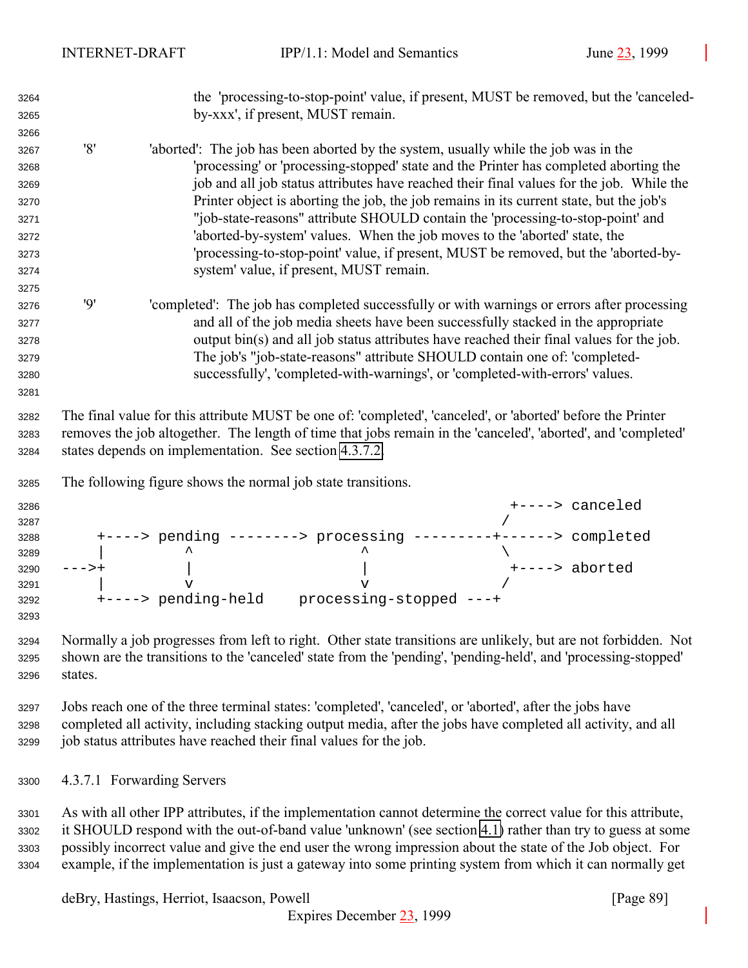<span id="page-88-0"></span> the 'processing-to-stop-point' value, if present, MUST be removed, but the 'canceled- by-xxx', if present, MUST remain. '8' 'aborted': The job has been aborted by the system, usually while the job was in the 'processing' or 'processing-stopped' state and the Printer has completed aborting the job and all job status attributes have reached their final values for the job. While the Printer object is aborting the job, the job remains in its current state, but the job's "job-state-reasons" attribute SHOULD contain the 'processing-to-stop-point' and 'aborted-by-system' values. When the job moves to the 'aborted' state, the 'processing-to-stop-point' value, if present, MUST be removed, but the 'aborted-by- system' value, if present, MUST remain. '9' 'completed': The job has completed successfully or with warnings or errors after processing and all of the job media sheets have been successfully stacked in the appropriate output bin(s) and all job status attributes have reached their final values for the job. The job's "job-state-reasons" attribute SHOULD contain one of: 'completed- successfully', 'completed-with-warnings', or 'completed-with-errors' values. The final value for this attribute MUST be one of: 'completed', 'canceled', or 'aborted' before the Printer removes the job altogether. The length of time that jobs remain in the 'canceled', 'aborted', and 'completed' states depends on implementation. See section [4.3.7.2.](#page-89-0) The following figure shows the normal job state transitions. +----> canceled +----> pending --------> processing ---------+------> completed  $\qquad$   $\qquad$  --->+ | | +----> aborted  $\qquad$  v  $\qquad$  v / +----> pending-held processing-stopped ---+ Normally a job progresses from left to right. Other state transitions are unlikely, but are not forbidden. Not shown are the transitions to the 'canceled' state from the 'pending', 'pending-held', and 'processing-stopped' states. Jobs reach one of the three terminal states: 'completed', 'canceled', or 'aborted', after the jobs have completed all activity, including stacking output media, after the jobs have completed all activity, and all job status attributes have reached their final values for the job. 4.3.7.1 Forwarding Servers As with all other IPP attributes, if the implementation cannot determine the correct value for this attribute,

 it SHOULD respond with the out-of-band value 'unknown' (see section [4.1\)](#page-61-0) rather than try to guess at some possibly incorrect value and give the end user the wrong impression about the state of the Job object. For example, if the implementation is just a gateway into some printing system from which it can normally get

deBry, Hastings, Herriot, Isaacson, Powell [Page 89]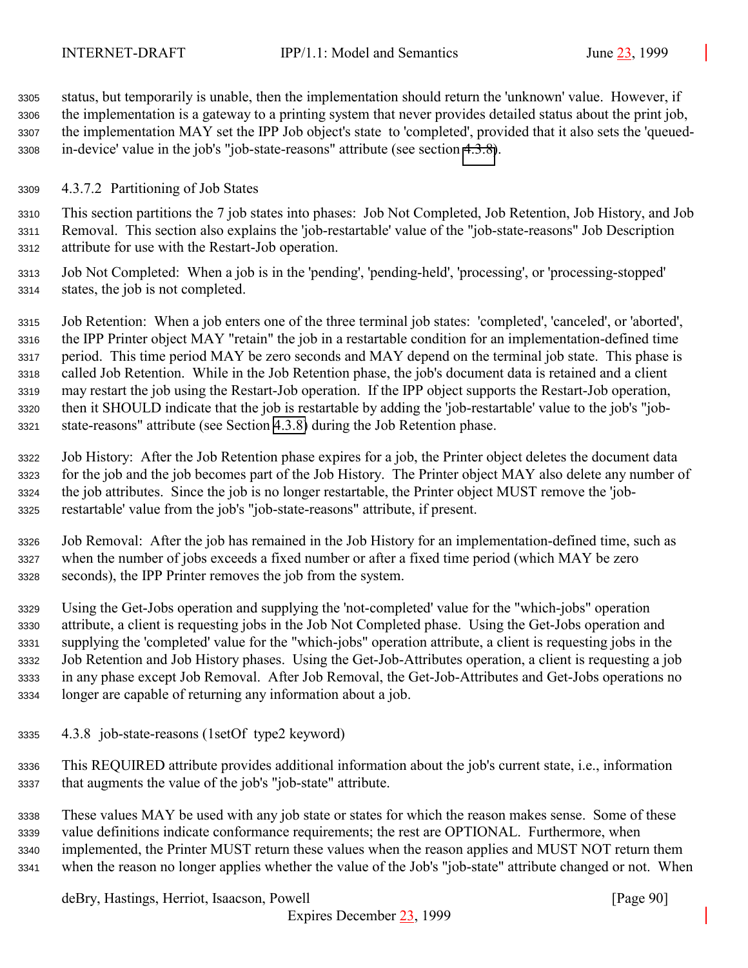<span id="page-89-0"></span> status, but temporarily is unable, then the implementation should return the 'unknown' value. However, if the implementation is a gateway to a printing system that never provides detailed status about the print job, the implementation MAY set the IPP Job object's state to 'completed', provided that it also sets the 'queued-in-device' value in the job's "job-state-reasons" attribute (see section 4.3.8).

## 4.3.7.2 Partitioning of Job States

 This section partitions the 7 job states into phases: Job Not Completed, Job Retention, Job History, and Job Removal. This section also explains the 'job-restartable' value of the "job-state-reasons" Job Description attribute for use with the Restart-Job operation.

 Job Not Completed: When a job is in the 'pending', 'pending-held', 'processing', or 'processing-stopped' states, the job is not completed.

 Job Retention: When a job enters one of the three terminal job states: 'completed', 'canceled', or 'aborted', the IPP Printer object MAY "retain" the job in a restartable condition for an implementation-defined time period. This time period MAY be zero seconds and MAY depend on the terminal job state. This phase is called Job Retention. While in the Job Retention phase, the job's document data is retained and a client may restart the job using the Restart-Job operation. If the IPP object supports the Restart-Job operation, then it SHOULD indicate that the job is restartable by adding the 'job-restartable' value to the job's "job-state-reasons" attribute (see Section 4.3.8) during the Job Retention phase.

 Job History: After the Job Retention phase expires for a job, the Printer object deletes the document data for the job and the job becomes part of the Job History. The Printer object MAY also delete any number of the job attributes. Since the job is no longer restartable, the Printer object MUST remove the 'job-restartable' value from the job's "job-state-reasons" attribute, if present.

 Job Removal: After the job has remained in the Job History for an implementation-defined time, such as when the number of jobs exceeds a fixed number or after a fixed time period (which MAY be zero seconds), the IPP Printer removes the job from the system.

 Using the Get-Jobs operation and supplying the 'not-completed' value for the "which-jobs" operation attribute, a client is requesting jobs in the Job Not Completed phase. Using the Get-Jobs operation and supplying the 'completed' value for the "which-jobs" operation attribute, a client is requesting jobs in the Job Retention and Job History phases. Using the Get-Job-Attributes operation, a client is requesting a job in any phase except Job Removal. After Job Removal, the Get-Job-Attributes and Get-Jobs operations no longer are capable of returning any information about a job.

- 4.3.8 job-state-reasons (1setOf type2 keyword)
- This REQUIRED attribute provides additional information about the job's current state, i.e., information that augments the value of the job's "job-state" attribute.

 These values MAY be used with any job state or states for which the reason makes sense. Some of these value definitions indicate conformance requirements; the rest are OPTIONAL. Furthermore, when implemented, the Printer MUST return these values when the reason applies and MUST NOT return them when the reason no longer applies whether the value of the Job's "job-state" attribute changed or not. When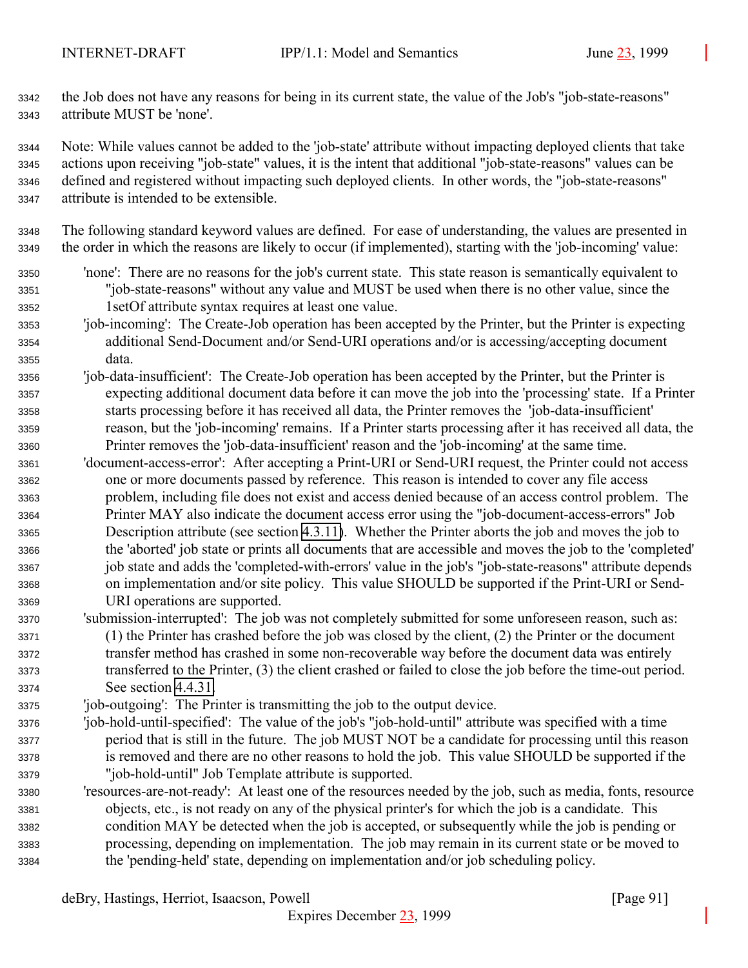the Job does not have any reasons for being in its current state, the value of the Job's "job-state-reasons" attribute MUST be 'none'.

 Note: While values cannot be added to the 'job-state' attribute without impacting deployed clients that take actions upon receiving "job-state" values, it is the intent that additional "job-state-reasons" values can be defined and registered without impacting such deployed clients. In other words, the "job-state-reasons" attribute is intended to be extensible.

 The following standard keyword values are defined. For ease of understanding, the values are presented in the order in which the reasons are likely to occur (if implemented), starting with the 'job-incoming' value:

- 'none': There are no reasons for the job's current state. This state reason is semantically equivalent to "job-state-reasons" without any value and MUST be used when there is no other value, since the 1setOf attribute syntax requires at least one value.
- 'job-incoming': The Create-Job operation has been accepted by the Printer, but the Printer is expecting additional Send-Document and/or Send-URI operations and/or is accessing/accepting document data.
- 'job-data-insufficient': The Create-Job operation has been accepted by the Printer, but the Printer is expecting additional document data before it can move the job into the 'processing' state. If a Printer starts processing before it has received all data, the Printer removes the 'job-data-insufficient' reason, but the 'job-incoming' remains. If a Printer starts processing after it has received all data, the Printer removes the 'job-data-insufficient' reason and the 'job-incoming' at the same time.
- 'document-access-error': After accepting a Print-URI or Send-URI request, the Printer could not access one or more documents passed by reference. This reason is intended to cover any file access problem, including file does not exist and access denied because of an access control problem. The Printer MAY also indicate the document access error using the "job-document-access-errors" Job Description attribute (see section [4.3.11\)](#page-93-0). Whether the Printer aborts the job and moves the job to the 'aborted' job state or prints all documents that are accessible and moves the job to the 'completed' job state and adds the 'completed-with-errors' value in the job's "job-state-reasons" attribute depends on implementation and/or site policy. This value SHOULD be supported if the Print-URI or Send-URI operations are supported.
- 'submission-interrupted': The job was not completely submitted for some unforeseen reason, such as: (1) the Printer has crashed before the job was closed by the client, (2) the Printer or the document transfer method has crashed in some non-recoverable way before the document data was entirely transferred to the Printer, (3) the client crashed or failed to close the job before the time-out period. See section [4.4.31.](#page-111-0)
- 'job-outgoing': The Printer is transmitting the job to the output device.
- 'job-hold-until-specified': The value of the job's "job-hold-until" attribute was specified with a time period that is still in the future. The job MUST NOT be a candidate for processing until this reason is removed and there are no other reasons to hold the job. This value SHOULD be supported if the "job-hold-until" Job Template attribute is supported.
- 'resources-are-not-ready': At least one of the resources needed by the job, such as media, fonts, resource objects, etc., is not ready on any of the physical printer's for which the job is a candidate. This condition MAY be detected when the job is accepted, or subsequently while the job is pending or processing, depending on implementation. The job may remain in its current state or be moved to the 'pending-held' state, depending on implementation and/or job scheduling policy.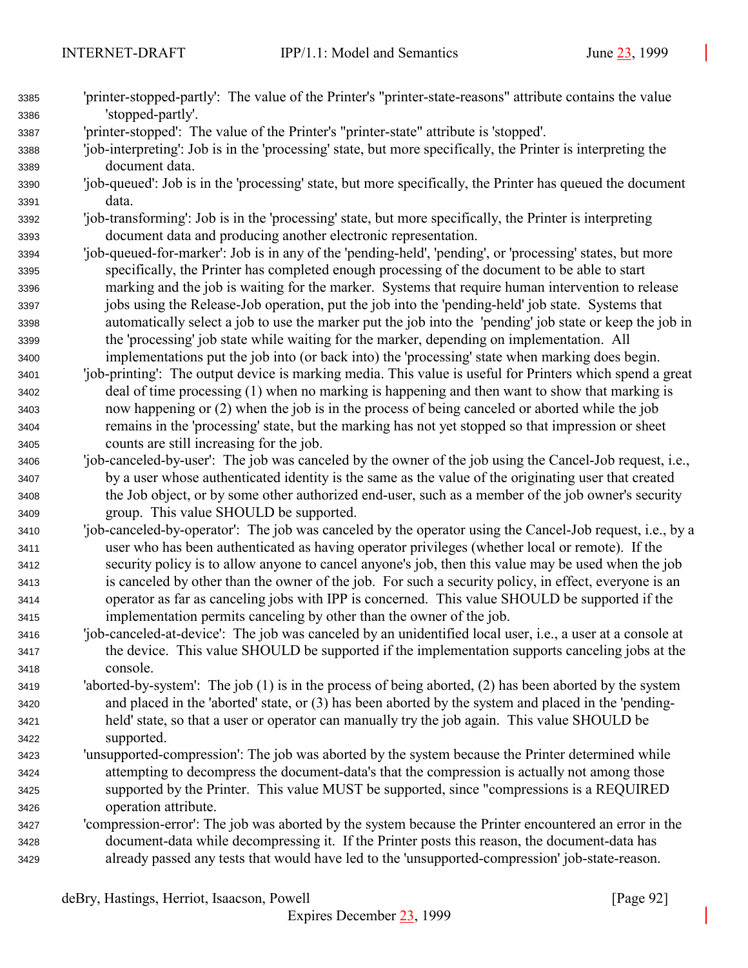| 3385 | 'printer-stopped-partly': The value of the Printer's "printer-state-reasons" attribute contains the value    |
|------|--------------------------------------------------------------------------------------------------------------|
| 3386 | 'stopped-partly'.                                                                                            |
| 3387 | 'printer-stopped': The value of the Printer's "printer-state" attribute is 'stopped'.                        |
| 3388 | 'job-interpreting': Job is in the 'processing' state, but more specifically, the Printer is interpreting the |
| 3389 | document data.                                                                                               |
| 3390 | 'job-queued': Job is in the 'processing' state, but more specifically, the Printer has queued the document   |
| 3391 | data.                                                                                                        |
| 3392 | 'job-transforming': Job is in the 'processing' state, but more specifically, the Printer is interpreting     |
| 3393 | document data and producing another electronic representation.                                               |
| 3394 | 'job-queued-for-marker': Job is in any of the 'pending-held', 'pending', or 'processing' states, but more    |
| 3395 | specifically, the Printer has completed enough processing of the document to be able to start                |
| 3396 | marking and the job is waiting for the marker. Systems that require human intervention to release            |
| 3397 | jobs using the Release-Job operation, put the job into the 'pending-held' job state. Systems that            |
| 3398 | automatically select a job to use the marker put the job into the 'pending' job state or keep the job in     |
| 3399 | the 'processing' job state while waiting for the marker, depending on implementation. All                    |
| 3400 | implementations put the job into (or back into) the 'processing' state when marking does begin.              |
| 3401 | 'job-printing': The output device is marking media. This value is useful for Printers which spend a great    |
| 3402 | deal of time processing (1) when no marking is happening and then want to show that marking is               |
| 3403 | now happening or (2) when the job is in the process of being canceled or aborted while the job               |
| 3404 | remains in the 'processing' state, but the marking has not yet stopped so that impression or sheet           |
| 3405 | counts are still increasing for the job.                                                                     |
| 3406 | 'job-canceled-by-user': The job was canceled by the owner of the job using the Cancel-Job request, i.e.,     |
| 3407 | by a user whose authenticated identity is the same as the value of the originating user that created         |
| 3408 | the Job object, or by some other authorized end-user, such as a member of the job owner's security           |
| 3409 | group. This value SHOULD be supported.                                                                       |
| 3410 | 'job-canceled-by-operator': The job was canceled by the operator using the Cancel-Job request, i.e., by a    |
| 3411 | user who has been authenticated as having operator privileges (whether local or remote). If the              |
| 3412 | security policy is to allow anyone to cancel anyone's job, then this value may be used when the job          |
| 3413 | is canceled by other than the owner of the job. For such a security policy, in effect, everyone is an        |
| 3414 | operator as far as canceling jobs with IPP is concerned. This value SHOULD be supported if the               |
| 3415 | implementation permits canceling by other than the owner of the job.                                         |
| 3416 | 'job-canceled-at-device': The job was canceled by an unidentified local user, i.e., a user at a console at   |
| 3417 | the device. This value SHOULD be supported if the implementation supports canceling jobs at the              |
| 3418 | console.                                                                                                     |
| 3419 | 'aborted-by-system': The job $(1)$ is in the process of being aborted, $(2)$ has been aborted by the system  |
| 3420 | and placed in the 'aborted' state, or (3) has been aborted by the system and placed in the 'pending-         |
| 3421 | held' state, so that a user or operator can manually try the job again. This value SHOULD be                 |
| 3422 | supported.                                                                                                   |
| 3423 | 'unsupported-compression': The job was aborted by the system because the Printer determined while            |
| 3424 | attempting to decompress the document-data's that the compression is actually not among those                |
| 3425 | supported by the Printer. This value MUST be supported, since "compressions is a REQUIRED                    |
| 3426 | operation attribute.                                                                                         |
| 3427 | 'compression-error': The job was aborted by the system because the Printer encountered an error in the       |
| 3428 | document-data while decompressing it. If the Printer posts this reason, the document-data has                |
| 3429 | already passed any tests that would have led to the 'unsupported-compression' job-state-reason.              |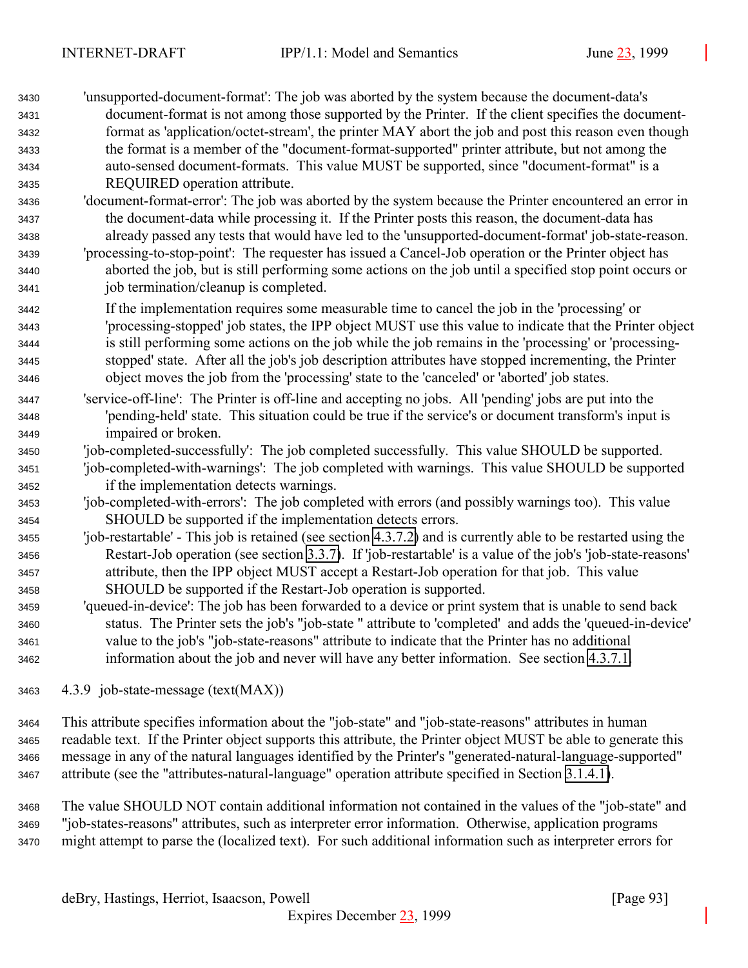| 3430 | 'unsupported-document-format': The job was aborted by the system because the document-data's                   |
|------|----------------------------------------------------------------------------------------------------------------|
| 3431 | document-format is not among those supported by the Printer. If the client specifies the document-             |
| 3432 | format as 'application/octet-stream', the printer MAY abort the job and post this reason even though           |
| 3433 | the format is a member of the "document-format-supported" printer attribute, but not among the                 |
| 3434 | auto-sensed document-formats. This value MUST be supported, since "document-format" is a                       |
| 3435 | REQUIRED operation attribute.                                                                                  |
| 3436 | 'document-format-error': The job was aborted by the system because the Printer encountered an error in         |
| 3437 | the document-data while processing it. If the Printer posts this reason, the document-data has                 |
| 3438 | already passed any tests that would have led to the 'unsupported-document-format' job-state-reason.            |
| 3439 | 'processing-to-stop-point': The requester has issued a Cancel-Job operation or the Printer object has          |
| 3440 | aborted the job, but is still performing some actions on the job until a specified stop point occurs or        |
| 3441 | job termination/cleanup is completed.                                                                          |
| 3442 | If the implementation requires some measurable time to cancel the job in the 'processing' or                   |
| 3443 | 'processing-stopped' job states, the IPP object MUST use this value to indicate that the Printer object        |
| 3444 | is still performing some actions on the job while the job remains in the 'processing' or 'processing-          |
| 3445 | stopped' state. After all the job's job description attributes have stopped incrementing, the Printer          |
| 3446 | object moves the job from the 'processing' state to the 'canceled' or 'aborted' job states.                    |
| 3447 | 'service-off-line': The Printer is off-line and accepting no jobs. All 'pending' jobs are put into the         |
| 3448 | 'pending-held' state. This situation could be true if the service's or document transform's input is           |
| 3449 | impaired or broken.                                                                                            |
| 3450 | 'job-completed-successfully': The job completed successfully. This value SHOULD be supported.                  |
| 3451 | 'job-completed-with-warnings': The job completed with warnings. This value SHOULD be supported                 |
| 3452 | if the implementation detects warnings.                                                                        |
| 3453 | 'job-completed-with-errors': The job completed with errors (and possibly warnings too). This value             |
| 3454 | SHOULD be supported if the implementation detects errors.                                                      |
| 3455 | 'job-restartable' - This job is retained (see section 4.3.7.2) and is currently able to be restarted using the |
| 3456 | Restart-Job operation (see section 3.3.7). If 'job-restartable' is a value of the job's 'job-state-reasons'    |
| 3457 | attribute, then the IPP object MUST accept a Restart-Job operation for that job. This value                    |
| 3458 | SHOULD be supported if the Restart-Job operation is supported.                                                 |
| 3459 | 'queued-in-device': The job has been forwarded to a device or print system that is unable to send back         |
| 3460 | status. The Printer sets the job's "job-state" attribute to 'completed' and adds the 'queued-in-device'        |
| 3461 | value to the job's "job-state-reasons" attribute to indicate that the Printer has no additional                |

information about the job and never will have any better information. See section [4.3.7.1.](#page-88-0)

4.3.9 job-state-message (text(MAX))

 This attribute specifies information about the "job-state" and "job-state-reasons" attributes in human readable text. If the Printer object supports this attribute, the Printer object MUST be able to generate this message in any of the natural languages identified by the Printer's "generated-natural-language-supported" attribute (see the "attributes-natural-language" operation attribute specified in Section [3.1.4.1\)](#page-22-0).

 The value SHOULD NOT contain additional information not contained in the values of the "job-state" and "job-states-reasons" attributes, such as interpreter error information. Otherwise, application programs might attempt to parse the (localized text). For such additional information such as interpreter errors for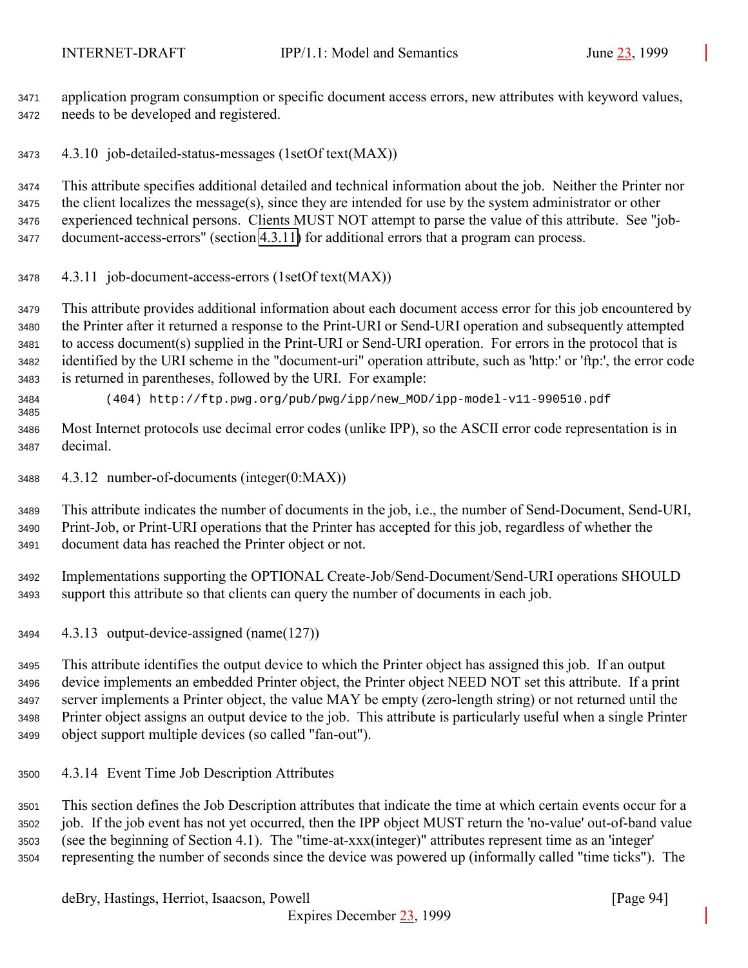<span id="page-93-0"></span> application program consumption or specific document access errors, new attributes with keyword values, needs to be developed and registered.

4.3.10 job-detailed-status-messages (1setOf text(MAX))

 This attribute specifies additional detailed and technical information about the job. Neither the Printer nor the client localizes the message(s), since they are intended for use by the system administrator or other experienced technical persons. Clients MUST NOT attempt to parse the value of this attribute. See "job-document-access-errors" (section 4.3.11) for additional errors that a program can process.

4.3.11 job-document-access-errors (1setOf text(MAX))

 This attribute provides additional information about each document access error for this job encountered by the Printer after it returned a response to the Print-URI or Send-URI operation and subsequently attempted to access document(s) supplied in the Print-URI or Send-URI operation. For errors in the protocol that is identified by the URI scheme in the "document-uri" operation attribute, such as 'http:' or 'ftp:', the error code is returned in parentheses, followed by the URI. For example:

 (404) http://ftp.pwg.org/pub/pwg/ipp/new\_MOD/ipp-model-v11-990510.pdf 

 Most Internet protocols use decimal error codes (unlike IPP), so the ASCII error code representation is in decimal.

4.3.12 number-of-documents (integer(0:MAX))

 This attribute indicates the number of documents in the job, i.e., the number of Send-Document, Send-URI, Print-Job, or Print-URI operations that the Printer has accepted for this job, regardless of whether the document data has reached the Printer object or not.

 Implementations supporting the OPTIONAL Create-Job/Send-Document/Send-URI operations SHOULD support this attribute so that clients can query the number of documents in each job.

4.3.13 output-device-assigned (name(127))

 This attribute identifies the output device to which the Printer object has assigned this job. If an output device implements an embedded Printer object, the Printer object NEED NOT set this attribute. If a print server implements a Printer object, the value MAY be empty (zero-length string) or not returned until the Printer object assigns an output device to the job. This attribute is particularly useful when a single Printer object support multiple devices (so called "fan-out").

4.3.14 Event Time Job Description Attributes

 This section defines the Job Description attributes that indicate the time at which certain events occur for a job. If the job event has not yet occurred, then the IPP object MUST return the 'no-value' out-of-band value (see the beginning of Section 4.1). The "time-at-xxx(integer)" attributes represent time as an 'integer' representing the number of seconds since the device was powered up (informally called "time ticks"). The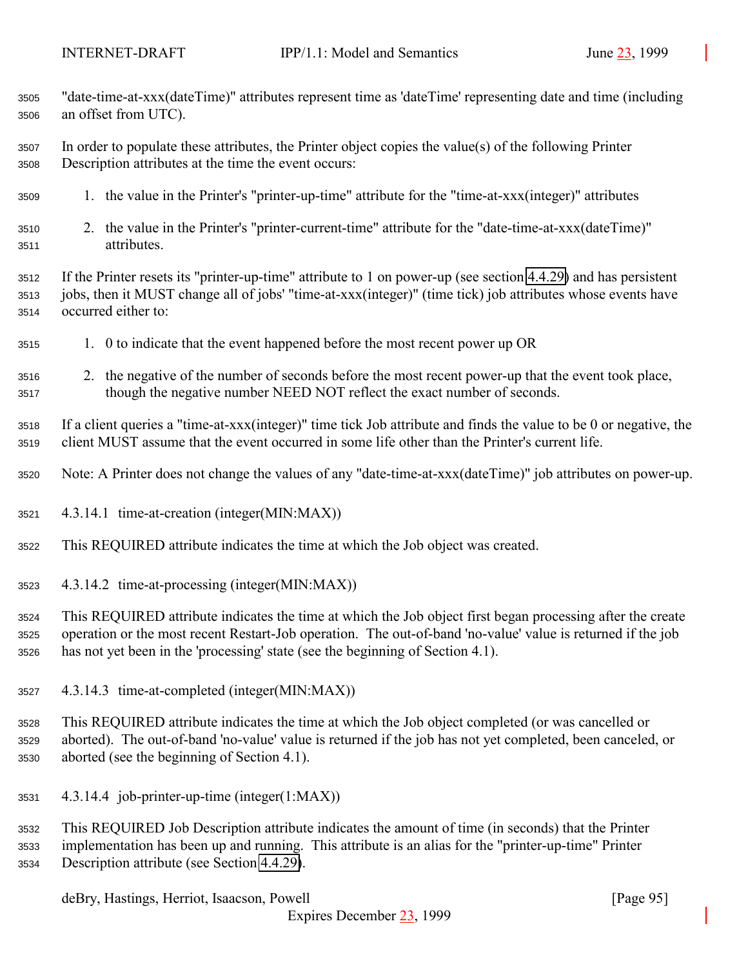| 3505 | "date-time-at-xxx(dateTime)" attributes represent time as 'dateTime' representing date and time (including        |
|------|-------------------------------------------------------------------------------------------------------------------|
| 3506 | an offset from UTC).                                                                                              |
| 3507 | In order to populate these attributes, the Printer object copies the value(s) of the following Printer            |
| 3508 | Description attributes at the time the event occurs:                                                              |
| 3509 | 1. the value in the Printer's "printer-up-time" attribute for the "time-at-xxx(integer)" attributes               |
| 3510 | 2. the value in the Printer's "printer-current-time" attribute for the "date-time-at-xxx(dateTime)"               |
| 3511 | attributes.                                                                                                       |
| 3512 | If the Printer resets its "printer-up-time" attribute to 1 on power-up (see section 4.4.29) and has persistent    |
| 3513 | jobs, then it MUST change all of jobs' "time-at-xxx(integer)" (time tick) job attributes whose events have        |
| 3514 | occurred either to:                                                                                               |
| 3515 | 1. 0 to indicate that the event happened before the most recent power up OR                                       |
| 3516 | 2. the negative of the number of seconds before the most recent power-up that the event took place,               |
| 3517 | though the negative number NEED NOT reflect the exact number of seconds.                                          |
| 3518 | If a client queries a "time-at-xxx(integer)" time tick Job attribute and finds the value to be 0 or negative, the |
| 3519 | client MUST assume that the event occurred in some life other than the Printer's current life.                    |
| 3520 | Note: A Printer does not change the values of any "date-time-at-xxx(dateTime)" job attributes on power-up.        |
| 3521 | 4.3.14.1 time-at-creation (integer(MIN:MAX))                                                                      |
| 3522 | This REQUIRED attribute indicates the time at which the Job object was created.                                   |
| 3523 | 4.3.14.2 time-at-processing (integer(MIN:MAX))                                                                    |
| 3524 | This REQUIRED attribute indicates the time at which the Job object first began processing after the create        |
| 3525 | operation or the most recent Restart-Job operation. The out-of-band 'no-value' value is returned if the job       |
| 3526 | has not yet been in the 'processing' state (see the beginning of Section 4.1).                                    |
| 3527 | 4.3.14.3 time-at-completed (integer(MIN:MAX))                                                                     |
| 3528 | This REQUIRED attribute indicates the time at which the Job object completed (or was cancelled or                 |
| 3529 | aborted). The out-of-band 'no-value' value is returned if the job has not yet completed, been canceled, or        |
| 3530 | aborted (see the beginning of Section 4.1).                                                                       |
| 3531 | 4.3.14.4 job-printer-up-time (integer(1:MAX))                                                                     |
| 3532 | This REQUIRED Job Description attribute indicates the amount of time (in seconds) that the Printer                |
| 3533 | implementation has been up and running. This attribute is an alias for the "printer-up-time" Printer              |
| 3534 | Description attribute (see Section 4.4.29).                                                                       |

deBry, Hastings, Herriot, Isaacson, Powell [Page 95]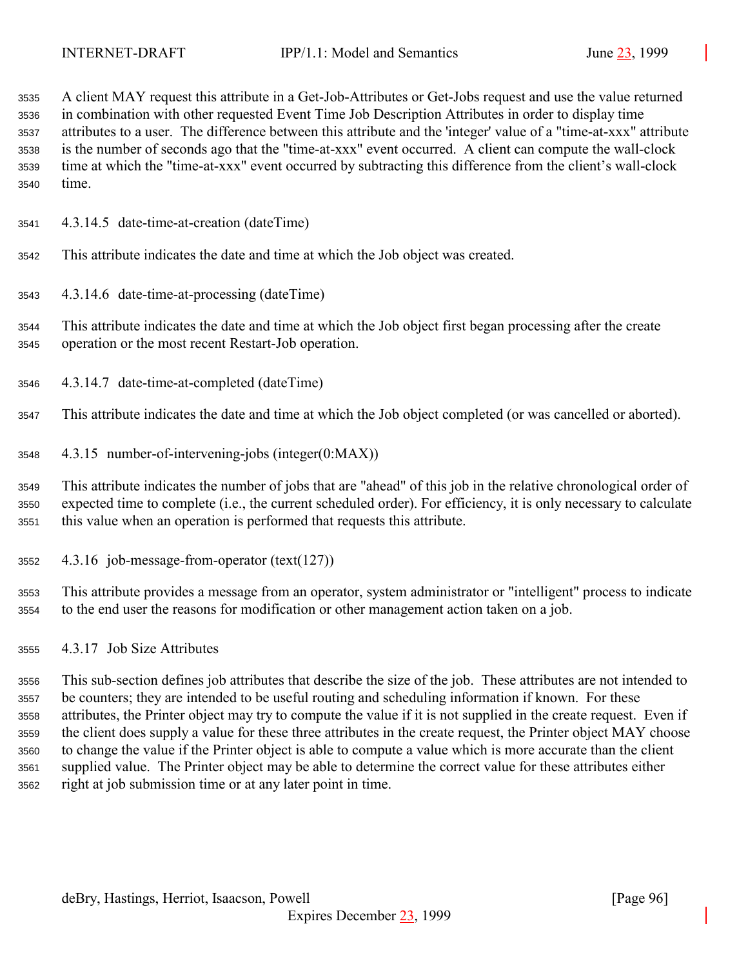A client MAY request this attribute in a Get-Job-Attributes or Get-Jobs request and use the value returned in combination with other requested Event Time Job Description Attributes in order to display time attributes to a user. The difference between this attribute and the 'integer' value of a "time-at-xxx" attribute is the number of seconds ago that the "time-at-xxx" event occurred. A client can compute the wall-clock time at which the "time-at-xxx" event occurred by subtracting this difference from the client's wall-clock time.

4.3.14.5 date-time-at-creation (dateTime)

This attribute indicates the date and time at which the Job object was created.

4.3.14.6 date-time-at-processing (dateTime)

 This attribute indicates the date and time at which the Job object first began processing after the create operation or the most recent Restart-Job operation.

4.3.14.7 date-time-at-completed (dateTime)

This attribute indicates the date and time at which the Job object completed (or was cancelled or aborted).

4.3.15 number-of-intervening-jobs (integer(0:MAX))

 This attribute indicates the number of jobs that are "ahead" of this job in the relative chronological order of expected time to complete (i.e., the current scheduled order). For efficiency, it is only necessary to calculate this value when an operation is performed that requests this attribute.

4.3.16 job-message-from-operator (text(127))

 This attribute provides a message from an operator, system administrator or "intelligent" process to indicate to the end user the reasons for modification or other management action taken on a job.

4.3.17 Job Size Attributes

 This sub-section defines job attributes that describe the size of the job. These attributes are not intended to be counters; they are intended to be useful routing and scheduling information if known. For these attributes, the Printer object may try to compute the value if it is not supplied in the create request. Even if the client does supply a value for these three attributes in the create request, the Printer object MAY choose to change the value if the Printer object is able to compute a value which is more accurate than the client supplied value. The Printer object may be able to determine the correct value for these attributes either right at job submission time or at any later point in time.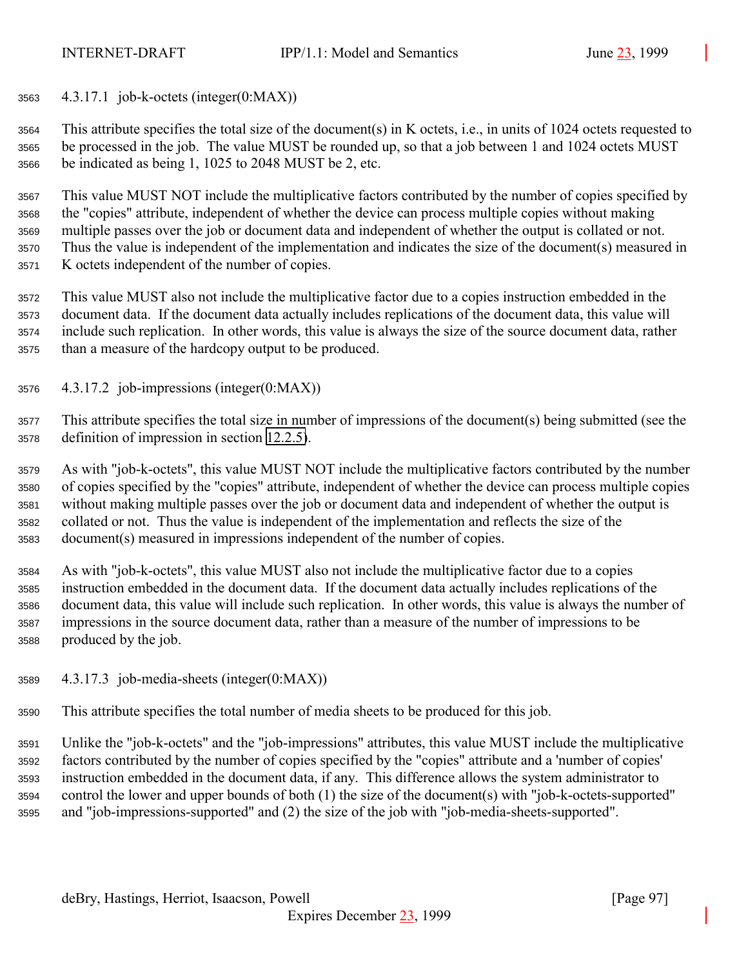4.3.17.1 job-k-octets (integer(0:MAX))

 This attribute specifies the total size of the document(s) in K octets, i.e., in units of 1024 octets requested to be processed in the job. The value MUST be rounded up, so that a job between 1 and 1024 octets MUST be indicated as being 1, 1025 to 2048 MUST be 2, etc.

 This value MUST NOT include the multiplicative factors contributed by the number of copies specified by the "copies" attribute, independent of whether the device can process multiple copies without making multiple passes over the job or document data and independent of whether the output is collated or not. Thus the value is independent of the implementation and indicates the size of the document(s) measured in K octets independent of the number of copies.

 This value MUST also not include the multiplicative factor due to a copies instruction embedded in the document data. If the document data actually includes replications of the document data, this value will include such replication. In other words, this value is always the size of the source document data, rather than a measure of the hardcopy output to be produced.

4.3.17.2 job-impressions (integer(0:MAX))

 This attribute specifies the total size in number of impressions of the document(s) being submitted (see the definition of impression in section [12.2.5\)](#page-140-0).

 As with "job-k-octets", this value MUST NOT include the multiplicative factors contributed by the number of copies specified by the "copies" attribute, independent of whether the device can process multiple copies without making multiple passes over the job or document data and independent of whether the output is collated or not. Thus the value is independent of the implementation and reflects the size of the document(s) measured in impressions independent of the number of copies.

 As with "job-k-octets", this value MUST also not include the multiplicative factor due to a copies instruction embedded in the document data. If the document data actually includes replications of the document data, this value will include such replication. In other words, this value is always the number of impressions in the source document data, rather than a measure of the number of impressions to be produced by the job.

- 4.3.17.3 job-media-sheets (integer(0:MAX))
- This attribute specifies the total number of media sheets to be produced for this job.

 Unlike the "job-k-octets" and the "job-impressions" attributes, this value MUST include the multiplicative factors contributed by the number of copies specified by the "copies" attribute and a 'number of copies' instruction embedded in the document data, if any. This difference allows the system administrator to control the lower and upper bounds of both (1) the size of the document(s) with "job-k-octets-supported" and "job-impressions-supported" and (2) the size of the job with "job-media-sheets-supported".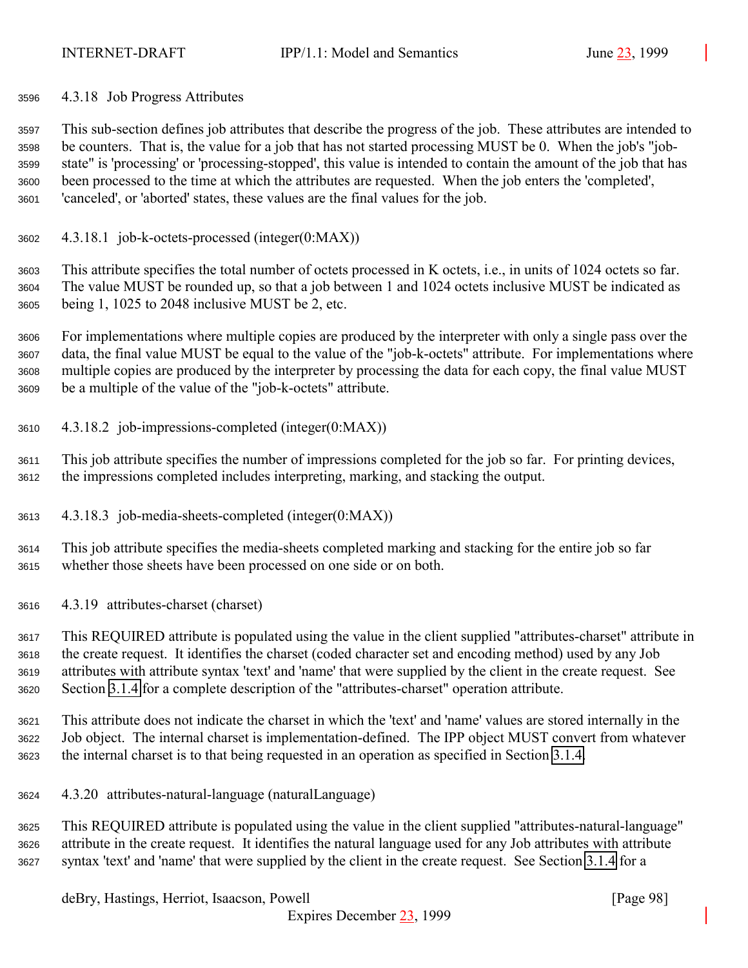4.3.18 Job Progress Attributes

 This sub-section defines job attributes that describe the progress of the job. These attributes are intended to be counters. That is, the value for a job that has not started processing MUST be 0. When the job's "job- state" is 'processing' or 'processing-stopped', this value is intended to contain the amount of the job that has been processed to the time at which the attributes are requested. When the job enters the 'completed', 'canceled', or 'aborted' states, these values are the final values for the job.

4.3.18.1 job-k-octets-processed (integer(0:MAX))

 This attribute specifies the total number of octets processed in K octets, i.e., in units of 1024 octets so far. The value MUST be rounded up, so that a job between 1 and 1024 octets inclusive MUST be indicated as being 1, 1025 to 2048 inclusive MUST be 2, etc.

 For implementations where multiple copies are produced by the interpreter with only a single pass over the data, the final value MUST be equal to the value of the "job-k-octets" attribute. For implementations where multiple copies are produced by the interpreter by processing the data for each copy, the final value MUST be a multiple of the value of the "job-k-octets" attribute.

4.3.18.2 job-impressions-completed (integer(0:MAX))

 This job attribute specifies the number of impressions completed for the job so far. For printing devices, the impressions completed includes interpreting, marking, and stacking the output.

4.3.18.3 job-media-sheets-completed (integer(0:MAX))

 This job attribute specifies the media-sheets completed marking and stacking for the entire job so far whether those sheets have been processed on one side or on both.

4.3.19 attributes-charset (charset)

 This REQUIRED attribute is populated using the value in the client supplied "attributes-charset" attribute in the create request. It identifies the charset (coded character set and encoding method) used by any Job attributes with attribute syntax 'text' and 'name' that were supplied by the client in the create request. See Section [3.1.4](#page-21-0) for a complete description of the "attributes-charset" operation attribute.

 This attribute does not indicate the charset in which the 'text' and 'name' values are stored internally in the Job object. The internal charset is implementation-defined. The IPP object MUST convert from whatever the internal charset is to that being requested in an operation as specified in Section [3.1.4.](#page-21-0)

4.3.20 attributes-natural-language (naturalLanguage)

 This REQUIRED attribute is populated using the value in the client supplied "attributes-natural-language" attribute in the create request. It identifies the natural language used for any Job attributes with attribute syntax 'text' and 'name' that were supplied by the client in the create request. See Section [3.1.4](#page-21-0) for a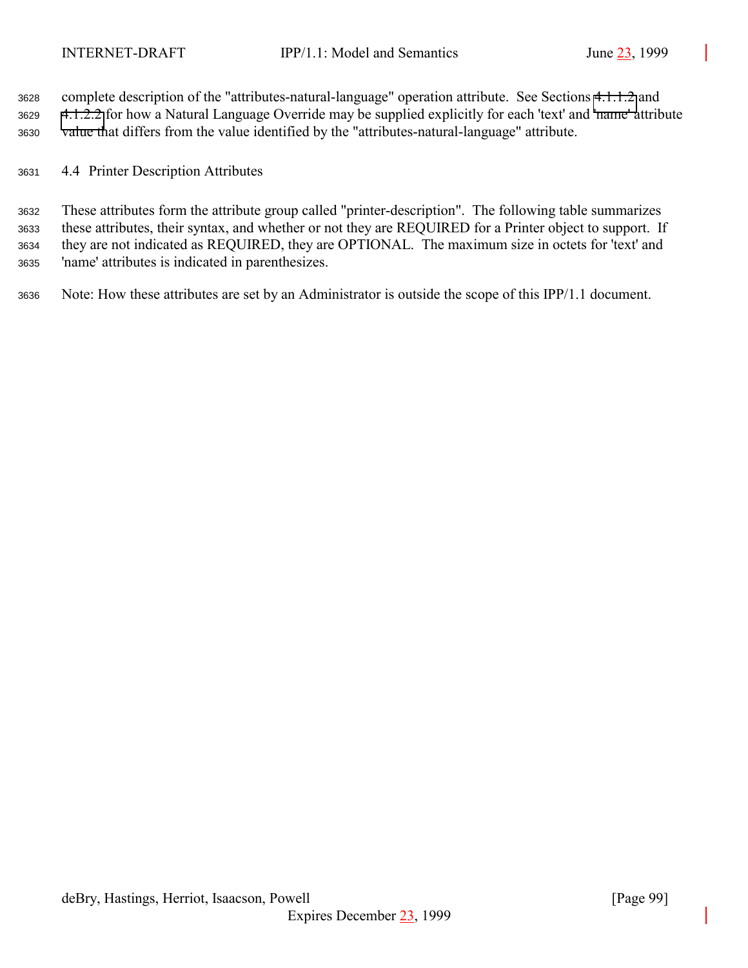complete description of the "attributes-natural-language" operation attribute. See Sections [4.1.1.2](#page-63-0) and [4.1.2.2](#page-64-0) for how a Natural Language Override may be supplied explicitly for each 'text' and 'name' attribute value that differs from the value identified by the "attributes-natural-language" attribute.

4.4 Printer Description Attributes

 These attributes form the attribute group called "printer-description". The following table summarizes these attributes, their syntax, and whether or not they are REQUIRED for a Printer object to support. If they are not indicated as REQUIRED, they are OPTIONAL. The maximum size in octets for 'text' and 'name' attributes is indicated in parenthesizes.

Note: How these attributes are set by an Administrator is outside the scope of this IPP/1.1 document.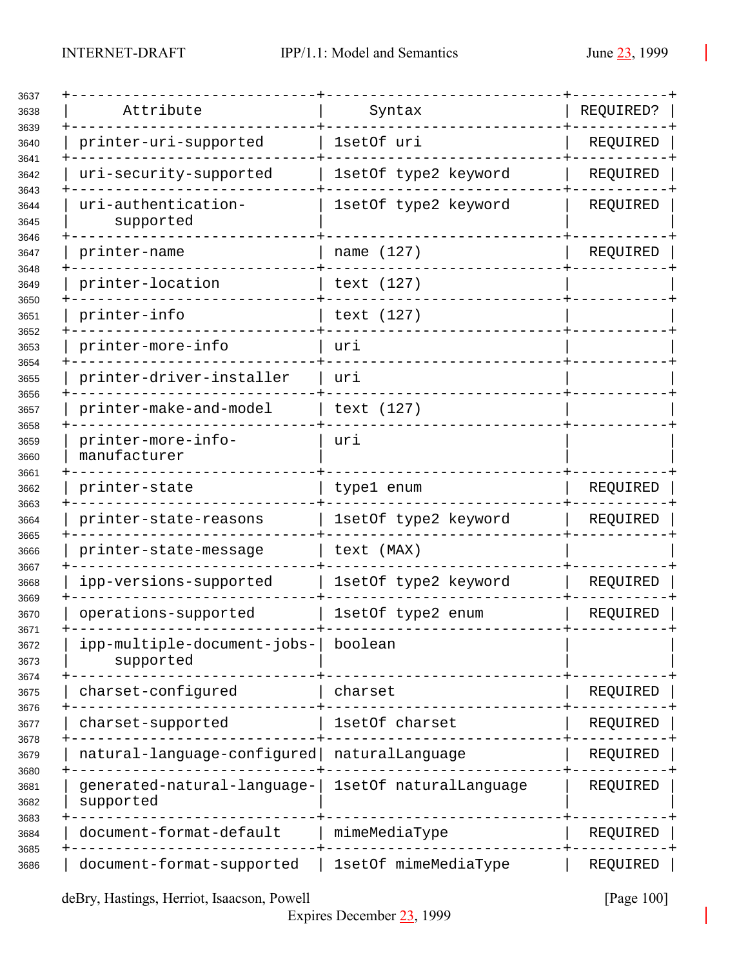| 3637                 |                                          |                        |           |
|----------------------|------------------------------------------|------------------------|-----------|
| 3638                 | Attribute                                | Syntax                 | REQUIRED? |
| 3639<br>3640         | printer-uri-supported                    | 1setOf uri             | REQUIRED  |
| 3641<br>3642         | uri-security-supported                   | 1setOf type2 keyword   | REQUIRED  |
| 3643<br>3644<br>3645 | uri-authentication-<br>supported         | 1setOf type2 keyword   | REQUIRED  |
| 3646<br>3647         | printer-name                             | name (127)             | REQUIRED  |
| 3648<br>3649         | printer-location                         | text (127)             |           |
| 3650<br>3651         | printer-info                             | text (127)             |           |
| 3652<br>3653         | printer-more-info                        | uri                    |           |
| 3654<br>3655         | printer-driver-installer                 | uri                    |           |
| 3656<br>3657         | printer-make-and-model                   | text (127)             |           |
| 3658<br>3659<br>3660 | printer-more-info-<br>manufacturer       | uri                    |           |
| 3661<br>3662         | printer-state                            | type1 enum             | REQUIRED  |
| 3663<br>3664         | printer-state-reasons                    | 1setOf type2 keyword   | REQUIRED  |
| 3665<br>3666         | printer-state-message                    | text (MAX)             |           |
| 3667<br>3668         | ipp-versions-supported                   | 1setOf type2 keyword   | REQUIRED  |
| 3669<br>3670         | operations-supported                     | 1setOf type2 enum      | REQUIRED  |
| 3671<br>3672<br>3673 | ipp-multiple-document-jobs-<br>supported | boolean                |           |
| 3674<br>3675         | charset-configured                       | charset                | REQUIRED  |
| 3676<br>3677         | charset-supported                        | 1setOf charset         | REQUIRED  |
| 3678<br>3679         | natural-language-configured              | naturalLanguage        | REQUIRED  |
| 3680<br>3681<br>3682 | generated-natural-language-<br>supported | 1setOf naturalLanguage | REQUIRED  |
| 3683<br>3684         | document-format-default                  | mimeMediaType          | REQUIRED  |
| 3685<br>3686         | document-format-supported                | 1setOf mimeMediaType   | REQUIRED  |

deBry, Hastings, Herriot, Isaacson, Powell [Page 100]

Expires December 23, 1999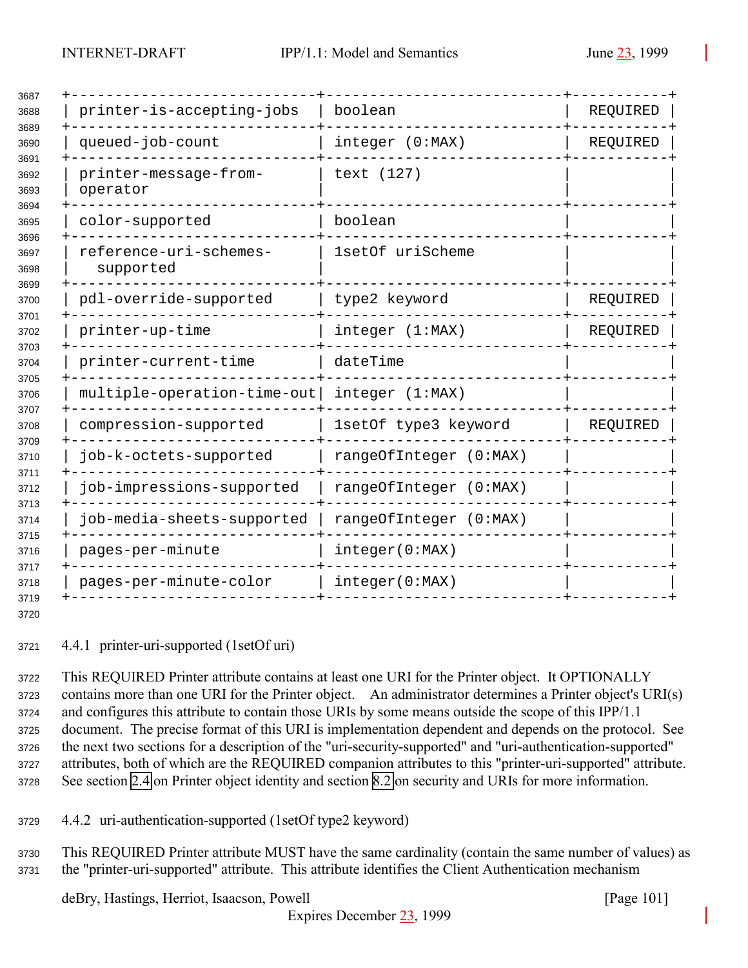<span id="page-100-0"></span>

| printer-is-accepting-jobs           | boolean                | REQUIRED |
|-------------------------------------|------------------------|----------|
| queued-job-count                    | integer (0:MAX)        | REQUIRED |
| printer-message-from-<br>operator   | text (127)             |          |
| color-supported                     | boolean                |          |
| reference-uri-schemes-<br>supported | 1setOf uriScheme       |          |
| pdl-override-supported              | type2 keyword          | REQUIRED |
| printer-up-time                     | integer (1:MAX)        | REQUIRED |
| printer-current-time                | dateTime               |          |
| multiple-operation-time-out         | integer (1:MAX)        |          |
| compression-supported               | 1setOf type3 keyword   | REQUIRED |
| job-k-octets-supported              | rangeOfInteger (0:MAX) |          |
| job-impressions-supported           | rangeOfInteger (0:MAX) |          |
| job-media-sheets-supported          | rangeOfInteger (0:MAX) |          |
| pages-per-minute                    | integer(0:MAX)         |          |
| pages-per-minute-color              | integer(0:MAX)         |          |
|                                     |                        |          |

4.4.1 printer-uri-supported (1setOf uri)

 This REQUIRED Printer attribute contains at least one URI for the Printer object. It OPTIONALLY contains more than one URI for the Printer object. An administrator determines a Printer object's URI(s) and configures this attribute to contain those URIs by some means outside the scope of this IPP/1.1 document. The precise format of this URI is implementation dependent and depends on the protocol. See the next two sections for a description of the "uri-security-supported" and "uri-authentication-supported" attributes, both of which are the REQUIRED companion attributes to this "printer-uri-supported" attribute. See section [2.4](#page-16-0) on Printer object identity and section [8.2](#page-126-0) on security and URIs for more information.

4.4.2 uri-authentication-supported (1setOf type2 keyword)

 This REQUIRED Printer attribute MUST have the same cardinality (contain the same number of values) as the "printer-uri-supported" attribute. This attribute identifies the Client Authentication mechanism

deBry, Hastings, Herriot, Isaacson, Powell [Page 101]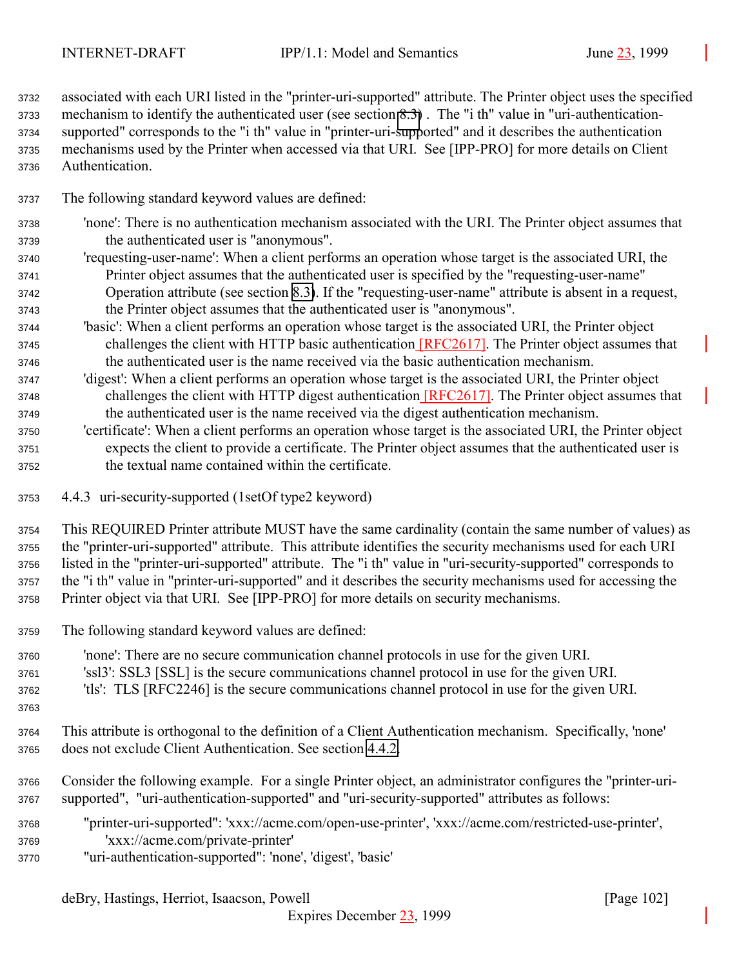associated with each URI listed in the "printer-uri-supported" attribute. The Printer object uses the specified mechanism to identify the authenticated user (see section [8.3\)](#page-127-0) . The "i th" value in "uri-authentication- supported" corresponds to the "i th" value in "printer-uri-supported" and it describes the authentication mechanisms used by the Printer when accessed via that URI. See [IPP-PRO] for more details on Client Authentication.

- The following standard keyword values are defined:
- 'none': There is no authentication mechanism associated with the URI. The Printer object assumes that the authenticated user is "anonymous".
- 'requesting-user-name': When a client performs an operation whose target is the associated URI, the Printer object assumes that the authenticated user is specified by the "requesting-user-name" Operation attribute (see section [8.3\)](#page-127-0). If the "requesting-user-name" attribute is absent in a request, the Printer object assumes that the authenticated user is "anonymous".
- 'basic': When a client performs an operation whose target is the associated URI, the Printer object challenges the client with HTTP basic authentication [RFC2617]. The Printer object assumes that the authenticated user is the name received via the basic authentication mechanism.
- 'digest': When a client performs an operation whose target is the associated URI, the Printer object challenges the client with HTTP digest authentication [RFC2617]. The Printer object assumes that the authenticated user is the name received via the digest authentication mechanism.
- 'certificate': When a client performs an operation whose target is the associated URI, the Printer object expects the client to provide a certificate. The Printer object assumes that the authenticated user is the textual name contained within the certificate.
- 4.4.3 uri-security-supported (1setOf type2 keyword)

 This REQUIRED Printer attribute MUST have the same cardinality (contain the same number of values) as the "printer-uri-supported" attribute. This attribute identifies the security mechanisms used for each URI listed in the "printer-uri-supported" attribute. The "i th" value in "uri-security-supported" corresponds to the "i th" value in "printer-uri-supported" and it describes the security mechanisms used for accessing the Printer object via that URI. See [IPP-PRO] for more details on security mechanisms.

- The following standard keyword values are defined:
- 'none': There are no secure communication channel protocols in use for the given URI.
- 'ssl3': SSL3 [SSL] is the secure communications channel protocol in use for the given URI.
- 'tls': TLS [RFC2246] is the secure communications channel protocol in use for the given URI.
- 
- This attribute is orthogonal to the definition of a Client Authentication mechanism. Specifically, 'none' does not exclude Client Authentication. See section [4.4.2.](#page-100-0)
- Consider the following example. For a single Printer object, an administrator configures the "printer-uri-supported", "uri-authentication-supported" and "uri-security-supported" attributes as follows:
- "printer-uri-supported": 'xxx://acme.com/open-use-printer', 'xxx://acme.com/restricted-use-printer', 'xxx://acme.com/private-printer'
- "uri-authentication-supported": 'none', 'digest', 'basic'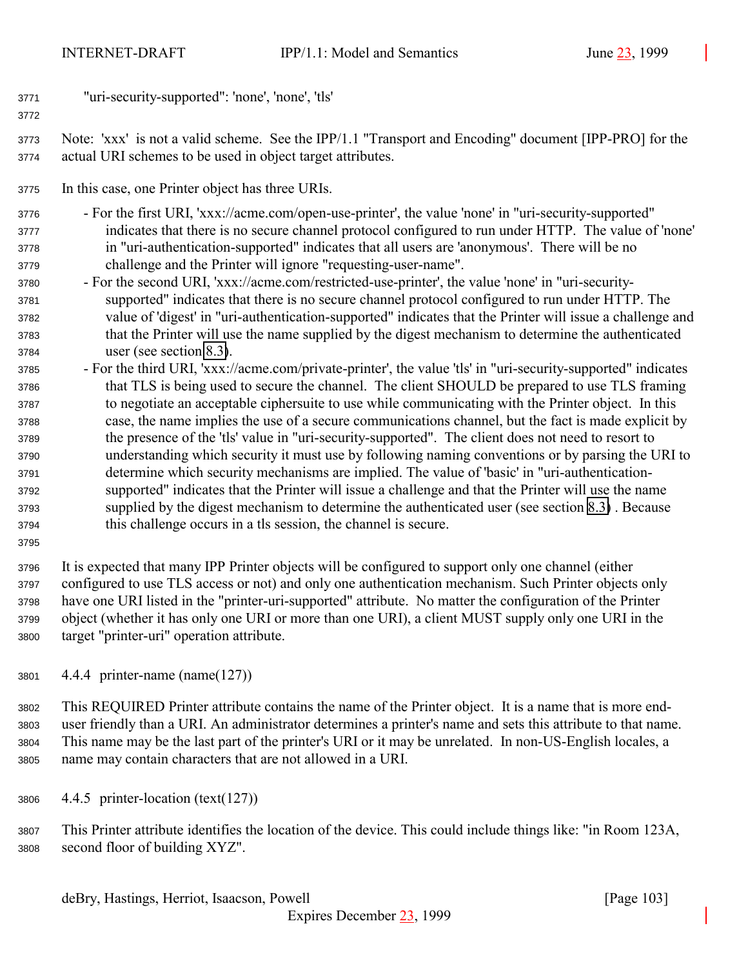"uri-security-supported": 'none', 'none', 'tls'

 Note: 'xxx' is not a valid scheme. See the IPP/1.1 "Transport and Encoding" document [IPP-PRO] for the actual URI schemes to be used in object target attributes.

In this case, one Printer object has three URIs.

 - For the first URI, 'xxx://acme.com/open-use-printer', the value 'none' in "uri-security-supported" indicates that there is no secure channel protocol configured to run under HTTP. The value of 'none' in "uri-authentication-supported" indicates that all users are 'anonymous'. There will be no challenge and the Printer will ignore "requesting-user-name".

- For the second URI, 'xxx://acme.com/restricted-use-printer', the value 'none' in "uri-security- supported" indicates that there is no secure channel protocol configured to run under HTTP. The value of 'digest' in "uri-authentication-supported" indicates that the Printer will issue a challenge and that the Printer will use the name supplied by the digest mechanism to determine the authenticated user (see section [8.3\)](#page-127-0).
- For the third URI, 'xxx://acme.com/private-printer', the value 'tls' in "uri-security-supported" indicates that TLS is being used to secure the channel. The client SHOULD be prepared to use TLS framing to negotiate an acceptable ciphersuite to use while communicating with the Printer object. In this case, the name implies the use of a secure communications channel, but the fact is made explicit by the presence of the 'tls' value in "uri-security-supported". The client does not need to resort to understanding which security it must use by following naming conventions or by parsing the URI to determine which security mechanisms are implied. The value of 'basic' in "uri-authentication- supported" indicates that the Printer will issue a challenge and that the Printer will use the name supplied by the digest mechanism to determine the authenticated user (see section [8.3\)](#page-127-0) . Because this challenge occurs in a tls session, the channel is secure.
- 

 It is expected that many IPP Printer objects will be configured to support only one channel (either configured to use TLS access or not) and only one authentication mechanism. Such Printer objects only have one URI listed in the "printer-uri-supported" attribute. No matter the configuration of the Printer object (whether it has only one URI or more than one URI), a client MUST supply only one URI in the target "printer-uri" operation attribute.

4.4.4 printer-name (name(127))

 This REQUIRED Printer attribute contains the name of the Printer object. It is a name that is more end- user friendly than a URI. An administrator determines a printer's name and sets this attribute to that name. This name may be the last part of the printer's URI or it may be unrelated. In non-US-English locales, a name may contain characters that are not allowed in a URI.

4.4.5 printer-location (text(127))

 This Printer attribute identifies the location of the device. This could include things like: "in Room 123A, second floor of building XYZ".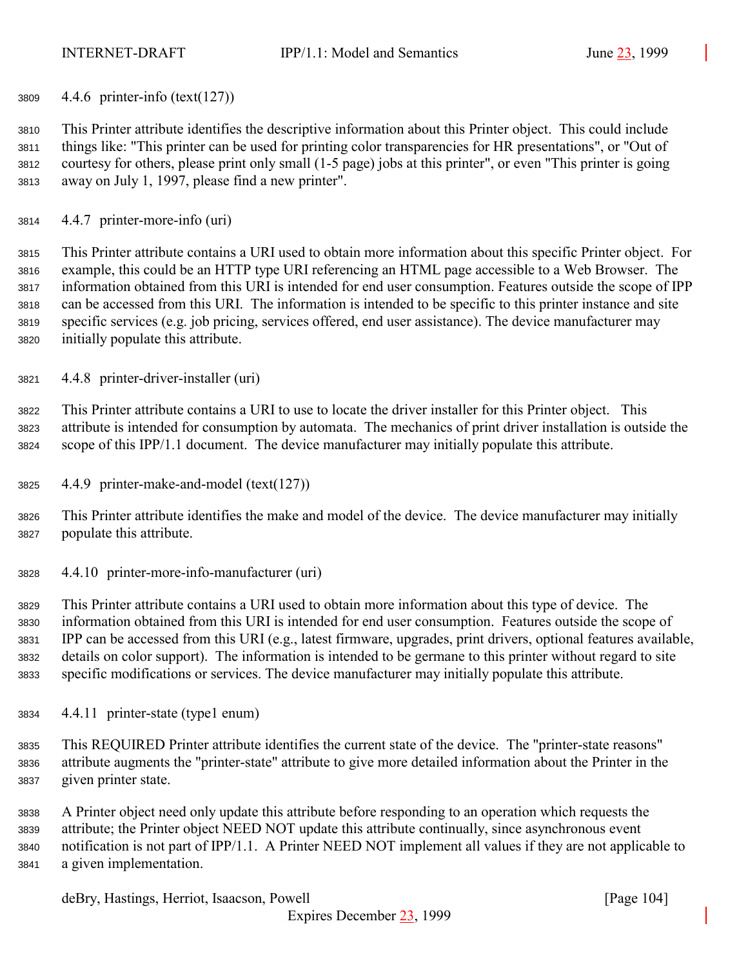4.4.6 printer-info (text(127))

 This Printer attribute identifies the descriptive information about this Printer object. This could include things like: "This printer can be used for printing color transparencies for HR presentations", or "Out of courtesy for others, please print only small (1-5 page) jobs at this printer", or even "This printer is going away on July 1, 1997, please find a new printer".

4.4.7 printer-more-info (uri)

 This Printer attribute contains a URI used to obtain more information about this specific Printer object. For example, this could be an HTTP type URI referencing an HTML page accessible to a Web Browser. The information obtained from this URI is intended for end user consumption. Features outside the scope of IPP can be accessed from this URI. The information is intended to be specific to this printer instance and site specific services (e.g. job pricing, services offered, end user assistance). The device manufacturer may initially populate this attribute.

4.4.8 printer-driver-installer (uri)

 This Printer attribute contains a URI to use to locate the driver installer for this Printer object. This attribute is intended for consumption by automata. The mechanics of print driver installation is outside the scope of this IPP/1.1 document. The device manufacturer may initially populate this attribute.

- 4.4.9 printer-make-and-model (text(127))
- This Printer attribute identifies the make and model of the device. The device manufacturer may initially populate this attribute.
- 4.4.10 printer-more-info-manufacturer (uri)

 This Printer attribute contains a URI used to obtain more information about this type of device. The information obtained from this URI is intended for end user consumption. Features outside the scope of IPP can be accessed from this URI (e.g., latest firmware, upgrades, print drivers, optional features available, details on color support). The information is intended to be germane to this printer without regard to site specific modifications or services. The device manufacturer may initially populate this attribute.

- 4.4.11 printer-state (type1 enum)
- This REQUIRED Printer attribute identifies the current state of the device. The "printer-state reasons" attribute augments the "printer-state" attribute to give more detailed information about the Printer in the given printer state.

 A Printer object need only update this attribute before responding to an operation which requests the attribute; the Printer object NEED NOT update this attribute continually, since asynchronous event notification is not part of IPP/1.1. A Printer NEED NOT implement all values if they are not applicable to a given implementation.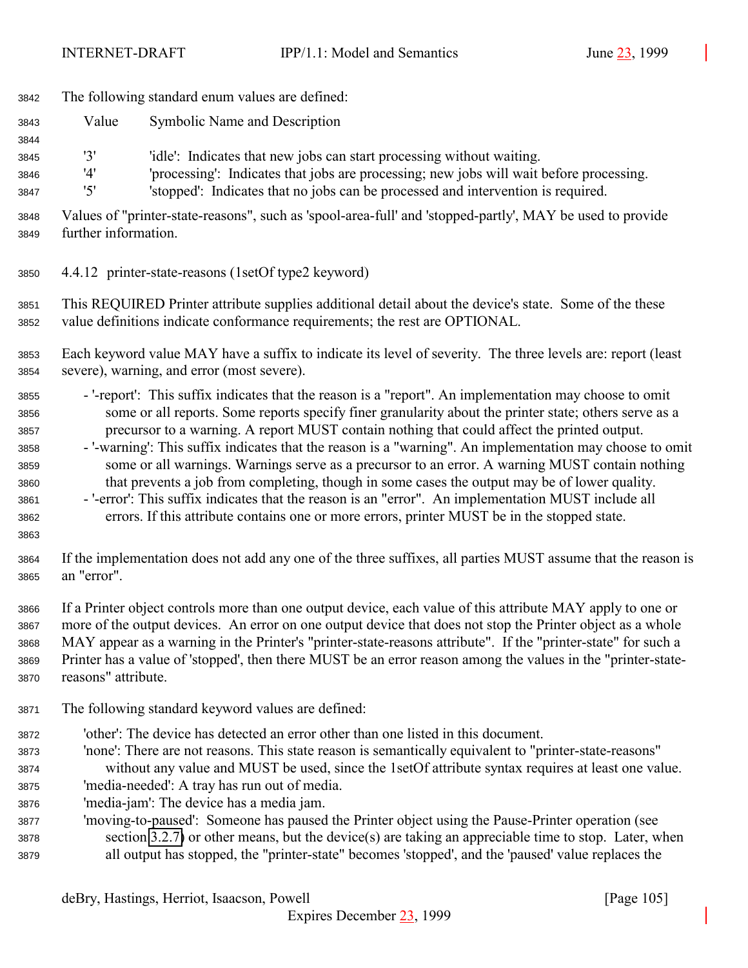- The following standard enum values are defined:
- Value Symbolic Name and Description

'3' 'idle': Indicates that new jobs can start processing without waiting.

'4' 'processing': Indicates that jobs are processing; new jobs will wait before processing.

'5' 'stopped': Indicates that no jobs can be processed and intervention is required.

 Values of "printer-state-reasons", such as 'spool-area-full' and 'stopped-partly', MAY be used to provide further information.

4.4.12 printer-state-reasons (1setOf type2 keyword)

 This REQUIRED Printer attribute supplies additional detail about the device's state. Some of the these value definitions indicate conformance requirements; the rest are OPTIONAL.

 Each keyword value MAY have a suffix to indicate its level of severity. The three levels are: report (least severe), warning, and error (most severe).

- '-report': This suffix indicates that the reason is a "report". An implementation may choose to omit some or all reports. Some reports specify finer granularity about the printer state; others serve as a precursor to a warning. A report MUST contain nothing that could affect the printed output.
- '-warning': This suffix indicates that the reason is a "warning". An implementation may choose to omit some or all warnings. Warnings serve as a precursor to an error. A warning MUST contain nothing that prevents a job from completing, though in some cases the output may be of lower quality.
- '-error': This suffix indicates that the reason is an "error". An implementation MUST include all errors. If this attribute contains one or more errors, printer MUST be in the stopped state.
- 

 If the implementation does not add any one of the three suffixes, all parties MUST assume that the reason is an "error".

 If a Printer object controls more than one output device, each value of this attribute MAY apply to one or more of the output devices. An error on one output device that does not stop the Printer object as a whole MAY appear as a warning in the Printer's "printer-state-reasons attribute". If the "printer-state" for such a Printer has a value of 'stopped', then there MUST be an error reason among the values in the "printer-state-reasons" attribute.

- The following standard keyword values are defined:
- 'other': The device has detected an error other than one listed in this document.
- 'none': There are not reasons. This state reason is semantically equivalent to "printer-state-reasons" without any value and MUST be used, since the 1setOf attribute syntax requires at least one value.
- 'media-needed': A tray has run out of media.
- 'media-jam': The device has a media jam.
- 'moving-to-paused': Someone has paused the Printer object using the Pause-Printer operation (see section [3.2.7\)](#page-46-0) or other means, but the device(s) are taking an appreciable time to stop. Later, when all output has stopped, the "printer-state" becomes 'stopped', and the 'paused' value replaces the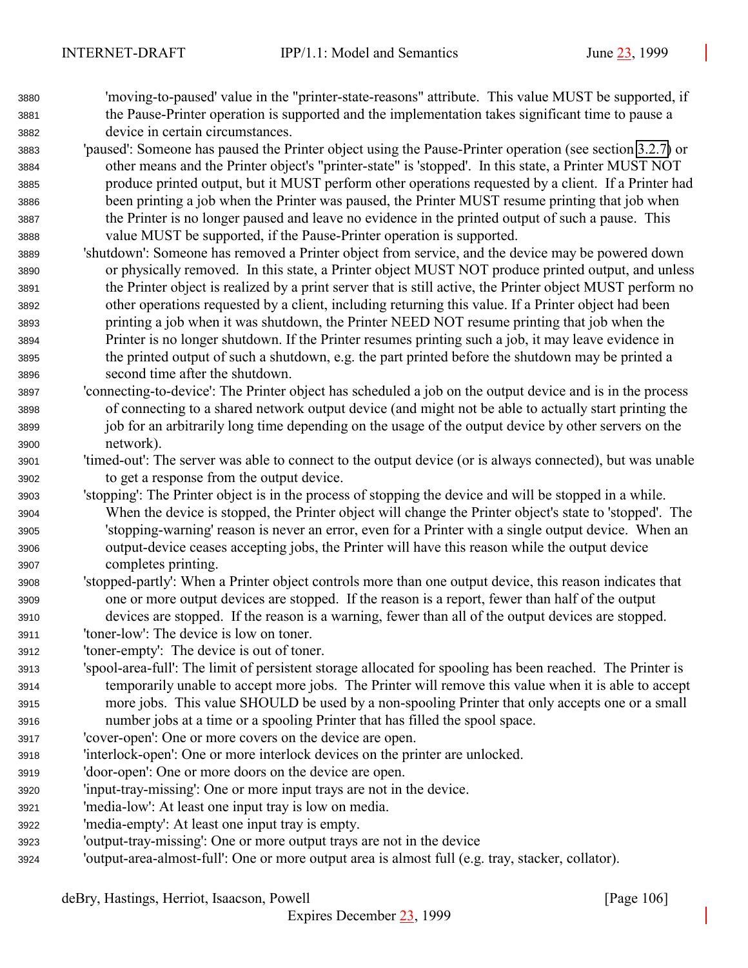'moving-to-paused' value in the "printer-state-reasons" attribute. This value MUST be supported, if the Pause-Printer operation is supported and the implementation takes significant time to pause a device in certain circumstances.

 'paused': Someone has paused the Printer object using the Pause-Printer operation (see section [3.2.7\)](#page-46-0) or other means and the Printer object's "printer-state" is 'stopped'. In this state, a Printer MUST NOT produce printed output, but it MUST perform other operations requested by a client. If a Printer had been printing a job when the Printer was paused, the Printer MUST resume printing that job when the Printer is no longer paused and leave no evidence in the printed output of such a pause. This value MUST be supported, if the Pause-Printer operation is supported.

- 'shutdown': Someone has removed a Printer object from service, and the device may be powered down or physically removed. In this state, a Printer object MUST NOT produce printed output, and unless the Printer object is realized by a print server that is still active, the Printer object MUST perform no other operations requested by a client, including returning this value. If a Printer object had been printing a job when it was shutdown, the Printer NEED NOT resume printing that job when the Printer is no longer shutdown. If the Printer resumes printing such a job, it may leave evidence in the printed output of such a shutdown, e.g. the part printed before the shutdown may be printed a second time after the shutdown.
- 'connecting-to-device': The Printer object has scheduled a job on the output device and is in the process of connecting to a shared network output device (and might not be able to actually start printing the job for an arbitrarily long time depending on the usage of the output device by other servers on the network).
- 'timed-out': The server was able to connect to the output device (or is always connected), but was unable to get a response from the output device.
- 'stopping': The Printer object is in the process of stopping the device and will be stopped in a while. When the device is stopped, the Printer object will change the Printer object's state to 'stopped'. The 'stopping-warning' reason is never an error, even for a Printer with a single output device. When an output-device ceases accepting jobs, the Printer will have this reason while the output device completes printing.
- 'stopped-partly': When a Printer object controls more than one output device, this reason indicates that one or more output devices are stopped. If the reason is a report, fewer than half of the output devices are stopped. If the reason is a warning, fewer than all of the output devices are stopped.
- 'toner-low': The device is low on toner.
- 'toner-empty': The device is out of toner.
- 'spool-area-full': The limit of persistent storage allocated for spooling has been reached. The Printer is temporarily unable to accept more jobs. The Printer will remove this value when it is able to accept more jobs. This value SHOULD be used by a non-spooling Printer that only accepts one or a small number jobs at a time or a spooling Printer that has filled the spool space.
- 'cover-open': One or more covers on the device are open.
- 'interlock-open': One or more interlock devices on the printer are unlocked.
- 'door-open': One or more doors on the device are open.
- 'input-tray-missing': One or more input trays are not in the device.
- 'media-low': At least one input tray is low on media.
- 'media-empty': At least one input tray is empty.
- 'output-tray-missing': One or more output trays are not in the device
- 'output-area-almost-full': One or more output area is almost full (e.g. tray, stacker, collator).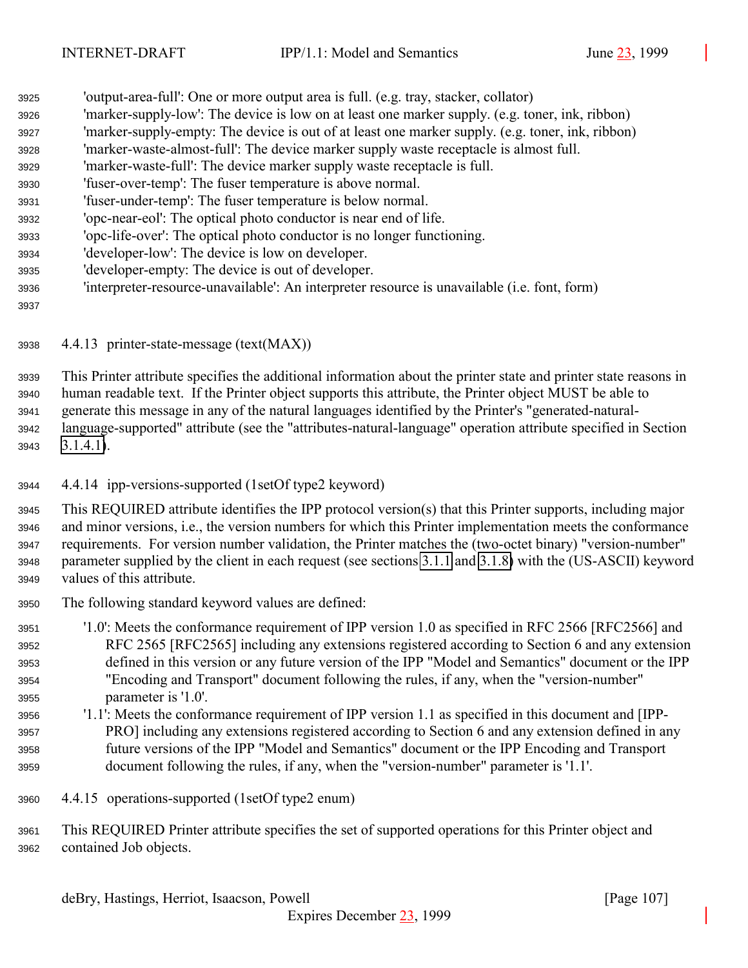- 'output-area-full': One or more output area is full. (e.g. tray, stacker, collator) 'marker-supply-low': The device is low on at least one marker supply. (e.g. toner, ink, ribbon) 'marker-supply-empty: The device is out of at least one marker supply. (e.g. toner, ink, ribbon) 'marker-waste-almost-full': The device marker supply waste receptacle is almost full. 'marker-waste-full': The device marker supply waste receptacle is full. 'fuser-over-temp': The fuser temperature is above normal. 'fuser-under-temp': The fuser temperature is below normal. 'opc-near-eol': The optical photo conductor is near end of life. 'opc-life-over': The optical photo conductor is no longer functioning. 'developer-low': The device is low on developer. 'developer-empty: The device is out of developer. 'interpreter-resource-unavailable': An interpreter resource is unavailable (i.e. font, form)
- 4.4.13 printer-state-message (text(MAX))

 This Printer attribute specifies the additional information about the printer state and printer state reasons in human readable text. If the Printer object supports this attribute, the Printer object MUST be able to generate this message in any of the natural languages identified by the Printer's "generated-natural- language-supported" attribute (see the "attributes-natural-language" operation attribute specified in Section [3.1.4.1\)](#page-22-0).

- 4.4.14 ipp-versions-supported (1setOf type2 keyword)
- This REQUIRED attribute identifies the IPP protocol version(s) that this Printer supports, including major and minor versions, i.e., the version numbers for which this Printer implementation meets the conformance requirements. For version number validation, the Printer matches the (two-octet binary) "version-number" parameter supplied by the client in each request (see sections [3.1.1](#page-19-0) and [3.1.8\)](#page-30-0) with the (US-ASCII) keyword values of this attribute.
- The following standard keyword values are defined:

 '1.0': Meets the conformance requirement of IPP version 1.0 as specified in RFC 2566 [RFC2566] and RFC 2565 [RFC2565] including any extensions registered according to Section 6 and any extension defined in this version or any future version of the IPP "Model and Semantics" document or the IPP "Encoding and Transport" document following the rules, if any, when the "version-number" parameter is '1.0'.

- '1.1': Meets the conformance requirement of IPP version 1.1 as specified in this document and [IPP- PRO] including any extensions registered according to Section 6 and any extension defined in any future versions of the IPP "Model and Semantics" document or the IPP Encoding and Transport document following the rules, if any, when the "version-number" parameter is '1.1'.
- 4.4.15 operations-supported (1setOf type2 enum)

 This REQUIRED Printer attribute specifies the set of supported operations for this Printer object and contained Job objects.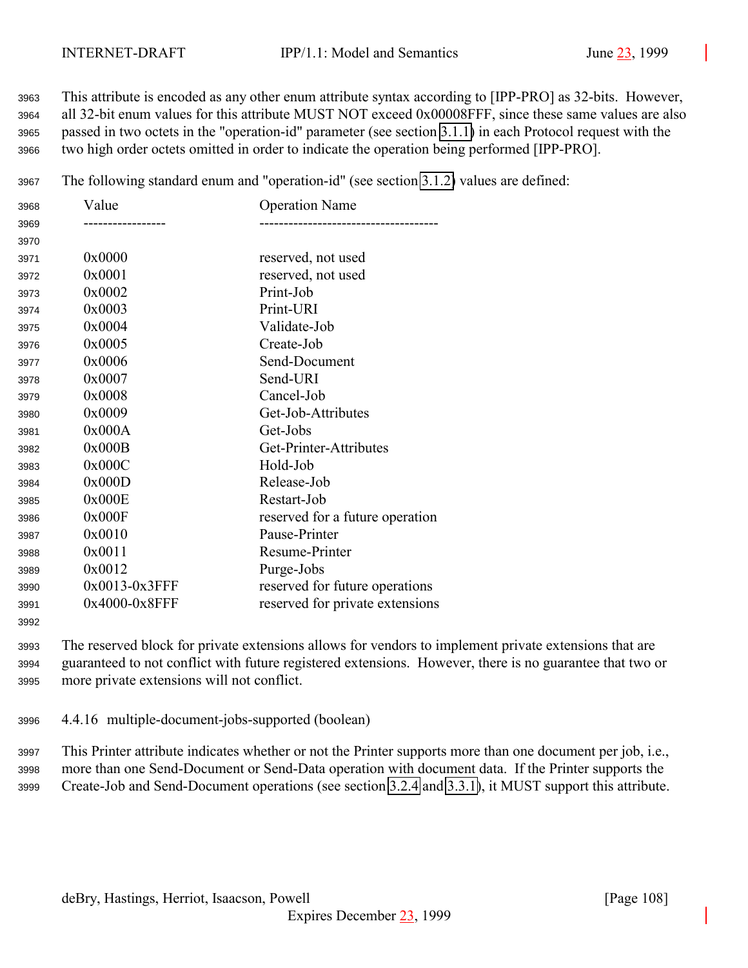This attribute is encoded as any other enum attribute syntax according to [IPP-PRO] as 32-bits. However, all 32-bit enum values for this attribute MUST NOT exceed 0x00008FFF, since these same values are also passed in two octets in the "operation-id" parameter (see section [3.1.1\)](#page-19-0) in each Protocol request with the two high order octets omitted in order to indicate the operation being performed [IPP-PRO].

The following standard enum and "operation-id" (see section [3.1.2\)](#page-20-0) values are defined:

| 3968 | Value         | <b>Operation Name</b>           |
|------|---------------|---------------------------------|
| 3969 |               |                                 |
| 3970 |               |                                 |
| 3971 | 0x0000        | reserved, not used              |
| 3972 | 0x0001        | reserved, not used              |
| 3973 | 0x0002        | Print-Job                       |
| 3974 | 0x0003        | Print-URI                       |
| 3975 | 0x0004        | Validate-Job                    |
| 3976 | 0x0005        | Create-Job                      |
| 3977 | 0x0006        | Send-Document                   |
| 3978 | 0x0007        | Send-URI                        |
| 3979 | 0x0008        | Cancel-Job                      |
| 3980 | 0x0009        | Get-Job-Attributes              |
| 3981 | 0x000A        | Get-Jobs                        |
| 3982 | 0x000B        | Get-Printer-Attributes          |
| 3983 | 0x000C        | Hold-Job                        |
| 3984 | 0x000D        | Release-Job                     |
| 3985 | 0x000E        | Restart-Job                     |
| 3986 | 0x000F        | reserved for a future operation |
| 3987 | 0x0010        | Pause-Printer                   |
| 3988 | 0x0011        | Resume-Printer                  |
| 3989 | 0x0012        | Purge-Jobs                      |
| 3990 | 0x0013-0x3FFF | reserved for future operations  |
| 3991 | 0x4000-0x8FFF | reserved for private extensions |
|      |               |                                 |

 The reserved block for private extensions allows for vendors to implement private extensions that are guaranteed to not conflict with future registered extensions. However, there is no guarantee that two or more private extensions will not conflict.

4.4.16 multiple-document-jobs-supported (boolean)

 This Printer attribute indicates whether or not the Printer supports more than one document per job, i.e., more than one Send-Document or Send-Data operation with document data. If the Printer supports the Create-Job and Send-Document operations (see section [3.2.4](#page-40-0) and [3.3.1\)](#page-50-0), it MUST support this attribute.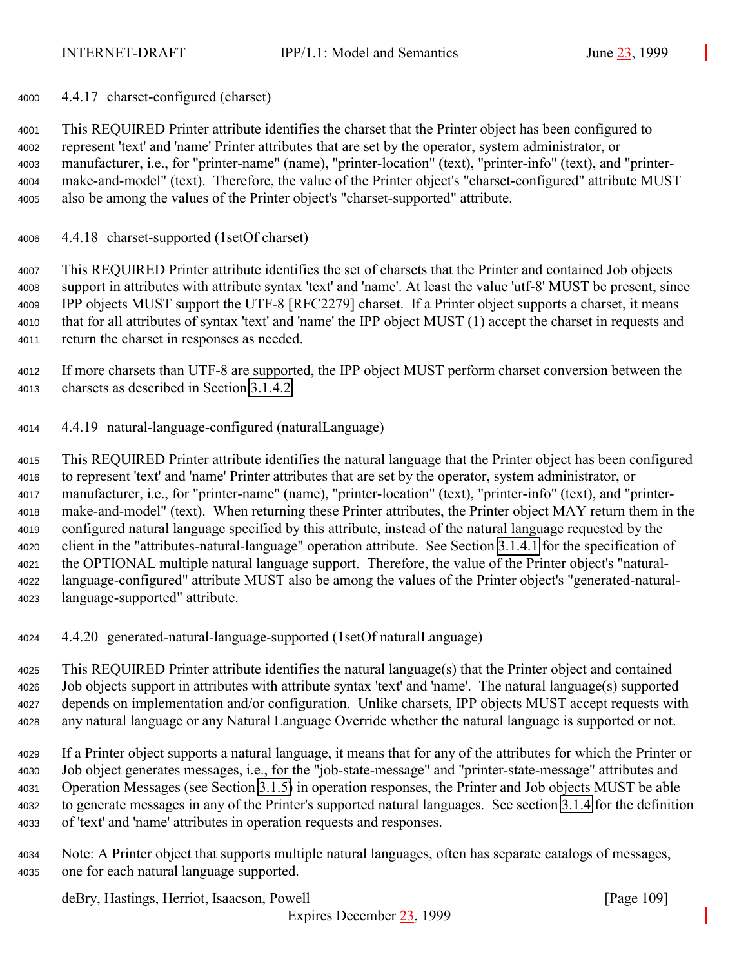4.4.17 charset-configured (charset)

 This REQUIRED Printer attribute identifies the charset that the Printer object has been configured to represent 'text' and 'name' Printer attributes that are set by the operator, system administrator, or manufacturer, i.e., for "printer-name" (name), "printer-location" (text), "printer-info" (text), and "printer- make-and-model" (text). Therefore, the value of the Printer object's "charset-configured" attribute MUST also be among the values of the Printer object's "charset-supported" attribute.

4.4.18 charset-supported (1setOf charset)

 This REQUIRED Printer attribute identifies the set of charsets that the Printer and contained Job objects support in attributes with attribute syntax 'text' and 'name'. At least the value 'utf-8' MUST be present, since IPP objects MUST support the UTF-8 [RFC2279] charset. If a Printer object supports a charset, it means that for all attributes of syntax 'text' and 'name' the IPP object MUST (1) accept the charset in requests and return the charset in responses as needed.

- If more charsets than UTF-8 are supported, the IPP object MUST perform charset conversion between the charsets as described in Section [3.1.4.2.](#page-24-0)
- 4.4.19 natural-language-configured (naturalLanguage)

 This REQUIRED Printer attribute identifies the natural language that the Printer object has been configured to represent 'text' and 'name' Printer attributes that are set by the operator, system administrator, or manufacturer, i.e., for "printer-name" (name), "printer-location" (text), "printer-info" (text), and "printer- make-and-model" (text). When returning these Printer attributes, the Printer object MAY return them in the configured natural language specified by this attribute, instead of the natural language requested by the client in the "attributes-natural-language" operation attribute. See Section [3.1.4.1](#page-22-0) for the specification of the OPTIONAL multiple natural language support. Therefore, the value of the Printer object's "natural- language-configured" attribute MUST also be among the values of the Printer object's "generated-natural-language-supported" attribute.

4.4.20 generated-natural-language-supported (1setOf naturalLanguage)

 This REQUIRED Printer attribute identifies the natural language(s) that the Printer object and contained Job objects support in attributes with attribute syntax 'text' and 'name'. The natural language(s) supported depends on implementation and/or configuration. Unlike charsets, IPP objects MUST accept requests with any natural language or any Natural Language Override whether the natural language is supported or not.

 If a Printer object supports a natural language, it means that for any of the attributes for which the Printer or Job object generates messages, i.e., for the "job-state-message" and "printer-state-message" attributes and Operation Messages (see Section [3.1.5\)](#page-27-0) in operation responses, the Printer and Job objects MUST be able to generate messages in any of the Printer's supported natural languages. See section [3.1.4](#page-21-0) for the definition of 'text' and 'name' attributes in operation requests and responses.

 Note: A Printer object that supports multiple natural languages, often has separate catalogs of messages, one for each natural language supported.

deBry, Hastings, Herriot, Isaacson, Powell [Page 109]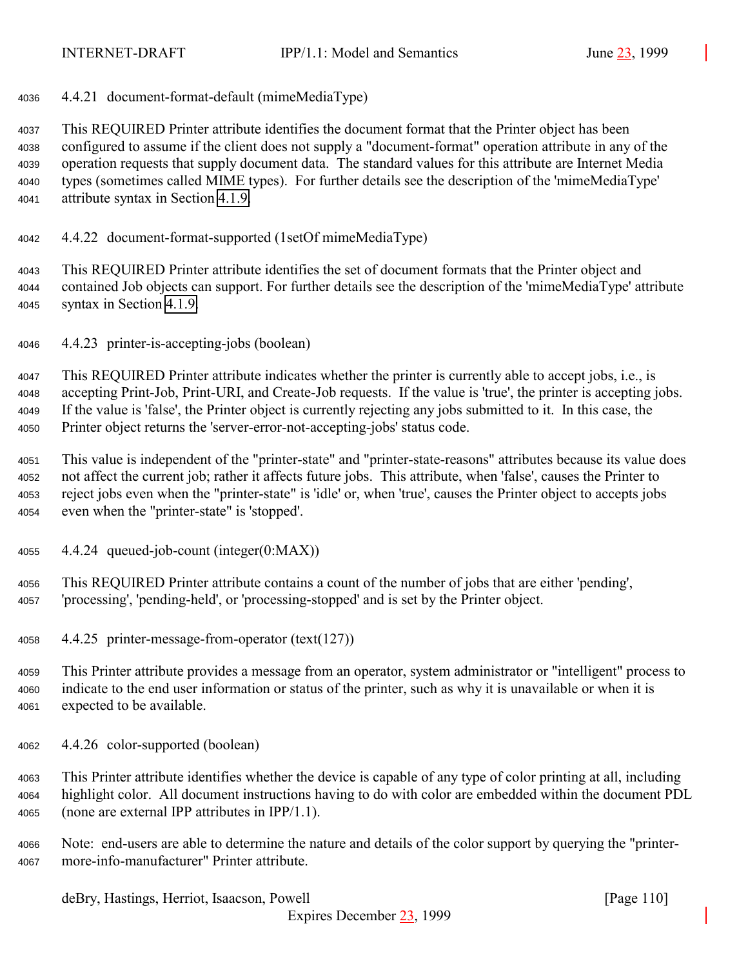4.4.21 document-format-default (mimeMediaType)

 This REQUIRED Printer attribute identifies the document format that the Printer object has been configured to assume if the client does not supply a "document-format" operation attribute in any of the operation requests that supply document data. The standard values for this attribute are Internet Media types (sometimes called MIME types). For further details see the description of the 'mimeMediaType' attribute syntax in Section [4.1.9.](#page-68-0)

- 4.4.22 document-format-supported (1setOf mimeMediaType)
- This REQUIRED Printer attribute identifies the set of document formats that the Printer object and contained Job objects can support. For further details see the description of the 'mimeMediaType' attribute syntax in Section [4.1.9.](#page-68-0)
- 4.4.23 printer-is-accepting-jobs (boolean)

 This REQUIRED Printer attribute indicates whether the printer is currently able to accept jobs, i.e., is accepting Print-Job, Print-URI, and Create-Job requests. If the value is 'true', the printer is accepting jobs. If the value is 'false', the Printer object is currently rejecting any jobs submitted to it. In this case, the Printer object returns the 'server-error-not-accepting-jobs' status code.

 This value is independent of the "printer-state" and "printer-state-reasons" attributes because its value does not affect the current job; rather it affects future jobs. This attribute, when 'false', causes the Printer to reject jobs even when the "printer-state" is 'idle' or, when 'true', causes the Printer object to accepts jobs even when the "printer-state" is 'stopped'.

4.4.24 queued-job-count (integer(0:MAX))

 This REQUIRED Printer attribute contains a count of the number of jobs that are either 'pending', 'processing', 'pending-held', or 'processing-stopped' and is set by the Printer object.

- 4.4.25 printer-message-from-operator (text(127))
- This Printer attribute provides a message from an operator, system administrator or "intelligent" process to indicate to the end user information or status of the printer, such as why it is unavailable or when it is expected to be available.
- 4.4.26 color-supported (boolean)

 This Printer attribute identifies whether the device is capable of any type of color printing at all, including highlight color. All document instructions having to do with color are embedded within the document PDL (none are external IPP attributes in IPP/1.1).

 Note: end-users are able to determine the nature and details of the color support by querying the "printer-more-info-manufacturer" Printer attribute.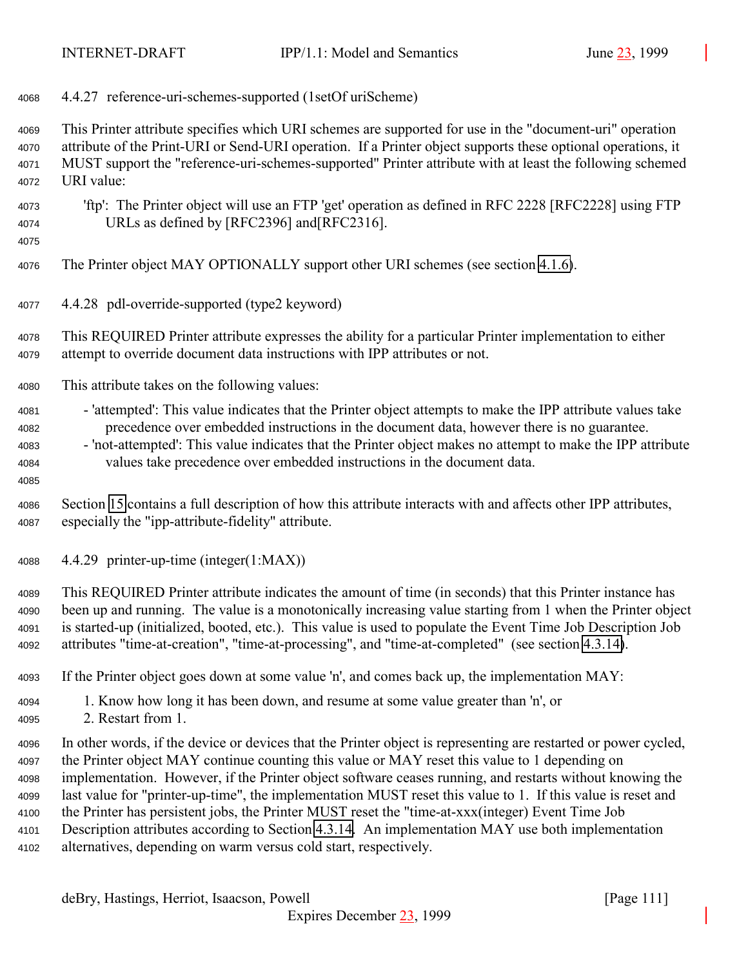4.4.27 reference-uri-schemes-supported (1setOf uriScheme)

 This Printer attribute specifies which URI schemes are supported for use in the "document-uri" operation attribute of the Print-URI or Send-URI operation. If a Printer object supports these optional operations, it MUST support the "reference-uri-schemes-supported" Printer attribute with at least the following schemed URI value:

 'ftp': The Printer object will use an FTP 'get' operation as defined in RFC 2228 [RFC2228] using FTP URLs as defined by [RFC2396] and[RFC2316].

The Printer object MAY OPTIONALLY support other URI schemes (see section [4.1.6\)](#page-67-0).

4.4.28 pdl-override-supported (type2 keyword)

 This REQUIRED Printer attribute expresses the ability for a particular Printer implementation to either attempt to override document data instructions with IPP attributes or not.

- This attribute takes on the following values:
- 'attempted': This value indicates that the Printer object attempts to make the IPP attribute values take precedence over embedded instructions in the document data, however there is no guarantee.
- 'not-attempted': This value indicates that the Printer object makes no attempt to make the IPP attribute values take precedence over embedded instructions in the document data.
- Section [15](#page-154-0) contains a full description of how this attribute interacts with and affects other IPP attributes, especially the "ipp-attribute-fidelity" attribute.
- 4.4.29 printer-up-time (integer(1:MAX))
- This REQUIRED Printer attribute indicates the amount of time (in seconds) that this Printer instance has been up and running. The value is a monotonically increasing value starting from 1 when the Printer object is started-up (initialized, booted, etc.). This value is used to populate the Event Time Job Description Job attributes "time-at-creation", "time-at-processing", and "time-at-completed" (see section [4.3.14\)](#page-93-0).
- If the Printer object goes down at some value 'n', and comes back up, the implementation MAY:
- 1. Know how long it has been down, and resume at some value greater than 'n', or
- 2. Restart from 1.
- In other words, if the device or devices that the Printer object is representing are restarted or power cycled, the Printer object MAY continue counting this value or MAY reset this value to 1 depending on implementation. However, if the Printer object software ceases running, and restarts without knowing the last value for "printer-up-time", the implementation MUST reset this value to 1. If this value is reset and the Printer has persistent jobs, the Printer MUST reset the "time-at-xxx(integer) Event Time Job Description attributes according to Section [4.3.14.](#page-93-0) An implementation MAY use both implementation alternatives, depending on warm versus cold start, respectively.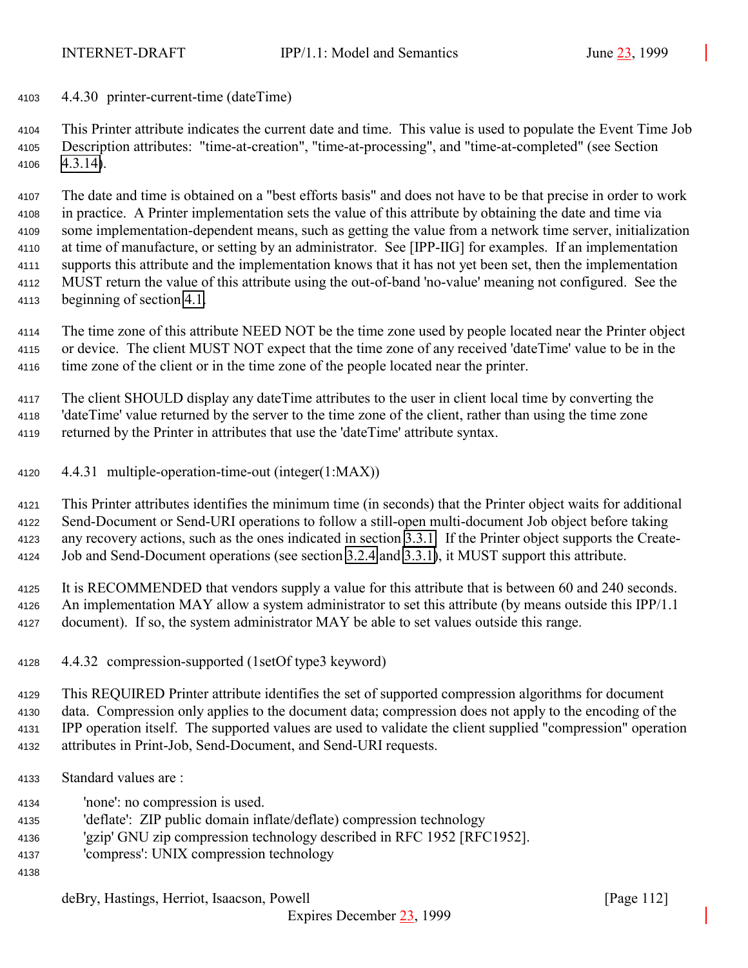4.4.30 printer-current-time (dateTime)

 This Printer attribute indicates the current date and time. This value is used to populate the Event Time Job Description attributes: "time-at-creation", "time-at-processing", and "time-at-completed" (see Section [4.3.14\)](#page-93-0).

 The date and time is obtained on a "best efforts basis" and does not have to be that precise in order to work in practice. A Printer implementation sets the value of this attribute by obtaining the date and time via some implementation-dependent means, such as getting the value from a network time server, initialization at time of manufacture, or setting by an administrator. See [IPP-IIG] for examples. If an implementation supports this attribute and the implementation knows that it has not yet been set, then the implementation MUST return the value of this attribute using the out-of-band 'no-value' meaning not configured. See the beginning of section [4.1.](#page-61-0)

 The time zone of this attribute NEED NOT be the time zone used by people located near the Printer object or device. The client MUST NOT expect that the time zone of any received 'dateTime' value to be in the time zone of the client or in the time zone of the people located near the printer.

 The client SHOULD display any dateTime attributes to the user in client local time by converting the 'dateTime' value returned by the server to the time zone of the client, rather than using the time zone returned by the Printer in attributes that use the 'dateTime' attribute syntax.

4.4.31 multiple-operation-time-out (integer(1:MAX))

 This Printer attributes identifies the minimum time (in seconds) that the Printer object waits for additional Send-Document or Send-URI operations to follow a still-open multi-document Job object before taking any recovery actions, such as the ones indicated in section [3.3.1.](#page-50-0) If the Printer object supports the Create-Job and Send-Document operations (see section [3.2.4](#page-40-0) and [3.3.1\)](#page-50-0), it MUST support this attribute.

 It is RECOMMENDED that vendors supply a value for this attribute that is between 60 and 240 seconds. An implementation MAY allow a system administrator to set this attribute (by means outside this IPP/1.1 document). If so, the system administrator MAY be able to set values outside this range.

4.4.32 compression-supported (1setOf type3 keyword)

 This REQUIRED Printer attribute identifies the set of supported compression algorithms for document data. Compression only applies to the document data; compression does not apply to the encoding of the IPP operation itself. The supported values are used to validate the client supplied "compression" operation attributes in Print-Job, Send-Document, and Send-URI requests.

- Standard values are :
- 'none': no compression is used.
- 'deflate': ZIP public domain inflate/deflate) compression technology
- 'gzip' GNU zip compression technology described in RFC 1952 [RFC1952].
- 'compress': UNIX compression technology
-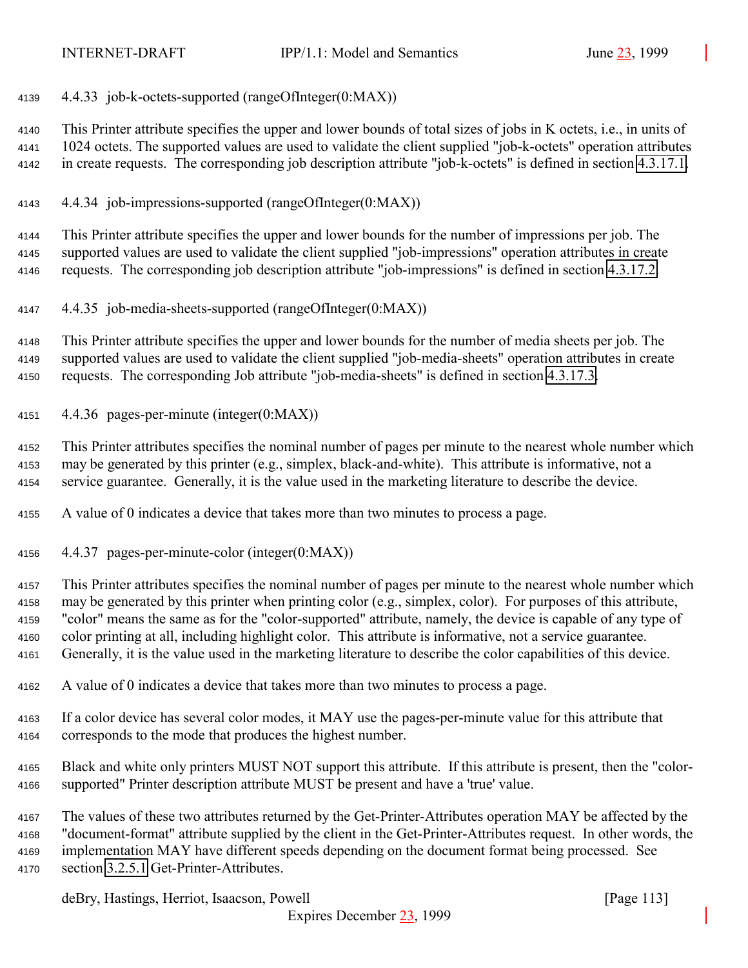4.4.33 job-k-octets-supported (rangeOfInteger(0:MAX))

 This Printer attribute specifies the upper and lower bounds of total sizes of jobs in K octets, i.e., in units of 1024 octets. The supported values are used to validate the client supplied "job-k-octets" operation attributes in create requests. The corresponding job description attribute "job-k-octets" is defined in section [4.3.17.1.](#page-96-0)

4.4.34 job-impressions-supported (rangeOfInteger(0:MAX))

 This Printer attribute specifies the upper and lower bounds for the number of impressions per job. The supported values are used to validate the client supplied "job-impressions" operation attributes in create requests. The corresponding job description attribute "job-impressions" is defined in section [4.3.17.2.](#page-96-0)

4.4.35 job-media-sheets-supported (rangeOfInteger(0:MAX))

 This Printer attribute specifies the upper and lower bounds for the number of media sheets per job. The supported values are used to validate the client supplied "job-media-sheets" operation attributes in create requests. The corresponding Job attribute "job-media-sheets" is defined in section [4.3.17.3.](#page-96-0)

4.4.36 pages-per-minute (integer(0:MAX))

 This Printer attributes specifies the nominal number of pages per minute to the nearest whole number which may be generated by this printer (e.g., simplex, black-and-white). This attribute is informative, not a service guarantee. Generally, it is the value used in the marketing literature to describe the device.

A value of 0 indicates a device that takes more than two minutes to process a page.

4.4.37 pages-per-minute-color (integer(0:MAX))

 This Printer attributes specifies the nominal number of pages per minute to the nearest whole number which may be generated by this printer when printing color (e.g., simplex, color). For purposes of this attribute, "color" means the same as for the "color-supported" attribute, namely, the device is capable of any type of color printing at all, including highlight color. This attribute is informative, not a service guarantee. Generally, it is the value used in the marketing literature to describe the color capabilities of this device.

- A value of 0 indicates a device that takes more than two minutes to process a page.
- If a color device has several color modes, it MAY use the pages-per-minute value for this attribute that corresponds to the mode that produces the highest number.
- Black and white only printers MUST NOT support this attribute. If this attribute is present, then the "color-supported" Printer description attribute MUST be present and have a 'true' value.
- The values of these two attributes returned by the Get-Printer-Attributes operation MAY be affected by the "document-format" attribute supplied by the client in the Get-Printer-Attributes request. In other words, the implementation MAY have different speeds depending on the document format being processed. See section [3.2.5.1](#page-41-0) Get-Printer-Attributes.

deBry, Hastings, Herriot, Isaacson, Powell [Page 113]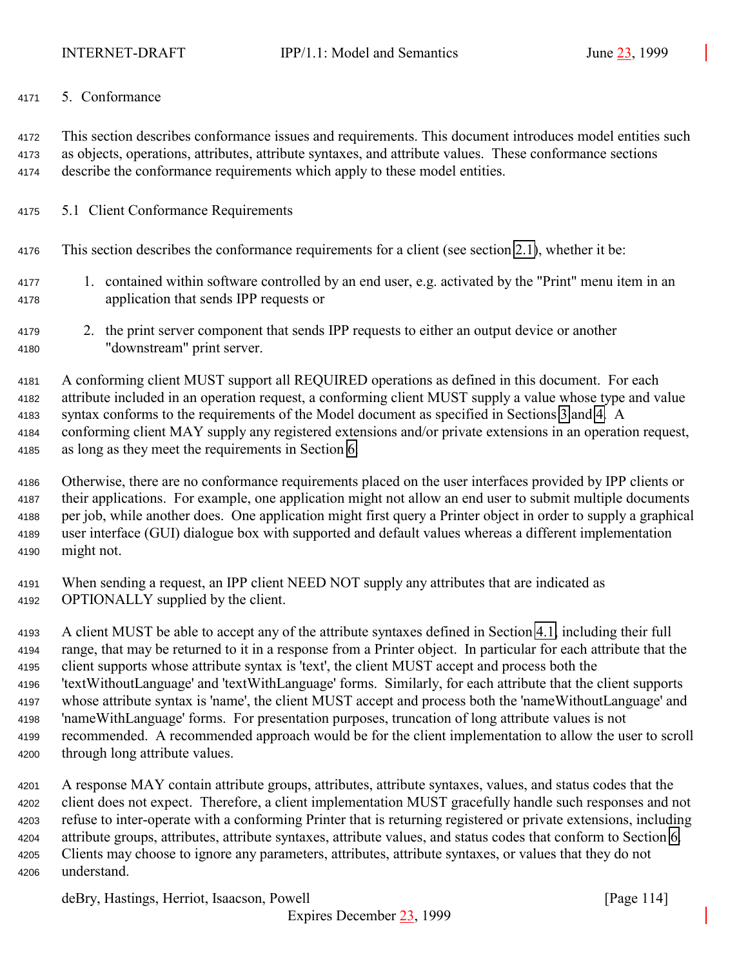#### 5. Conformance

 This section describes conformance issues and requirements. This document introduces model entities such as objects, operations, attributes, attribute syntaxes, and attribute values. These conformance sections describe the conformance requirements which apply to these model entities.

- 5.1 Client Conformance Requirements
- This section describes the conformance requirements for a client (see section [2.1\)](#page-12-0), whether it be:
- 1. contained within software controlled by an end user, e.g. activated by the "Print" menu item in an application that sends IPP requests or
- 2. the print server component that sends IPP requests to either an output device or another "downstream" print server.

 A conforming client MUST support all REQUIRED operations as defined in this document. For each attribute included in an operation request, a conforming client MUST supply a value whose type and value syntax conforms to the requirements of the Model document as specified in Sections [3](#page-18-0) and [4.](#page-61-0) A conforming client MAY supply any registered extensions and/or private extensions in an operation request, as long as they meet the requirements in Section [6.](#page-117-0)

- Otherwise, there are no conformance requirements placed on the user interfaces provided by IPP clients or their applications. For example, one application might not allow an end user to submit multiple documents per job, while another does. One application might first query a Printer object in order to supply a graphical user interface (GUI) dialogue box with supported and default values whereas a different implementation might not.
- When sending a request, an IPP client NEED NOT supply any attributes that are indicated as OPTIONALLY supplied by the client.

 A client MUST be able to accept any of the attribute syntaxes defined in Section [4.1,](#page-61-0) including their full range, that may be returned to it in a response from a Printer object. In particular for each attribute that the client supports whose attribute syntax is 'text', the client MUST accept and process both the 'textWithoutLanguage' and 'textWithLanguage' forms. Similarly, for each attribute that the client supports whose attribute syntax is 'name', the client MUST accept and process both the 'nameWithoutLanguage' and 'nameWithLanguage' forms. For presentation purposes, truncation of long attribute values is not recommended. A recommended approach would be for the client implementation to allow the user to scroll through long attribute values.

 A response MAY contain attribute groups, attributes, attribute syntaxes, values, and status codes that the client does not expect. Therefore, a client implementation MUST gracefully handle such responses and not refuse to inter-operate with a conforming Printer that is returning registered or private extensions, including attribute groups, attributes, attribute syntaxes, attribute values, and status codes that conform to Section [6.](#page-117-0) Clients may choose to ignore any parameters, attributes, attribute syntaxes, or values that they do not understand.

deBry, Hastings, Herriot, Isaacson, Powell [Page 114]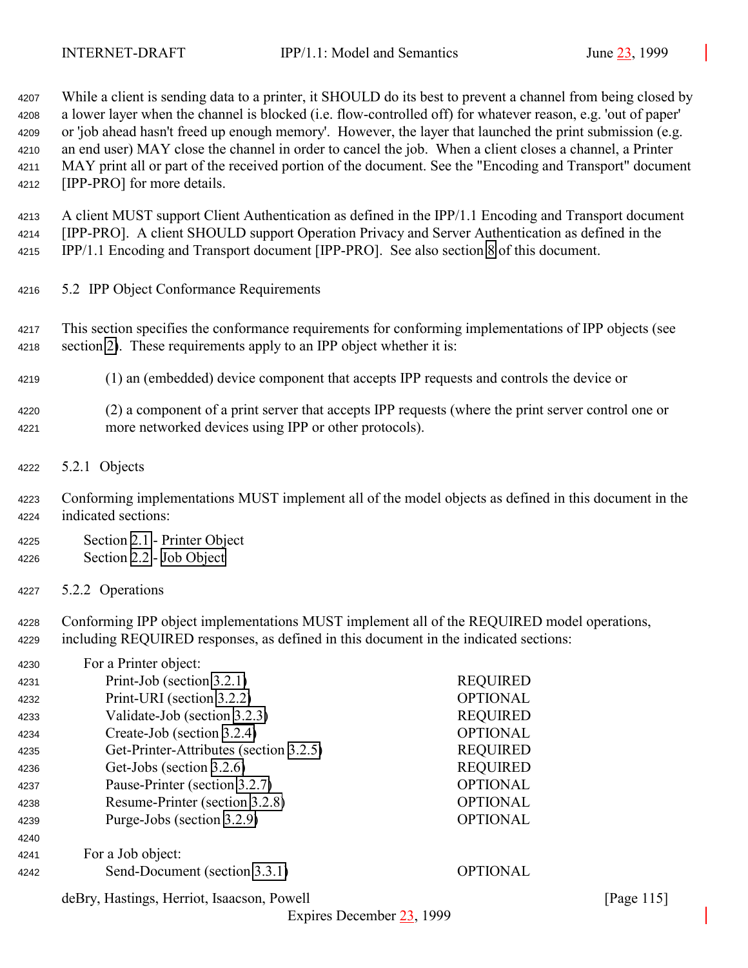While a client is sending data to a printer, it SHOULD do its best to prevent a channel from being closed by a lower layer when the channel is blocked (i.e. flow-controlled off) for whatever reason, e.g. 'out of paper' or 'job ahead hasn't freed up enough memory'. However, the layer that launched the print submission (e.g. an end user) MAY close the channel in order to cancel the job. When a client closes a channel, a Printer MAY print all or part of the received portion of the document. See the "Encoding and Transport" document [IPP-PRO] for more details.

 A client MUST support Client Authentication as defined in the IPP/1.1 Encoding and Transport document [IPP-PRO]. A client SHOULD support Operation Privacy and Server Authentication as defined in the IPP/1.1 Encoding and Transport document [IPP-PRO]. See also section [8](#page-125-0) of this document.

- 5.2 IPP Object Conformance Requirements
- This section specifies the conformance requirements for conforming implementations of IPP objects (see section [2\)](#page-12-0). These requirements apply to an IPP object whether it is:
- (1) an (embedded) device component that accepts IPP requests and controls the device or
- (2) a component of a print server that accepts IPP requests (where the print server control one or more networked devices using IPP or other protocols).
- 5.2.1 Objects
- Conforming implementations MUST implement all of the model objects as defined in this document in the indicated sections:
- Section [2.1](#page-12-0)  Printer Object Section [2.2](#page-14-0) - [Job Object](#page-14-0)
- 5.2.2 Operations

 Conforming IPP object implementations MUST implement all of the REQUIRED model operations, including REQUIRED responses, as defined in this document in the indicated sections:

| 4230 | For a Printer object:                  |                 |
|------|----------------------------------------|-----------------|
| 4231 | Print-Job (section 3.2.1)              | <b>REQUIRED</b> |
| 4232 | Print-URI (section 3.2.2)              | <b>OPTIONAL</b> |
| 4233 | Validate-Job (section 3.2.3)           | <b>REQUIRED</b> |
| 4234 | Create-Job (section 3.2.4)             | <b>OPTIONAL</b> |
| 4235 | Get-Printer-Attributes (section 3.2.5) | <b>REQUIRED</b> |
| 4236 | Get-Jobs (section 3.2.6)               | <b>REQUIRED</b> |
| 4237 | Pause-Printer (section 3.2.7)          | <b>OPTIONAL</b> |
| 4238 | Resume-Printer (section 3.2.8)         | <b>OPTIONAL</b> |
| 4239 | Purge-Jobs (section 3.2.9)             | <b>OPTIONAL</b> |
| 4240 |                                        |                 |
| 4241 | For a Job object:                      |                 |
| 4242 | Send-Document (section 3.3.1)          | <b>OPTIONAL</b> |

deBry, Hastings, Herriot, Isaacson, Powell [Page 115]

Expires December 23, 1999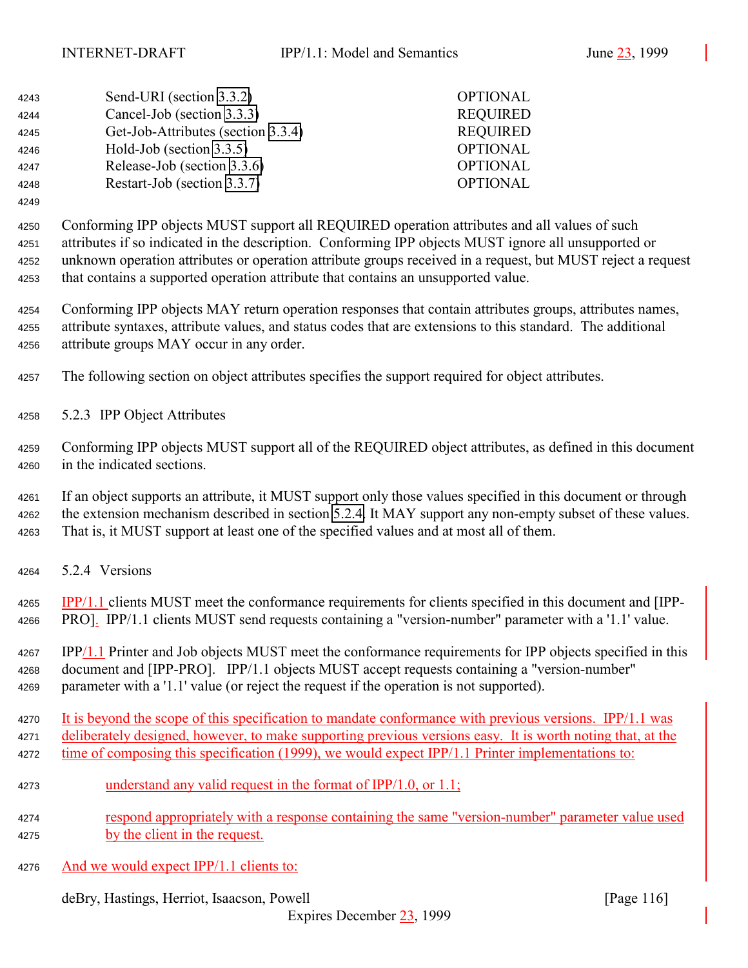| 4243 | Send-URI (section 3.3.2)           | <b>OPTIONAL</b> |
|------|------------------------------------|-----------------|
| 4244 | Cancel-Job (section 3.3.3)         | <b>REQUIRED</b> |
| 4245 | Get-Job-Attributes (section 3.3.4) | <b>REQUIRED</b> |
| 4246 | Hold-Job (section $3.3.5$ )        | <b>OPTIONAL</b> |
| 4247 | Release-Job (section 3.3.6)        | <b>OPTIONAL</b> |
| 4248 | Restart-Job (section 3.3.7)        | <b>OPTIONAL</b> |

 Conforming IPP objects MUST support all REQUIRED operation attributes and all values of such attributes if so indicated in the description. Conforming IPP objects MUST ignore all unsupported or unknown operation attributes or operation attribute groups received in a request, but MUST reject a request that contains a supported operation attribute that contains an unsupported value.

 Conforming IPP objects MAY return operation responses that contain attributes groups, attributes names, attribute syntaxes, attribute values, and status codes that are extensions to this standard. The additional attribute groups MAY occur in any order.

The following section on object attributes specifies the support required for object attributes.

5.2.3 IPP Object Attributes

 Conforming IPP objects MUST support all of the REQUIRED object attributes, as defined in this document in the indicated sections.

 If an object supports an attribute, it MUST support only those values specified in this document or through the extension mechanism described in section [5.2.4.](#page-116-0) It MAY support any non-empty subset of these values. That is, it MUST support at least one of the specified values and at most all of them.

5.2.4 Versions

 IPP/1.1 clients MUST meet the conformance requirements for clients specified in this document and [IPP-PRO]. IPP/1.1 clients MUST send requests containing a "version-number" parameter with a '1.1' value.

 IPP/1.1 Printer and Job objects MUST meet the conformance requirements for IPP objects specified in this document and [IPP-PRO]. IPP/1.1 objects MUST accept requests containing a "version-number" parameter with a '1.1' value (or reject the request if the operation is not supported).

4270 It is beyond the scope of this specification to mandate conformance with previous versions. IPP/1.1 was 4271 deliberately designed, however, to make supporting previous versions easy. It is worth noting that, at the 4272 time of composing this specification (1999), we would expect IPP/1.1 Printer implementations to:

- understand any valid request in the format of IPP/1.0, or 1.1;
- respond appropriately with a response containing the same "version-number" parameter value used by the client in the request.
- 4276 And we would expect IPP/1.1 clients to:

deBry, Hastings, Herriot, Isaacson, Powell [Page 116]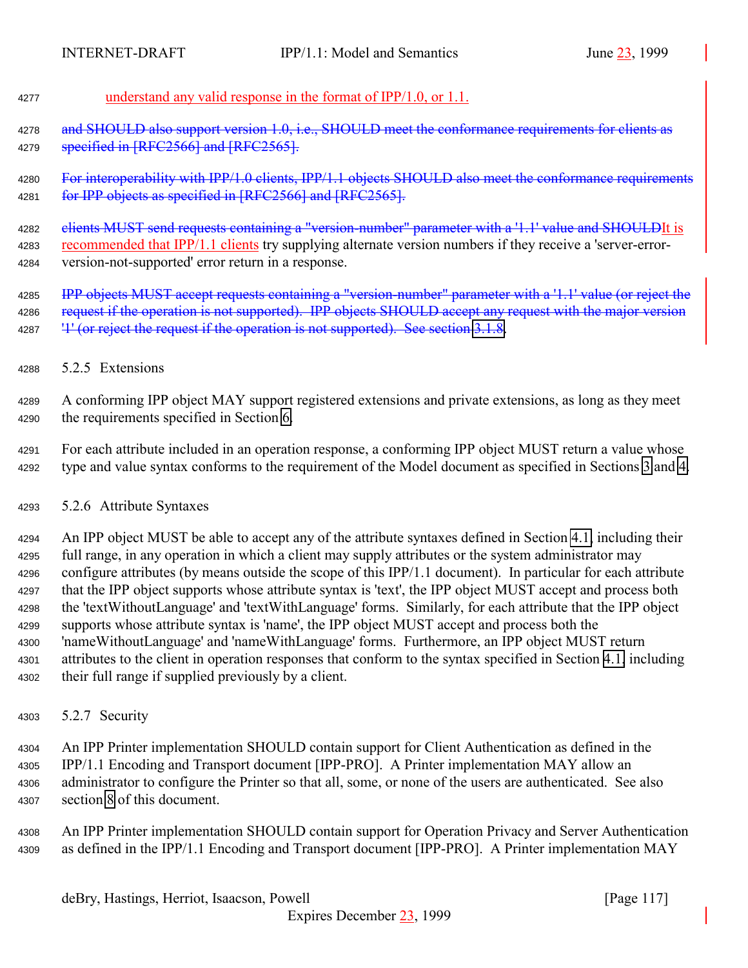<span id="page-116-0"></span>

## understand any valid response in the format of IPP/1.0, or 1.1.

4278 and SHOULD also support version 1.0, i.e., SHOULD meet the conformance requirements for clients as 4279 specified in [RFC2566] and [RFC2565].

4280 For interoperability with IPP/1.0 clients, IPP/1.1 objects SHOULD also meet the conformance requirements 4281 for IPP objects as specified in [RFC2566] and [RFC2565].

4282 elients MUST send requests containing a "version-number" parameter with a '1.1' value and SHOULDIt is recommended that IPP/1.1 clients try supplying alternate version numbers if they receive a 'server-error-version-not-supported' error return in a response.

**IPP objects MUST accept requests containing a "version-number" parameter with a '1.1' value (or reject the** 4286 request if the operation is not supported). IPP objects SHOULD accept any request with the major version 4287 <sup>'1'</sup> (or reject the request if the operation is not supported). See section [3.1.8.](#page-30-0)

5.2.5 Extensions

 A conforming IPP object MAY support registered extensions and private extensions, as long as they meet the requirements specified in Section [6.](#page-117-0)

 For each attribute included in an operation response, a conforming IPP object MUST return a value whose type and value syntax conforms to the requirement of the Model document as specified in Sections [3](#page-18-0) and [4.](#page-61-0)

## 5.2.6 Attribute Syntaxes

 An IPP object MUST be able to accept any of the attribute syntaxes defined in Section [4.1,](#page-61-0) including their full range, in any operation in which a client may supply attributes or the system administrator may configure attributes (by means outside the scope of this IPP/1.1 document). In particular for each attribute that the IPP object supports whose attribute syntax is 'text', the IPP object MUST accept and process both the 'textWithoutLanguage' and 'textWithLanguage' forms. Similarly, for each attribute that the IPP object supports whose attribute syntax is 'name', the IPP object MUST accept and process both the 'nameWithoutLanguage' and 'nameWithLanguage' forms. Furthermore, an IPP object MUST return attributes to the client in operation responses that conform to the syntax specified in Section [4.1,](#page-61-0) including their full range if supplied previously by a client.

5.2.7 Security

 An IPP Printer implementation SHOULD contain support for Client Authentication as defined in the IPP/1.1 Encoding and Transport document [IPP-PRO]. A Printer implementation MAY allow an administrator to configure the Printer so that all, some, or none of the users are authenticated. See also section [8](#page-125-0) of this document.

 An IPP Printer implementation SHOULD contain support for Operation Privacy and Server Authentication as defined in the IPP/1.1 Encoding and Transport document [IPP-PRO]. A Printer implementation MAY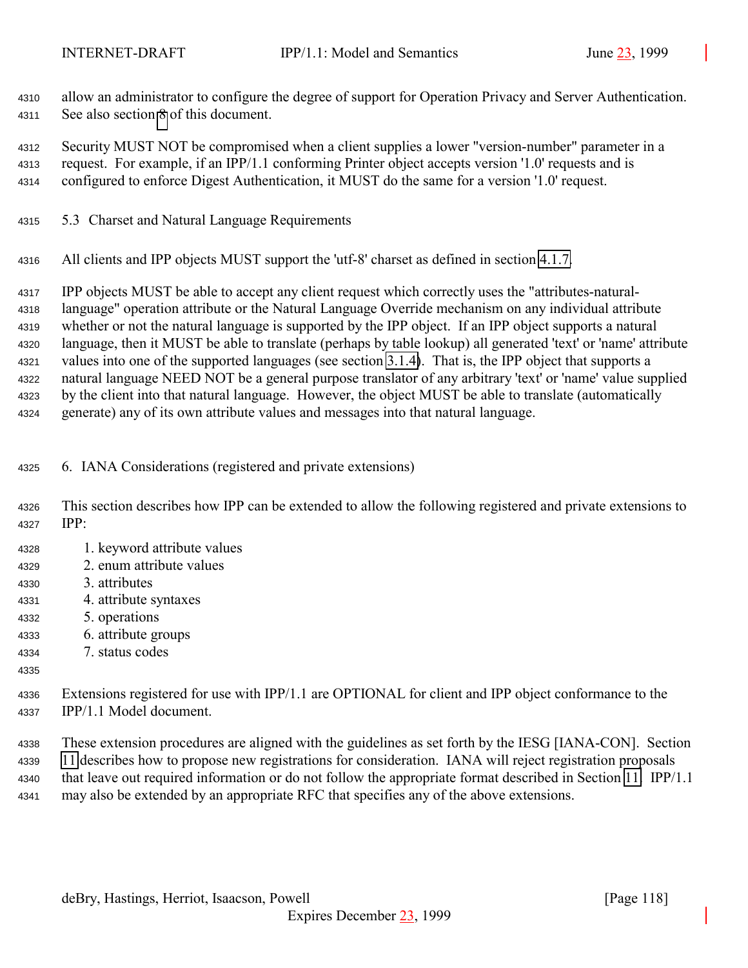<span id="page-117-0"></span> allow an administrator to configure the degree of support for Operation Privacy and Server Authentication. See also section [8](#page-125-0) of this document.

 Security MUST NOT be compromised when a client supplies a lower "version-number" parameter in a request. For example, if an IPP/1.1 conforming Printer object accepts version '1.0' requests and is configured to enforce Digest Authentication, it MUST do the same for a version '1.0' request.

- 5.3 Charset and Natural Language Requirements
- All clients and IPP objects MUST support the 'utf-8' charset as defined in section [4.1.7.](#page-67-0)

 IPP objects MUST be able to accept any client request which correctly uses the "attributes-natural- language" operation attribute or the Natural Language Override mechanism on any individual attribute whether or not the natural language is supported by the IPP object. If an IPP object supports a natural language, then it MUST be able to translate (perhaps by table lookup) all generated 'text' or 'name' attribute values into one of the supported languages (see section [3.1.4\)](#page-21-0). That is, the IPP object that supports a natural language NEED NOT be a general purpose translator of any arbitrary 'text' or 'name' value supplied by the client into that natural language. However, the object MUST be able to translate (automatically generate) any of its own attribute values and messages into that natural language.

- 6. IANA Considerations (registered and private extensions)
- This section describes how IPP can be extended to allow the following registered and private extensions to IPP:
- 1. keyword attribute values
- 2. enum attribute values
- 3. attributes
- 4. attribute syntaxes
- 5. operations
- 6. attribute groups
- 7. status codes
- 
- Extensions registered for use with IPP/1.1 are OPTIONAL for client and IPP object conformance to the IPP/1.1 Model document.
- These extension procedures are aligned with the guidelines as set forth by the IESG [IANA-CON]. Section [11](#page-134-0) describes how to propose new registrations for consideration. IANA will reject registration proposals that leave out required information or do not follow the appropriate format described in Section [11.](#page-134-0) IPP/1.1 may also be extended by an appropriate RFC that specifies any of the above extensions.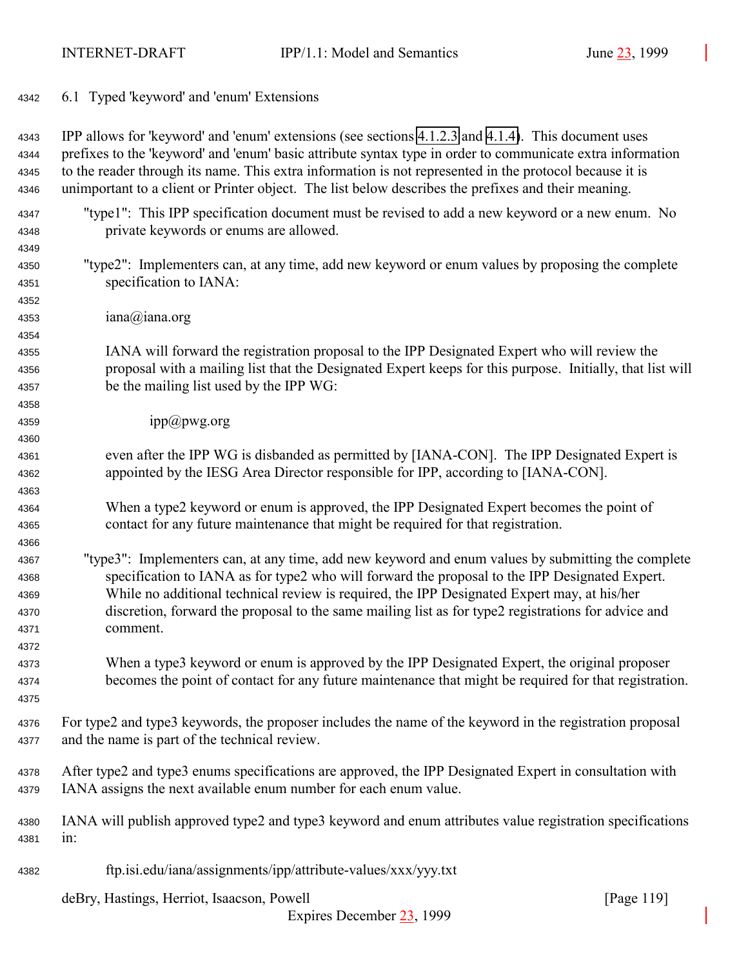<span id="page-118-0"></span>6.1 Typed 'keyword' and 'enum' Extensions

 IPP allows for 'keyword' and 'enum' extensions (see sections [4.1.2.3](#page-65-0) and [4.1.4\)](#page-66-0). This document uses prefixes to the 'keyword' and 'enum' basic attribute syntax type in order to communicate extra information to the reader through its name. This extra information is not represented in the protocol because it is unimportant to a client or Printer object. The list below describes the prefixes and their meaning.

- "type1": This IPP specification document must be revised to add a new keyword or a new enum. No private keywords or enums are allowed.
- "type2": Implementers can, at any time, add new keyword or enum values by proposing the complete specification to IANA:
- iana@iana.org

- IANA will forward the registration proposal to the IPP Designated Expert who will review the proposal with a mailing list that the Designated Expert keeps for this purpose. Initially, that list will be the mailing list used by the IPP WG:
- 4359 ipp $(\partial)$ pwg.org
- even after the IPP WG is disbanded as permitted by [IANA-CON]. The IPP Designated Expert is appointed by the IESG Area Director responsible for IPP, according to [IANA-CON].
- When a type2 keyword or enum is approved, the IPP Designated Expert becomes the point of contact for any future maintenance that might be required for that registration.
- "type3": Implementers can, at any time, add new keyword and enum values by submitting the complete specification to IANA as for type2 who will forward the proposal to the IPP Designated Expert. While no additional technical review is required, the IPP Designated Expert may, at his/her discretion, forward the proposal to the same mailing list as for type2 registrations for advice and comment.
- When a type3 keyword or enum is approved by the IPP Designated Expert, the original proposer becomes the point of contact for any future maintenance that might be required for that registration.
- For type2 and type3 keywords, the proposer includes the name of the keyword in the registration proposal and the name is part of the technical review.
- After type2 and type3 enums specifications are approved, the IPP Designated Expert in consultation with IANA assigns the next available enum number for each enum value.
- IANA will publish approved type2 and type3 keyword and enum attributes value registration specifications in:
- ftp.isi.edu/iana/assignments/ipp/attribute-values/xxx/yyy.txt

deBry, Hastings, Herriot, Isaacson, Powell [Page 119]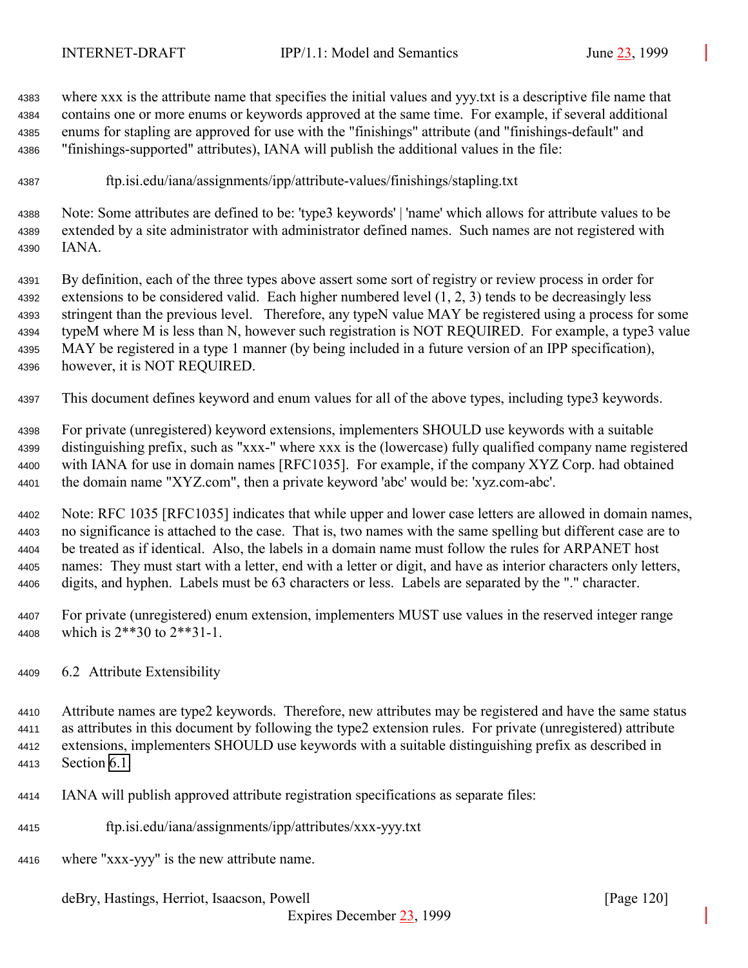<span id="page-119-0"></span> where xxx is the attribute name that specifies the initial values and yyy.txt is a descriptive file name that contains one or more enums or keywords approved at the same time. For example, if several additional enums for stapling are approved for use with the "finishings" attribute (and "finishings-default" and "finishings-supported" attributes), IANA will publish the additional values in the file:

ftp.isi.edu/iana/assignments/ipp/attribute-values/finishings/stapling.txt

 Note: Some attributes are defined to be: 'type3 keywords' | 'name' which allows for attribute values to be extended by a site administrator with administrator defined names. Such names are not registered with IANA.

 By definition, each of the three types above assert some sort of registry or review process in order for extensions to be considered valid. Each higher numbered level (1, 2, 3) tends to be decreasingly less stringent than the previous level. Therefore, any typeN value MAY be registered using a process for some typeM where M is less than N, however such registration is NOT REQUIRED. For example, a type3 value MAY be registered in a type 1 manner (by being included in a future version of an IPP specification), however, it is NOT REQUIRED.

This document defines keyword and enum values for all of the above types, including type3 keywords.

 For private (unregistered) keyword extensions, implementers SHOULD use keywords with a suitable distinguishing prefix, such as "xxx-" where xxx is the (lowercase) fully qualified company name registered with IANA for use in domain names [RFC1035]. For example, if the company XYZ Corp. had obtained the domain name "XYZ.com", then a private keyword 'abc' would be: 'xyz.com-abc'.

 Note: RFC 1035 [RFC1035] indicates that while upper and lower case letters are allowed in domain names, no significance is attached to the case. That is, two names with the same spelling but different case are to be treated as if identical. Also, the labels in a domain name must follow the rules for ARPANET host names: They must start with a letter, end with a letter or digit, and have as interior characters only letters, digits, and hyphen. Labels must be 63 characters or less. Labels are separated by the "." character.

- For private (unregistered) enum extension, implementers MUST use values in the reserved integer range which is 2\*\*30 to 2\*\*31-1.
- 6.2 Attribute Extensibility

 Attribute names are type2 keywords. Therefore, new attributes may be registered and have the same status as attributes in this document by following the type2 extension rules. For private (unregistered) attribute extensions, implementers SHOULD use keywords with a suitable distinguishing prefix as described in Section [6.1.](#page-118-0)

- IANA will publish approved attribute registration specifications as separate files:
- ftp.isi.edu/iana/assignments/ipp/attributes/xxx-yyy.txt
- where "xxx-yyy" is the new attribute name.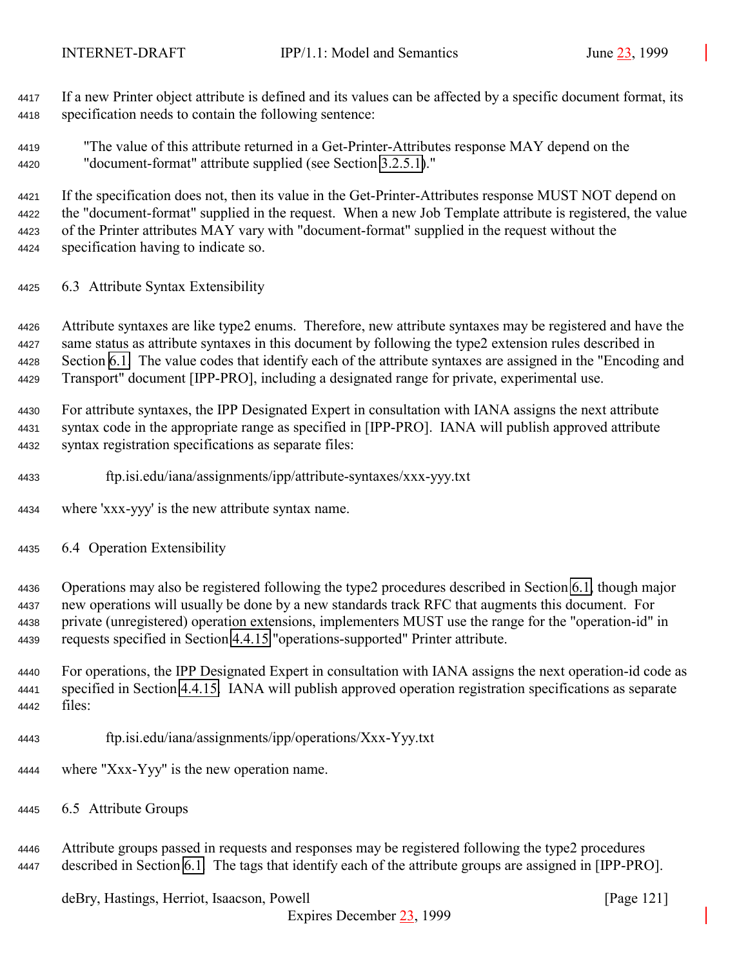If a new Printer object attribute is defined and its values can be affected by a specific document format, its specification needs to contain the following sentence:

 "The value of this attribute returned in a Get-Printer-Attributes response MAY depend on the "document-format" attribute supplied (see Section [3.2.5.1\)](#page-41-0)."

 If the specification does not, then its value in the Get-Printer-Attributes response MUST NOT depend on the "document-format" supplied in the request. When a new Job Template attribute is registered, the value of the Printer attributes MAY vary with "document-format" supplied in the request without the specification having to indicate so.

6.3 Attribute Syntax Extensibility

 Attribute syntaxes are like type2 enums. Therefore, new attribute syntaxes may be registered and have the same status as attribute syntaxes in this document by following the type2 extension rules described in Section [6.1.](#page-118-0) The value codes that identify each of the attribute syntaxes are assigned in the "Encoding and Transport" document [IPP-PRO], including a designated range for private, experimental use.

 For attribute syntaxes, the IPP Designated Expert in consultation with IANA assigns the next attribute syntax code in the appropriate range as specified in [IPP-PRO]. IANA will publish approved attribute syntax registration specifications as separate files:

ftp.isi.edu/iana/assignments/ipp/attribute-syntaxes/xxx-yyy.txt

where 'xxx-yyy' is the new attribute syntax name.

6.4 Operation Extensibility

 Operations may also be registered following the type2 procedures described in Section [6.1,](#page-118-0) though major new operations will usually be done by a new standards track RFC that augments this document. For private (unregistered) operation extensions, implementers MUST use the range for the "operation-id" in requests specified in Section [4.4.15](#page-106-0) "operations-supported" Printer attribute.

 For operations, the IPP Designated Expert in consultation with IANA assigns the next operation-id code as specified in Section [4.4.15.](#page-106-0) IANA will publish approved operation registration specifications as separate files:

- ftp.isi.edu/iana/assignments/ipp/operations/Xxx-Yyy.txt
- where "Xxx-Yyy" is the new operation name.
- 6.5 Attribute Groups

 Attribute groups passed in requests and responses may be registered following the type2 procedures described in Section [6.1.](#page-118-0) The tags that identify each of the attribute groups are assigned in [IPP-PRO].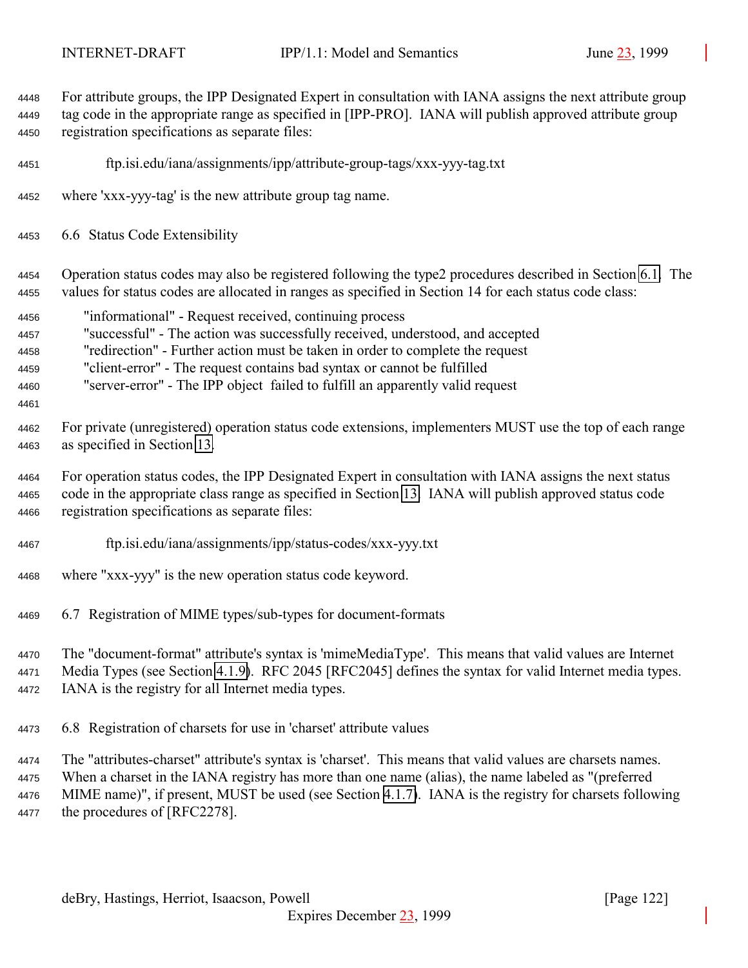For attribute groups, the IPP Designated Expert in consultation with IANA assigns the next attribute group tag code in the appropriate range as specified in [IPP-PRO]. IANA will publish approved attribute group registration specifications as separate files: ftp.isi.edu/iana/assignments/ipp/attribute-group-tags/xxx-yyy-tag.txt where 'xxx-yyy-tag' is the new attribute group tag name. 6.6 Status Code Extensibility Operation status codes may also be registered following the type2 procedures described in Section [6.1.](#page-118-0) The values for status codes are allocated in ranges as specified in Section 14 for each status code class: "informational" - Request received, continuing process "successful" - The action was successfully received, understood, and accepted "redirection" - Further action must be taken in order to complete the request "client-error" - The request contains bad syntax or cannot be fulfilled "server-error" - The IPP object failed to fulfill an apparently valid request For private (unregistered) operation status code extensions, implementers MUST use the top of each range as specified in Section [13.](#page-140-0) For operation status codes, the IPP Designated Expert in consultation with IANA assigns the next status code in the appropriate class range as specified in Section [13.](#page-140-0) IANA will publish approved status code registration specifications as separate files: ftp.isi.edu/iana/assignments/ipp/status-codes/xxx-yyy.txt where "xxx-yyy" is the new operation status code keyword. 6.7 Registration of MIME types/sub-types for document-formats The "document-format" attribute's syntax is 'mimeMediaType'. This means that valid values are Internet Media Types (see Section [4.1.9\)](#page-68-0). RFC 2045 [RFC2045] defines the syntax for valid Internet media types. IANA is the registry for all Internet media types.

6.8 Registration of charsets for use in 'charset' attribute values

 The "attributes-charset" attribute's syntax is 'charset'. This means that valid values are charsets names. When a charset in the IANA registry has more than one name (alias), the name labeled as "(preferred MIME name)", if present, MUST be used (see Section [4.1.7\)](#page-67-0). IANA is the registry for charsets following the procedures of [RFC2278].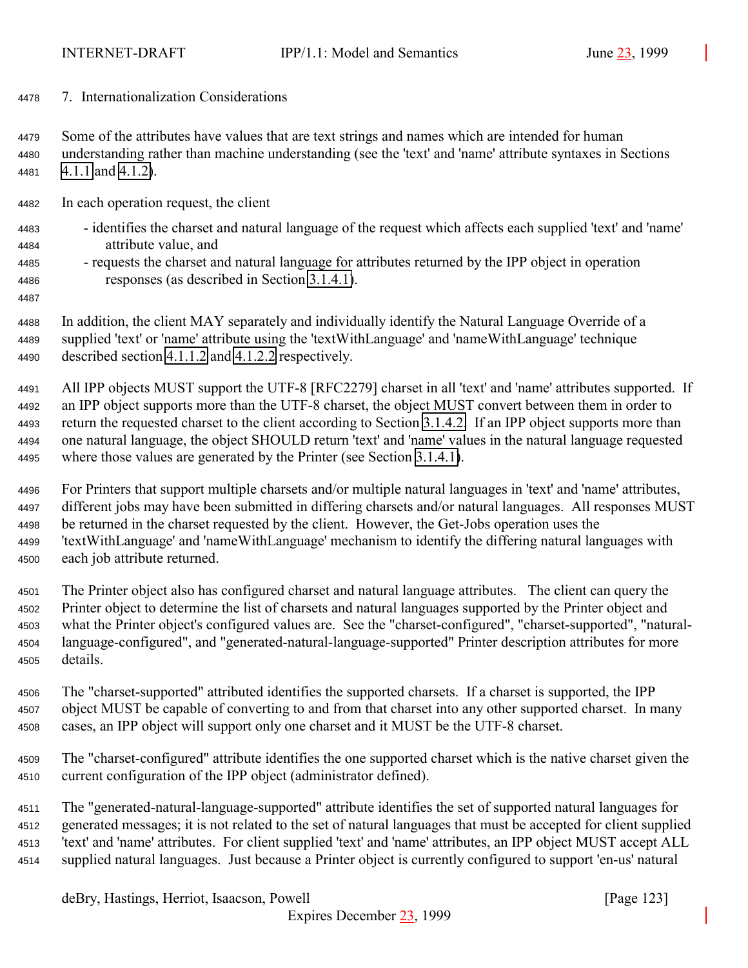7. Internationalization Considerations

 Some of the attributes have values that are text strings and names which are intended for human understanding rather than machine understanding (see the 'text' and 'name' attribute syntaxes in Sections [4.1.1](#page-62-0) and [4.1.2\)](#page-64-0).

- In each operation request, the client
- identifies the charset and natural language of the request which affects each supplied 'text' and 'name' attribute value, and
- requests the charset and natural language for attributes returned by the IPP object in operation responses (as described in Section [3.1.4.1\)](#page-22-0).
- 

 In addition, the client MAY separately and individually identify the Natural Language Override of a supplied 'text' or 'name' attribute using the 'textWithLanguage' and 'nameWithLanguage' technique described section [4.1.1.2](#page-63-0) and [4.1.2.2](#page-64-0) respectively.

 All IPP objects MUST support the UTF-8 [RFC2279] charset in all 'text' and 'name' attributes supported. If an IPP object supports more than the UTF-8 charset, the object MUST convert between them in order to return the requested charset to the client according to Section [3.1.4.2.](#page-24-0) If an IPP object supports more than one natural language, the object SHOULD return 'text' and 'name' values in the natural language requested where those values are generated by the Printer (see Section [3.1.4.1\)](#page-22-0).

- For Printers that support multiple charsets and/or multiple natural languages in 'text' and 'name' attributes, different jobs may have been submitted in differing charsets and/or natural languages. All responses MUST be returned in the charset requested by the client. However, the Get-Jobs operation uses the 'textWithLanguage' and 'nameWithLanguage' mechanism to identify the differing natural languages with each job attribute returned.
- The Printer object also has configured charset and natural language attributes. The client can query the Printer object to determine the list of charsets and natural languages supported by the Printer object and what the Printer object's configured values are. See the "charset-configured", "charset-supported", "natural- language-configured", and "generated-natural-language-supported" Printer description attributes for more details.
- The "charset-supported" attributed identifies the supported charsets. If a charset is supported, the IPP object MUST be capable of converting to and from that charset into any other supported charset. In many cases, an IPP object will support only one charset and it MUST be the UTF-8 charset.
- The "charset-configured" attribute identifies the one supported charset which is the native charset given the current configuration of the IPP object (administrator defined).

 The "generated-natural-language-supported" attribute identifies the set of supported natural languages for generated messages; it is not related to the set of natural languages that must be accepted for client supplied 'text' and 'name' attributes. For client supplied 'text' and 'name' attributes, an IPP object MUST accept ALL supplied natural languages. Just because a Printer object is currently configured to support 'en-us' natural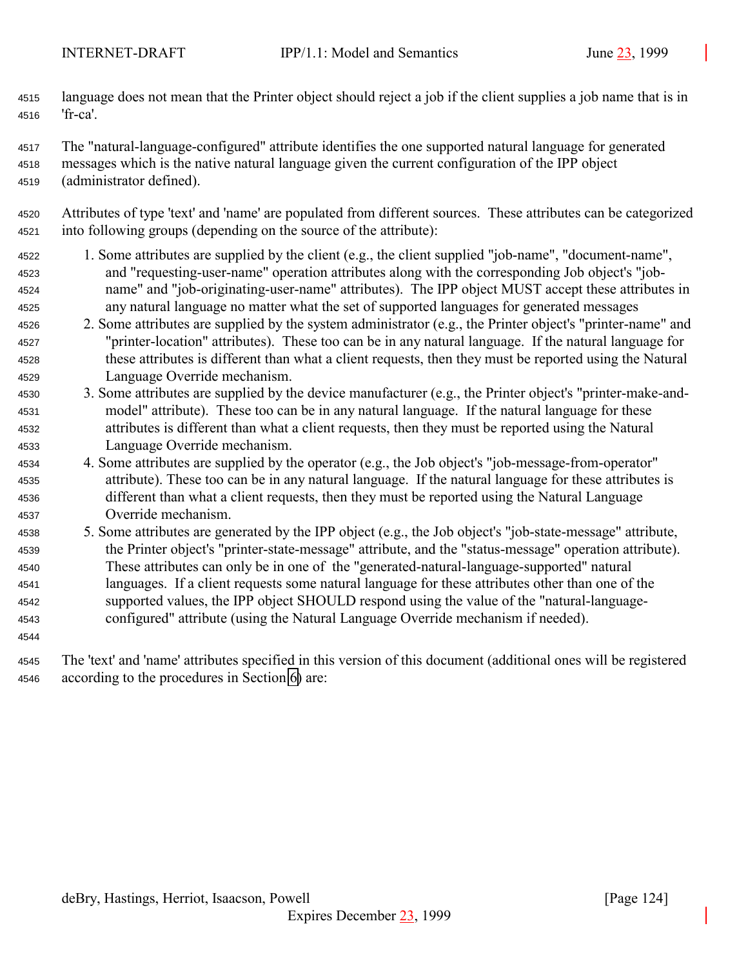language does not mean that the Printer object should reject a job if the client supplies a job name that is in 'fr-ca'.

The "natural-language-configured" attribute identifies the one supported natural language for generated

- messages which is the native natural language given the current configuration of the IPP object (administrator defined).
- Attributes of type 'text' and 'name' are populated from different sources. These attributes can be categorized into following groups (depending on the source of the attribute):
- 1. Some attributes are supplied by the client (e.g., the client supplied "job-name", "document-name", and "requesting-user-name" operation attributes along with the corresponding Job object's "job- name" and "job-originating-user-name" attributes). The IPP object MUST accept these attributes in any natural language no matter what the set of supported languages for generated messages
- 2. Some attributes are supplied by the system administrator (e.g., the Printer object's "printer-name" and "printer-location" attributes). These too can be in any natural language. If the natural language for these attributes is different than what a client requests, then they must be reported using the Natural Language Override mechanism.
- 3. Some attributes are supplied by the device manufacturer (e.g., the Printer object's "printer-make-and- model" attribute). These too can be in any natural language. If the natural language for these attributes is different than what a client requests, then they must be reported using the Natural Language Override mechanism.
- 4. Some attributes are supplied by the operator (e.g., the Job object's "job-message-from-operator" attribute). These too can be in any natural language. If the natural language for these attributes is different than what a client requests, then they must be reported using the Natural Language Override mechanism.
- 5. Some attributes are generated by the IPP object (e.g., the Job object's "job-state-message" attribute, the Printer object's "printer-state-message" attribute, and the "status-message" operation attribute). These attributes can only be in one of the "generated-natural-language-supported" natural languages. If a client requests some natural language for these attributes other than one of the supported values, the IPP object SHOULD respond using the value of the "natural-language-configured" attribute (using the Natural Language Override mechanism if needed).
- 

 The 'text' and 'name' attributes specified in this version of this document (additional ones will be registered according to the procedures in Section [6\)](#page-117-0) are: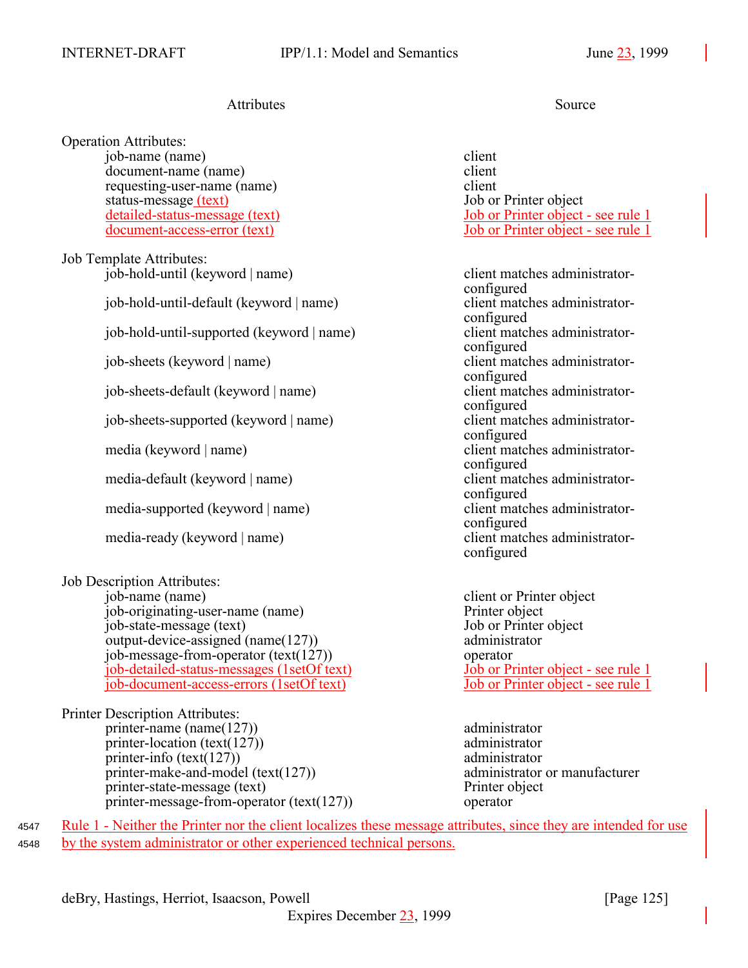# Attributes Source

Operation Attributes: job-name (name) client document-name (name) client requesting-user-name (name)<br>status-message (text) 50 or Printer object status-message (text)<br>detailed-status-message (text)

Job Template Attributes: job-hold-until (keyword | name) client matches administrator-

job-hold-until-default (keyword | name) client matches administrator-

job-hold-until-supported (keyword | name) client matches administrator-

job-sheets-default (keyword | name) client matches administrator-

job-sheets-supported (keyword | name) client matches administrator-

media-default (keyword | name) client matches administrator-

media-supported (keyword | name) client matches administrator-

media-ready (keyword | name) client matches administrator-

Job Description Attributes:

job-name (name) client or Printer object job-originating-user-name (name) Printer object job-state-message (text) Job or Printer object output-device-assigned (name(127)) administrator job-message-from-operator (text(127)) operator job-detailed-status-messages (1setOf text) Job or Printer object - see rule 1 job-document-access-errors (1setOf text) Job or Printer object - see rule 1

Printer Description Attributes: printer-name (name(127)) administrator printer-location (text(127)) administrator printer-info (text(127)) administrator printer-make-and-model (text(127)) administrator or manufacturer printer-state-message (text) Printer object printer-message-from-operator (text(127)) operator

Job or Printer object - see rule 1 document-access-error (text) Job or Printer object - see rule 1

configured configured configured job-sheets (keyword | name) client matches administratorconfigured configured configured media (keyword | name) client matches administratorconfigured configured configured configured

4547 Rule 1 - Neither the Printer nor the client localizes these message attributes, since they are intended for use <sup>4548</sup> by the system administrator or other experienced technical persons.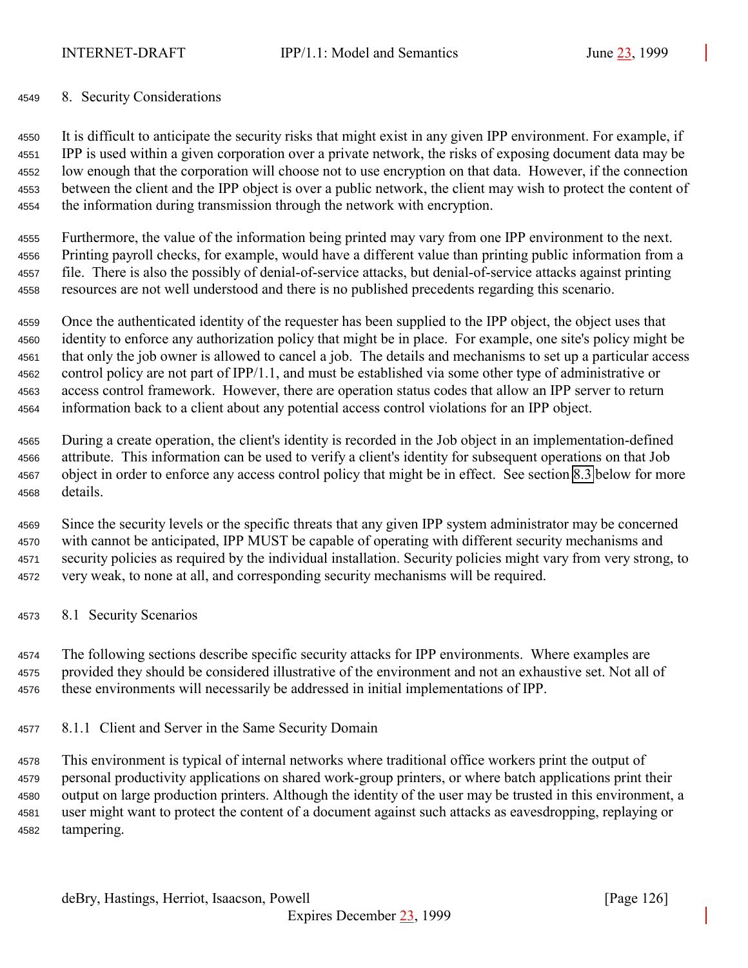#### <span id="page-125-0"></span>8. Security Considerations

 It is difficult to anticipate the security risks that might exist in any given IPP environment. For example, if IPP is used within a given corporation over a private network, the risks of exposing document data may be low enough that the corporation will choose not to use encryption on that data. However, if the connection between the client and the IPP object is over a public network, the client may wish to protect the content of the information during transmission through the network with encryption.

 Furthermore, the value of the information being printed may vary from one IPP environment to the next. Printing payroll checks, for example, would have a different value than printing public information from a file. There is also the possibly of denial-of-service attacks, but denial-of-service attacks against printing resources are not well understood and there is no published precedents regarding this scenario.

 Once the authenticated identity of the requester has been supplied to the IPP object, the object uses that identity to enforce any authorization policy that might be in place. For example, one site's policy might be that only the job owner is allowed to cancel a job. The details and mechanisms to set up a particular access control policy are not part of IPP/1.1, and must be established via some other type of administrative or access control framework. However, there are operation status codes that allow an IPP server to return information back to a client about any potential access control violations for an IPP object.

 During a create operation, the client's identity is recorded in the Job object in an implementation-defined attribute. This information can be used to verify a client's identity for subsequent operations on that Job object in order to enforce any access control policy that might be in effect. See section [8.3](#page-127-0) below for more details.

 Since the security levels or the specific threats that any given IPP system administrator may be concerned with cannot be anticipated, IPP MUST be capable of operating with different security mechanisms and security policies as required by the individual installation. Security policies might vary from very strong, to very weak, to none at all, and corresponding security mechanisms will be required.

8.1 Security Scenarios

 The following sections describe specific security attacks for IPP environments. Where examples are provided they should be considered illustrative of the environment and not an exhaustive set. Not all of these environments will necessarily be addressed in initial implementations of IPP.

8.1.1 Client and Server in the Same Security Domain

 This environment is typical of internal networks where traditional office workers print the output of personal productivity applications on shared work-group printers, or where batch applications print their output on large production printers. Although the identity of the user may be trusted in this environment, a user might want to protect the content of a document against such attacks as eavesdropping, replaying or tampering.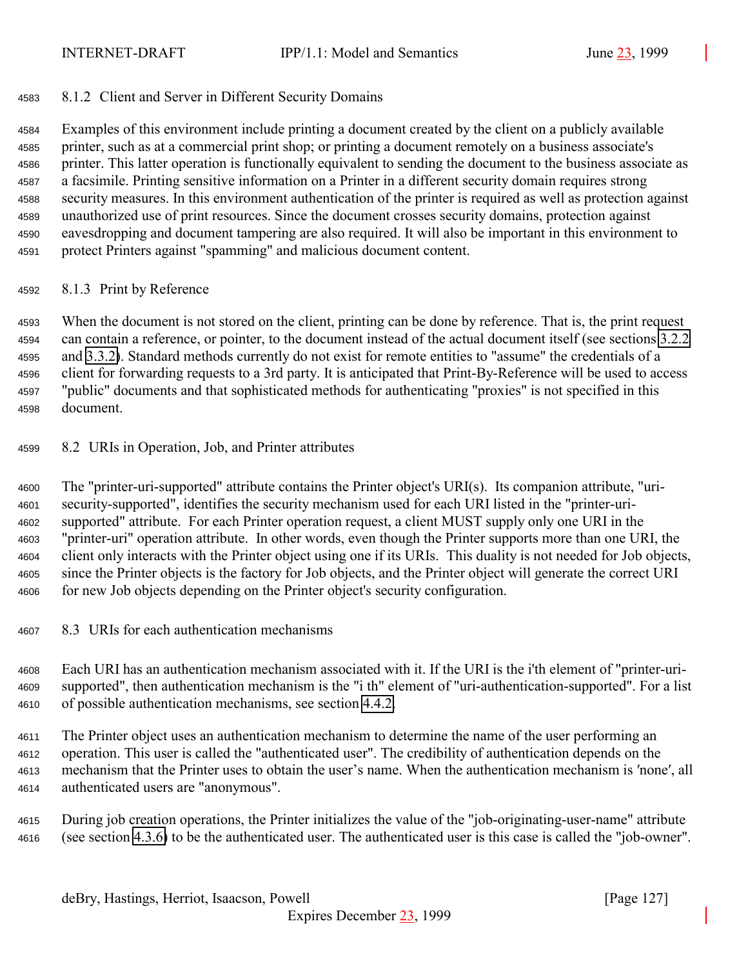### 8.1.2 Client and Server in Different Security Domains

 Examples of this environment include printing a document created by the client on a publicly available printer, such as at a commercial print shop; or printing a document remotely on a business associate's printer. This latter operation is functionally equivalent to sending the document to the business associate as a facsimile. Printing sensitive information on a Printer in a different security domain requires strong security measures. In this environment authentication of the printer is required as well as protection against unauthorized use of print resources. Since the document crosses security domains, protection against eavesdropping and document tampering are also required. It will also be important in this environment to protect Printers against "spamming" and malicious document content.

8.1.3 Print by Reference

 When the document is not stored on the client, printing can be done by reference. That is, the print request can contain a reference, or pointer, to the document instead of the actual document itself (see sections [3.2.2](#page-39-0) and [3.3.2\)](#page-52-0). Standard methods currently do not exist for remote entities to "assume" the credentials of a client for forwarding requests to a 3rd party. It is anticipated that Print-By-Reference will be used to access "public" documents and that sophisticated methods for authenticating "proxies" is not specified in this document.

8.2 URIs in Operation, Job, and Printer attributes

 The "printer-uri-supported" attribute contains the Printer object's URI(s). Its companion attribute, "uri- security-supported", identifies the security mechanism used for each URI listed in the "printer-uri- supported" attribute. For each Printer operation request, a client MUST supply only one URI in the "printer-uri" operation attribute. In other words, even though the Printer supports more than one URI, the client only interacts with the Printer object using one if its URIs. This duality is not needed for Job objects, since the Printer objects is the factory for Job objects, and the Printer object will generate the correct URI for new Job objects depending on the Printer object's security configuration.

8.3 URIs for each authentication mechanisms

 Each URI has an authentication mechanism associated with it. If the URI is the i'th element of "printer-uri- supported", then authentication mechanism is the "i th" element of "uri-authentication-supported". For a list of possible authentication mechanisms, see section [4.4.2.](#page-100-0)

 The Printer object uses an authentication mechanism to determine the name of the user performing an operation. This user is called the "authenticated user". The credibility of authentication depends on the mechanism that the Printer uses to obtain the user's name. When the authentication mechanism is ′none′, all authenticated users are "anonymous".

 During job creation operations, the Printer initializes the value of the "job-originating-user-name" attribute (see section [4.3.6\)](#page-86-0) to be the authenticated user. The authenticated user is this case is called the "job-owner".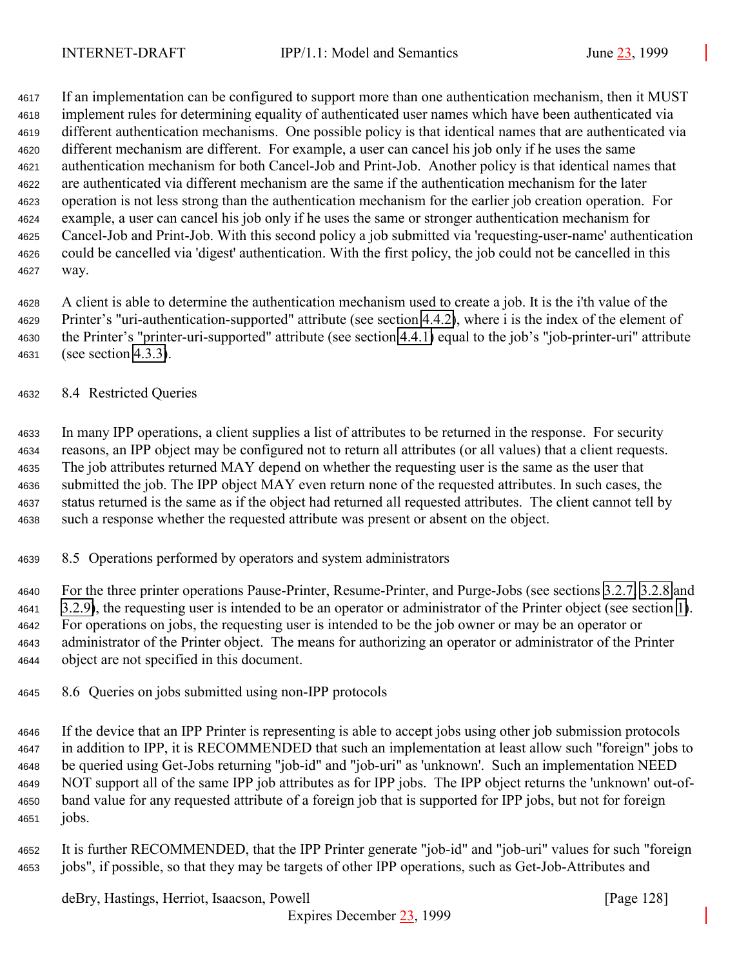<span id="page-127-0"></span> If an implementation can be configured to support more than one authentication mechanism, then it MUST implement rules for determining equality of authenticated user names which have been authenticated via different authentication mechanisms. One possible policy is that identical names that are authenticated via different mechanism are different. For example, a user can cancel his job only if he uses the same authentication mechanism for both Cancel-Job and Print-Job. Another policy is that identical names that are authenticated via different mechanism are the same if the authentication mechanism for the later operation is not less strong than the authentication mechanism for the earlier job creation operation. For example, a user can cancel his job only if he uses the same or stronger authentication mechanism for Cancel-Job and Print-Job. With this second policy a job submitted via 'requesting-user-name' authentication could be cancelled via 'digest' authentication. With the first policy, the job could not be cancelled in this way.

 A client is able to determine the authentication mechanism used to create a job. It is the i'th value of the Printer's "uri-authentication-supported" attribute (see section [4.4.2\)](#page-100-0), where i is the index of the element of the Printer's "printer-uri-supported" attribute (see section [4.4.1\)](#page-100-0) equal to the job's "job-printer-uri" attribute (see section [4.3.3\)](#page-85-0).

#### 8.4 Restricted Queries

 In many IPP operations, a client supplies a list of attributes to be returned in the response. For security reasons, an IPP object may be configured not to return all attributes (or all values) that a client requests. The job attributes returned MAY depend on whether the requesting user is the same as the user that submitted the job. The IPP object MAY even return none of the requested attributes. In such cases, the status returned is the same as if the object had returned all requested attributes. The client cannot tell by such a response whether the requested attribute was present or absent on the object.

8.5 Operations performed by operators and system administrators

 For the three printer operations Pause-Printer, Resume-Printer, and Purge-Jobs (see sections [3.2.7,](#page-46-0) [3.2.8](#page-48-0) and [3.2.9\)](#page-49-0), the requesting user is intended to be an operator or administrator of the Printer object (see section [1\)](#page-9-0). For operations on jobs, the requesting user is intended to be the job owner or may be an operator or administrator of the Printer object. The means for authorizing an operator or administrator of the Printer object are not specified in this document.

8.6 Queries on jobs submitted using non-IPP protocols

 If the device that an IPP Printer is representing is able to accept jobs using other job submission protocols in addition to IPP, it is RECOMMENDED that such an implementation at least allow such "foreign" jobs to be queried using Get-Jobs returning "job-id" and "job-uri" as 'unknown'. Such an implementation NEED NOT support all of the same IPP job attributes as for IPP jobs. The IPP object returns the 'unknown' out-of- band value for any requested attribute of a foreign job that is supported for IPP jobs, but not for foreign jobs.

 It is further RECOMMENDED, that the IPP Printer generate "job-id" and "job-uri" values for such "foreign jobs", if possible, so that they may be targets of other IPP operations, such as Get-Job-Attributes and

deBry, Hastings, Herriot, Isaacson, Powell [Page 128]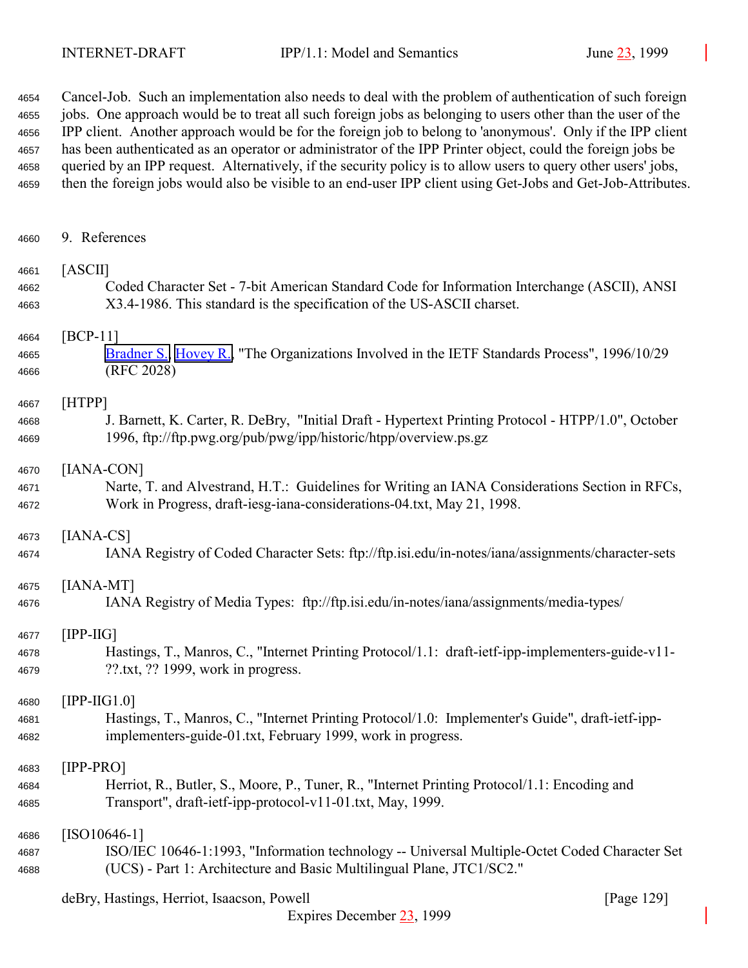Cancel-Job. Such an implementation also needs to deal with the problem of authentication of such foreign jobs. One approach would be to treat all such foreign jobs as belonging to users other than the user of the IPP client. Another approach would be for the foreign job to belong to 'anonymous'. Only if the IPP client has been authenticated as an operator or administrator of the IPP Printer object, could the foreign jobs be queried by an IPP request. Alternatively, if the security policy is to allow users to query other users' jobs, then the foreign jobs would also be visible to an end-user IPP client using Get-Jobs and Get-Job-Attributes.

| 4660 | 9. References                                                                                      |
|------|----------------------------------------------------------------------------------------------------|
| 4661 | [ASCII]                                                                                            |
| 4662 | Coded Character Set - 7-bit American Standard Code for Information Interchange (ASCII), ANSI       |
| 4663 | X3.4-1986. This standard is the specification of the US-ASCII charset.                             |
| 4664 | $[BCP-11]$                                                                                         |
| 4665 | Bradner S., Hovey R., "The Organizations Involved in the IETF Standards Process", 1996/10/29       |
| 4666 | (RFC 2028)                                                                                         |
| 4667 | [HTPP]                                                                                             |
| 4668 | J. Barnett, K. Carter, R. DeBry, "Initial Draft - Hypertext Printing Protocol - HTPP/1.0", October |
| 4669 | 1996, ftp://ftp.pwg.org/pub/pwg/ipp/historic/htpp/overview.ps.gz                                   |
| 4670 | [IANA-CON]                                                                                         |
| 4671 | Narte, T. and Alvestrand, H.T.: Guidelines for Writing an IANA Considerations Section in RFCs,     |
| 4672 | Work in Progress, draft-iesg-iana-considerations-04.txt, May 21, 1998.                             |
| 4673 | $[IANA-CS]$                                                                                        |
| 4674 | IANA Registry of Coded Character Sets: ftp://ftp.isi.edu/in-notes/iana/assignments/character-sets  |
| 4675 | [IANA-MT]                                                                                          |
| 4676 | IANA Registry of Media Types: ftp://ftp.isi.edu/in-notes/iana/assignments/media-types/             |
| 4677 | $[IPP-HG]$                                                                                         |
| 4678 | Hastings, T., Manros, C., "Internet Printing Protocol/1.1: draft-ietf-ipp-implementers-guide-v11-  |
| 4679 | $??.txt$ , $??$ 1999, work in progress.                                                            |
| 4680 | $[IPP-HG1.0]$                                                                                      |
| 4681 | Hastings, T., Manros, C., "Internet Printing Protocol/1.0: Implementer's Guide", draft-ietf-ipp-   |
| 4682 | implementers-guide-01.txt, February 1999, work in progress.                                        |
| 4683 | $[IPP-PRO]$                                                                                        |
| 4684 | Herriot, R., Butler, S., Moore, P., Tuner, R., "Internet Printing Protocol/1.1: Encoding and       |
| 4685 | Transport", draft-ietf-ipp-protocol-v11-01.txt, May, 1999.                                         |
| 4686 | $[ISO10646-1]$                                                                                     |
| 4687 | ISO/IEC 10646-1:1993, "Information technology -- Universal Multiple-Octet Coded Character Set      |
| 4688 | (UCS) - Part 1: Architecture and Basic Multilingual Plane, JTC1/SC2."                              |

| deBry, Hastings, Herriot, Isaacson, Powell |  |  | [Page 129] |  |  |
|--------------------------------------------|--|--|------------|--|--|
|                                            |  |  |            |  |  |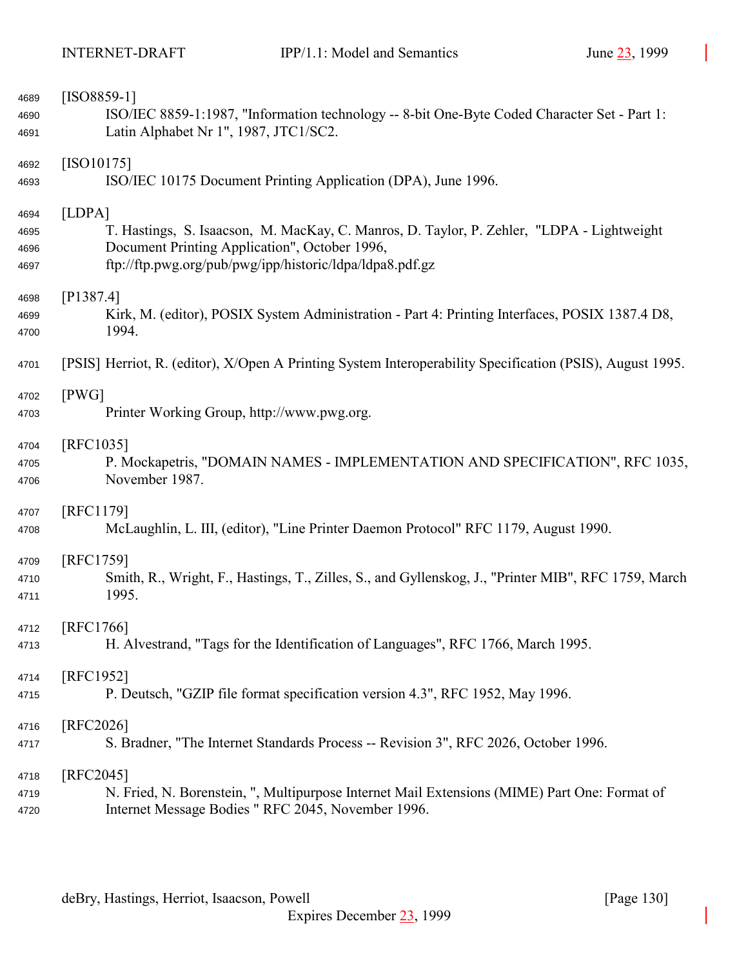| 4689         | $[ISO8859-1]$                                                                                             |
|--------------|-----------------------------------------------------------------------------------------------------------|
| 4690         | ISO/IEC 8859-1:1987, "Information technology -- 8-bit One-Byte Coded Character Set - Part 1:              |
| 4691         | Latin Alphabet Nr 1", 1987, JTC1/SC2.                                                                     |
|              | $[ISO10175]$                                                                                              |
| 4692<br>4693 | ISO/IEC 10175 Document Printing Application (DPA), June 1996.                                             |
|              |                                                                                                           |
| 4694         | [LDPA]                                                                                                    |
| 4695         | T. Hastings, S. Isaacson, M. MacKay, C. Manros, D. Taylor, P. Zehler, "LDPA - Lightweight                 |
| 4696         | Document Printing Application", October 1996,                                                             |
| 4697         | ftp://ftp.pwg.org/pub/pwg/ipp/historic/ldpa/ldpa8.pdf.gz                                                  |
| 4698         | [P1387.4]                                                                                                 |
| 4699         | Kirk, M. (editor), POSIX System Administration - Part 4: Printing Interfaces, POSIX 1387.4 D8,            |
| 4700         | 1994.                                                                                                     |
|              |                                                                                                           |
| 4701         | [PSIS] Herriot, R. (editor), X/Open A Printing System Interoperability Specification (PSIS), August 1995. |
| 4702         | [PWG]                                                                                                     |
| 4703         | Printer Working Group, http://www.pwg.org.                                                                |
| 4704         | [RFC1035]                                                                                                 |
| 4705         | P. Mockapetris, "DOMAIN NAMES - IMPLEMENTATION AND SPECIFICATION", RFC 1035,                              |
| 4706         | November 1987.                                                                                            |
|              |                                                                                                           |
| 4707         | [RFC1179]                                                                                                 |
| 4708         | McLaughlin, L. III, (editor), "Line Printer Daemon Protocol" RFC 1179, August 1990.                       |
| 4709         | [RFC1759]                                                                                                 |
| 4710         | Smith, R., Wright, F., Hastings, T., Zilles, S., and Gyllenskog, J., "Printer MIB", RFC 1759, March       |
| 4711         | 1995.                                                                                                     |
| 4712         | [RFC1766]                                                                                                 |
| 4713         | H. Alvestrand, "Tags for the Identification of Languages", RFC 1766, March 1995.                          |
|              |                                                                                                           |
| 4714         | [RFC1952]                                                                                                 |
| 4715         | P. Deutsch, "GZIP file format specification version 4.3", RFC 1952, May 1996.                             |
| 4716         | [RFC2026]                                                                                                 |
| 4717         | S. Bradner, "The Internet Standards Process -- Revision 3", RFC 2026, October 1996.                       |
| 4718         | [RFC2045]                                                                                                 |
| 4719         | N. Fried, N. Borenstein, ", Multipurpose Internet Mail Extensions (MIME) Part One: Format of              |
| 4720         | Internet Message Bodies " RFC 2045, November 1996.                                                        |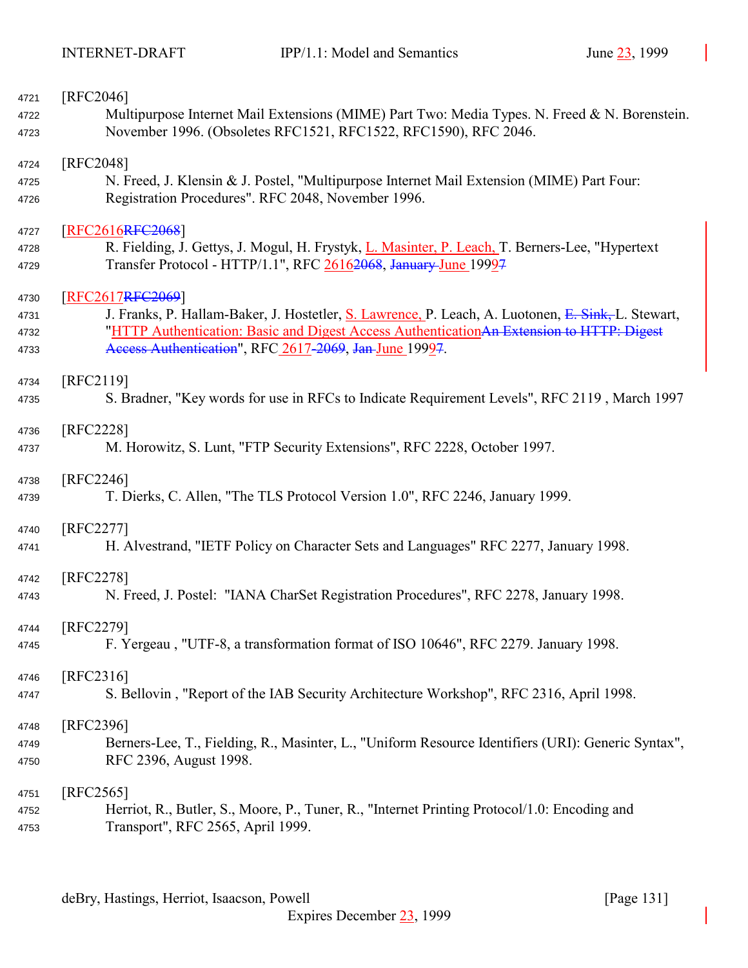| 4721         | [RFC2046]                                                                                                 |
|--------------|-----------------------------------------------------------------------------------------------------------|
| 4722         | Multipurpose Internet Mail Extensions (MIME) Part Two: Media Types. N. Freed & N. Borenstein.             |
| 4723         | November 1996. (Obsoletes RFC1521, RFC1522, RFC1590), RFC 2046.                                           |
| 4724         | [RFC2048]                                                                                                 |
| 4725         | N. Freed, J. Klensin & J. Postel, "Multipurpose Internet Mail Extension (MIME) Part Four:                 |
| 4726         | Registration Procedures". RFC 2048, November 1996.                                                        |
| 4727         | <b>RFC2616RFC2068</b>                                                                                     |
| 4728         | R. Fielding, J. Gettys, J. Mogul, H. Frystyk, L. Masinter, P. Leach, T. Berners-Lee, "Hypertext           |
| 4729         | Transfer Protocol - HTTP/1.1", RFC 26162068, January June 19997                                           |
| 4730         | RFC2617RFC2069]                                                                                           |
| 4731         | J. Franks, P. Hallam-Baker, J. Hostetler, S. Lawrence, P. Leach, A. Luotonen, E. Sink, L. Stewart,        |
| 4732         | "HTTP Authentication: Basic and Digest Access Authentication An Extension to HTTP: Digest                 |
| 4733         | Access Authentication", RFC 2617-2069, Jan-June 19997.                                                    |
| 4734         | [RFC2119]                                                                                                 |
| 4735         | S. Bradner, "Key words for use in RFCs to Indicate Requirement Levels", RFC 2119, March 1997              |
| 4736         | [RFC2228]                                                                                                 |
| 4737         | M. Horowitz, S. Lunt, "FTP Security Extensions", RFC 2228, October 1997.                                  |
|              |                                                                                                           |
| 4738         | [RFC2246]                                                                                                 |
| 4739         | T. Dierks, C. Allen, "The TLS Protocol Version 1.0", RFC 2246, January 1999.                              |
| 4740         | [RFC2277]                                                                                                 |
| 4741         | H. Alvestrand, "IETF Policy on Character Sets and Languages" RFC 2277, January 1998.                      |
|              |                                                                                                           |
| 4742         | [RFC2278]                                                                                                 |
| 4743         | N. Freed, J. Postel: "IANA CharSet Registration Procedures", RFC 2278, January 1998.                      |
| 4744         | [RFC2279]                                                                                                 |
| 4745         | F. Yergeau, "UTF-8, a transformation format of ISO 10646", RFC 2279. January 1998.                        |
| 4746         | [RFC2316]                                                                                                 |
| 4747         | S. Bellovin, "Report of the IAB Security Architecture Workshop", RFC 2316, April 1998.                    |
|              |                                                                                                           |
| 4748         | [RFC2396]                                                                                                 |
| 4749         | Berners-Lee, T., Fielding, R., Masinter, L., "Uniform Resource Identifiers (URI): Generic Syntax",        |
| 4750         | RFC 2396, August 1998.                                                                                    |
|              |                                                                                                           |
|              |                                                                                                           |
| 4751<br>4752 | [RFC2565]<br>Herriot, R., Butler, S., Moore, P., Tuner, R., "Internet Printing Protocol/1.0: Encoding and |
| 4753         | Transport", RFC 2565, April 1999.                                                                         |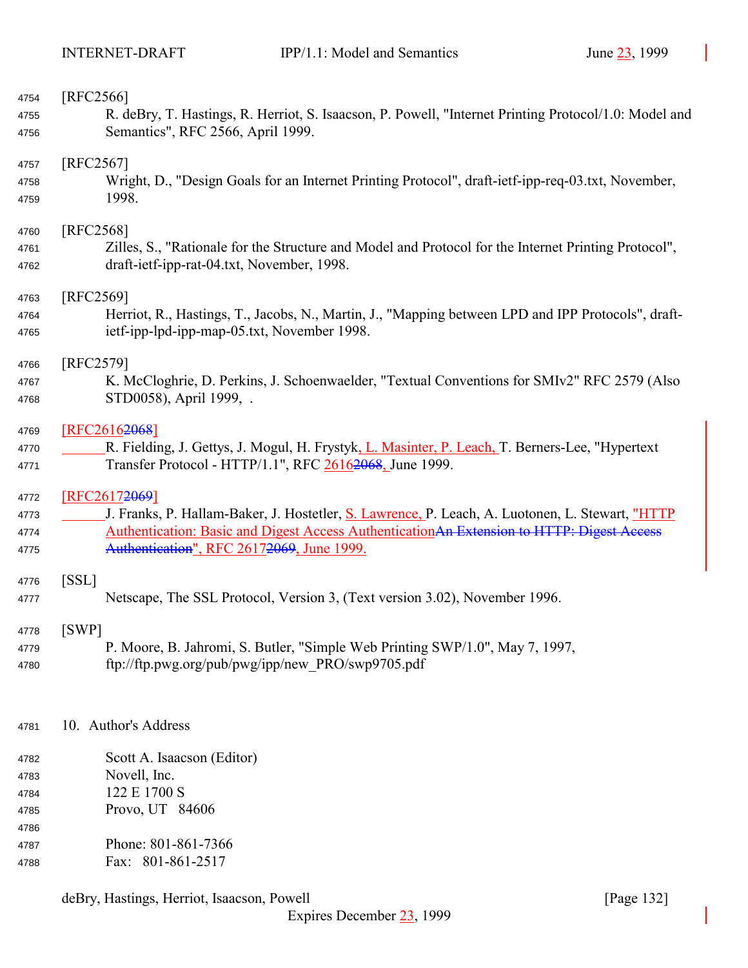| 4754                                 | [RFC2566]                                                                                             |
|--------------------------------------|-------------------------------------------------------------------------------------------------------|
| 4755                                 | R. deBry, T. Hastings, R. Herriot, S. Isaacson, P. Powell, "Internet Printing Protocol/1.0: Model and |
| 4756                                 | Semantics", RFC 2566, April 1999.                                                                     |
| 4757                                 | [RFC2567]                                                                                             |
| 4758                                 | Wright, D., "Design Goals for an Internet Printing Protocol", draft-ietf-ipp-req-03.txt, November,    |
| 4759                                 | 1998.                                                                                                 |
| 4760                                 | [RFC2568]                                                                                             |
| 4761                                 | Zilles, S., "Rationale for the Structure and Model and Protocol for the Internet Printing Protocol",  |
| 4762                                 | draft-ietf-ipp-rat-04.txt, November, 1998.                                                            |
| 4763                                 | [REC2569]                                                                                             |
| 4764                                 | Herriot, R., Hastings, T., Jacobs, N., Martin, J., "Mapping between LPD and IPP Protocols", draft-    |
| 4765                                 | ietf-ipp-lpd-ipp-map-05.txt, November 1998.                                                           |
| 4766                                 | [RFC2579]                                                                                             |
| 4767                                 | K. McCloghrie, D. Perkins, J. Schoenwaelder, "Textual Conventions for SMIv2" RFC 2579 (Also           |
| 4768                                 | STD0058), April 1999, .                                                                               |
| 4769                                 | [RFC2616 <del>2068</del> ]                                                                            |
| 4770                                 | R. Fielding, J. Gettys, J. Mogul, H. Frystyk, L. Masinter, P. Leach, T. Berners-Lee, "Hypertext"      |
| 4771                                 | Transfer Protocol - HTTP/1.1", RFC 26162068, June 1999.                                               |
| 4772                                 | [RFC26172069]                                                                                         |
| 4773                                 | J. Franks, P. Hallam-Baker, J. Hostetler, S. Lawrence, P. Leach, A. Luotonen, L. Stewart, "HTTP       |
| 4774                                 | Authentication: Basic and Digest Access Authentication An Extension to HTTP: Digest Access            |
| 4775                                 | Authentication", RFC 26172069, June 1999.                                                             |
| 4776                                 | [SSL]                                                                                                 |
| 4777                                 | Netscape, The SSL Protocol, Version 3, (Text version 3.02), November 1996.                            |
| 4778                                 | [SWP]                                                                                                 |
| 4779                                 | P. Moore, B. Jahromi, S. Butler, "Simple Web Printing SWP/1.0", May 7, 1997,                          |
| 4780                                 | ftp://ftp.pwg.org/pub/pwg/ipp/new PRO/swp9705.pdf                                                     |
| 4781                                 | 10. Author's Address                                                                                  |
| 4782<br>4783<br>4784<br>4785<br>4786 | Scott A. Isaacson (Editor)<br>Novell, Inc.<br>122 E 1700 S<br>Provo, UT 84606                         |
| 4787                                 | Phone: 801-861-7366                                                                                   |
| 4788                                 | Fax: 801-861-2517                                                                                     |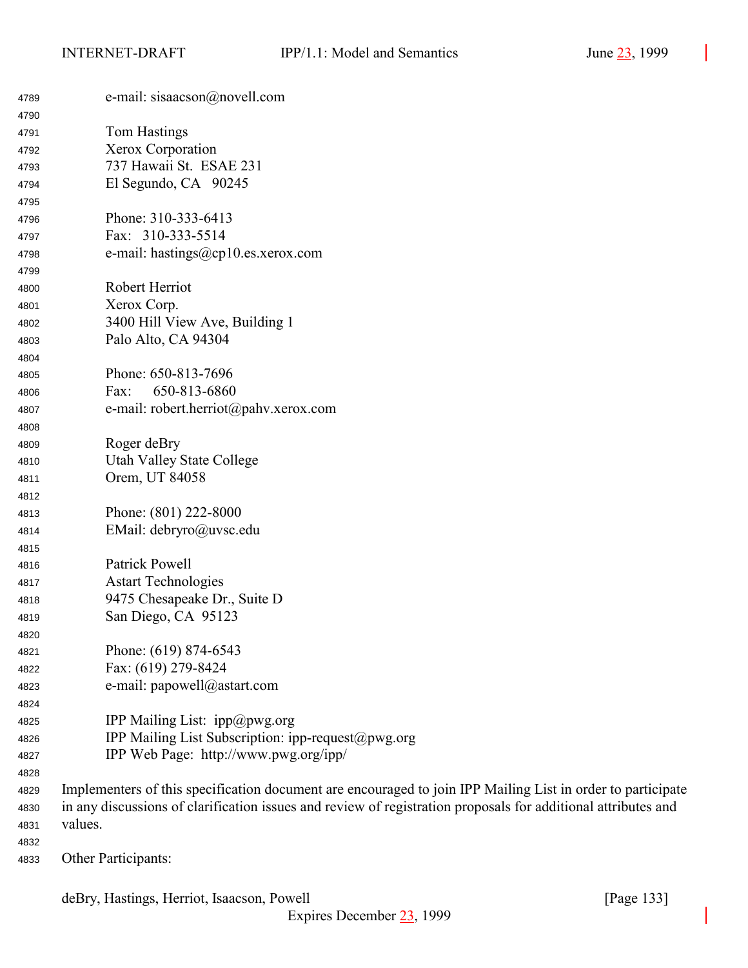| 4789 | e-mail: sisaacson@novell.com                                                                                  |
|------|---------------------------------------------------------------------------------------------------------------|
| 4790 |                                                                                                               |
| 4791 | Tom Hastings                                                                                                  |
| 4792 | Xerox Corporation                                                                                             |
| 4793 | 737 Hawaii St. ESAE 231                                                                                       |
| 4794 | El Segundo, CA 90245                                                                                          |
| 4795 |                                                                                                               |
| 4796 | Phone: 310-333-6413                                                                                           |
| 4797 | Fax: 310-333-5514                                                                                             |
| 4798 | e-mail: hastings@cp10.es.xerox.com                                                                            |
| 4799 |                                                                                                               |
| 4800 | Robert Herriot                                                                                                |
| 4801 | Xerox Corp.                                                                                                   |
| 4802 | 3400 Hill View Ave, Building 1                                                                                |
| 4803 | Palo Alto, CA 94304                                                                                           |
| 4804 |                                                                                                               |
| 4805 | Phone: 650-813-7696                                                                                           |
| 4806 | 650-813-6860<br>Fax:                                                                                          |
| 4807 | e-mail: robert.herriot@pahv.xerox.com                                                                         |
| 4808 |                                                                                                               |
| 4809 | Roger deBry                                                                                                   |
| 4810 | <b>Utah Valley State College</b>                                                                              |
| 4811 | Orem, UT 84058                                                                                                |
| 4812 |                                                                                                               |
| 4813 | Phone: (801) 222-8000                                                                                         |
| 4814 | EMail: debryro@uvsc.edu                                                                                       |
| 4815 |                                                                                                               |
| 4816 | Patrick Powell                                                                                                |
| 4817 | <b>Astart Technologies</b>                                                                                    |
| 4818 | 9475 Chesapeake Dr., Suite D                                                                                  |
| 4819 | San Diego, CA 95123                                                                                           |
| 4820 |                                                                                                               |
| 4821 | Phone: (619) 874-6543                                                                                         |
| 4822 | Fax: (619) 279-8424                                                                                           |
| 4823 | e-mail: papowell@astart.com                                                                                   |
| 4824 |                                                                                                               |
| 4825 | IPP Mailing List: $ipp@pwg.org$                                                                               |
| 4826 | IPP Mailing List Subscription: ipp-request@pwg.org                                                            |
| 4827 | IPP Web Page: http://www.pwg.org/ipp/                                                                         |
| 4828 |                                                                                                               |
| 4829 | Implementers of this specification document are encouraged to join IPP Mailing List in order to participate   |
| 4830 | in any discussions of clarification issues and review of registration proposals for additional attributes and |
| 4831 | values.                                                                                                       |
|      |                                                                                                               |

Other Participants: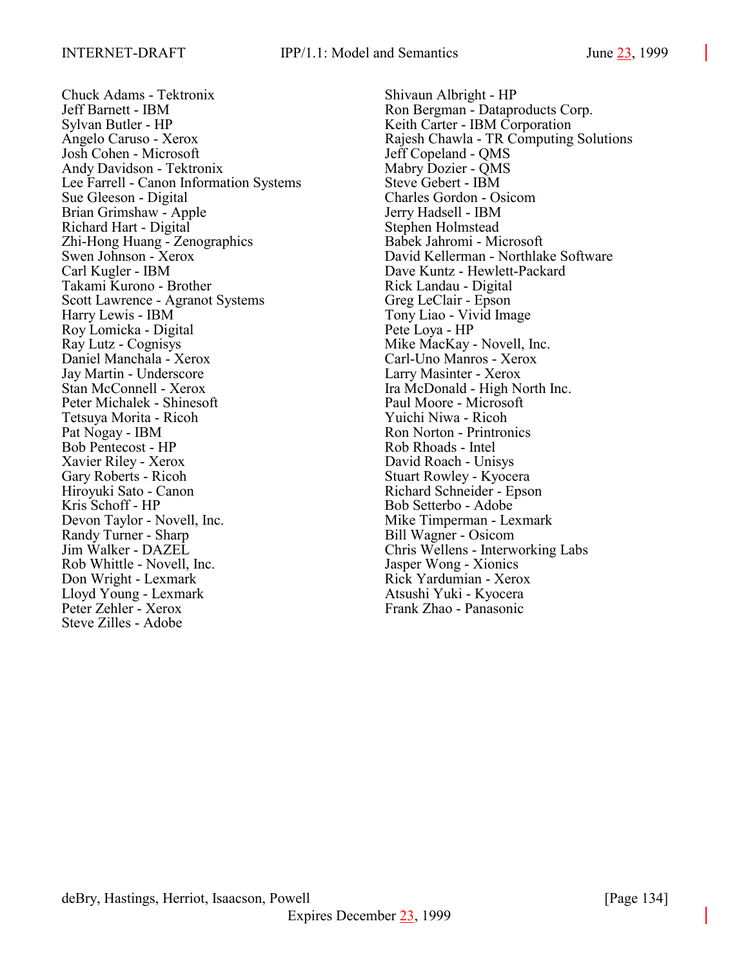Chuck Adams - Tektronix Shivaun Albright - HP Jeff Barnett - IBM Ron Bergman - Dataproducts Corp. Sylvan Butler - HP Keith Carter - IBM Corporation Josh Cohen - Microsoft Jeff Copeland - QMS Andy Davidson - Tektronix Mabry Dozier - QMS Lee Farrell - Canon Information Systems Steve Gebert - IBM Sue Gleeson - Digital Charles Gordon - Osicom Brian Grimshaw - Apple Jerry Hadsell - IBM Richard Hart - Digital Stephen Holmstead Zhi-Hong Huang - Zenographics Babek Jahromi - Microsoft Carl Kugler - IBM Dave Kuntz - Hewlett-Packard Takami Kurono - Brother Rick Landau - Digital Scott Lawrence - Agranot Systems Greg LeClair - Epson Harry Lewis - IBM Tony Liao - Vivid Image Roy Lomicka - Digital Pete Loya - HP Ray Lutz - Cognisys Mike MacKay - Novell, Inc. Daniel Manchala - Xerox Carl-Uno Manros - Xerox Jay Martin - Underscore Larry Masinter - Xerox Stan McConnell - Xerox Ira McDonald - High North Inc. Peter Michalek - Shinesoft Paul Moore - Microsoft Tetsuya Morita - Ricoh Yuichi Niwa - Ricoh Pat Nogay - IBM Ron Norton - Printronics Bob Pentecost - HP Rob Rhoads - Intel Xavier Riley - Xerox David Roach - Unisys Gary Roberts - Ricoh Stuart Rowley - Kyocera Hiroyuki Sato - Canon Richard Schneider - Epson Kris Schoff - HP Bob Setterbo - Adobe Devon Taylor - Novell, Inc. Mike Timperman - Lexmark Randy Turner - Sharp Bill Wagner - Osicom Jim Walker - DAZEL Chris Wellens - Interworking Labs Rob Whittle - Novell, Inc. Jasper Wong - Xionics Don Wright - Lexmark Rick Yardumian - Xerox Lloyd Young - Lexmark Atsushi Yuki - Kyocera Peter Zehler - Xerox Frank Zhao - Panasonic Steve Zilles - Adobe

Angelo Caruso - Xerox **Rajesh Chawla - TR Computing Solutions** Swen Johnson - Xerox David Kellerman - Northlake Software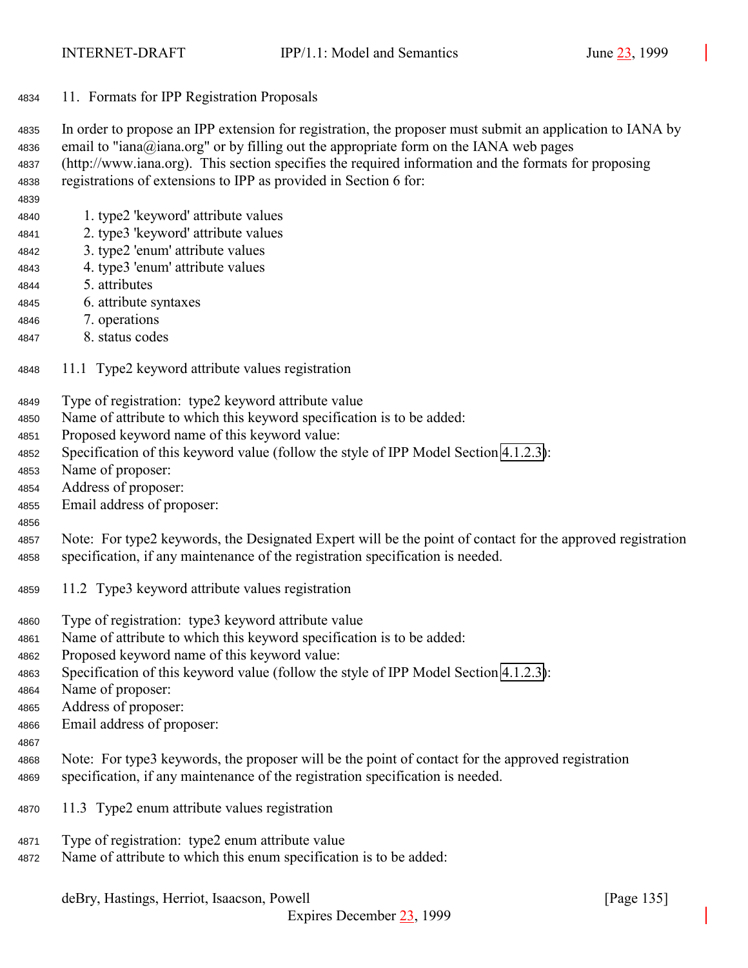<span id="page-134-0"></span>11. Formats for IPP Registration Proposals

 In order to propose an IPP extension for registration, the proposer must submit an application to IANA by email to "iana@iana.org" or by filling out the appropriate form on the IANA web pages (http://www.iana.org). This section specifies the required information and the formats for proposing registrations of extensions to IPP as provided in Section 6 for:

- 1. type2 'keyword' attribute values
- 2. type3 'keyword' attribute values
- 3. type2 'enum' attribute values
- 4. type3 'enum' attribute values
- 5. attributes
- 6. attribute syntaxes
- 7. operations
- 8. status codes
- 11.1 Type2 keyword attribute values registration
- Type of registration: type2 keyword attribute value
- Name of attribute to which this keyword specification is to be added:
- Proposed keyword name of this keyword value:
- Specification of this keyword value (follow the style of IPP Model Section [4.1.2.3\)](#page-65-0):
- Name of proposer:
- Address of proposer:
- Email address of proposer:
- 

 Note: For type2 keywords, the Designated Expert will be the point of contact for the approved registration specification, if any maintenance of the registration specification is needed.

- 11.2 Type3 keyword attribute values registration
- Type of registration: type3 keyword attribute value
- Name of attribute to which this keyword specification is to be added:
- Proposed keyword name of this keyword value:
- Specification of this keyword value (follow the style of IPP Model Section [4.1.2.3\)](#page-65-0):
- Name of proposer:
- Address of proposer:
- Email address of proposer:
- 
- Note: For type3 keywords, the proposer will be the point of contact for the approved registration specification, if any maintenance of the registration specification is needed.
- 11.3 Type2 enum attribute values registration
- Type of registration: type2 enum attribute value
- Name of attribute to which this enum specification is to be added: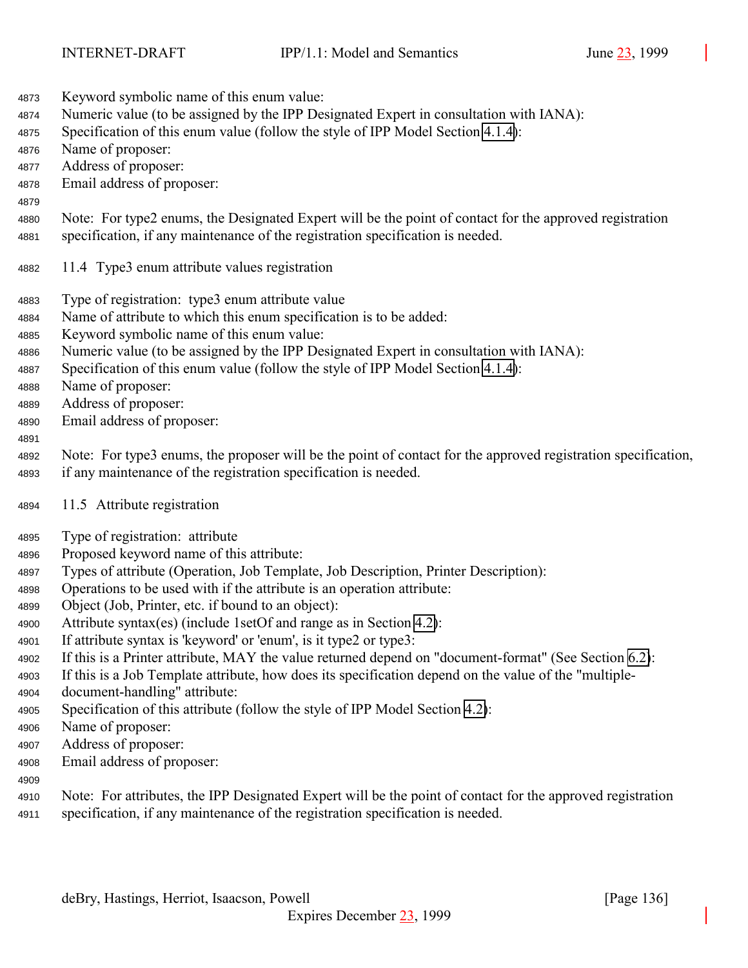- Keyword symbolic name of this enum value: Numeric value (to be assigned by the IPP Designated Expert in consultation with IANA):
- Specification of this enum value (follow the style of IPP Model Section [4.1.4\)](#page-66-0):
- Name of proposer:
- Address of proposer:
- Email address of proposer:
- 
- Note: For type2 enums, the Designated Expert will be the point of contact for the approved registration specification, if any maintenance of the registration specification is needed.
- 11.4 Type3 enum attribute values registration
- Type of registration: type3 enum attribute value
- Name of attribute to which this enum specification is to be added:
- Keyword symbolic name of this enum value:
- Numeric value (to be assigned by the IPP Designated Expert in consultation with IANA):
- Specification of this enum value (follow the style of IPP Model Section [4.1.4\)](#page-66-0):
- Name of proposer:
- Address of proposer:
- Email address of proposer:
- 

 Note: For type3 enums, the proposer will be the point of contact for the approved registration specification, if any maintenance of the registration specification is needed.

- 11.5 Attribute registration
- Type of registration: attribute
- Proposed keyword name of this attribute:
- Types of attribute (Operation, Job Template, Job Description, Printer Description):
- Operations to be used with if the attribute is an operation attribute:
- Object (Job, Printer, etc. if bound to an object):
- Attribute syntax(es) (include 1setOf and range as in Section [4.2\)](#page-71-0):
- If attribute syntax is 'keyword' or 'enum', is it type2 or type3:
- If this is a Printer attribute, MAY the value returned depend on "document-format" (See Section [6.2\)](#page-119-0):
- If this is a Job Template attribute, how does its specification depend on the value of the "multiple-document-handling" attribute:
- Specification of this attribute (follow the style of IPP Model Section [4.2\)](#page-71-0):
- Name of proposer:
- Address of proposer:
- Email address of proposer:
- 
- Note: For attributes, the IPP Designated Expert will be the point of contact for the approved registration specification, if any maintenance of the registration specification is needed.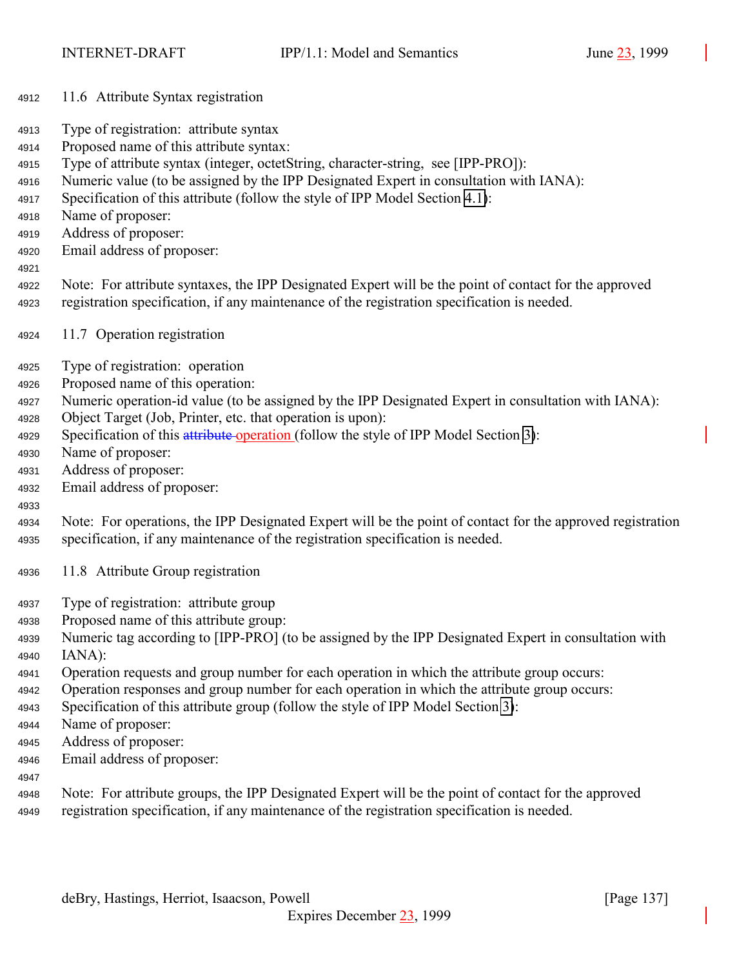- 11.6 Attribute Syntax registration
- Type of registration: attribute syntax
- Proposed name of this attribute syntax:
- Type of attribute syntax (integer, octetString, character-string, see [IPP-PRO]):
- Numeric value (to be assigned by the IPP Designated Expert in consultation with IANA):
- Specification of this attribute (follow the style of IPP Model Section [4.1\)](#page-61-0):
- Name of proposer:
- Address of proposer:
- Email address of proposer:
- 
- Note: For attribute syntaxes, the IPP Designated Expert will be the point of contact for the approved registration specification, if any maintenance of the registration specification is needed.
- 11.7 Operation registration
- Type of registration: operation
- Proposed name of this operation:
- Numeric operation-id value (to be assigned by the IPP Designated Expert in consultation with IANA):
- Object Target (Job, Printer, etc. that operation is upon):
- 4929 Specification of this attribute operation (follow the style of IPP Model Section [3\)](#page-18-0):
- Name of proposer:
- Address of proposer:
- Email address of proposer:

- Note: For operations, the IPP Designated Expert will be the point of contact for the approved registration specification, if any maintenance of the registration specification is needed.
- 11.8 Attribute Group registration
- Type of registration: attribute group
- Proposed name of this attribute group:
- Numeric tag according to [IPP-PRO] (to be assigned by the IPP Designated Expert in consultation with IANA):
- Operation requests and group number for each operation in which the attribute group occurs:
- Operation responses and group number for each operation in which the attribute group occurs:
- Specification of this attribute group (follow the style of IPP Model Section [3\)](#page-18-0):
- Name of proposer:
- Address of proposer:
- Email address of proposer:
- 
- Note: For attribute groups, the IPP Designated Expert will be the point of contact for the approved registration specification, if any maintenance of the registration specification is needed.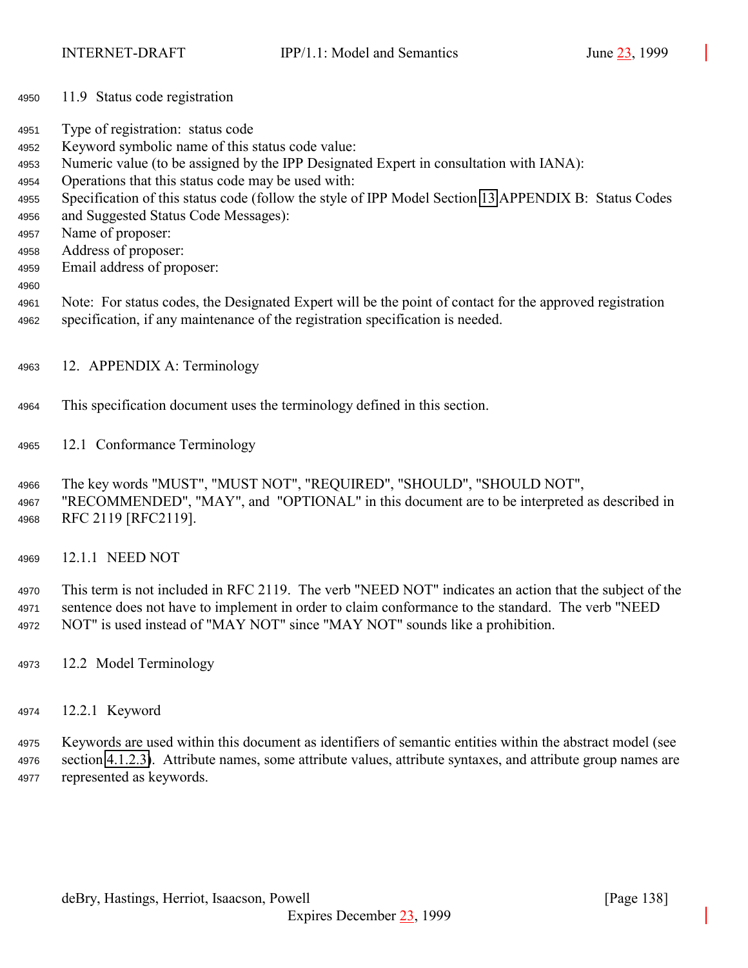- 11.9 Status code registration
- Type of registration: status code
- Keyword symbolic name of this status code value:
- Numeric value (to be assigned by the IPP Designated Expert in consultation with IANA):
- Operations that this status code may be used with:
- Specification of this status code (follow the style of IPP Model Section [13](#page-140-0) APPENDIX B: Status Codes
- and Suggested Status Code Messages):
- Name of proposer:
- Address of proposer:
- Email address of proposer:
- 
- Note: For status codes, the Designated Expert will be the point of contact for the approved registration specification, if any maintenance of the registration specification is needed.
- 12. APPENDIX A: Terminology
- This specification document uses the terminology defined in this section.
- 12.1 Conformance Terminology

 The key words "MUST", "MUST NOT", "REQUIRED", "SHOULD", "SHOULD NOT", "RECOMMENDED", "MAY", and "OPTIONAL" in this document are to be interpreted as described in RFC 2119 [RFC2119].

12.1.1 NEED NOT

 This term is not included in RFC 2119. The verb "NEED NOT" indicates an action that the subject of the sentence does not have to implement in order to claim conformance to the standard. The verb "NEED NOT" is used instead of "MAY NOT" since "MAY NOT" sounds like a prohibition.

- 12.2 Model Terminology
- 12.2.1 Keyword

 Keywords are used within this document as identifiers of semantic entities within the abstract model (see section [4.1.2.3\)](#page-65-0). Attribute names, some attribute values, attribute syntaxes, and attribute group names are represented as keywords.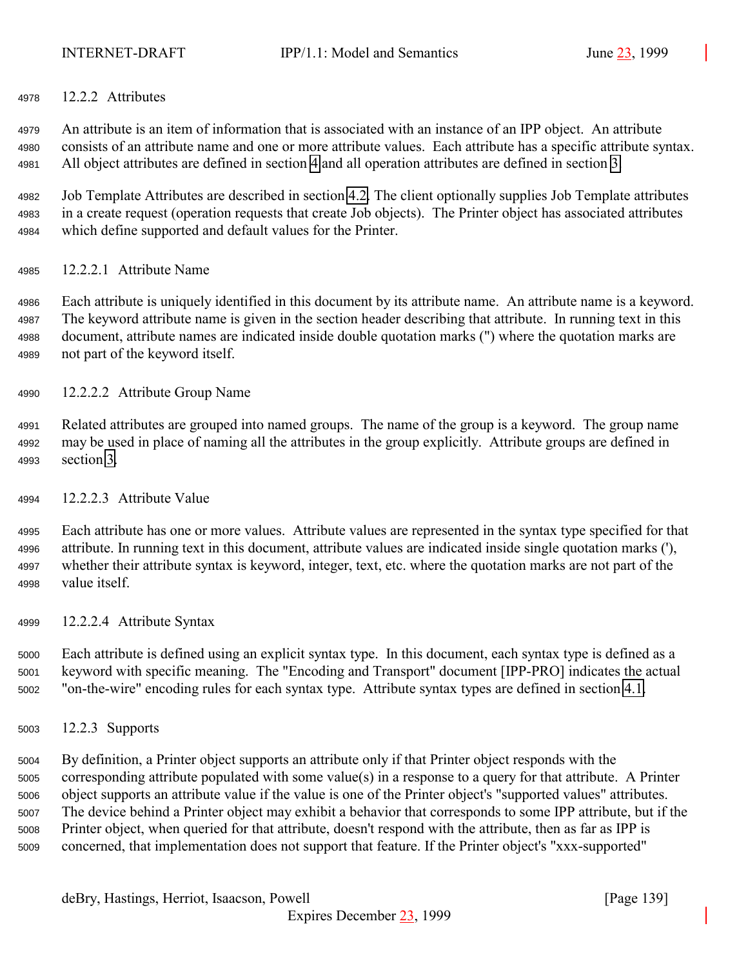12.2.2 Attributes

 An attribute is an item of information that is associated with an instance of an IPP object. An attribute consists of an attribute name and one or more attribute values. Each attribute has a specific attribute syntax. All object attributes are defined in section [4](#page-61-0) and all operation attributes are defined in section [3.](#page-18-0)

 Job Template Attributes are described in section [4.2.](#page-71-0) The client optionally supplies Job Template attributes in a create request (operation requests that create Job objects). The Printer object has associated attributes which define supported and default values for the Printer.

12.2.2.1 Attribute Name

 Each attribute is uniquely identified in this document by its attribute name. An attribute name is a keyword. The keyword attribute name is given in the section header describing that attribute. In running text in this document, attribute names are indicated inside double quotation marks (") where the quotation marks are not part of the keyword itself.

- 12.2.2.2 Attribute Group Name
- Related attributes are grouped into named groups. The name of the group is a keyword. The group name may be used in place of naming all the attributes in the group explicitly. Attribute groups are defined in section [3.](#page-18-0)
- 12.2.2.3 Attribute Value

 Each attribute has one or more values. Attribute values are represented in the syntax type specified for that attribute. In running text in this document, attribute values are indicated inside single quotation marks ('), whether their attribute syntax is keyword, integer, text, etc. where the quotation marks are not part of the value itself.

12.2.2.4 Attribute Syntax

 Each attribute is defined using an explicit syntax type. In this document, each syntax type is defined as a keyword with specific meaning. The "Encoding and Transport" document [IPP-PRO] indicates the actual "on-the-wire" encoding rules for each syntax type. Attribute syntax types are defined in section [4.1.](#page-61-0)

12.2.3 Supports

 By definition, a Printer object supports an attribute only if that Printer object responds with the corresponding attribute populated with some value(s) in a response to a query for that attribute. A Printer object supports an attribute value if the value is one of the Printer object's "supported values" attributes. The device behind a Printer object may exhibit a behavior that corresponds to some IPP attribute, but if the Printer object, when queried for that attribute, doesn't respond with the attribute, then as far as IPP is concerned, that implementation does not support that feature. If the Printer object's "xxx-supported"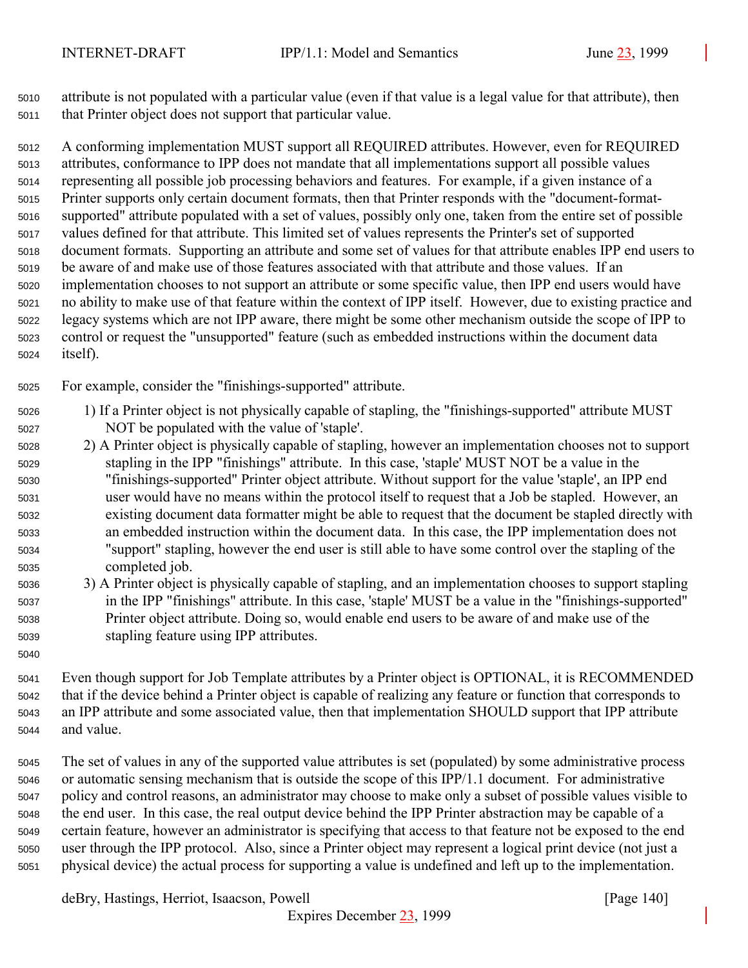attribute is not populated with a particular value (even if that value is a legal value for that attribute), then that Printer object does not support that particular value.

 A conforming implementation MUST support all REQUIRED attributes. However, even for REQUIRED attributes, conformance to IPP does not mandate that all implementations support all possible values representing all possible job processing behaviors and features. For example, if a given instance of a Printer supports only certain document formats, then that Printer responds with the "document-format- supported" attribute populated with a set of values, possibly only one, taken from the entire set of possible values defined for that attribute. This limited set of values represents the Printer's set of supported document formats. Supporting an attribute and some set of values for that attribute enables IPP end users to be aware of and make use of those features associated with that attribute and those values. If an implementation chooses to not support an attribute or some specific value, then IPP end users would have no ability to make use of that feature within the context of IPP itself. However, due to existing practice and legacy systems which are not IPP aware, there might be some other mechanism outside the scope of IPP to control or request the "unsupported" feature (such as embedded instructions within the document data itself).

For example, consider the "finishings-supported" attribute.

- 1) If a Printer object is not physically capable of stapling, the "finishings-supported" attribute MUST NOT be populated with the value of 'staple'.
- 2) A Printer object is physically capable of stapling, however an implementation chooses not to support stapling in the IPP "finishings" attribute. In this case, 'staple' MUST NOT be a value in the "finishings-supported" Printer object attribute. Without support for the value 'staple', an IPP end user would have no means within the protocol itself to request that a Job be stapled. However, an existing document data formatter might be able to request that the document be stapled directly with an embedded instruction within the document data. In this case, the IPP implementation does not "support" stapling, however the end user is still able to have some control over the stapling of the completed job.
- 3) A Printer object is physically capable of stapling, and an implementation chooses to support stapling in the IPP "finishings" attribute. In this case, 'staple' MUST be a value in the "finishings-supported" Printer object attribute. Doing so, would enable end users to be aware of and make use of the stapling feature using IPP attributes.
- Even though support for Job Template attributes by a Printer object is OPTIONAL, it is RECOMMENDED that if the device behind a Printer object is capable of realizing any feature or function that corresponds to an IPP attribute and some associated value, then that implementation SHOULD support that IPP attribute and value.
- The set of values in any of the supported value attributes is set (populated) by some administrative process or automatic sensing mechanism that is outside the scope of this IPP/1.1 document. For administrative policy and control reasons, an administrator may choose to make only a subset of possible values visible to the end user. In this case, the real output device behind the IPP Printer abstraction may be capable of a certain feature, however an administrator is specifying that access to that feature not be exposed to the end user through the IPP protocol. Also, since a Printer object may represent a logical print device (not just a physical device) the actual process for supporting a value is undefined and left up to the implementation.

deBry, Hastings, Herriot, Isaacson, Powell [Page 140]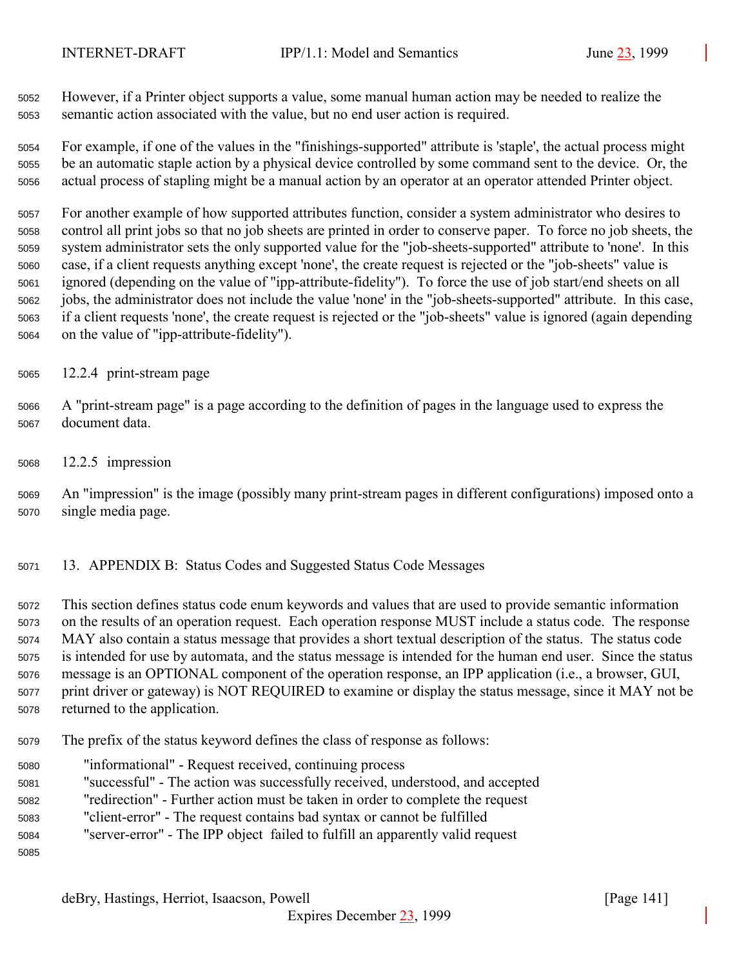<span id="page-140-0"></span>

 However, if a Printer object supports a value, some manual human action may be needed to realize the semantic action associated with the value, but no end user action is required.

 For example, if one of the values in the "finishings-supported" attribute is 'staple', the actual process might be an automatic staple action by a physical device controlled by some command sent to the device. Or, the actual process of stapling might be a manual action by an operator at an operator attended Printer object.

 For another example of how supported attributes function, consider a system administrator who desires to control all print jobs so that no job sheets are printed in order to conserve paper. To force no job sheets, the system administrator sets the only supported value for the "job-sheets-supported" attribute to 'none'. In this case, if a client requests anything except 'none', the create request is rejected or the "job-sheets" value is ignored (depending on the value of "ipp-attribute-fidelity"). To force the use of job start/end sheets on all jobs, the administrator does not include the value 'none' in the "job-sheets-supported" attribute. In this case, if a client requests 'none', the create request is rejected or the "job-sheets" value is ignored (again depending on the value of "ipp-attribute-fidelity").

12.2.4 print-stream page

 A "print-stream page" is a page according to the definition of pages in the language used to express the document data.

12.2.5 impression

 An "impression" is the image (possibly many print-stream pages in different configurations) imposed onto a single media page.

13. APPENDIX B: Status Codes and Suggested Status Code Messages

 This section defines status code enum keywords and values that are used to provide semantic information on the results of an operation request. Each operation response MUST include a status code. The response MAY also contain a status message that provides a short textual description of the status. The status code is intended for use by automata, and the status message is intended for the human end user. Since the status message is an OPTIONAL component of the operation response, an IPP application (i.e., a browser, GUI, print driver or gateway) is NOT REQUIRED to examine or display the status message, since it MAY not be returned to the application.

- The prefix of the status keyword defines the class of response as follows:
- "informational" Request received, continuing process
- "successful" The action was successfully received, understood, and accepted
- "redirection" Further action must be taken in order to complete the request
- "client-error" The request contains bad syntax or cannot be fulfilled
- "server-error" The IPP object failed to fulfill an apparently valid request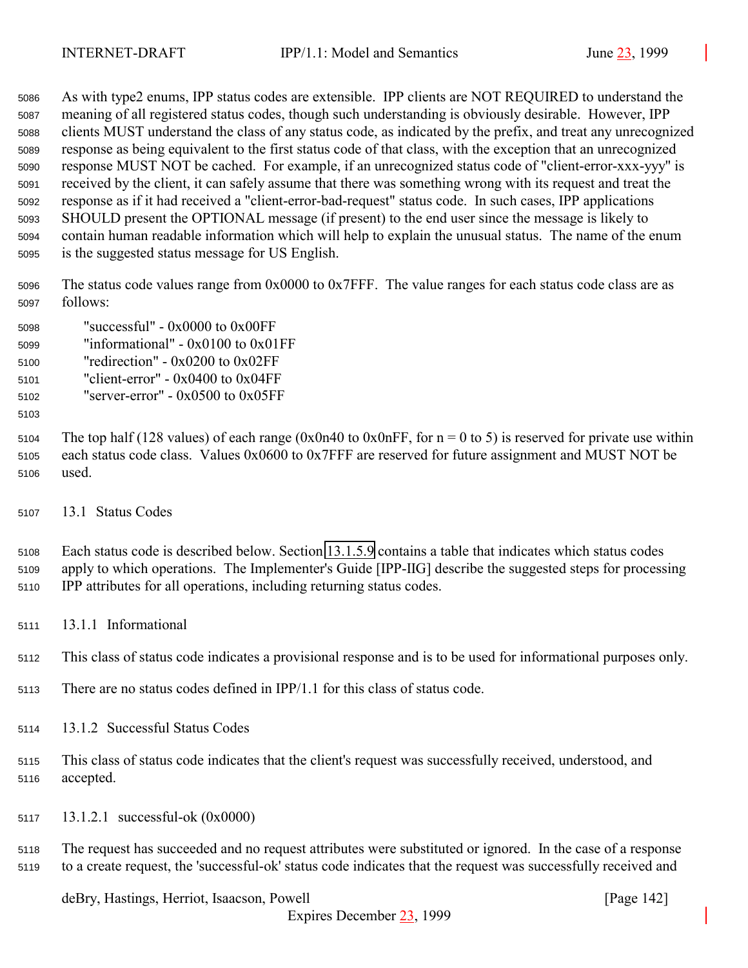As with type2 enums, IPP status codes are extensible. IPP clients are NOT REQUIRED to understand the meaning of all registered status codes, though such understanding is obviously desirable. However, IPP clients MUST understand the class of any status code, as indicated by the prefix, and treat any unrecognized response as being equivalent to the first status code of that class, with the exception that an unrecognized response MUST NOT be cached. For example, if an unrecognized status code of "client-error-xxx-yyy" is received by the client, it can safely assume that there was something wrong with its request and treat the response as if it had received a "client-error-bad-request" status code. In such cases, IPP applications SHOULD present the OPTIONAL message (if present) to the end user since the message is likely to contain human readable information which will help to explain the unusual status. The name of the enum is the suggested status message for US English.

 The status code values range from 0x0000 to 0x7FFF. The value ranges for each status code class are as follows:

 "successful" - 0x0000 to 0x00FF "informational" - 0x0100 to 0x01FF

"redirection" - 0x0200 to 0x02FF

- "client-error" 0x0400 to 0x04FF
- "server-error" 0x0500 to 0x05FF
- 

5104 The top half (128 values) of each range (0x0n40 to 0x0nFF, for  $n = 0$  to 5) is reserved for private use within each status code class. Values 0x0600 to 0x7FFF are reserved for future assignment and MUST NOT be used.

13.1 Status Codes

 Each status code is described below. Section [13.1.5.9](#page-149-0) contains a table that indicates which status codes apply to which operations. The Implementer's Guide [IPP-IIG] describe the suggested steps for processing IPP attributes for all operations, including returning status codes.

13.1.1 Informational

This class of status code indicates a provisional response and is to be used for informational purposes only.

- There are no status codes defined in IPP/1.1 for this class of status code.
- 13.1.2 Successful Status Codes
- This class of status code indicates that the client's request was successfully received, understood, and accepted.
- 13.1.2.1 successful-ok (0x0000)

 The request has succeeded and no request attributes were substituted or ignored. In the case of a response to a create request, the 'successful-ok' status code indicates that the request was successfully received and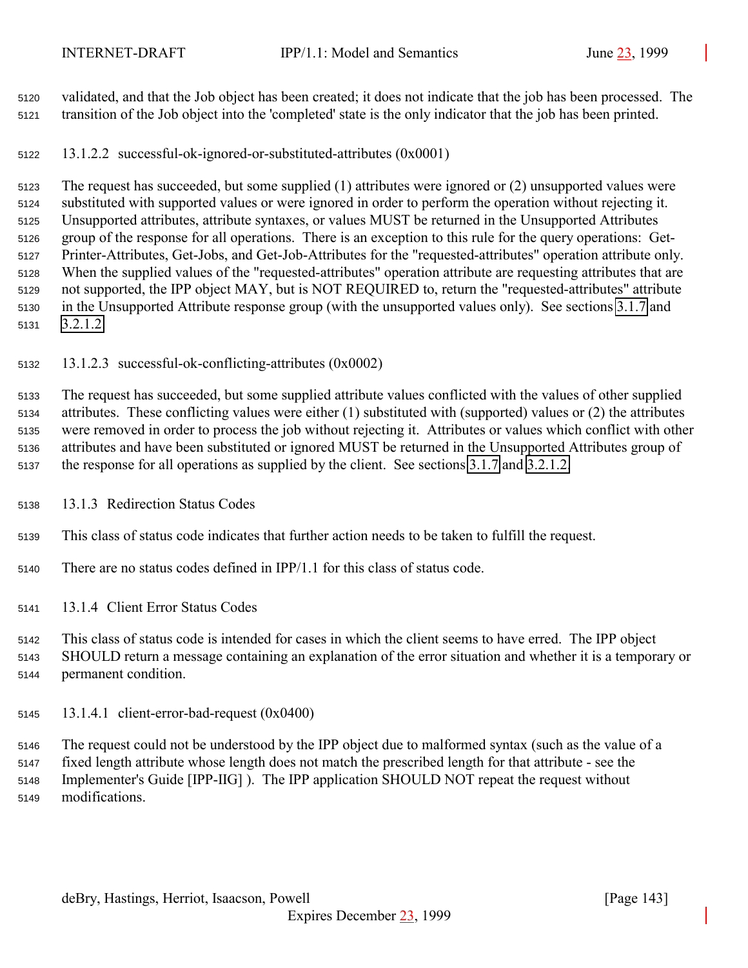validated, and that the Job object has been created; it does not indicate that the job has been processed. The transition of the Job object into the 'completed' state is the only indicator that the job has been printed.

13.1.2.2 successful-ok-ignored-or-substituted-attributes (0x0001)

 The request has succeeded, but some supplied (1) attributes were ignored or (2) unsupported values were substituted with supported values or were ignored in order to perform the operation without rejecting it. Unsupported attributes, attribute syntaxes, or values MUST be returned in the Unsupported Attributes group of the response for all operations. There is an exception to this rule for the query operations: Get- Printer-Attributes, Get-Jobs, and Get-Job-Attributes for the "requested-attributes" operation attribute only. When the supplied values of the "requested-attributes" operation attribute are requesting attributes that are not supported, the IPP object MAY, but is NOT REQUIRED to, return the "requested-attributes" attribute in the Unsupported Attribute response group (with the unsupported values only). See sections [3.1.7](#page-28-0) and [3.2.1.2.](#page-37-0)

## 13.1.2.3 successful-ok-conflicting-attributes (0x0002)

 The request has succeeded, but some supplied attribute values conflicted with the values of other supplied attributes. These conflicting values were either (1) substituted with (supported) values or (2) the attributes were removed in order to process the job without rejecting it. Attributes or values which conflict with other attributes and have been substituted or ignored MUST be returned in the Unsupported Attributes group of the response for all operations as supplied by the client. See sections [3.1.7](#page-28-0) and [3.2.1.2.](#page-37-0)

- 13.1.3 Redirection Status Codes
- This class of status code indicates that further action needs to be taken to fulfill the request.
- There are no status codes defined in IPP/1.1 for this class of status code.
- 13.1.4 Client Error Status Codes

This class of status code is intended for cases in which the client seems to have erred. The IPP object

 SHOULD return a message containing an explanation of the error situation and whether it is a temporary or permanent condition.

13.1.4.1 client-error-bad-request (0x0400)

 The request could not be understood by the IPP object due to malformed syntax (such as the value of a fixed length attribute whose length does not match the prescribed length for that attribute - see the Implementer's Guide [IPP-IIG] ). The IPP application SHOULD NOT repeat the request without modifications.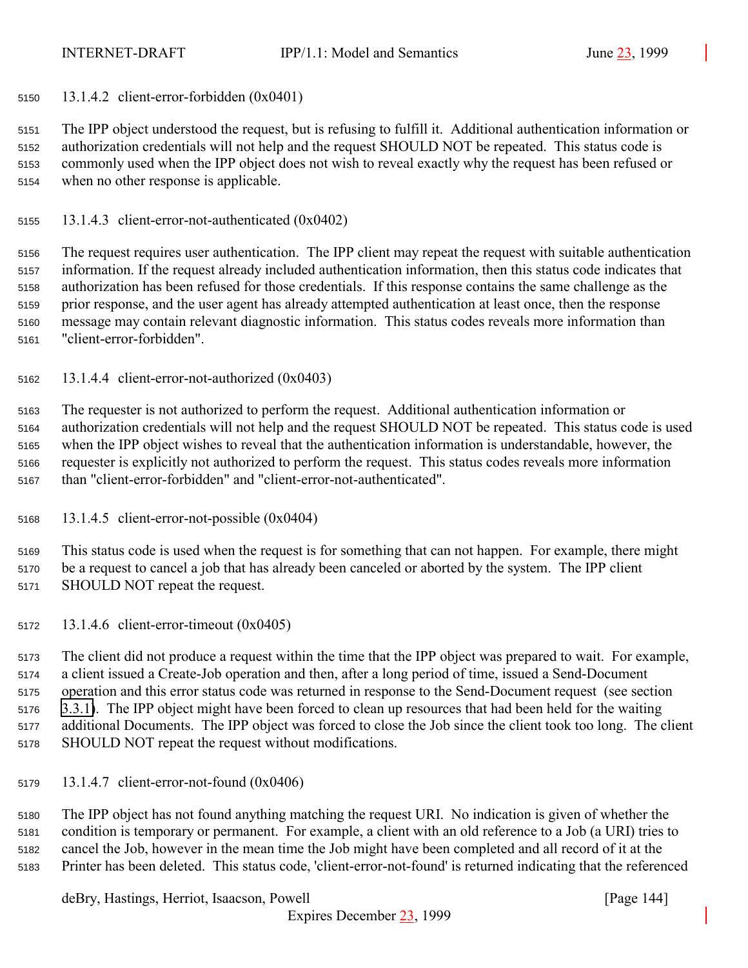13.1.4.2 client-error-forbidden (0x0401)

 The IPP object understood the request, but is refusing to fulfill it. Additional authentication information or authorization credentials will not help and the request SHOULD NOT be repeated. This status code is commonly used when the IPP object does not wish to reveal exactly why the request has been refused or when no other response is applicable.

13.1.4.3 client-error-not-authenticated (0x0402)

 The request requires user authentication. The IPP client may repeat the request with suitable authentication information. If the request already included authentication information, then this status code indicates that authorization has been refused for those credentials. If this response contains the same challenge as the prior response, and the user agent has already attempted authentication at least once, then the response message may contain relevant diagnostic information. This status codes reveals more information than "client-error-forbidden".

13.1.4.4 client-error-not-authorized (0x0403)

 The requester is not authorized to perform the request. Additional authentication information or authorization credentials will not help and the request SHOULD NOT be repeated. This status code is used when the IPP object wishes to reveal that the authentication information is understandable, however, the requester is explicitly not authorized to perform the request. This status codes reveals more information than "client-error-forbidden" and "client-error-not-authenticated".

13.1.4.5 client-error-not-possible (0x0404)

 This status code is used when the request is for something that can not happen. For example, there might be a request to cancel a job that has already been canceled or aborted by the system. The IPP client SHOULD NOT repeat the request.

13.1.4.6 client-error-timeout (0x0405)

 The client did not produce a request within the time that the IPP object was prepared to wait. For example, a client issued a Create-Job operation and then, after a long period of time, issued a Send-Document operation and this error status code was returned in response to the Send-Document request (see section [3.3.1\)](#page-50-0). The IPP object might have been forced to clean up resources that had been held for the waiting additional Documents. The IPP object was forced to close the Job since the client took too long. The client SHOULD NOT repeat the request without modifications.

13.1.4.7 client-error-not-found (0x0406)

 The IPP object has not found anything matching the request URI. No indication is given of whether the condition is temporary or permanent. For example, a client with an old reference to a Job (a URI) tries to cancel the Job, however in the mean time the Job might have been completed and all record of it at the Printer has been deleted. This status code, 'client-error-not-found' is returned indicating that the referenced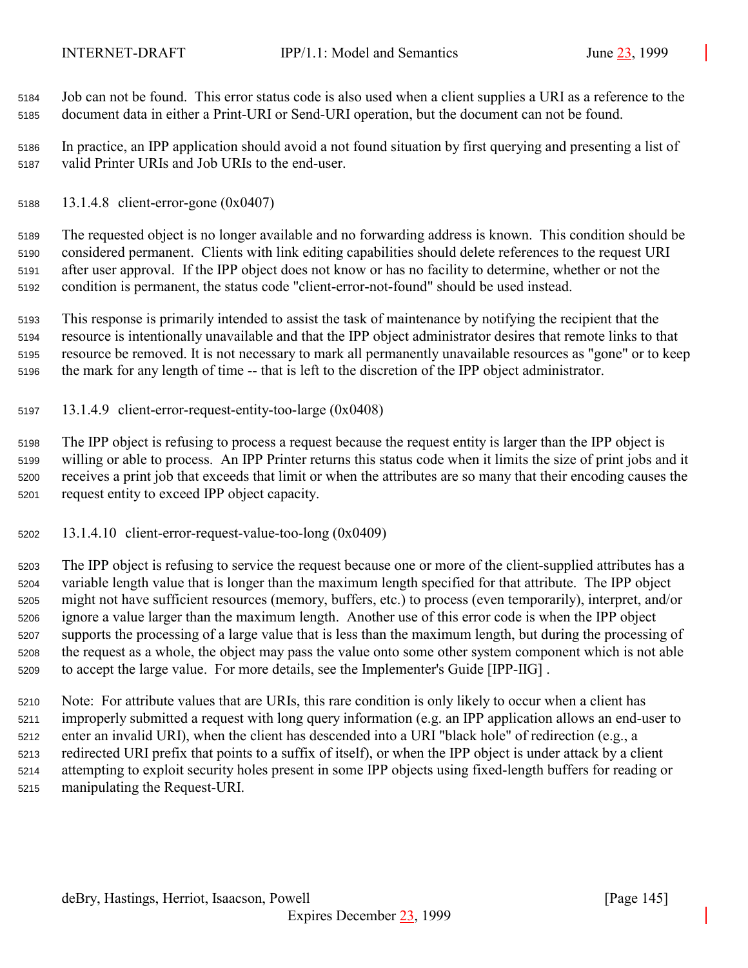Job can not be found. This error status code is also used when a client supplies a URI as a reference to the document data in either a Print-URI or Send-URI operation, but the document can not be found.

 In practice, an IPP application should avoid a not found situation by first querying and presenting a list of valid Printer URIs and Job URIs to the end-user.

13.1.4.8 client-error-gone (0x0407)

 The requested object is no longer available and no forwarding address is known. This condition should be considered permanent. Clients with link editing capabilities should delete references to the request URI after user approval. If the IPP object does not know or has no facility to determine, whether or not the condition is permanent, the status code "client-error-not-found" should be used instead.

 This response is primarily intended to assist the task of maintenance by notifying the recipient that the resource is intentionally unavailable and that the IPP object administrator desires that remote links to that resource be removed. It is not necessary to mark all permanently unavailable resources as "gone" or to keep the mark for any length of time -- that is left to the discretion of the IPP object administrator.

13.1.4.9 client-error-request-entity-too-large (0x0408)

 The IPP object is refusing to process a request because the request entity is larger than the IPP object is willing or able to process. An IPP Printer returns this status code when it limits the size of print jobs and it receives a print job that exceeds that limit or when the attributes are so many that their encoding causes the request entity to exceed IPP object capacity.

13.1.4.10 client-error-request-value-too-long (0x0409)

 The IPP object is refusing to service the request because one or more of the client-supplied attributes has a variable length value that is longer than the maximum length specified for that attribute. The IPP object might not have sufficient resources (memory, buffers, etc.) to process (even temporarily), interpret, and/or ignore a value larger than the maximum length. Another use of this error code is when the IPP object supports the processing of a large value that is less than the maximum length, but during the processing of the request as a whole, the object may pass the value onto some other system component which is not able to accept the large value. For more details, see the Implementer's Guide [IPP-IIG] .

 Note: For attribute values that are URIs, this rare condition is only likely to occur when a client has improperly submitted a request with long query information (e.g. an IPP application allows an end-user to enter an invalid URI), when the client has descended into a URI "black hole" of redirection (e.g., a redirected URI prefix that points to a suffix of itself), or when the IPP object is under attack by a client attempting to exploit security holes present in some IPP objects using fixed-length buffers for reading or manipulating the Request-URI.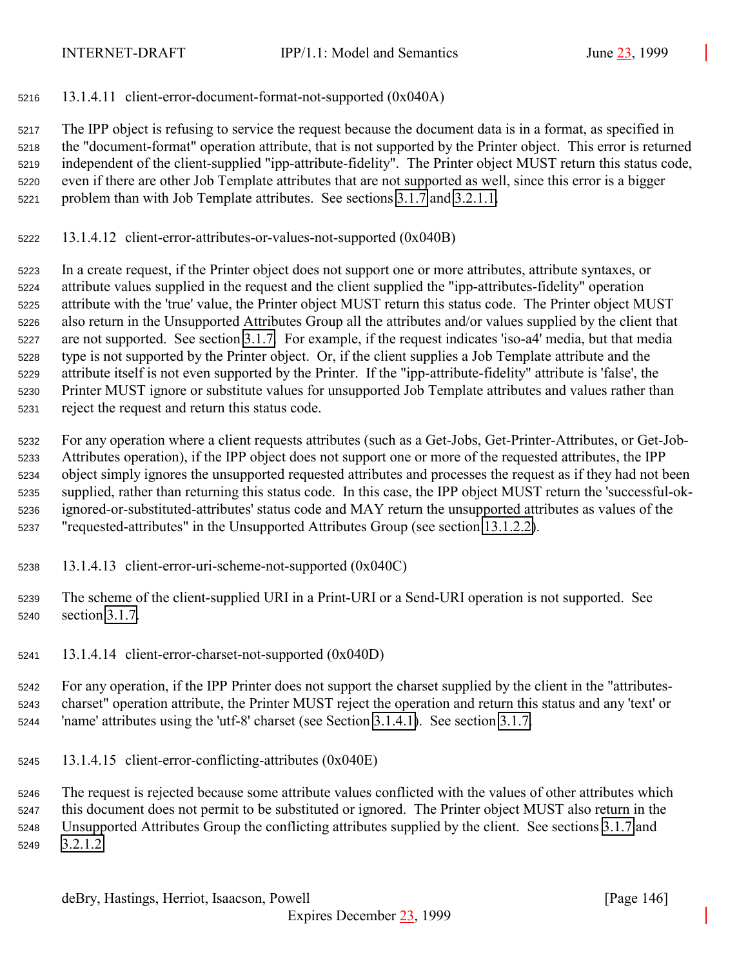13.1.4.11 client-error-document-format-not-supported (0x040A)

 The IPP object is refusing to service the request because the document data is in a format, as specified in the "document-format" operation attribute, that is not supported by the Printer object. This error is returned independent of the client-supplied "ipp-attribute-fidelity". The Printer object MUST return this status code, even if there are other Job Template attributes that are not supported as well, since this error is a bigger problem than with Job Template attributes. See sections [3.1.7](#page-28-0) and [3.2.1.1.](#page-34-0)

13.1.4.12 client-error-attributes-or-values-not-supported (0x040B)

 In a create request, if the Printer object does not support one or more attributes, attribute syntaxes, or attribute values supplied in the request and the client supplied the "ipp-attributes-fidelity" operation attribute with the 'true' value, the Printer object MUST return this status code. The Printer object MUST also return in the Unsupported Attributes Group all the attributes and/or values supplied by the client that are not supported. See section [3.1.7.](#page-28-0) For example, if the request indicates 'iso-a4' media, but that media type is not supported by the Printer object. Or, if the client supplies a Job Template attribute and the attribute itself is not even supported by the Printer. If the "ipp-attribute-fidelity" attribute is 'false', the Printer MUST ignore or substitute values for unsupported Job Template attributes and values rather than reject the request and return this status code.

 For any operation where a client requests attributes (such as a Get-Jobs, Get-Printer-Attributes, or Get-Job- Attributes operation), if the IPP object does not support one or more of the requested attributes, the IPP object simply ignores the unsupported requested attributes and processes the request as if they had not been supplied, rather than returning this status code. In this case, the IPP object MUST return the 'successful-ok- ignored-or-substituted-attributes' status code and MAY return the unsupported attributes as values of the "requested-attributes" in the Unsupported Attributes Group (see section [13.1.2.2\)](#page-142-0).

- 13.1.4.13 client-error-uri-scheme-not-supported (0x040C)
- The scheme of the client-supplied URI in a Print-URI or a Send-URI operation is not supported. See section [3.1.7.](#page-28-0)
- 13.1.4.14 client-error-charset-not-supported (0x040D)

 For any operation, if the IPP Printer does not support the charset supplied by the client in the "attributes- charset" operation attribute, the Printer MUST reject the operation and return this status and any 'text' or 'name' attributes using the 'utf-8' charset (see Section [3.1.4.1\)](#page-22-0). See section [3.1.7.](#page-28-0)

13.1.4.15 client-error-conflicting-attributes (0x040E)

 The request is rejected because some attribute values conflicted with the values of other attributes which this document does not permit to be substituted or ignored. The Printer object MUST also return in the Unsupported Attributes Group the conflicting attributes supplied by the client. See sections [3.1.7](#page-28-0) and [3.2.1.2.](#page-37-0)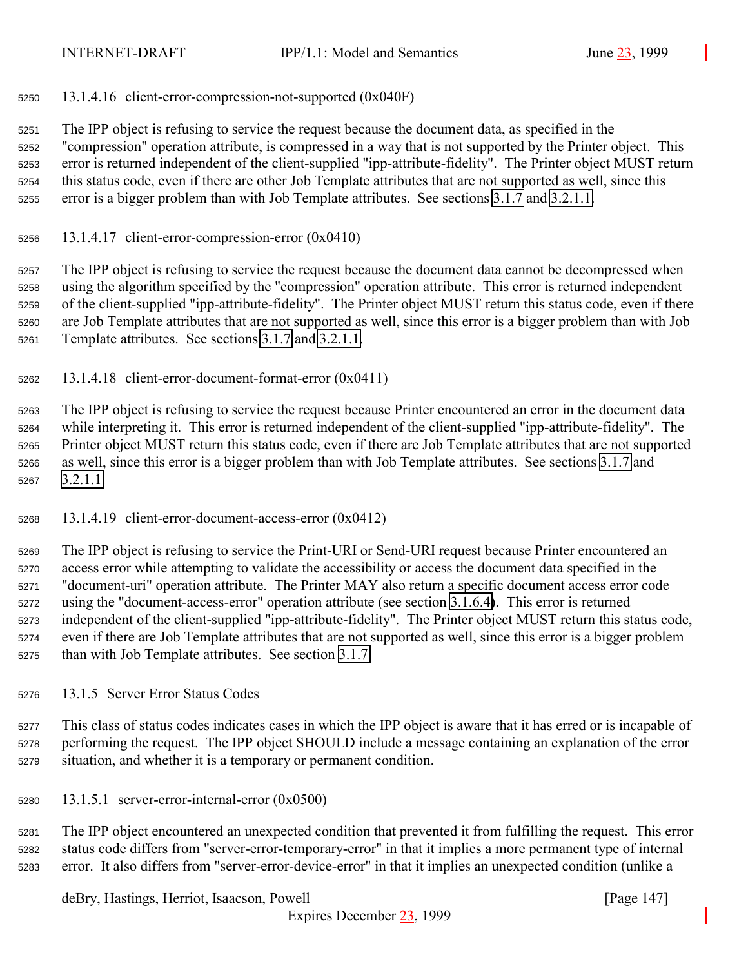<span id="page-146-0"></span>13.1.4.16 client-error-compression-not-supported (0x040F)

 The IPP object is refusing to service the request because the document data, as specified in the "compression" operation attribute, is compressed in a way that is not supported by the Printer object. This error is returned independent of the client-supplied "ipp-attribute-fidelity". The Printer object MUST return this status code, even if there are other Job Template attributes that are not supported as well, since this error is a bigger problem than with Job Template attributes. See sections [3.1.7](#page-28-0) and [3.2.1.1.](#page-34-0)

13.1.4.17 client-error-compression-error  $(0x0410)$ 

 The IPP object is refusing to service the request because the document data cannot be decompressed when using the algorithm specified by the "compression" operation attribute. This error is returned independent of the client-supplied "ipp-attribute-fidelity". The Printer object MUST return this status code, even if there are Job Template attributes that are not supported as well, since this error is a bigger problem than with Job Template attributes. See sections [3.1.7](#page-28-0) and [3.2.1.1.](#page-34-0)

13.1.4.18 client-error-document-format-error (0x0411)

 The IPP object is refusing to service the request because Printer encountered an error in the document data while interpreting it. This error is returned independent of the client-supplied "ipp-attribute-fidelity". The Printer object MUST return this status code, even if there are Job Template attributes that are not supported as well, since this error is a bigger problem than with Job Template attributes. See sections [3.1.7](#page-28-0) and [3.2.1.1.](#page-34-0)

13.1.4.19 client-error-document-access-error (0x0412)

 The IPP object is refusing to service the Print-URI or Send-URI request because Printer encountered an access error while attempting to validate the accessibility or access the document data specified in the "document-uri" operation attribute. The Printer MAY also return a specific document access error code using the "document-access-error" operation attribute (see section [3.1.6.4\)](#page-28-0). This error is returned independent of the client-supplied "ipp-attribute-fidelity". The Printer object MUST return this status code, even if there are Job Template attributes that are not supported as well, since this error is a bigger problem than with Job Template attributes. See section [3.1.7.](#page-28-0)

13.1.5 Server Error Status Codes

 This class of status codes indicates cases in which the IPP object is aware that it has erred or is incapable of performing the request. The IPP object SHOULD include a message containing an explanation of the error situation, and whether it is a temporary or permanent condition.

13.1.5.1 server-error-internal-error (0x0500)

 The IPP object encountered an unexpected condition that prevented it from fulfilling the request. This error status code differs from "server-error-temporary-error" in that it implies a more permanent type of internal error. It also differs from "server-error-device-error" in that it implies an unexpected condition (unlike a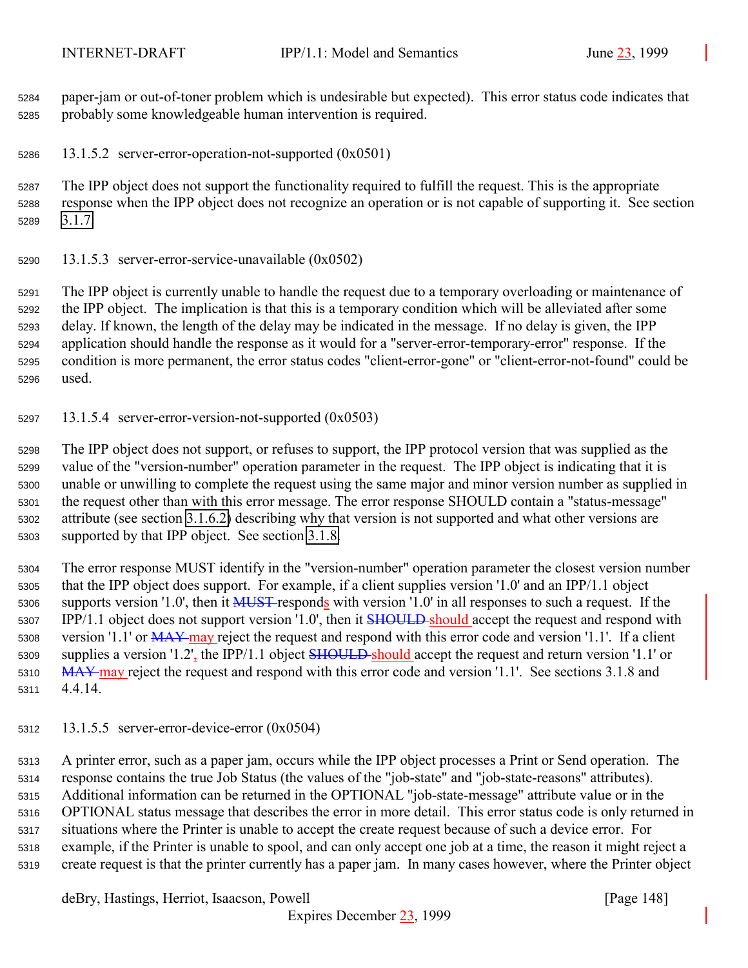<span id="page-147-0"></span> paper-jam or out-of-toner problem which is undesirable but expected). This error status code indicates that probably some knowledgeable human intervention is required.

13.1.5.2 server-error-operation-not-supported (0x0501)

 The IPP object does not support the functionality required to fulfill the request. This is the appropriate response when the IPP object does not recognize an operation or is not capable of supporting it. See section [3.1.7.](#page-28-0)

13.1.5.3 server-error-service-unavailable (0x0502)

 The IPP object is currently unable to handle the request due to a temporary overloading or maintenance of the IPP object. The implication is that this is a temporary condition which will be alleviated after some delay. If known, the length of the delay may be indicated in the message. If no delay is given, the IPP application should handle the response as it would for a "server-error-temporary-error" response. If the condition is more permanent, the error status codes "client-error-gone" or "client-error-not-found" could be used.

13.1.5.4 server-error-version-not-supported (0x0503)

 The IPP object does not support, or refuses to support, the IPP protocol version that was supplied as the value of the "version-number" operation parameter in the request. The IPP object is indicating that it is unable or unwilling to complete the request using the same major and minor version number as supplied in the request other than with this error message. The error response SHOULD contain a "status-message" attribute (see section [3.1.6.2\)](#page-27-0) describing why that version is not supported and what other versions are supported by that IPP object. See section [3.1.8.](#page-30-0)

 The error response MUST identify in the "version-number" operation parameter the closest version number that the IPP object does support. For example, if a client supplies version '1.0' and an IPP/1.1 object 5306 supports version '1.0', then it MUST responds with version '1.0' in all responses to such a request. If the 5307 IPP/1.1 object does not support version '1.0', then it **SHOULD** should accept the request and respond with 5308 version '1.1' or MAY may reject the request and respond with this error code and version '1.1'. If a client 5309 supplies a version '1.2', the IPP/1.1 object **SHOULD** should accept the request and return version '1.1' or 5310 MAY-may reject the request and respond with this error code and version '1.1'. See sections 3.1.8 and 4.4.14.

13.1.5.5 server-error-device-error (0x0504)

 A printer error, such as a paper jam, occurs while the IPP object processes a Print or Send operation. The response contains the true Job Status (the values of the "job-state" and "job-state-reasons" attributes). Additional information can be returned in the OPTIONAL "job-state-message" attribute value or in the OPTIONAL status message that describes the error in more detail. This error status code is only returned in situations where the Printer is unable to accept the create request because of such a device error. For example, if the Printer is unable to spool, and can only accept one job at a time, the reason it might reject a create request is that the printer currently has a paper jam. In many cases however, where the Printer object

deBry, Hastings, Herriot, Isaacson, Powell [Page 148]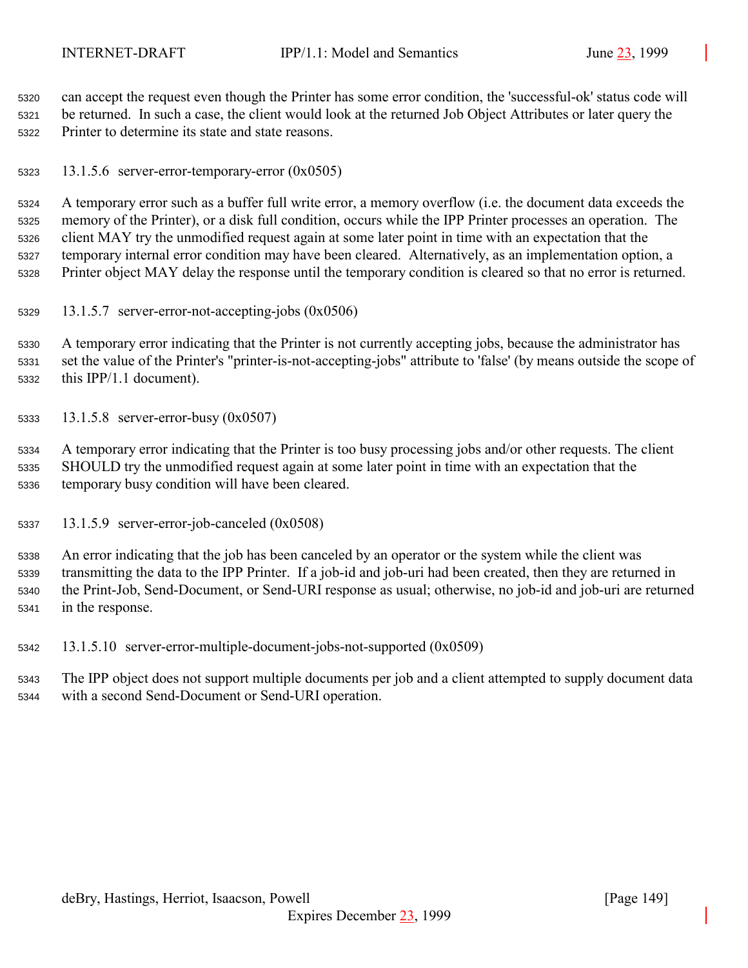<span id="page-148-0"></span> can accept the request even though the Printer has some error condition, the 'successful-ok' status code will be returned. In such a case, the client would look at the returned Job Object Attributes or later query the Printer to determine its state and state reasons.

13.1.5.6 server-error-temporary-error (0x0505)

 A temporary error such as a buffer full write error, a memory overflow (i.e. the document data exceeds the memory of the Printer), or a disk full condition, occurs while the IPP Printer processes an operation. The client MAY try the unmodified request again at some later point in time with an expectation that the temporary internal error condition may have been cleared. Alternatively, as an implementation option, a Printer object MAY delay the response until the temporary condition is cleared so that no error is returned.

13.1.5.7 server-error-not-accepting-jobs (0x0506)

 A temporary error indicating that the Printer is not currently accepting jobs, because the administrator has set the value of the Printer's "printer-is-not-accepting-jobs" attribute to 'false' (by means outside the scope of this IPP/1.1 document).

13.1.5.8 server-error-busy (0x0507)

 A temporary error indicating that the Printer is too busy processing jobs and/or other requests. The client SHOULD try the unmodified request again at some later point in time with an expectation that the temporary busy condition will have been cleared.

13.1.5.9 server-error-job-canceled (0x0508)

 An error indicating that the job has been canceled by an operator or the system while the client was transmitting the data to the IPP Printer. If a job-id and job-uri had been created, then they are returned in the Print-Job, Send-Document, or Send-URI response as usual; otherwise, no job-id and job-uri are returned in the response.

13.1.5.10 server-error-multiple-document-jobs-not-supported (0x0509)

 The IPP object does not support multiple documents per job and a client attempted to supply document data with a second Send-Document or Send-URI operation.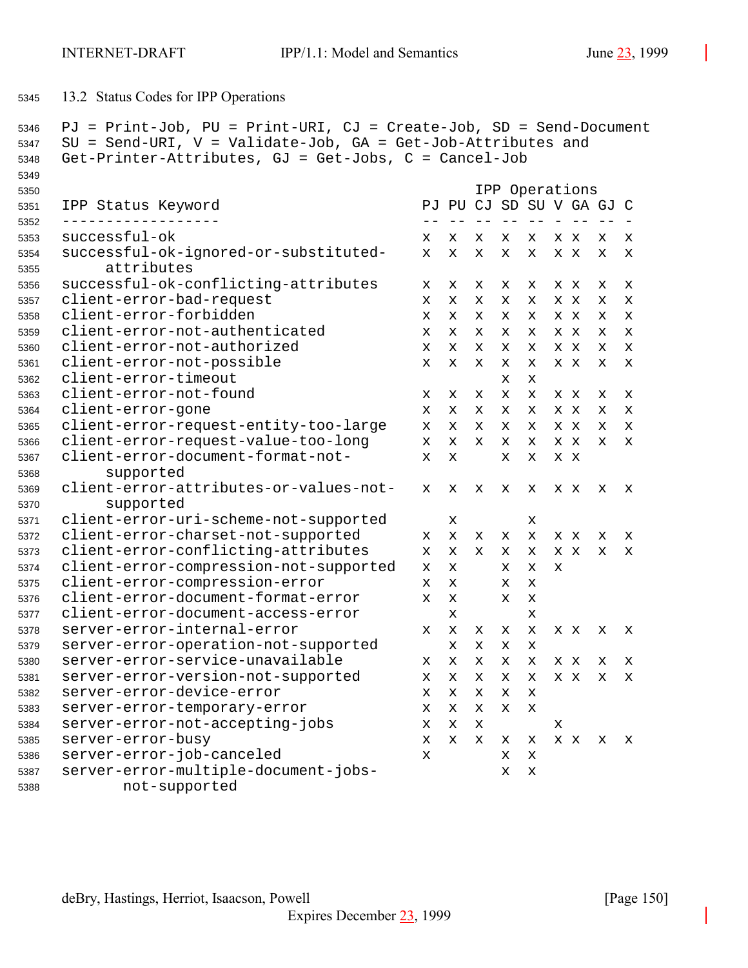```
5345 13.2 Status Codes for IPP Operations
```

```
5346 PJ = Print-Job, PU = Print-URI, CJ = Create-Job, SD = Send-Document
5347 SU = Send-URI, V = Validate-Job, GA = Get-Job-Attributes and
5348 Get-Printer-Attributes, GJ = Get-Jobs, C = Cancel-Job
5349
5350 IPP Operations
5351 IPP Status Keyword PJ PU CJ SD SU V GA GJ C
5352 ------------------ -- -- -- -- -- - -- -- -
5353 successful-ok x x x x x xx x x
5354 successful-ok-ignored-or-substituted- x x x x x xx x x
5355 attributes
5356 successful-ok-conflicting-attributes x x x x x xx x x
5357 client-error-bad-request x x x x x xx x x
5358 client-error-forbidden x x x x x xx x x
5359 client-error-not-authenticated x x x x x xx x x
5360 client-error-not-authorized x x x x x xx x x
5361 client-error-not-possible x x x x x xx x x
5362 client-error-timeout x x
5363 client-error-not-found x x x x x xx x x
5364 client-error-gone x x x x x xx x x
5365 client-error-request-entity-too-large x x x x x xx x x
5366 client-error-request-value-too-long x x x x x xx x x
5367 client-error-document-format-not- x x x x x x
5368 supported
5369 client-error-attributes-or-values-not- x x x x x xx x x
5370 supported
5371 client-error-uri-scheme-not-supported x x
5372 client-error-charset-not-supported x x x x x xx x x
5373 client-error-conflicting-attributes x x x x x xx x x
5374 client-error-compression-not-supported x x x x x
5375 client-error-compression-error x x x x
5376 client-error-document-format-error x x x x
5377 client-error-document-access-error x x
5378 server-error-internal-error x x x x x xx x x
5379 server-error-operation-not-supported xxxx
5380 server-error-service-unavailable x x x x x xx x x
5381 server-error-version-not-supported x x x x x xx x x
5382 server-error-device-error xxxxx
5383 server-error-temporary-error xxxxx
5384 server-error-not-accepting-jobs x x x x
5385 server-error-busy x x x x x xx x x
5386 server-error-job-canceled x x x
5387 server-error-multiple-document-jobs- x x
5388 not-supported
```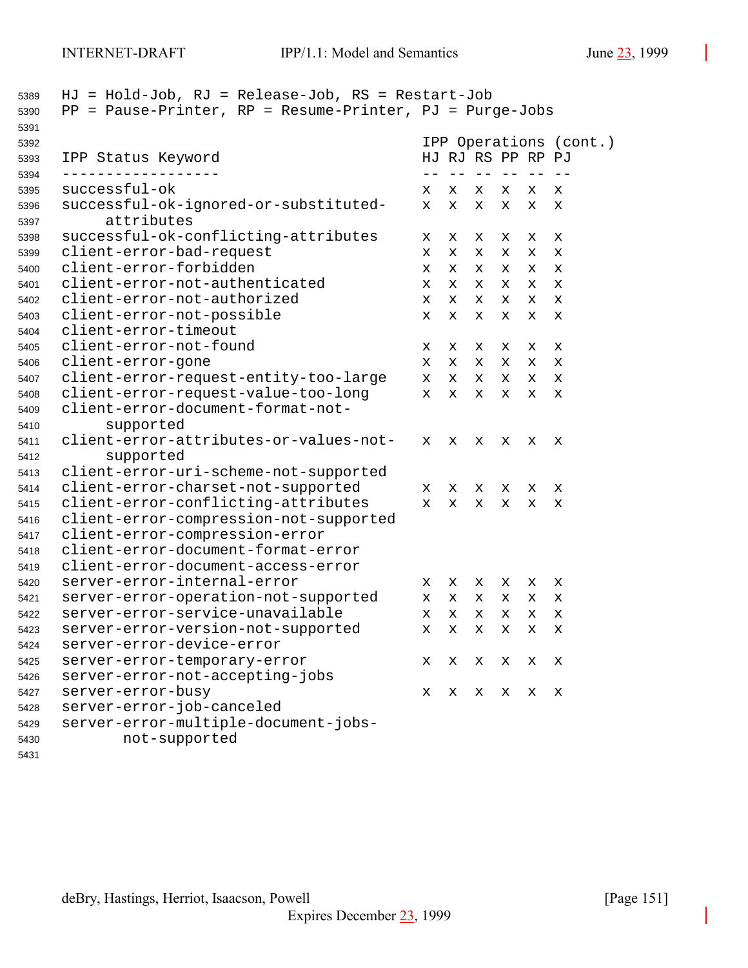| 5389<br>5390 | $HJ = Hold-Job$ , $RJ = Release-Job$ , $RS = Restart-Job$<br>$PP = Pause-Printer, RP = Resume-Printer, PJ = Purge-Jobs$ |                        |                   |        |            |        |             |  |
|--------------|-------------------------------------------------------------------------------------------------------------------------|------------------------|-------------------|--------|------------|--------|-------------|--|
| 5391         |                                                                                                                         |                        |                   |        |            |        |             |  |
| 5392         |                                                                                                                         | IPP Operations (cont.) |                   |        |            |        |             |  |
| 5393         | IPP Status Keyword                                                                                                      |                        | HJ RJ RS PP RP PJ |        |            |        |             |  |
| 5394         | successful-ok                                                                                                           |                        | $- -$             | $- -$  | $\qquad -$ |        |             |  |
| 5395<br>5396 | successful-ok-ignored-or-substituted-                                                                                   | x<br>x                 | x<br>x            | х<br>х | x<br>x     | x<br>x | x<br>х      |  |
| 5397         | attributes                                                                                                              |                        |                   |        |            |        |             |  |
| 5398         | successful-ok-conflicting-attributes                                                                                    | х                      | х                 | x      | x          | х      | х           |  |
| 5399         | client-error-bad-request                                                                                                | x                      | x                 | x      | x          | x      | х           |  |
| 5400         | client-error-forbidden                                                                                                  | x                      | x                 | x      | x          | X      | х           |  |
| 5401         | client-error-not-authenticated                                                                                          | x                      | x                 | x      | x          | x      | $\mathbf x$ |  |
| 5402         | client-error-not-authorized                                                                                             | x                      | X.                | x      | x          | x      | x           |  |
| 5403         | client-error-not-possible                                                                                               | x                      | X                 | X      | x          | x      | X           |  |
| 5404         | client-error-timeout                                                                                                    |                        |                   |        |            |        |             |  |
| 5405         | client-error-not-found                                                                                                  | х                      | х                 | x      | x          | х      | х           |  |
| 5406         | client-error-gone                                                                                                       | x                      | x                 | x      | x          | x      | х           |  |
| 5407         | client-error-request-entity-too-large                                                                                   | x                      | X                 | х      | x          | x      | X           |  |
| 5408         | client-error-request-value-too-long                                                                                     | x                      | x                 | х      | x          | х      | X           |  |
| 5409         | client-error-document-format-not-                                                                                       |                        |                   |        |            |        |             |  |
| 5410         | supported                                                                                                               |                        |                   |        |            |        |             |  |
| 5411         | client-error-attributes-or-values-not-                                                                                  | x                      | X                 | X      | x          | х      | x           |  |
| 5412         | supported                                                                                                               |                        |                   |        |            |        |             |  |
| 5413         | client-error-uri-scheme-not-supported                                                                                   |                        |                   |        |            |        |             |  |
| 5414         | client-error-charset-not-supported                                                                                      | X.                     | x                 | x      | x          | х      | X           |  |
| 5415         | client-error-conflicting-attributes                                                                                     | x                      | X                 | X      | x          | х      | X           |  |
| 5416         | client-error-compression-not-supported                                                                                  |                        |                   |        |            |        |             |  |
| 5417         | client-error-compression-error                                                                                          |                        |                   |        |            |        |             |  |
| 5418         | client-error-document-format-error                                                                                      |                        |                   |        |            |        |             |  |
| 5419         | client-error-document-access-error                                                                                      |                        |                   |        |            |        |             |  |
| 5420         | server-error-internal-error                                                                                             | x                      | x                 | x      | x          | х      | х           |  |
| 5421         | server-error-operation-not-supported                                                                                    | x                      | x                 | x      | x          | х      | х           |  |
| 5422         | server-error-service-unavailable                                                                                        | X.                     | X                 | X      | x          | x      | X           |  |
| 5423         | server-error-version-not-supported                                                                                      | x                      | x                 | x      | x          | х      | х           |  |
| 5424         | server-error-device-error                                                                                               |                        |                   |        |            |        |             |  |
| 5425         | server-error-temporary-error                                                                                            | х                      | x                 | x      | x          | х      | х           |  |
| 5426         | server-error-not-accepting-jobs                                                                                         |                        |                   |        |            |        |             |  |
| 5427         | server-error-busy                                                                                                       | х                      | х                 | х      | х          | х      | х           |  |
| 5428         | server-error-job-canceled                                                                                               |                        |                   |        |            |        |             |  |
| 5429         | server-error-multiple-document-jobs-                                                                                    |                        |                   |        |            |        |             |  |
| 5430         | not-supported                                                                                                           |                        |                   |        |            |        |             |  |
| 5431         |                                                                                                                         |                        |                   |        |            |        |             |  |

deBry, Hastings, Herriot, Isaacson, Powell [Page 151]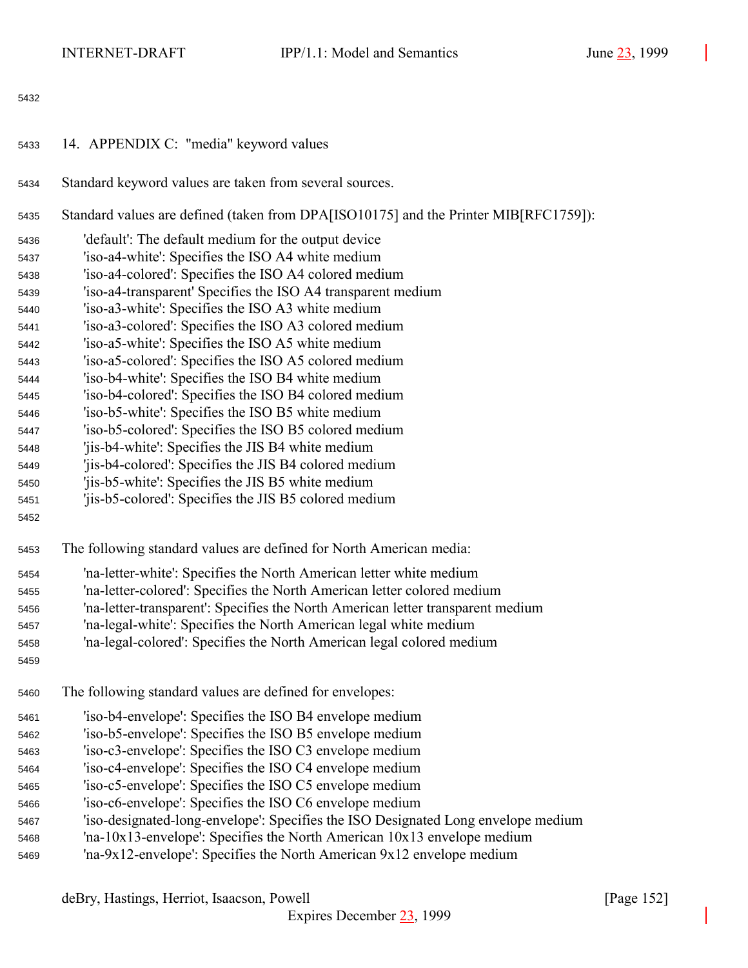- <span id="page-151-0"></span>14. APPENDIX C: "media" keyword values
- Standard keyword values are taken from several sources.
- Standard values are defined (taken from DPA[ISO10175] and the Printer MIB[RFC1759]):
- 'default': The default medium for the output device
- 'iso-a4-white': Specifies the ISO A4 white medium
- 'iso-a4-colored': Specifies the ISO A4 colored medium
- 'iso-a4-transparent' Specifies the ISO A4 transparent medium
- 'iso-a3-white': Specifies the ISO A3 white medium
- 'iso-a3-colored': Specifies the ISO A3 colored medium
- 'iso-a5-white': Specifies the ISO A5 white medium
- 'iso-a5-colored': Specifies the ISO A5 colored medium
- 'iso-b4-white': Specifies the ISO B4 white medium
- 'iso-b4-colored': Specifies the ISO B4 colored medium
- 'iso-b5-white': Specifies the ISO B5 white medium
- 'iso-b5-colored': Specifies the ISO B5 colored medium
- 'jis-b4-white': Specifies the JIS B4 white medium
- 'jis-b4-colored': Specifies the JIS B4 colored medium
- 'jis-b5-white': Specifies the JIS B5 white medium
- 'jis-b5-colored': Specifies the JIS B5 colored medium
- 
- The following standard values are defined for North American media:
- 'na-letter-white': Specifies the North American letter white medium
- 'na-letter-colored': Specifies the North American letter colored medium
- 'na-letter-transparent': Specifies the North American letter transparent medium
- 'na-legal-white': Specifies the North American legal white medium
- 'na-legal-colored': Specifies the North American legal colored medium
- 
- The following standard values are defined for envelopes:
- 'iso-b4-envelope': Specifies the ISO B4 envelope medium
- 'iso-b5-envelope': Specifies the ISO B5 envelope medium
- 'iso-c3-envelope': Specifies the ISO C3 envelope medium
- 'iso-c4-envelope': Specifies the ISO C4 envelope medium
- 'iso-c5-envelope': Specifies the ISO C5 envelope medium
- 'iso-c6-envelope': Specifies the ISO C6 envelope medium
- 'iso-designated-long-envelope': Specifies the ISO Designated Long envelope medium
- 'na-10x13-envelope': Specifies the North American 10x13 envelope medium
- 'na-9x12-envelope': Specifies the North American 9x12 envelope medium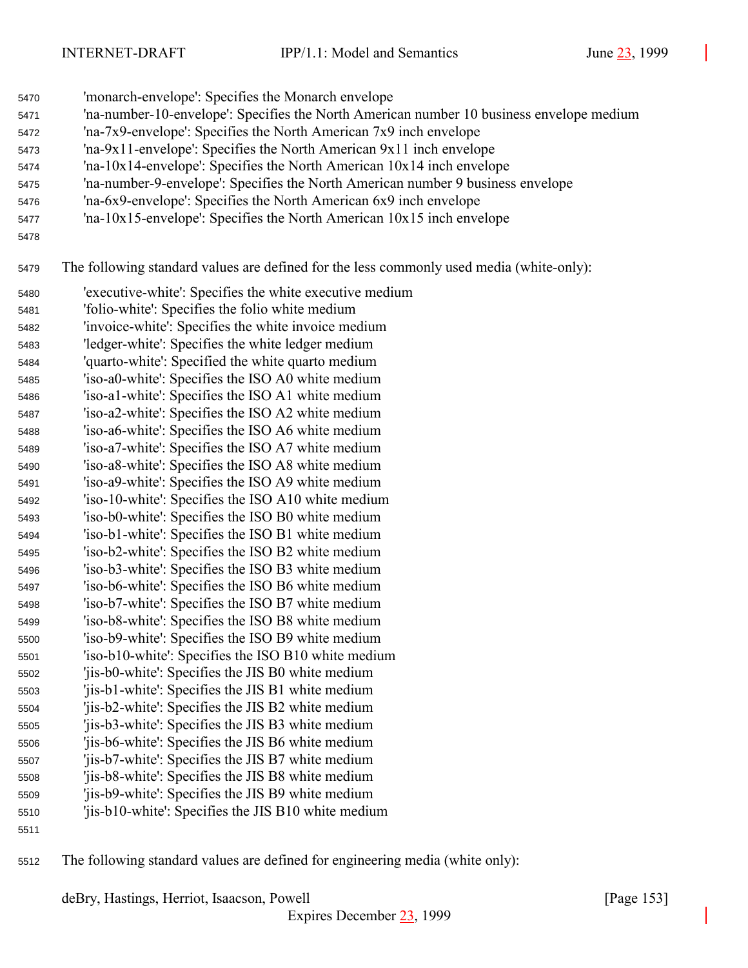- 'monarch-envelope': Specifies the Monarch envelope
- 'na-number-10-envelope': Specifies the North American number 10 business envelope medium
- 'na-7x9-envelope': Specifies the North American 7x9 inch envelope
- 'na-9x11-envelope': Specifies the North American 9x11 inch envelope
- 'na-10x14-envelope': Specifies the North American 10x14 inch envelope
- 'na-number-9-envelope': Specifies the North American number 9 business envelope
- 'na-6x9-envelope': Specifies the North American 6x9 inch envelope
- 'na-10x15-envelope': Specifies the North American 10x15 inch envelope
- 

The following standard values are defined for the less commonly used media (white-only):

- 'executive-white': Specifies the white executive medium
- 'folio-white': Specifies the folio white medium
- 'invoice-white': Specifies the white invoice medium
- 'ledger-white': Specifies the white ledger medium
- 'quarto-white': Specified the white quarto medium
- 'iso-a0-white': Specifies the ISO A0 white medium
- 'iso-a1-white': Specifies the ISO A1 white medium 'iso-a2-white': Specifies the ISO A2 white medium
- 'iso-a6-white': Specifies the ISO A6 white medium
- 'iso-a7-white': Specifies the ISO A7 white medium
- 'iso-a8-white': Specifies the ISO A8 white medium
- 'iso-a9-white': Specifies the ISO A9 white medium
- 'iso-10-white': Specifies the ISO A10 white medium
- 'iso-b0-white': Specifies the ISO B0 white medium
- 'iso-b1-white': Specifies the ISO B1 white medium 'iso-b2-white': Specifies the ISO B2 white medium
- 'iso-b3-white': Specifies the ISO B3 white medium
- 'iso-b6-white': Specifies the ISO B6 white medium
- 'iso-b7-white': Specifies the ISO B7 white medium
- 'iso-b8-white': Specifies the ISO B8 white medium
- 'iso-b9-white': Specifies the ISO B9 white medium
- 'iso-b10-white': Specifies the ISO B10 white medium
- 'jis-b0-white': Specifies the JIS B0 white medium
- 'jis-b1-white': Specifies the JIS B1 white medium 'jis-b2-white': Specifies the JIS B2 white medium
- 'jis-b3-white': Specifies the JIS B3 white medium
- 'jis-b6-white': Specifies the JIS B6 white medium
- 'jis-b7-white': Specifies the JIS B7 white medium
- 'jis-b8-white': Specifies the JIS B8 white medium
- 'jis-b9-white': Specifies the JIS B9 white medium
- 'jis-b10-white': Specifies the JIS B10 white medium
- 
- The following standard values are defined for engineering media (white only):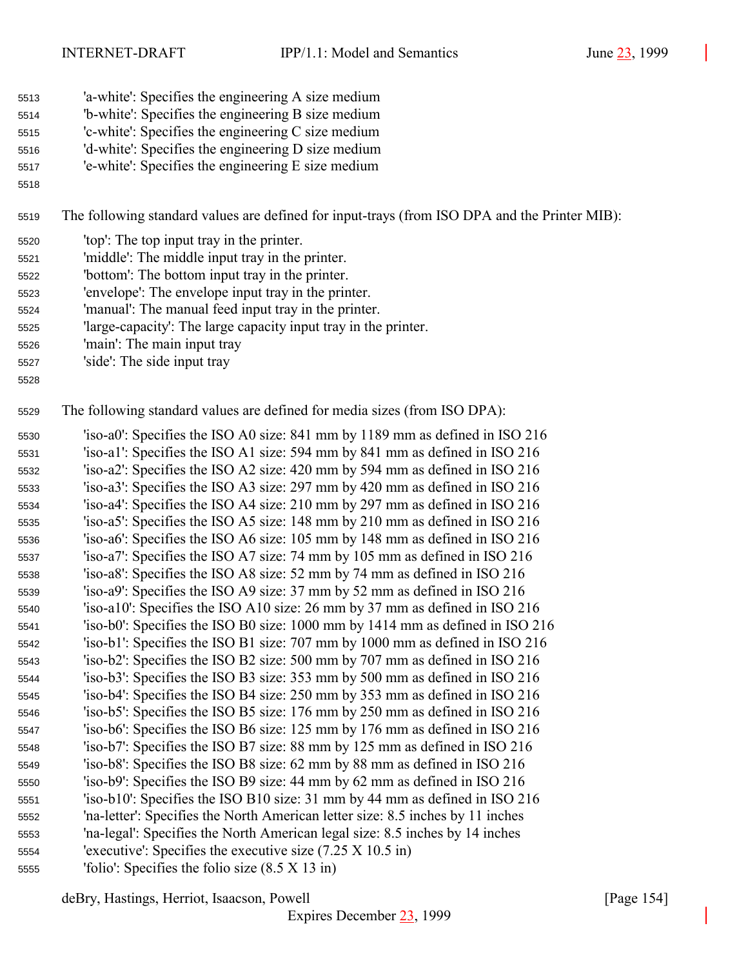- 'a-white': Specifies the engineering A size medium
- 'b-white': Specifies the engineering B size medium
- 'c-white': Specifies the engineering C size medium
- 'd-white': Specifies the engineering D size medium
- 'e-white': Specifies the engineering E size medium
- 

The following standard values are defined for input-trays (from ISO DPA and the Printer MIB):

- 'top': The top input tray in the printer.
- 'middle': The middle input tray in the printer.
- 'bottom': The bottom input tray in the printer.
- 'envelope': The envelope input tray in the printer.
- 'manual': The manual feed input tray in the printer.
- 'large-capacity': The large capacity input tray in the printer.
- 'main': The main input tray
- 'side': The side input tray
- 

The following standard values are defined for media sizes (from ISO DPA):

 'iso-a0': Specifies the ISO A0 size: 841 mm by 1189 mm as defined in ISO 216 'iso-a1': Specifies the ISO A1 size: 594 mm by 841 mm as defined in ISO 216 'iso-a2': Specifies the ISO A2 size: 420 mm by 594 mm as defined in ISO 216 'iso-a3': Specifies the ISO A3 size: 297 mm by 420 mm as defined in ISO 216 'iso-a4': Specifies the ISO A4 size: 210 mm by 297 mm as defined in ISO 216 'iso-a5': Specifies the ISO A5 size: 148 mm by 210 mm as defined in ISO 216 'iso-a6': Specifies the ISO A6 size: 105 mm by 148 mm as defined in ISO 216 'iso-a7': Specifies the ISO A7 size: 74 mm by 105 mm as defined in ISO 216 'iso-a8': Specifies the ISO A8 size: 52 mm by 74 mm as defined in ISO 216 'iso-a9': Specifies the ISO A9 size: 37 mm by 52 mm as defined in ISO 216 'iso-a10': Specifies the ISO A10 size: 26 mm by 37 mm as defined in ISO 216 'iso-b0': Specifies the ISO B0 size: 1000 mm by 1414 mm as defined in ISO 216 'iso-b1': Specifies the ISO B1 size: 707 mm by 1000 mm as defined in ISO 216 'iso-b2': Specifies the ISO B2 size: 500 mm by 707 mm as defined in ISO 216 'iso-b3': Specifies the ISO B3 size: 353 mm by 500 mm as defined in ISO 216 'iso-b4': Specifies the ISO B4 size: 250 mm by 353 mm as defined in ISO 216 'iso-b5': Specifies the ISO B5 size: 176 mm by 250 mm as defined in ISO 216 'iso-b6': Specifies the ISO B6 size: 125 mm by 176 mm as defined in ISO 216 'iso-b7': Specifies the ISO B7 size: 88 mm by 125 mm as defined in ISO 216 'iso-b8': Specifies the ISO B8 size: 62 mm by 88 mm as defined in ISO 216 'iso-b9': Specifies the ISO B9 size: 44 mm by 62 mm as defined in ISO 216 'iso-b10': Specifies the ISO B10 size: 31 mm by 44 mm as defined in ISO 216 'na-letter': Specifies the North American letter size: 8.5 inches by 11 inches 'na-legal': Specifies the North American legal size: 8.5 inches by 14 inches 'executive': Specifies the executive size (7.25 X 10.5 in) 'folio': Specifies the folio size (8.5 X 13 in)

deBry, Hastings, Herriot, Isaacson, Powell [Page 154]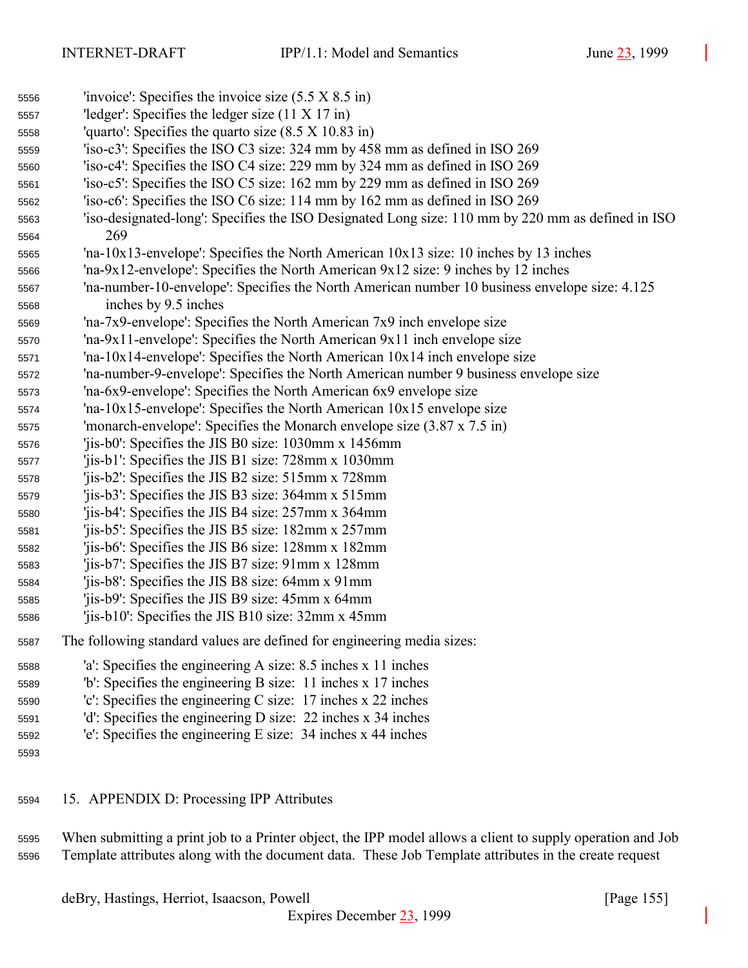| 5556 | 'invoice': Specifies the invoice size $(5.5 \times 8.5 \text{ in})$                                        |
|------|------------------------------------------------------------------------------------------------------------|
| 5557 | 'ledger': Specifies the ledger size $(11 \times 17 \text{ in})$                                            |
| 5558 | "quarto": Specifies the quarto size $(8.5 \times 10.83 \text{ in})$                                        |
| 5559 | 'iso-c3': Specifies the ISO C3 size: 324 mm by 458 mm as defined in ISO 269                                |
| 5560 | 'iso-c4': Specifies the ISO C4 size: 229 mm by 324 mm as defined in ISO 269                                |
| 5561 | 'iso-c5': Specifies the ISO C5 size: 162 mm by 229 mm as defined in ISO 269                                |
| 5562 | 'iso-c6': Specifies the ISO C6 size: 114 mm by 162 mm as defined in ISO 269                                |
| 5563 | 'iso-designated-long': Specifies the ISO Designated Long size: 110 mm by 220 mm as defined in ISO          |
| 5564 | 269                                                                                                        |
| 5565 | 'na-10x13-envelope': Specifies the North American $10x13$ size: 10 inches by 13 inches                     |
| 5566 | 'na-9x12-envelope': Specifies the North American 9x12 size: 9 inches by 12 inches                          |
| 5567 | 'na-number-10-envelope': Specifies the North American number 10 business envelope size: 4.125              |
| 5568 | inches by 9.5 inches                                                                                       |
| 5569 | 'na-7x9-envelope': Specifies the North American 7x9 inch envelope size                                     |
| 5570 | 'na-9x11-envelope': Specifies the North American $9x11$ inch envelope size                                 |
| 5571 | 'na-10x14-envelope': Specifies the North American $10x14$ inch envelope size                               |
| 5572 | 'na-number-9-envelope': Specifies the North American number 9 business envelope size                       |
| 5573 | 'na-6x9-envelope': Specifies the North American 6x9 envelope size                                          |
| 5574 | 'na-10x15-envelope': Specifies the North American 10x15 envelope size                                      |
| 5575 | 'monarch-envelope': Specifies the Monarch envelope size $(3.87 \times 7.5 \text{ in})$                     |
| 5576 | 'jis-b0': Specifies the JIS B0 size: 1030mm x 1456mm                                                       |
| 5577 | 'jis-b1': Specifies the JIS B1 size: 728mm x 1030mm                                                        |
| 5578 | 'jis-b2': Specifies the JIS B2 size: 515mm x 728mm                                                         |
| 5579 | 'jis-b3': Specifies the JIS B3 size: 364mm x 515mm                                                         |
| 5580 | 'jis-b4': Specifies the JIS B4 size: 257mm x 364mm                                                         |
| 5581 | 'jis-b5': Specifies the JIS B5 size: 182mm x 257mm                                                         |
| 5582 | 'jis-b6': Specifies the JIS B6 size: 128mm x 182mm                                                         |
| 5583 | 'jis-b7': Specifies the JIS B7 size: 91mm x 128mm                                                          |
| 5584 | 'jis-b8': Specifies the JIS B8 size: 64mm x 91mm                                                           |
| 5585 | 'jis-b9': Specifies the JIS B9 size: 45mm x 64mm                                                           |
| 5586 | 'jis-b10': Specifies the JIS B10 size: 32mm x 45mm                                                         |
| 5587 | The following standard values are defined for engineering media sizes:                                     |
| 5588 | 'a': Specifies the engineering A size: 8.5 inches x 11 inches                                              |
| 5589 | b: Specifies the engineering B size: 11 inches x 17 inches                                                 |
| 5590 | 'c': Specifies the engineering C size: $17$ inches x 22 inches                                             |
| 5591 | 'd': Specifies the engineering D size: 22 inches x 34 inches                                               |
| 5592 | 'e': Specifies the engineering E size: 34 inches x 44 inches                                               |
| 5593 |                                                                                                            |
| 5594 | 15. APPENDIX D: Processing IPP Attributes                                                                  |
| 5595 | When submitting a print job to a Printer object, the IPP model allows a client to supply operation and Job |

Template attributes along with the document data. These Job Template attributes in the create request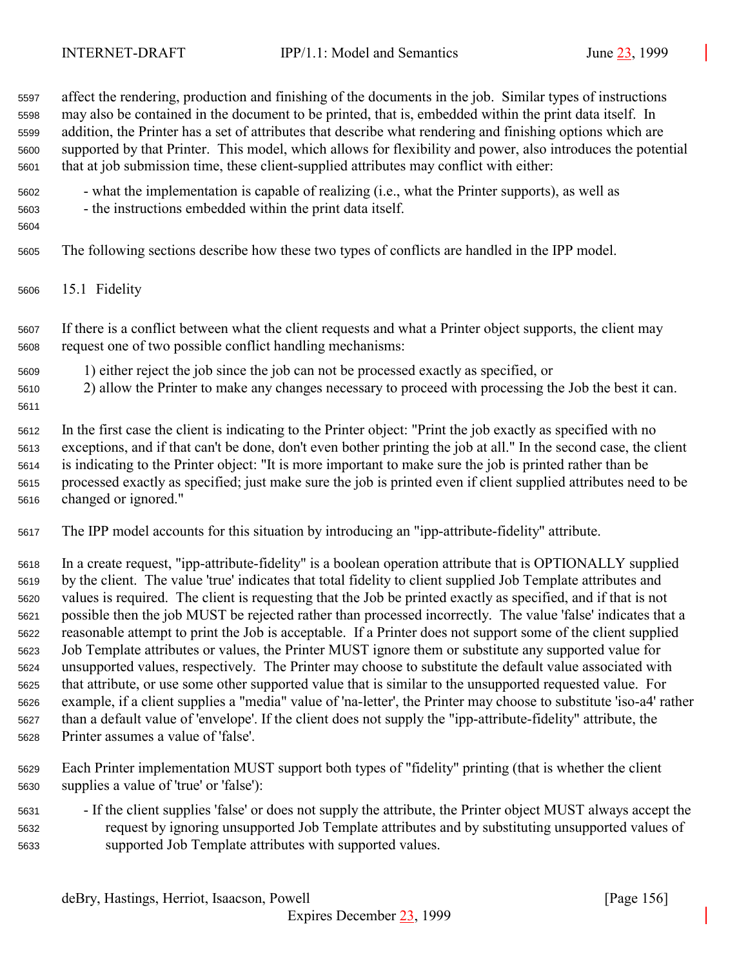affect the rendering, production and finishing of the documents in the job. Similar types of instructions may also be contained in the document to be printed, that is, embedded within the print data itself. In addition, the Printer has a set of attributes that describe what rendering and finishing options which are supported by that Printer. This model, which allows for flexibility and power, also introduces the potential that at job submission time, these client-supplied attributes may conflict with either:

- what the implementation is capable of realizing (i.e., what the Printer supports), as well as
- the instructions embedded within the print data itself.
- 

The following sections describe how these two types of conflicts are handled in the IPP model.

15.1 Fidelity

 If there is a conflict between what the client requests and what a Printer object supports, the client may request one of two possible conflict handling mechanisms:

- 1) either reject the job since the job can not be processed exactly as specified, or
- 2) allow the Printer to make any changes necessary to proceed with processing the Job the best it can.
- 

 In the first case the client is indicating to the Printer object: "Print the job exactly as specified with no exceptions, and if that can't be done, don't even bother printing the job at all." In the second case, the client is indicating to the Printer object: "It is more important to make sure the job is printed rather than be processed exactly as specified; just make sure the job is printed even if client supplied attributes need to be changed or ignored."

The IPP model accounts for this situation by introducing an "ipp-attribute-fidelity" attribute.

 In a create request, "ipp-attribute-fidelity" is a boolean operation attribute that is OPTIONALLY supplied by the client. The value 'true' indicates that total fidelity to client supplied Job Template attributes and values is required. The client is requesting that the Job be printed exactly as specified, and if that is not possible then the job MUST be rejected rather than processed incorrectly. The value 'false' indicates that a reasonable attempt to print the Job is acceptable. If a Printer does not support some of the client supplied Job Template attributes or values, the Printer MUST ignore them or substitute any supported value for unsupported values, respectively. The Printer may choose to substitute the default value associated with that attribute, or use some other supported value that is similar to the unsupported requested value. For example, if a client supplies a "media" value of 'na-letter', the Printer may choose to substitute 'iso-a4' rather than a default value of 'envelope'. If the client does not supply the "ipp-attribute-fidelity" attribute, the Printer assumes a value of 'false'.

- Each Printer implementation MUST support both types of "fidelity" printing (that is whether the client supplies a value of 'true' or 'false'):
- If the client supplies 'false' or does not supply the attribute, the Printer object MUST always accept the request by ignoring unsupported Job Template attributes and by substituting unsupported values of supported Job Template attributes with supported values.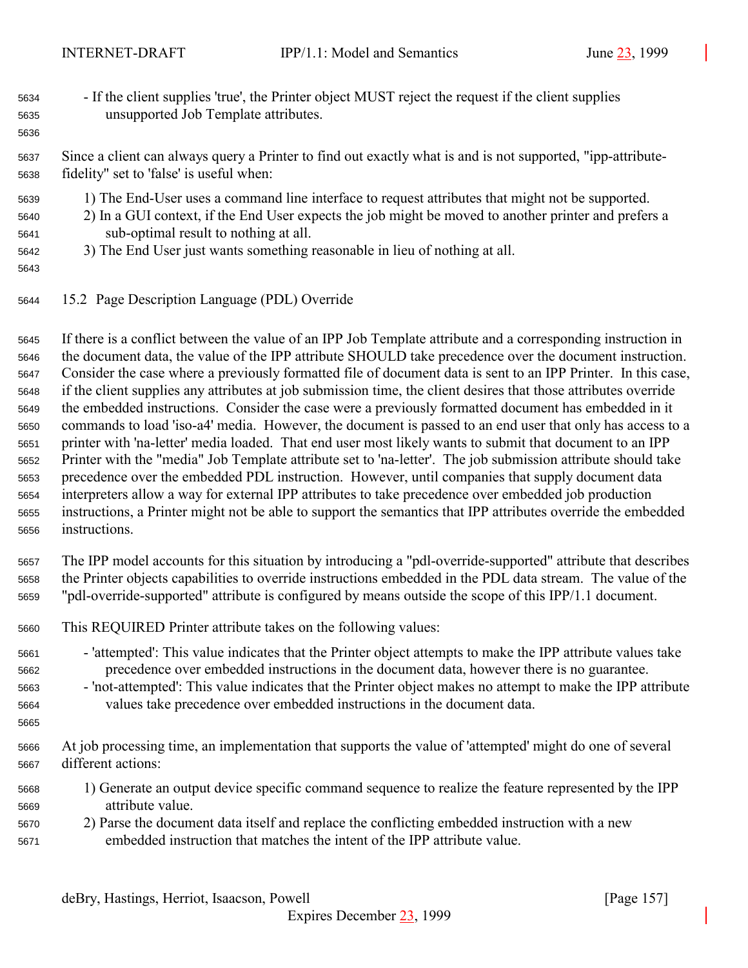- If the client supplies 'true', the Printer object MUST reject the request if the client supplies unsupported Job Template attributes.
- Since a client can always query a Printer to find out exactly what is and is not supported, "ipp-attribute-fidelity" set to 'false' is useful when:
- 1) The End-User uses a command line interface to request attributes that might not be supported.
- 2) In a GUI context, if the End User expects the job might be moved to another printer and prefers a sub-optimal result to nothing at all.
- 3) The End User just wants something reasonable in lieu of nothing at all.
- 

15.2 Page Description Language (PDL) Override

 If there is a conflict between the value of an IPP Job Template attribute and a corresponding instruction in the document data, the value of the IPP attribute SHOULD take precedence over the document instruction. Consider the case where a previously formatted file of document data is sent to an IPP Printer. In this case, if the client supplies any attributes at job submission time, the client desires that those attributes override the embedded instructions. Consider the case were a previously formatted document has embedded in it commands to load 'iso-a4' media. However, the document is passed to an end user that only has access to a printer with 'na-letter' media loaded. That end user most likely wants to submit that document to an IPP Printer with the "media" Job Template attribute set to 'na-letter'. The job submission attribute should take precedence over the embedded PDL instruction. However, until companies that supply document data interpreters allow a way for external IPP attributes to take precedence over embedded job production instructions, a Printer might not be able to support the semantics that IPP attributes override the embedded instructions.

 The IPP model accounts for this situation by introducing a "pdl-override-supported" attribute that describes the Printer objects capabilities to override instructions embedded in the PDL data stream. The value of the "pdl-override-supported" attribute is configured by means outside the scope of this IPP/1.1 document.

- This REQUIRED Printer attribute takes on the following values:
- 'attempted': This value indicates that the Printer object attempts to make the IPP attribute values take precedence over embedded instructions in the document data, however there is no guarantee.

 - 'not-attempted': This value indicates that the Printer object makes no attempt to make the IPP attribute values take precedence over embedded instructions in the document data.

- At job processing time, an implementation that supports the value of 'attempted' might do one of several different actions:
- 1) Generate an output device specific command sequence to realize the feature represented by the IPP attribute value.
- 2) Parse the document data itself and replace the conflicting embedded instruction with a new embedded instruction that matches the intent of the IPP attribute value.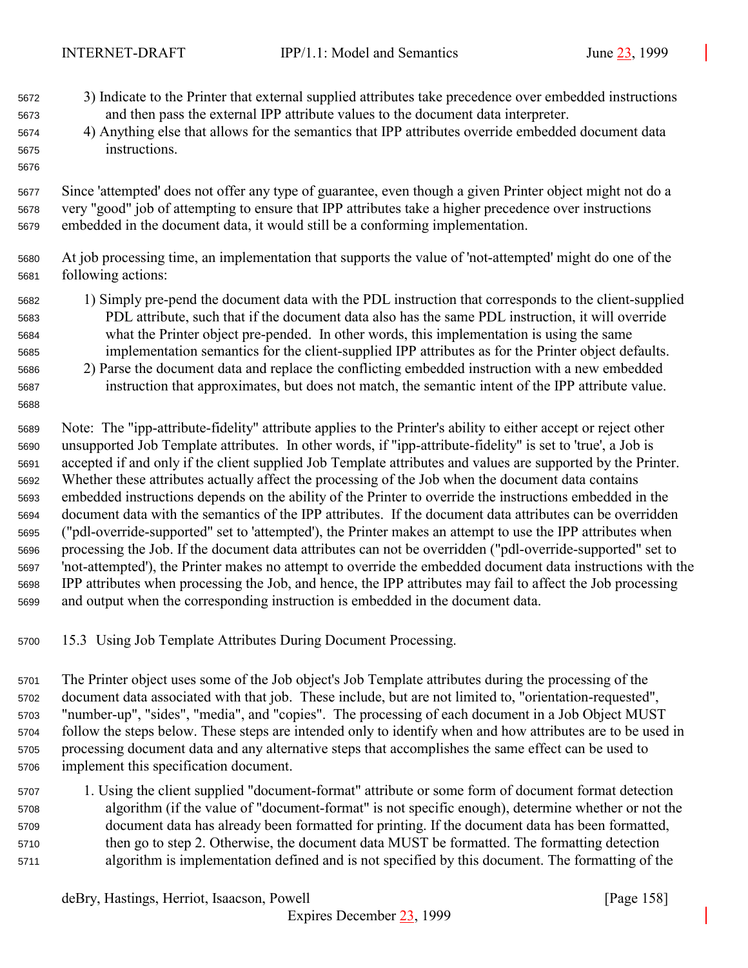- 3) Indicate to the Printer that external supplied attributes take precedence over embedded instructions and then pass the external IPP attribute values to the document data interpreter.
- 4) Anything else that allows for the semantics that IPP attributes override embedded document data instructions.
- Since 'attempted' does not offer any type of guarantee, even though a given Printer object might not do a very "good" job of attempting to ensure that IPP attributes take a higher precedence over instructions embedded in the document data, it would still be a conforming implementation.
- At job processing time, an implementation that supports the value of 'not-attempted' might do one of the following actions:
- 1) Simply pre-pend the document data with the PDL instruction that corresponds to the client-supplied PDL attribute, such that if the document data also has the same PDL instruction, it will override what the Printer object pre-pended. In other words, this implementation is using the same implementation semantics for the client-supplied IPP attributes as for the Printer object defaults.
- 2) Parse the document data and replace the conflicting embedded instruction with a new embedded instruction that approximates, but does not match, the semantic intent of the IPP attribute value.

 Note: The "ipp-attribute-fidelity" attribute applies to the Printer's ability to either accept or reject other unsupported Job Template attributes. In other words, if "ipp-attribute-fidelity" is set to 'true', a Job is accepted if and only if the client supplied Job Template attributes and values are supported by the Printer. Whether these attributes actually affect the processing of the Job when the document data contains embedded instructions depends on the ability of the Printer to override the instructions embedded in the document data with the semantics of the IPP attributes. If the document data attributes can be overridden ("pdl-override-supported" set to 'attempted'), the Printer makes an attempt to use the IPP attributes when processing the Job. If the document data attributes can not be overridden ("pdl-override-supported" set to 'not-attempted'), the Printer makes no attempt to override the embedded document data instructions with the IPP attributes when processing the Job, and hence, the IPP attributes may fail to affect the Job processing and output when the corresponding instruction is embedded in the document data.

- 15.3 Using Job Template Attributes During Document Processing.
- The Printer object uses some of the Job object's Job Template attributes during the processing of the document data associated with that job. These include, but are not limited to, "orientation-requested", "number-up", "sides", "media", and "copies". The processing of each document in a Job Object MUST follow the steps below. These steps are intended only to identify when and how attributes are to be used in processing document data and any alternative steps that accomplishes the same effect can be used to implement this specification document.
- 1. Using the client supplied "document-format" attribute or some form of document format detection algorithm (if the value of "document-format" is not specific enough), determine whether or not the document data has already been formatted for printing. If the document data has been formatted, then go to step 2. Otherwise, the document data MUST be formatted. The formatting detection algorithm is implementation defined and is not specified by this document. The formatting of the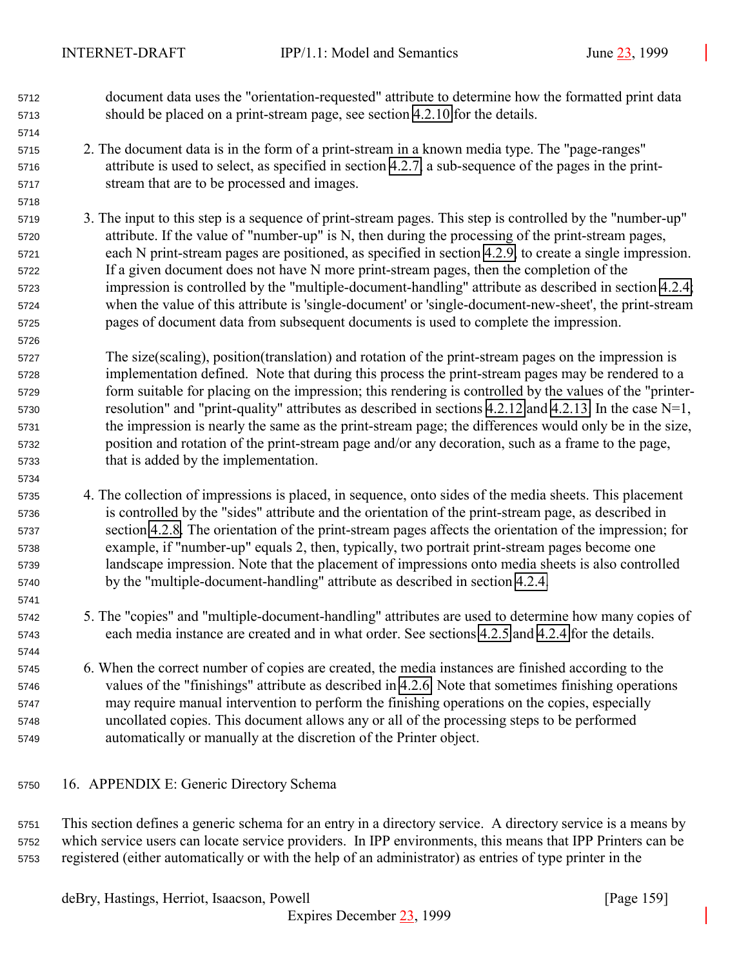- <span id="page-158-0"></span> document data uses the "orientation-requested" attribute to determine how the formatted print data should be placed on a print-stream page, see section [4.2.10](#page-81-0) for the details.
- 2. The document data is in the form of a print-stream in a known media type. The "page-ranges" attribute is used to select, as specified in section [4.2.7,](#page-79-0) a sub-sequence of the pages in the print-stream that are to be processed and images.
- 3. The input to this step is a sequence of print-stream pages. This step is controlled by the "number-up" attribute. If the value of "number-up" is N, then during the processing of the print-stream pages, each N print-stream pages are positioned, as specified in section [4.2.9,](#page-80-0) to create a single impression. If a given document does not have N more print-stream pages, then the completion of the impression is controlled by the "multiple-document-handling" attribute as described in section [4.2.4;](#page-76-0) when the value of this attribute is 'single-document' or 'single-document-new-sheet', the print-stream pages of document data from subsequent documents is used to complete the impression.
- The size(scaling), position(translation) and rotation of the print-stream pages on the impression is implementation defined. Note that during this process the print-stream pages may be rendered to a form suitable for placing on the impression; this rendering is controlled by the values of the "printer- resolution" and "print-quality" attributes as described in sections [4.2.12](#page-82-0) and [4.2.13.](#page-82-0) In the case N=1, the impression is nearly the same as the print-stream page; the differences would only be in the size, position and rotation of the print-stream page and/or any decoration, such as a frame to the page, that is added by the implementation.
- 4. The collection of impressions is placed, in sequence, onto sides of the media sheets. This placement is controlled by the "sides" attribute and the orientation of the print-stream page, as described in section [4.2.8.](#page-80-0) The orientation of the print-stream pages affects the orientation of the impression; for example, if "number-up" equals 2, then, typically, two portrait print-stream pages become one landscape impression. Note that the placement of impressions onto media sheets is also controlled by the "multiple-document-handling" attribute as described in section [4.2.4.](#page-76-0)
- 5. The "copies" and "multiple-document-handling" attributes are used to determine how many copies of each media instance are created and in what order. See sections [4.2.5](#page-77-0) and [4.2.4](#page-76-0) for the details.
- 6. When the correct number of copies are created, the media instances are finished according to the values of the "finishings" attribute as described in [4.2.6.](#page-77-0) Note that sometimes finishing operations may require manual intervention to perform the finishing operations on the copies, especially uncollated copies. This document allows any or all of the processing steps to be performed automatically or manually at the discretion of the Printer object.
- 16. APPENDIX E: Generic Directory Schema
- This section defines a generic schema for an entry in a directory service. A directory service is a means by which service users can locate service providers. In IPP environments, this means that IPP Printers can be registered (either automatically or with the help of an administrator) as entries of type printer in the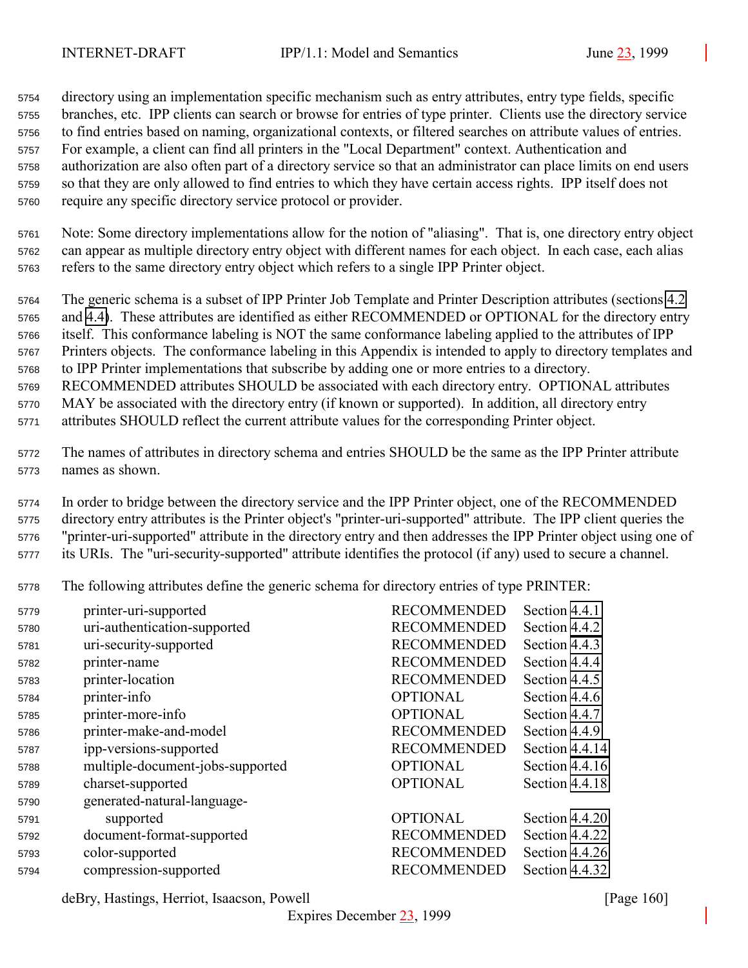directory using an implementation specific mechanism such as entry attributes, entry type fields, specific branches, etc. IPP clients can search or browse for entries of type printer. Clients use the directory service to find entries based on naming, organizational contexts, or filtered searches on attribute values of entries. For example, a client can find all printers in the "Local Department" context. Authentication and authorization are also often part of a directory service so that an administrator can place limits on end users so that they are only allowed to find entries to which they have certain access rights. IPP itself does not require any specific directory service protocol or provider.

 Note: Some directory implementations allow for the notion of "aliasing". That is, one directory entry object can appear as multiple directory entry object with different names for each object. In each case, each alias refers to the same directory entry object which refers to a single IPP Printer object.

 The generic schema is a subset of IPP Printer Job Template and Printer Description attributes (sections [4.2](#page-71-0) and [4.4\)](#page-98-0). These attributes are identified as either RECOMMENDED or OPTIONAL for the directory entry itself. This conformance labeling is NOT the same conformance labeling applied to the attributes of IPP Printers objects. The conformance labeling in this Appendix is intended to apply to directory templates and to IPP Printer implementations that subscribe by adding one or more entries to a directory. RECOMMENDED attributes SHOULD be associated with each directory entry. OPTIONAL attributes

 MAY be associated with the directory entry (if known or supported). In addition, all directory entry attributes SHOULD reflect the current attribute values for the corresponding Printer object.

 The names of attributes in directory schema and entries SHOULD be the same as the IPP Printer attribute names as shown.

 In order to bridge between the directory service and the IPP Printer object, one of the RECOMMENDED directory entry attributes is the Printer object's "printer-uri-supported" attribute. The IPP client queries the "printer-uri-supported" attribute in the directory entry and then addresses the IPP Printer object using one of its URIs. The "uri-security-supported" attribute identifies the protocol (if any) used to secure a channel.

The following attributes define the generic schema for directory entries of type PRINTER:

| 5779 | printer-uri-supported            | <b>RECOMMENDED</b> | Section 4.4.1  |
|------|----------------------------------|--------------------|----------------|
| 5780 | uri-authentication-supported     | <b>RECOMMENDED</b> | Section 4.4.2  |
| 5781 | uri-security-supported           | <b>RECOMMENDED</b> | Section 4.4.3  |
| 5782 | printer-name                     | <b>RECOMMENDED</b> | Section 4.4.4  |
| 5783 | printer-location                 | <b>RECOMMENDED</b> | Section 4.4.5  |
| 5784 | printer-info                     | <b>OPTIONAL</b>    | Section 4.4.6  |
| 5785 | printer-more-info                | <b>OPTIONAL</b>    | Section 4.4.7  |
| 5786 | printer-make-and-model           | <b>RECOMMENDED</b> | Section 4.4.9  |
| 5787 | ipp-versions-supported           | <b>RECOMMENDED</b> | Section 4.4.14 |
| 5788 | multiple-document-jobs-supported | <b>OPTIONAL</b>    | Section 4.4.16 |
| 5789 | charset-supported                | <b>OPTIONAL</b>    | Section 4.4.18 |
| 5790 | generated-natural-language-      |                    |                |
| 5791 | supported                        | <b>OPTIONAL</b>    | Section 4.4.20 |
| 5792 | document-format-supported        | <b>RECOMMENDED</b> | Section 4.4.22 |
| 5793 | color-supported                  | <b>RECOMMENDED</b> | Section 4.4.26 |
| 5794 | compression-supported            | <b>RECOMMENDED</b> | Section 4.4.32 |

deBry, Hastings, Herriot, Isaacson, Powell [Page 160]

Expires December 23, 1999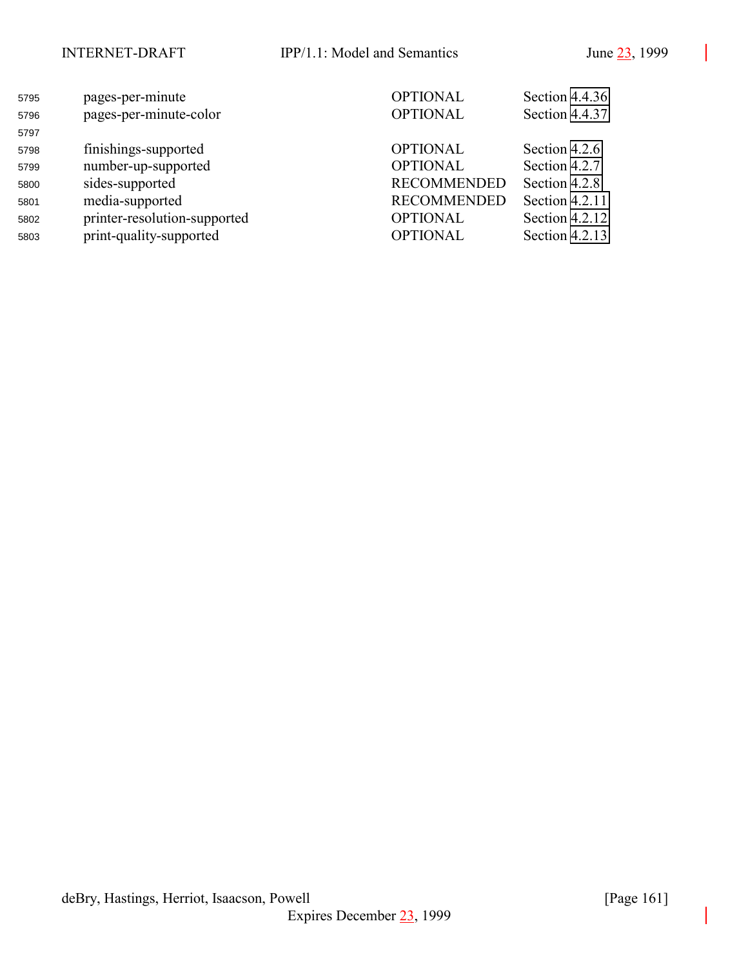| 5795<br>5796<br>5797 | pages-per-minute<br>pages-per-minute-color                                 | <b>OPTIONAL</b><br><b>OPTIONAL</b>                       | Section 4.4.36<br>Section 4.4.37                   |
|----------------------|----------------------------------------------------------------------------|----------------------------------------------------------|----------------------------------------------------|
| 5798                 | finishings-supported                                                       | <b>OPTIONAL</b>                                          | Section 4.2.6                                      |
| 5799<br>5800         | number-up-supported<br>sides-supported                                     | <b>OPTIONAL</b><br><b>RECOMMENDED</b>                    | Section 4.2.7<br>Section 4.2.8                     |
| 5801<br>5802<br>5803 | media-supported<br>printer-resolution-supported<br>print-quality-supported | <b>RECOMMENDED</b><br><b>OPTIONAL</b><br><b>OPTIONAL</b> | Section 4.2.11<br>Section 4.2.12<br>Section 4.2.13 |
|                      |                                                                            |                                                          |                                                    |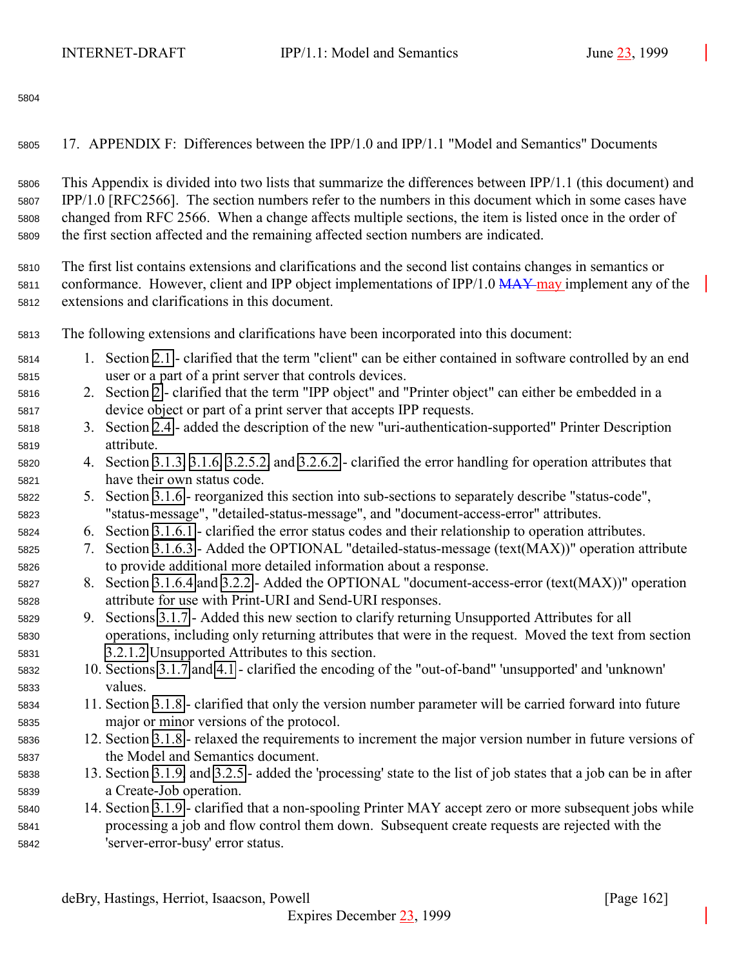17. APPENDIX F: Differences between the IPP/1.0 and IPP/1.1 "Model and Semantics" Documents

 This Appendix is divided into two lists that summarize the differences between IPP/1.1 (this document) and IPP/1.0 [RFC2566]. The section numbers refer to the numbers in this document which in some cases have changed from RFC 2566. When a change affects multiple sections, the item is listed once in the order of the first section affected and the remaining affected section numbers are indicated.

 The first list contains extensions and clarifications and the second list contains changes in semantics or 5811 conformance. However, client and IPP object implementations of IPP/1.0  $\overline{MAX}$  may implement any of the extensions and clarifications in this document.

The following extensions and clarifications have been incorporated into this document:

- 1. Section [2.1](#page-12-0)  clarified that the term "client" can be either contained in software controlled by an end user or a part of a print server that controls devices.
- 2. Section [2](#page-12-0)  clarified that the term "IPP object" and "Printer object" can either be embedded in a device object or part of a print server that accepts IPP requests.
- 3. Section [2.4](#page-16-0)  added the description of the new "uri-authentication-supported" Printer Description attribute.
- 4. Section [3.1.3,](#page-20-0) [3.1.6,](#page-27-0) [3.2.5.2,](#page-43-0) and [3.2.6.2](#page-45-0)  clarified the error handling for operation attributes that have their own status code.
- 5. Section [3.1.6](#page-27-0)  reorganized this section into sub-sections to separately describe "status-code", "status-message", "detailed-status-message", and "document-access-error" attributes.
- 6. Section [3.1.6.1](#page-27-0)  clarified the error status codes and their relationship to operation attributes.
- 7. Section [3.1.6.3](#page-28-0)  Added the OPTIONAL "detailed-status-message (text(MAX))" operation attribute to provide additional more detailed information about a response.
- 8. Section [3.1.6.4](#page-28-0) and [3.2.2](#page-39-0)  Added the OPTIONAL "document-access-error (text(MAX))" operation attribute for use with Print-URI and Send-URI responses.
- 9. Sections [3.1.7](#page-28-0)  Added this new section to clarify returning Unsupported Attributes for all operations, including only returning attributes that were in the request. Moved the text from section [3.2.1.2](#page-37-0) Unsupported Attributes to this section.
- 10. Sections [3.1.7](#page-28-0) and [4.1](#page-61-0)  clarified the encoding of the "out-of-band" 'unsupported' and 'unknown' values.
- 11. Section [3.1.8](#page-30-0)  clarified that only the version number parameter will be carried forward into future major or minor versions of the protocol.
- 12. Section [3.1.8](#page-30-0)  relaxed the requirements to increment the major version number in future versions of the Model and Semantics document.
- 13. Section [3.1.9,](#page-31-0) and [3.2.5](#page-41-0)  added the 'processing' state to the list of job states that a job can be in after a Create-Job operation.
- 14. Section [3.1.9](#page-31-0)  clarified that a non-spooling Printer MAY accept zero or more subsequent jobs while processing a job and flow control them down. Subsequent create requests are rejected with the 'server-error-busy' error status.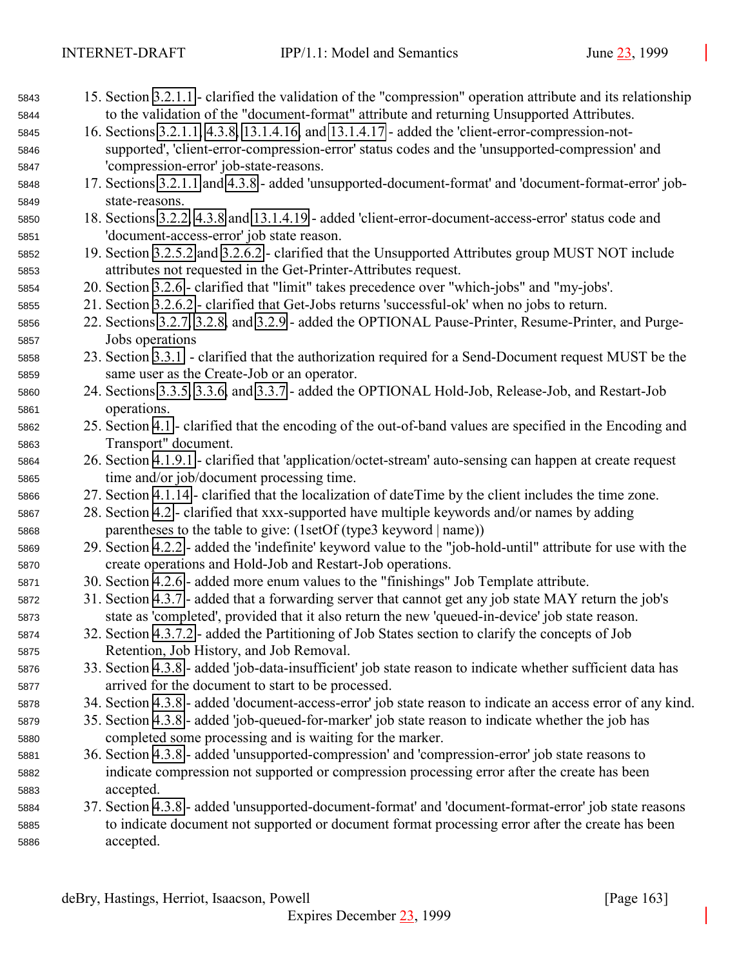| 5843 | 15. Section 3.2.1.1 - clarified the validation of the "compression" operation attribute and its relationship |
|------|--------------------------------------------------------------------------------------------------------------|
| 5844 | to the validation of the "document-format" attribute and returning Unsupported Attributes.                   |
| 5845 | 16. Sections 3.2.1.1, 4.3.8, 13.1.4.16, and 13.1.4.17 - added the 'client-error-compression-not-             |
| 5846 | supported', 'client-error-compression-error' status codes and the 'unsupported-compression' and              |
| 5847 | 'compression-error' job-state-reasons.                                                                       |
| 5848 | 17. Sections 3.2.1.1 and 4.3.8 - added 'unsupported-document-format' and 'document-format-error' job-        |
| 5849 | state-reasons.                                                                                               |
| 5850 | 18. Sections 3.2.2, 4.3.8 and 13.1.4.19 - added 'client-error-document-access-error' status code and         |
| 5851 | 'document-access-error' job state reason.                                                                    |
| 5852 | 19. Section 3.2.5.2 and 3.2.6.2 - clarified that the Unsupported Attributes group MUST NOT include           |
| 5853 | attributes not requested in the Get-Printer-Attributes request.                                              |
| 5854 | 20. Section 3.2.6 - clarified that "limit" takes precedence over "which-jobs" and "my-jobs'.                 |
| 5855 | 21. Section 3.2.6.2 - clarified that Get-Jobs returns 'successful-ok' when no jobs to return.                |
| 5856 | 22. Sections 3.2.7, 3.2.8, and 3.2.9 - added the OPTIONAL Pause-Printer, Resume-Printer, and Purge-          |
| 5857 | Jobs operations                                                                                              |
| 5858 | 23. Section 3.3.1 - clarified that the authorization required for a Send-Document request MUST be the        |
| 5859 | same user as the Create-Job or an operator.                                                                  |
| 5860 | 24. Sections 3.3.5, 3.3.6, and 3.3.7 - added the OPTIONAL Hold-Job, Release-Job, and Restart-Job             |
| 5861 | operations.                                                                                                  |
| 5862 | 25. Section 4.1 - clarified that the encoding of the out-of-band values are specified in the Encoding and    |
| 5863 | Transport" document.                                                                                         |
| 5864 | 26. Section 4.1.9.1 - clarified that 'application/octet-stream' auto-sensing can happen at create request    |
| 5865 | time and/or job/document processing time.                                                                    |
| 5866 | 27. Section 4.1.14 - clarified that the localization of dateTime by the client includes the time zone.       |
| 5867 | 28. Section 4.2 - clarified that xxx-supported have multiple keywords and/or names by adding                 |
| 5868 | parentheses to the table to give: (1setOf (type3 keyword   name))                                            |
| 5869 | 29. Section 4.2.2 - added the 'indefinite' keyword value to the "job-hold-until" attribute for use with the  |
| 5870 | create operations and Hold-Job and Restart-Job operations.                                                   |
| 5871 | 30. Section 4.2.6 - added more enum values to the "finishings" Job Template attribute.                       |
| 5872 | 31. Section 4.3.7 - added that a forwarding server that cannot get any job state MAY return the job's        |
| 5873 | state as 'completed', provided that it also return the new 'queued-in-device' job state reason.              |
| 5874 | 32. Section 4.3.7.2 - added the Partitioning of Job States section to clarify the concepts of Job            |
| 5875 | Retention, Job History, and Job Removal.                                                                     |
| 5876 | 33. Section 4.3.8 - added 'job-data-insufficient' job state reason to indicate whether sufficient data has   |
| 5877 | arrived for the document to start to be processed.                                                           |
| 5878 | 34. Section 4.3.8 - added 'document-access-error' job state reason to indicate an access error of any kind.  |
| 5879 | 35. Section 4.3.8 - added 'job-queued-for-marker' job state reason to indicate whether the job has           |
| 5880 | completed some processing and is waiting for the marker.                                                     |
| 5881 | 36. Section 4.3.8 - added 'unsupported-compression' and 'compression-error' job state reasons to             |
| 5882 | indicate compression not supported or compression processing error after the create has been                 |
| 5883 | accepted.                                                                                                    |
| 5884 | 37. Section 4.3.8 - added 'unsupported-document-format' and 'document-format-error' job state reasons        |
| 5885 | to indicate document not supported or document format processing error after the create has been             |
| 5886 | accepted.                                                                                                    |
|      |                                                                                                              |
|      |                                                                                                              |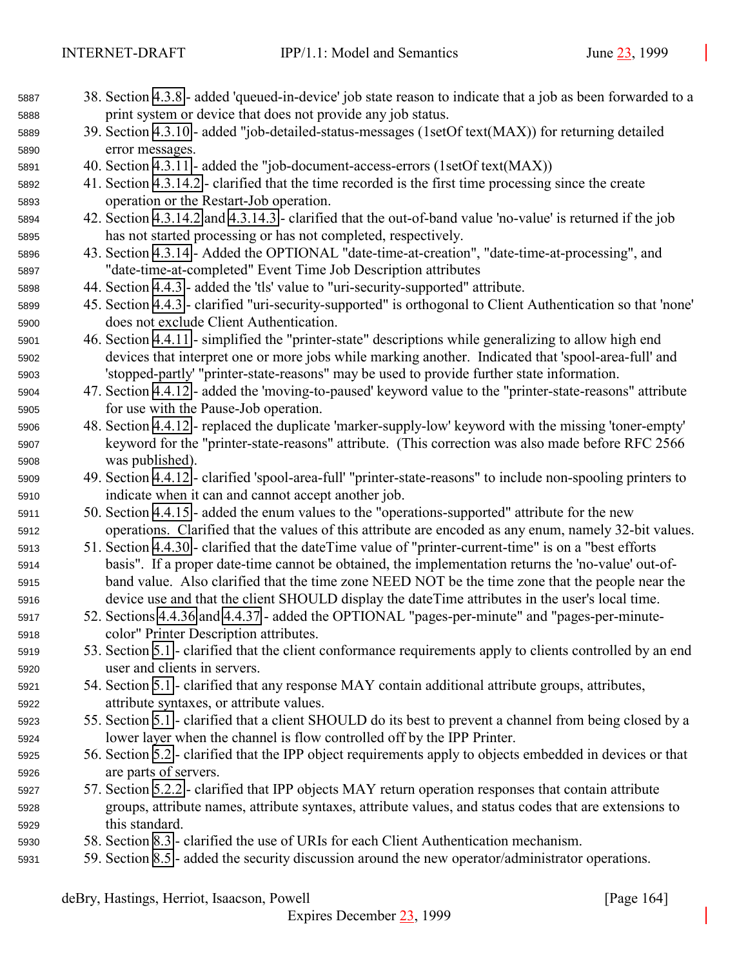| 5887 | 38. Section 4.3.8 - added 'queued-in-device' job state reason to indicate that a job as been forwarded to a  |  |
|------|--------------------------------------------------------------------------------------------------------------|--|
| 5888 | print system or device that does not provide any job status.                                                 |  |
| 5889 | 39. Section 4.3.10 - added "job-detailed-status-messages (1setOf text(MAX)) for returning detailed           |  |
| 5890 | error messages.                                                                                              |  |
| 5891 | 40. Section 4.3.11 - added the "job-document-access-errors (1setOf text(MAX))                                |  |
| 5892 | 41. Section 4.3.14.2 - clarified that the time recorded is the first time processing since the create        |  |
| 5893 | operation or the Restart-Job operation.                                                                      |  |
| 5894 | 42. Section 4.3.14.2 and 4.3.14.3 - clarified that the out-of-band value 'no-value' is returned if the job   |  |
| 5895 | has not started processing or has not completed, respectively.                                               |  |
| 5896 | 43. Section 4.3.14 - Added the OPTIONAL "date-time-at-creation", "date-time-at-processing", and              |  |
| 5897 | "date-time-at-completed" Event Time Job Description attributes                                               |  |
| 5898 | 44. Section 4.4.3 - added the 'tls' value to "uri-security-supported" attribute.                             |  |
| 5899 | 45. Section 4.4.3 - clarified "uri-security-supported" is orthogonal to Client Authentication so that 'none' |  |
| 5900 | does not exclude Client Authentication.                                                                      |  |
| 5901 | 46. Section 4.4.11 - simplified the "printer-state" descriptions while generalizing to allow high end        |  |
| 5902 | devices that interpret one or more jobs while marking another. Indicated that 'spool-area-full' and          |  |
| 5903 | 'stopped-partly' "printer-state-reasons" may be used to provide further state information.                   |  |
| 5904 | 47. Section 4.4.12 - added the 'moving-to-paused' keyword value to the "printer-state-reasons" attribute     |  |
| 5905 | for use with the Pause-Job operation.                                                                        |  |
| 5906 | 48. Section 4.4.12 - replaced the duplicate 'marker-supply-low' keyword with the missing 'toner-empty'       |  |
| 5907 | keyword for the "printer-state-reasons" attribute. (This correction was also made before RFC 2566            |  |
| 5908 | was published).                                                                                              |  |
| 5909 | 49. Section 4.4.12 - clarified 'spool-area-full' "printer-state-reasons" to include non-spooling printers to |  |
| 5910 | indicate when it can and cannot accept another job.                                                          |  |
| 5911 | 50. Section 4.4.15 - added the enum values to the "operations-supported" attribute for the new               |  |
| 5912 | operations. Clarified that the values of this attribute are encoded as any enum, namely 32-bit values.       |  |
| 5913 | 51. Section 4.4.30 - clarified that the dateTime value of "printer-current-time" is on a "best efforts       |  |
| 5914 | basis". If a proper date-time cannot be obtained, the implementation returns the 'no-value' out-of-          |  |
| 5915 | band value. Also clarified that the time zone NEED NOT be the time zone that the people near the             |  |
| 5916 | device use and that the client SHOULD display the dateTime attributes in the user's local time.              |  |
| 5917 | 52. Sections 4.4.36 and 4.4.37 - added the OPTIONAL "pages-per-minute" and "pages-per-minute-                |  |
| 5918 | color" Printer Description attributes.                                                                       |  |
| 5919 | 53. Section 5.1 - clarified that the client conformance requirements apply to clients controlled by an end   |  |
| 5920 | user and clients in servers.                                                                                 |  |
| 5921 | 54. Section 5.1 - clarified that any response MAY contain additional attribute groups, attributes,           |  |
| 5922 | attribute syntaxes, or attribute values.                                                                     |  |
| 5923 | 55. Section 5.1 - clarified that a client SHOULD do its best to prevent a channel from being closed by a     |  |
| 5924 | lower layer when the channel is flow controlled off by the IPP Printer.                                      |  |
| 5925 | 56. Section 5.2 - clarified that the IPP object requirements apply to objects embedded in devices or that    |  |
| 5926 | are parts of servers.                                                                                        |  |
| 5927 | 57. Section 5.2.2 - clarified that IPP objects MAY return operation responses that contain attribute         |  |
| 5928 | groups, attribute names, attribute syntaxes, attribute values, and status codes that are extensions to       |  |
| 5929 | this standard.                                                                                               |  |
| 5930 | 58. Section 8.3 - clarified the use of URIs for each Client Authentication mechanism.                        |  |
| 5931 | 59. Section 8.5 - added the security discussion around the new operator/administrator operations.            |  |
|      |                                                                                                              |  |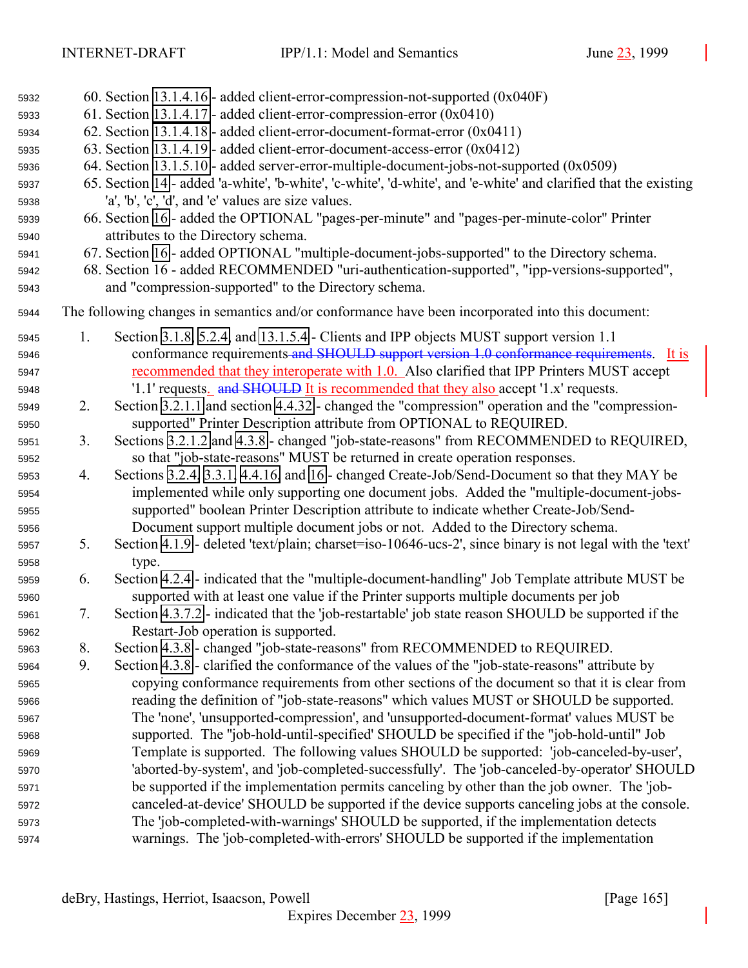| 5932 |    | 60. Section $13.1.4.16$ - added client-error-compression-not-supported $(0x040F)$                                |
|------|----|------------------------------------------------------------------------------------------------------------------|
| 5933 |    | 61. Section 13.1.4.17 - added client-error-compression-error $(0x0410)$                                          |
| 5934 |    | 62. Section 13.1.4.18 - added client-error-document-format-error (0x0411)                                        |
| 5935 |    | 63. Section 13.1.4.19 - added client-error-document-access-error (0x0412)                                        |
| 5936 |    | 64. Section 13.1.5.10 - added server-error-multiple-document-jobs-not-supported (0x0509)                         |
| 5937 |    | 65. Section 14 - added 'a-white', 'b-white', 'c-white', 'd-white', and 'e-white' and clarified that the existing |
| 5938 |    | 'a', 'b', 'c', 'd', and 'e' values are size values.                                                              |
| 5939 |    | 66. Section 16 - added the OPTIONAL "pages-per-minute" and "pages-per-minute-color" Printer                      |
| 5940 |    | attributes to the Directory schema.                                                                              |
| 5941 |    | 67. Section 16 - added OPTIONAL "multiple-document-jobs-supported" to the Directory schema.                      |
| 5942 |    | 68. Section 16 - added RECOMMENDED "uri-authentication-supported", "ipp-versions-supported",                     |
| 5943 |    | and "compression-supported" to the Directory schema.                                                             |
| 5944 |    | The following changes in semantics and/or conformance have been incorporated into this document:                 |
| 5945 | 1. | Section 3.1.8, 5.2.4, and 13.1.5.4 - Clients and IPP objects MUST support version 1.1                            |
| 5946 |    | conformance requirements and SHOULD support version 1.0 conformance requirements.<br>It is                       |
| 5947 |    | recommended that they interoperate with 1.0. Also clarified that IPP Printers MUST accept                        |
| 5948 |    | '1.1' requests. and SHOULD It is recommended that they also accept '1.x' requests.                               |
| 5949 | 2. | Section 3.2.1.1 and section 4.4.32 - changed the "compression" operation and the "compression-                   |
| 5950 |    | supported" Printer Description attribute from OPTIONAL to REQUIRED.                                              |
| 5951 | 3. | Sections 3.2.1.2 and 4.3.8 - changed "job-state-reasons" from RECOMMENDED to REQUIRED,                           |
| 5952 |    | so that "job-state-reasons" MUST be returned in create operation responses.                                      |
| 5953 | 4. | Sections 3.2.4, 3.3.1, 4.4.16, and 16 - changed Create-Job/Send-Document so that they MAY be                     |
| 5954 |    | implemented while only supporting one document jobs. Added the "multiple-document-jobs-                          |
| 5955 |    | supported" boolean Printer Description attribute to indicate whether Create-Job/Send-                            |
| 5956 |    | Document support multiple document jobs or not. Added to the Directory schema.                                   |
| 5957 | 5. | Section 4.1.9 - deleted 'text/plain; charset=iso-10646-ucs-2', since binary is not legal with the 'text'         |
| 5958 |    | type.                                                                                                            |
| 5959 | 6. | Section 4.2.4 - indicated that the "multiple-document-handling" Job Template attribute MUST be                   |
| 5960 |    | supported with at least one value if the Printer supports multiple documents per job                             |
| 5961 | 7. | Section 4.3.7.2 - indicated that the 'job-restartable' job state reason SHOULD be supported if the               |
| 5962 |    | Restart-Job operation is supported.                                                                              |
| 5963 | 8. | Section 4.3.8 - changed "job-state-reasons" from RECOMMENDED to REQUIRED.                                        |
| 5964 | 9. | Section 4.3.8 - clarified the conformance of the values of the "job-state-reasons" attribute by                  |
| 5965 |    | copying conformance requirements from other sections of the document so that it is clear from                    |
| 5966 |    | reading the definition of "job-state-reasons" which values MUST or SHOULD be supported.                          |
| 5967 |    | The 'none', 'unsupported-compression', and 'unsupported-document-format' values MUST be                          |
| 5968 |    | supported. The "job-hold-until-specified' SHOULD be specified if the "job-hold-until" Job                        |
| 5969 |    | Template is supported. The following values SHOULD be supported: 'job-canceled-by-user',                         |
| 5970 |    | 'aborted-by-system', and 'job-completed-successfully'. The 'job-canceled-by-operator' SHOULD                     |
| 5971 |    | be supported if the implementation permits canceling by other than the job owner. The 'job-                      |
| 5972 |    | canceled-at-device' SHOULD be supported if the device supports canceling jobs at the console.                    |
| 5973 |    | The 'job-completed-with-warnings' SHOULD be supported, if the implementation detects                             |
| 5974 |    | warnings. The 'job-completed-with-errors' SHOULD be supported if the implementation                              |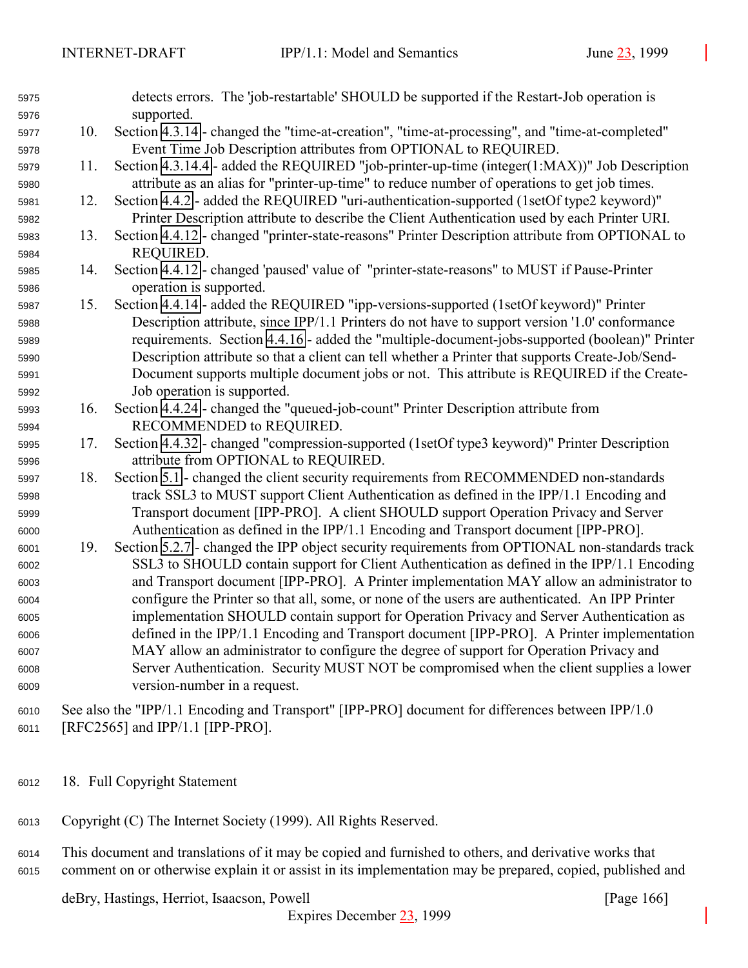| 5975<br>5976 |     | detects errors. The 'job-restartable' SHOULD be supported if the Restart-Job operation is<br>supported. |
|--------------|-----|---------------------------------------------------------------------------------------------------------|
| 5977         | 10. | Section 4.3.14 - changed the "time-at-creation", "time-at-processing", and "time-at-completed"          |
| 5978         |     | Event Time Job Description attributes from OPTIONAL to REQUIRED.                                        |
| 5979         | 11. | Section 4.3.14.4 - added the REQUIRED "job-printer-up-time (integer $(1:MAX)$ " Job Description         |
| 5980         |     | attribute as an alias for "printer-up-time" to reduce number of operations to get job times.            |
| 5981         | 12. | Section 4.4.2 - added the REQUIRED "uri-authentication-supported (1setOf type2 keyword)"                |
| 5982         |     | Printer Description attribute to describe the Client Authentication used by each Printer URI.           |
| 5983         | 13. | Section 4.4.12 - changed "printer-state-reasons" Printer Description attribute from OPTIONAL to         |
| 5984         |     | REQUIRED.                                                                                               |
| 5985         | 14. | Section 4.4.12 - changed 'paused' value of "printer-state-reasons" to MUST if Pause-Printer             |
| 5986         |     | operation is supported.                                                                                 |
| 5987         | 15. | Section 4.4.14 - added the REQUIRED "ipp-versions-supported (1setOf keyword)" Printer                   |
| 5988         |     | Description attribute, since IPP/1.1 Printers do not have to support version '1.0' conformance          |
| 5989         |     | requirements. Section 4.4.16 - added the "multiple-document-jobs-supported (boolean)" Printer           |
| 5990         |     | Description attribute so that a client can tell whether a Printer that supports Create-Job/Send-        |
| 5991         |     | Document supports multiple document jobs or not. This attribute is REQUIRED if the Create-              |
| 5992         |     | Job operation is supported.                                                                             |
| 5993         | 16. | Section 4.4.24 - changed the "queued-job-count" Printer Description attribute from                      |
| 5994         |     | RECOMMENDED to REQUIRED.                                                                                |
| 5995         | 17. | Section 4.4.32 - changed "compression-supported (1setOf type3 keyword)" Printer Description             |
| 5996         |     | attribute from OPTIONAL to REQUIRED.                                                                    |
| 5997         | 18. | Section 5.1 - changed the client security requirements from RECOMMENDED non-standards                   |
| 5998         |     | track SSL3 to MUST support Client Authentication as defined in the IPP/1.1 Encoding and                 |
| 5999         |     | Transport document [IPP-PRO]. A client SHOULD support Operation Privacy and Server                      |
| 6000         |     | Authentication as defined in the IPP/1.1 Encoding and Transport document [IPP-PRO].                     |
| 6001         | 19. | Section 5.2.7 - changed the IPP object security requirements from OPTIONAL non-standards track          |
| 6002         |     | SSL3 to SHOULD contain support for Client Authentication as defined in the IPP/1.1 Encoding             |
| 6003         |     | and Transport document [IPP-PRO]. A Printer implementation MAY allow an administrator to                |
| 6004         |     | configure the Printer so that all, some, or none of the users are authenticated. An IPP Printer         |
| 6005         |     | implementation SHOULD contain support for Operation Privacy and Server Authentication as                |
| 6006         |     | defined in the IPP/1.1 Encoding and Transport document [IPP-PRO]. A Printer implementation              |
| 6007         |     | MAY allow an administrator to configure the degree of support for Operation Privacy and                 |
| 6008         |     | Server Authentication. Security MUST NOT be compromised when the client supplies a lower                |
| 6009         |     | version-number in a request.                                                                            |
| 6010         |     | See also the "IPP/1.1 Encoding and Transport" [IPP-PRO] document for differences between IPP/1.0        |
| 6011         |     | [RFC2565] and IPP/1.1 [IPP-PRO].                                                                        |

- 18. Full Copyright Statement
- Copyright (C) The Internet Society (1999). All Rights Reserved.
- This document and translations of it may be copied and furnished to others, and derivative works that comment on or otherwise explain it or assist in its implementation may be prepared, copied, published and

deBry, Hastings, Herriot, Isaacson, Powell [Page 166]